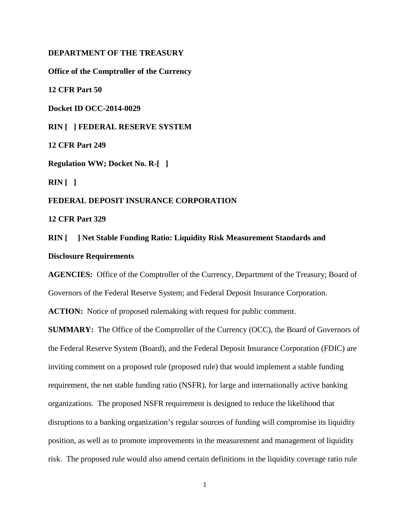## **DEPARTMENT OF THE TREASURY**

**Office of the Comptroller of the Currency**

**12 CFR Part 50**

**Docket ID OCC-2014-0029**

**RIN [ ] FEDERAL RESERVE SYSTEM**

**12 CFR Part 249**

**Regulation WW; Docket No. R-[ ]**

**RIN [ ]**

## **FEDERAL DEPOSIT INSURANCE CORPORATION**

**12 CFR Part 329**

# **RIN [ ] Net Stable Funding Ratio: Liquidity Risk Measurement Standards and Disclosure Requirements**

**AGENCIES:** Office of the Comptroller of the Currency, Department of the Treasury; Board of Governors of the Federal Reserve System; and Federal Deposit Insurance Corporation.

**ACTION:** Notice of proposed rulemaking with request for public comment.

**SUMMARY:** The Office of the Comptroller of the Currency (OCC), the Board of Governors of the Federal Reserve System (Board), and the Federal Deposit Insurance Corporation (FDIC) are inviting comment on a proposed rule (proposed rule) that would implement a stable funding requirement, the net stable funding ratio (NSFR), for large and internationally active banking organizations. The proposed NSFR requirement is designed to reduce the likelihood that disruptions to a banking organization's regular sources of funding will compromise its liquidity position, as well as to promote improvements in the measurement and management of liquidity risk. The proposed rule would also amend certain definitions in the liquidity coverage ratio rule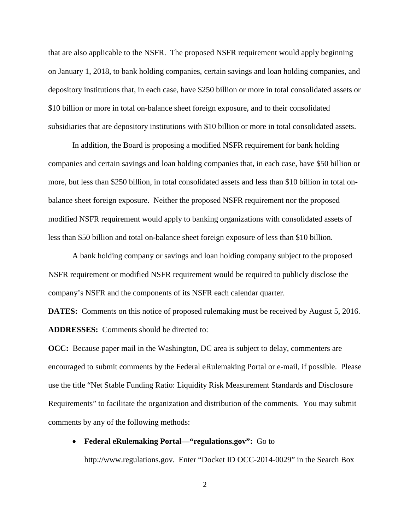that are also applicable to the NSFR. The proposed NSFR requirement would apply beginning on January 1, 2018, to bank holding companies, certain savings and loan holding companies, and depository institutions that, in each case, have \$250 billion or more in total consolidated assets or \$10 billion or more in total on-balance sheet foreign exposure, and to their consolidated subsidiaries that are depository institutions with \$10 billion or more in total consolidated assets.

In addition, the Board is proposing a modified NSFR requirement for bank holding companies and certain savings and loan holding companies that, in each case, have \$50 billion or more, but less than \$250 billion, in total consolidated assets and less than \$10 billion in total onbalance sheet foreign exposure. Neither the proposed NSFR requirement nor the proposed modified NSFR requirement would apply to banking organizations with consolidated assets of less than \$50 billion and total on-balance sheet foreign exposure of less than \$10 billion.

A bank holding company or savings and loan holding company subject to the proposed NSFR requirement or modified NSFR requirement would be required to publicly disclose the company's NSFR and the components of its NSFR each calendar quarter.

**DATES:** Comments on this notice of proposed rulemaking must be received by August 5, 2016. **ADDRESSES:** Comments should be directed to:

**OCC:** Because paper mail in the Washington, DC area is subject to delay, commenters are encouraged to submit comments by the Federal eRulemaking Portal or e-mail, if possible. Please use the title "Net Stable Funding Ratio: Liquidity Risk Measurement Standards and Disclosure Requirements" to facilitate the organization and distribution of the comments. You may submit comments by any of the following methods:

## • **Federal eRulemaking Portal—"regulations.gov":** Go to

http://www.regulations.gov. Enter "Docket ID OCC-2014-0029" in the Search Box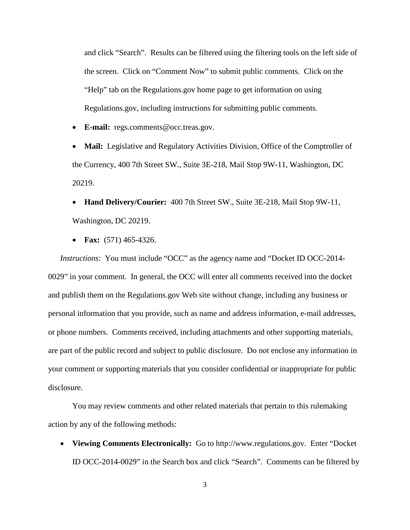and click "Search". Results can be filtered using the filtering tools on the left side of the screen. Click on "Comment Now" to submit public comments. Click on the "Help" tab on the Regulations.gov home page to get information on using Regulations.gov, including instructions for submitting public comments.

• **E-mail:** regs.comments@occ.treas.gov.

• **Mail:** Legislative and Regulatory Activities Division, Office of the Comptroller of the Currency, 400 7th Street SW., Suite 3E-218, Mail Stop 9W-11, Washington, DC 20219.

• **Hand Delivery/Courier:** 400 7th Street SW., Suite 3E-218, Mail Stop 9W-11, Washington, DC 20219.

• **Fax:** (571) 465-4326.

*Instructions*: You must include "OCC" as the agency name and "Docket ID OCC-2014- 0029" in your comment. In general, the OCC will enter all comments received into the docket and publish them on the Regulations.gov Web site without change, including any business or personal information that you provide, such as name and address information, e-mail addresses, or phone numbers. Comments received, including attachments and other supporting materials, are part of the public record and subject to public disclosure. Do not enclose any information in your comment or supporting materials that you consider confidential or inappropriate for public disclosure.

You may review comments and other related materials that pertain to this rulemaking action by any of the following methods:

• **Viewing Comments Electronically:** Go to http://www.regulations.gov. Enter "Docket ID OCC-2014-0029" in the Search box and click "Search". Comments can be filtered by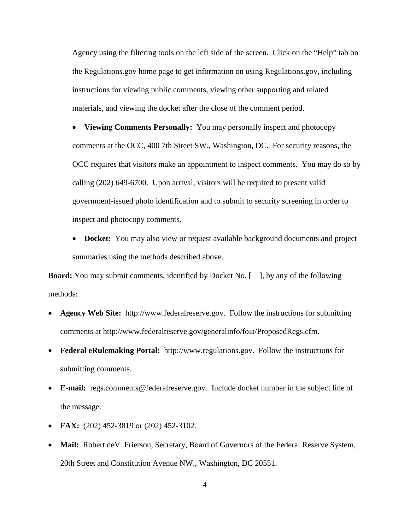Agency using the filtering tools on the left side of the screen. Click on the "Help" tab on the Regulations.gov home page to get information on using Regulations.gov, including instructions for viewing public comments, viewing other supporting and related materials, and viewing the docket after the close of the comment period.

• **Viewing Comments Personally:** You may personally inspect and photocopy comments at the OCC, 400 7th Street SW., Washington, DC. For security reasons, the OCC requires that visitors make an appointment to inspect comments. You may do so by calling (202) 649-6700. Upon arrival, visitors will be required to present valid government-issued photo identification and to submit to security screening in order to inspect and photocopy comments.

• **Docket:** You may also view or request available background documents and project summaries using the methods described above.

**Board:** You may submit comments, identified by Docket No. [ ], by any of the following methods:

- **Agency Web Site:** http://www.federalreserve.gov. Follow the instructions for submitting comments at http://www.federalreserve.gov/generalinfo/foia/ProposedRegs.cfm.
- **Federal eRulemaking Portal:** http://www.regulations.gov. Follow the instructions for submitting comments.
- **E-mail:** regs.comments@federalreserve.gov. Include docket number in the subject line of the message.
- **FAX:** (202) 452-3819 or (202) 452-3102.
- **Mail:** Robert deV. Frierson, Secretary, Board of Governors of the Federal Reserve System, 20th Street and Constitution Avenue NW., Washington, DC 20551.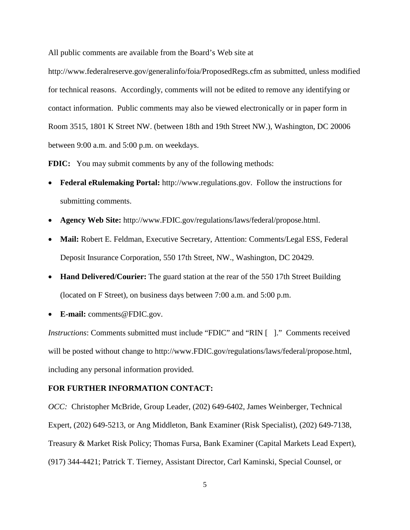All public comments are available from the Board's Web site at

http://www.federalreserve.gov/generalinfo/foia/ProposedRegs.cfm as submitted, unless modified for technical reasons. Accordingly, comments will not be edited to remove any identifying or contact information. Public comments may also be viewed electronically or in paper form in Room 3515, 1801 K Street NW. (between 18th and 19th Street NW.), Washington, DC 20006 between 9:00 a.m. and 5:00 p.m. on weekdays.

**FDIC:** You may submit comments by any of the following methods:

- **Federal eRulemaking Portal:** [http://www.regulations.gov.](http://www.regulations.gov/) Follow the instructions for submitting comments.
- **Agency Web Site:** [http://www.FDIC.gov/regulations/laws/federal/propose.html.](http://frwebgate.access.gpo.gov/cgi-bin/leaving.cgi?from=leavingFR.html&log=linklog&to=http://www.FDIC.gov/regulations/laws/federal/propose.html)
- Mail: Robert E. Feldman, Executive Secretary, Attention: Comments/Legal ESS, Federal Deposit Insurance Corporation, 550 17th Street, NW., Washington, DC 20429.
- **Hand Delivered/Courier:** The guard station at the rear of the 550 17th Street Building (located on F Street), on business days between 7:00 a.m. and 5:00 p.m.
- **E-mail:** [comments@FDIC.gov.](mailto:comments@FDIC.gov)

*Instructions*: Comments submitted must include "FDIC" and "RIN []." Comments received will be posted without change to [http://www.FDIC.gov/regulations/laws/federal/propose.html,](http://frwebgate.access.gpo.gov/cgi-bin/leaving.cgi?from=leavingFR.html&log=linklog&to=http://www.FDIC.gov/regulations/laws/federal/propose.html) including any personal information provided.

#### **FOR FURTHER INFORMATION CONTACT:**

*OCC:* Christopher McBride, Group Leader, (202) 649-6402, James Weinberger, Technical Expert, (202) 649-5213, or Ang Middleton, Bank Examiner (Risk Specialist), (202) 649-7138, Treasury & Market Risk Policy; Thomas Fursa, Bank Examiner (Capital Markets Lead Expert), (917) 344-4421; Patrick T. Tierney, Assistant Director, Carl Kaminski, Special Counsel, or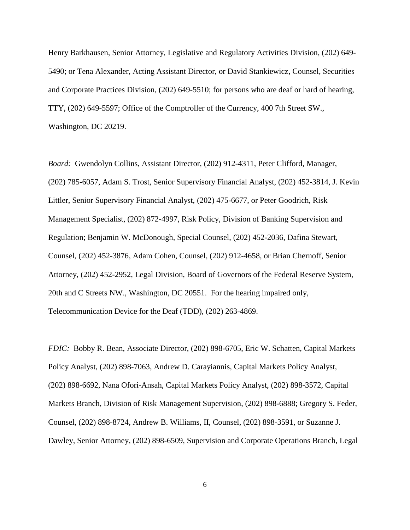Henry Barkhausen, Senior Attorney, Legislative and Regulatory Activities Division, (202) 649- 5490; or Tena Alexander, Acting Assistant Director, or David Stankiewicz, Counsel, Securities and Corporate Practices Division, (202) 649-5510; for persons who are deaf or hard of hearing, TTY, (202) 649-5597; Office of the Comptroller of the Currency, 400 7th Street SW., Washington, DC 20219.

*Board:* Gwendolyn Collins, Assistant Director, (202) 912-4311, Peter Clifford, Manager, (202) 785-6057, Adam S. Trost, Senior Supervisory Financial Analyst, (202) 452-3814, J. Kevin Littler, Senior Supervisory Financial Analyst, (202) 475-6677, or Peter Goodrich, Risk Management Specialist, (202) 872-4997, Risk Policy, Division of Banking Supervision and Regulation; Benjamin W. McDonough, Special Counsel, (202) 452-2036, Dafina Stewart, Counsel, (202) 452-3876, Adam Cohen, Counsel, (202) 912-4658, or Brian Chernoff, Senior Attorney, (202) 452-2952, Legal Division, Board of Governors of the Federal Reserve System, 20th and C Streets NW., Washington, DC 20551. For the hearing impaired only, Telecommunication Device for the Deaf (TDD), (202) 263-4869.

*FDIC:* Bobby R. Bean, Associate Director, (202) 898-6705, Eric W. Schatten, Capital Markets Policy Analyst, (202) 898-7063, Andrew D. Carayiannis, Capital Markets Policy Analyst, (202) 898-6692, Nana Ofori-Ansah, Capital Markets Policy Analyst, (202) 898-3572, Capital Markets Branch, Division of Risk Management Supervision, (202) 898-6888; Gregory S. Feder, Counsel, (202) 898-8724, Andrew B. Williams, II, Counsel, (202) 898-3591, or Suzanne J. Dawley, Senior Attorney, (202) 898-6509, Supervision and Corporate Operations Branch, Legal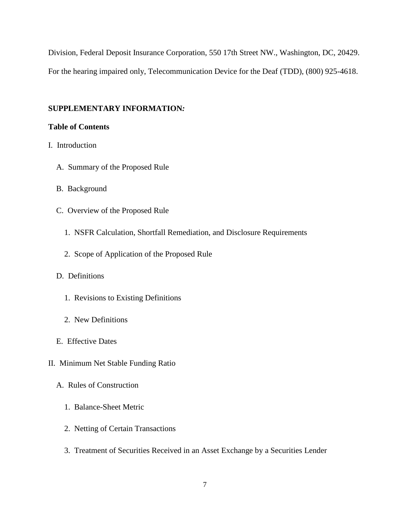Division, Federal Deposit Insurance Corporation, 550 17th Street NW., Washington, DC, 20429. For the hearing impaired only, Telecommunication Device for the Deaf (TDD), (800) 925-4618.

# **SUPPLEMENTARY INFORMATION***:*

# **Table of Contents**

- [I. Introduction](#page-8-0)
	- [A. Summary of the Proposed Rule](#page-8-1)
	- [B. Background](#page-11-0)
	- [C. Overview of the Proposed Rule](#page-16-0)
		- [1. NSFR Calculation, Shortfall Remediation, and Disclosure Requirements](#page-16-1)
		- [2. Scope of Application of the Proposed Rule](#page-17-0)

# [D. Definitions](#page-22-0)

- [1. Revisions to Existing Definitions](#page-23-0)
- [2. New Definitions](#page-29-0)
- [E. Effective Dates](#page-32-0)
- [II. Minimum Net Stable Funding Ratio](#page-33-0)
	- [A. Rules of Construction](#page-34-0)
		- [1. Balance-Sheet Metric](#page-34-1)
		- [2. Netting of Certain Transactions](#page-34-2)
		- [3. Treatment of Securities Received in an Asset Exchange by a Securities Lender](#page-36-0)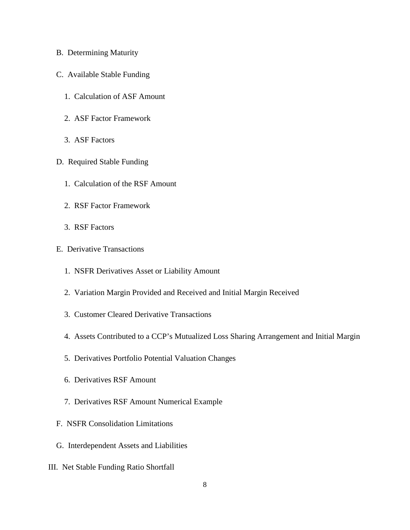- [B. Determining Maturity](#page-37-0)
- [C. Available Stable Funding](#page-40-0)
	- [1. Calculation of ASF Amount](#page-40-1)
	- [2. ASF Factor Framework](#page-41-0)
	- [3. ASF Factors](#page-47-0)
- [D. Required Stable Funding](#page-63-0)
	- [1. Calculation of the RSF Amount](#page-63-1)
	- [2. RSF Factor Framework](#page-64-0)
	- [3. RSF Factors](#page-68-0)
- [E. Derivative Transactions](#page-100-0)
	- [1. NSFR Derivatives Asset or Liability Amount](#page-101-0)
	- [2. Variation Margin Provided and Received and Initial Margin Received](#page-106-0)
	- [3. Customer Cleared Derivative Transactions](#page-108-0)
	- [4. Assets Contributed to a CCP's Mutualized Loss Sharing Arrangement and Initial Margin](#page-110-0)
	- [5. Derivatives Portfolio Potential Valuation Changes](#page-112-0)
	- [6. Derivatives RSF Amount](#page-116-0)
	- [7. Derivatives RSF Amount Numerical Example](#page-118-0)
- [F. NSFR Consolidation Limitations](#page-120-0)
- [G. Interdependent Assets and Liabilities](#page-123-0)
- [III. Net Stable Funding Ratio Shortfall](#page-126-0)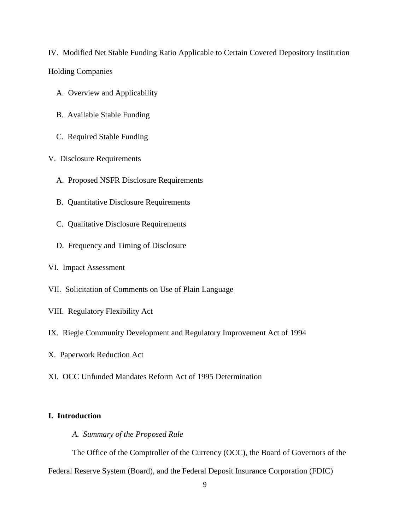[IV. Modified Net Stable Funding Ratio Applicable to Certain Covered Depository Institution](#page-129-0)  [Holding Companies](#page-129-0)

- [A. Overview and Applicability](#page-129-1)
- [B. Available Stable Funding](#page-131-0)
- [C. Required Stable Funding](#page-131-1)
- [V. Disclosure Requirements](#page-132-0)
	- [A. Proposed NSFR Disclosure Requirements](#page-132-1)
	- [B. Quantitative Disclosure Requirements](#page-133-0)
	- [C. Qualitative Disclosure Requirements](#page-138-0)
	- [D. Frequency and Timing of Disclosure](#page-139-0)
- [VI. Impact Assessment](#page-142-0)
- [VII. Solicitation of Comments on Use of Plain Language](#page-151-0)
- [VIII. Regulatory Flexibility Act](#page-151-1)
- [IX. Riegle Community Development and Regulatory Improvement Act of 1994](#page-155-0)
- [X. Paperwork Reduction Act](#page-156-0)
- [XI. OCC Unfunded Mandates Reform Act of 1995 Determination](#page-160-0)

# <span id="page-8-1"></span><span id="page-8-0"></span>**I. Introduction**

*A. Summary of the Proposed Rule*

The Office of the Comptroller of the Currency (OCC), the Board of Governors of the

Federal Reserve System (Board), and the Federal Deposit Insurance Corporation (FDIC)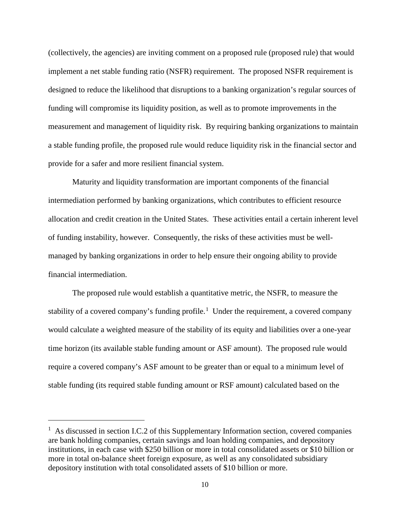(collectively, the agencies) are inviting comment on a proposed rule (proposed rule) that would implement a net stable funding ratio (NSFR) requirement. The proposed NSFR requirement is designed to reduce the likelihood that disruptions to a banking organization's regular sources of funding will compromise its liquidity position, as well as to promote improvements in the measurement and management of liquidity risk. By requiring banking organizations to maintain a stable funding profile, the proposed rule would reduce liquidity risk in the financial sector and provide for a safer and more resilient financial system.

Maturity and liquidity transformation are important components of the financial intermediation performed by banking organizations, which contributes to efficient resource allocation and credit creation in the United States. These activities entail a certain inherent level of funding instability, however. Consequently, the risks of these activities must be wellmanaged by banking organizations in order to help ensure their ongoing ability to provide financial intermediation.

The proposed rule would establish a quantitative metric, the NSFR, to measure the stability of a covered company's funding profile.<sup>[1](#page-9-0)</sup> Under the requirement, a covered company would calculate a weighted measure of the stability of its equity and liabilities over a one-year time horizon (its available stable funding amount or ASF amount). The proposed rule would require a covered company's ASF amount to be greater than or equal to a minimum level of stable funding (its required stable funding amount or RSF amount) calculated based on the

<span id="page-9-0"></span><sup>&</sup>lt;sup>1</sup> As discussed in section I.C.2 of this Supplementary Information section, covered companies are bank holding companies, certain savings and loan holding companies, and depository institutions, in each case with \$250 billion or more in total consolidated assets or \$10 billion or more in total on-balance sheet foreign exposure, as well as any consolidated subsidiary depository institution with total consolidated assets of \$10 billion or more.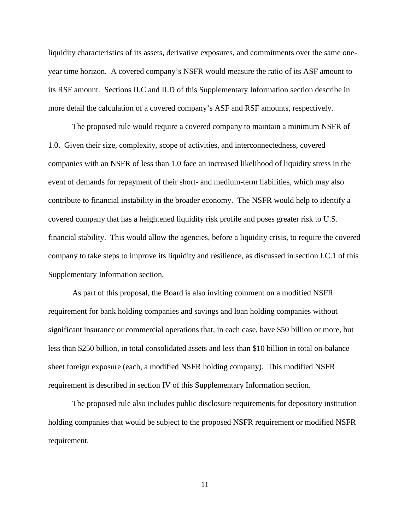liquidity characteristics of its assets, derivative exposures, and commitments over the same oneyear time horizon. A covered company's NSFR would measure the ratio of its ASF amount to its RSF amount. Sections II.C and II.D of this Supplementary Information section describe in more detail the calculation of a covered company's ASF and RSF amounts, respectively.

The proposed rule would require a covered company to maintain a minimum NSFR of 1.0. Given their size, complexity, scope of activities, and interconnectedness, covered companies with an NSFR of less than 1.0 face an increased likelihood of liquidity stress in the event of demands for repayment of their short- and medium-term liabilities, which may also contribute to financial instability in the broader economy. The NSFR would help to identify a covered company that has a heightened liquidity risk profile and poses greater risk to U.S. financial stability. This would allow the agencies, before a liquidity crisis, to require the covered company to take steps to improve its liquidity and resilience, as discussed in section I.C.1 of this Supplementary Information section.

As part of this proposal, the Board is also inviting comment on a modified NSFR requirement for bank holding companies and savings and loan holding companies without significant insurance or commercial operations that, in each case, have \$50 billion or more, but less than \$250 billion, in total consolidated assets and less than \$10 billion in total on-balance sheet foreign exposure (each, a modified NSFR holding company). This modified NSFR requirement is described in section IV of this Supplementary Information section.

The proposed rule also includes public disclosure requirements for depository institution holding companies that would be subject to the proposed NSFR requirement or modified NSFR requirement.

11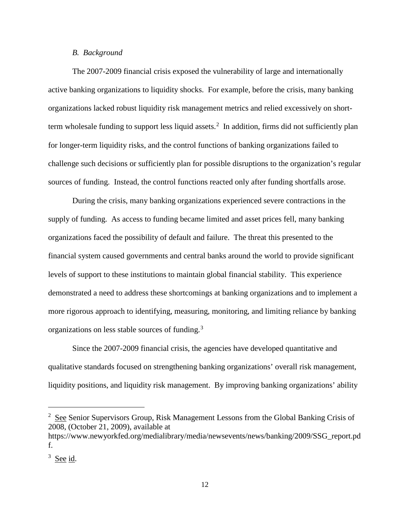## *B. Background*

<span id="page-11-0"></span>The 2007-2009 financial crisis exposed the vulnerability of large and internationally active banking organizations to liquidity shocks. For example, before the crisis, many banking organizations lacked robust liquidity risk management metrics and relied excessively on short-term wholesale funding to support less liquid assets.<sup>[2](#page-11-1)</sup> In addition, firms did not sufficiently plan for longer-term liquidity risks, and the control functions of banking organizations failed to challenge such decisions or sufficiently plan for possible disruptions to the organization's regular sources of funding. Instead, the control functions reacted only after funding shortfalls arose.

During the crisis, many banking organizations experienced severe contractions in the supply of funding. As access to funding became limited and asset prices fell, many banking organizations faced the possibility of default and failure. The threat this presented to the financial system caused governments and central banks around the world to provide significant levels of support to these institutions to maintain global financial stability. This experience demonstrated a need to address these shortcomings at banking organizations and to implement a more rigorous approach to identifying, measuring, monitoring, and limiting reliance by banking organizations on less stable sources of funding.[3](#page-11-2)

Since the 2007-2009 financial crisis, the agencies have developed quantitative and qualitative standards focused on strengthening banking organizations' overall risk management, liquidity positions, and liquidity risk management. By improving banking organizations' ability

<span id="page-11-1"></span><sup>&</sup>lt;sup>2</sup> See Senior Supervisors Group, Risk Management Lessons from the Global Banking Crisis of 2008, (October 21, 2009), available at

https://www.newyorkfed.org/medialibrary/media/newsevents/news/banking/2009/SSG\_report.pd f.

<span id="page-11-2"></span><sup>&</sup>lt;sup>3</sup> See id.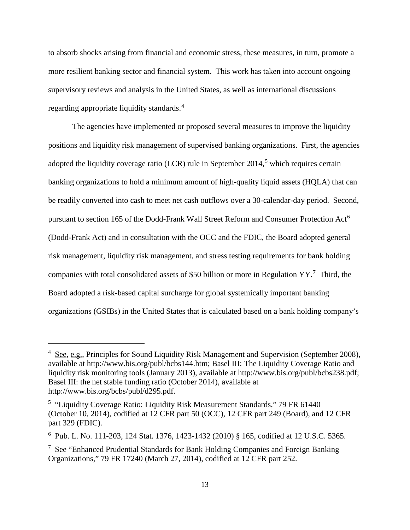to absorb shocks arising from financial and economic stress, these measures, in turn, promote a more resilient banking sector and financial system. This work has taken into account ongoing supervisory reviews and analysis in the United States, as well as international discussions regarding appropriate liquidity standards.<sup>[4](#page-12-0)</sup>

The agencies have implemented or proposed several measures to improve the liquidity positions and liquidity risk management of supervised banking organizations. First, the agencies adopted the liquidity coverage ratio (LCR) rule in September 2014,<sup>[5](#page-12-1)</sup> which requires certain banking organizations to hold a minimum amount of high-quality liquid assets (HQLA) that can be readily converted into cash to meet net cash outflows over a 30-calendar-day period. Second, pursuant to section 1[6](#page-12-2)5 of the Dodd-Frank Wall Street Reform and Consumer Protection Act<sup>6</sup> (Dodd-Frank Act) and in consultation with the OCC and the FDIC, the Board adopted general risk management, liquidity risk management, and stress testing requirements for bank holding companies with total consolidated assets of \$50 billion or more in Regulation  $YY$ .<sup>[7](#page-12-3)</sup> Third, the Board adopted a risk-based capital surcharge for global systemically important banking organizations (GSIBs) in the United States that is calculated based on a bank holding company's

<span id="page-12-0"></span><sup>&</sup>lt;sup>4</sup> See, e.g., Principles for Sound Liquidity Risk Management and Supervision (September 2008), available at http://www.bis.org/publ/bcbs144.htm; Basel III: The Liquidity Coverage Ratio and liquidity risk monitoring tools (January 2013), available at http://www.bis.org/publ/bcbs238.pdf; Basel III: the net stable funding ratio (October 2014), available at http://www.bis.org/bcbs/publ/d295.pdf.

<span id="page-12-1"></span><sup>&</sup>lt;sup>5</sup> "Liquidity Coverage Ratio: Liquidity Risk Measurement Standards," 79 FR 61440 (October 10, 2014), codified at 12 CFR part 50 (OCC), 12 CFR part 249 (Board), and 12 CFR part 329 (FDIC).

<span id="page-12-2"></span><sup>6</sup> Pub. L. No. 111-203, 124 Stat. 1376, 1423-1432 (2010) § 165, codified at 12 U.S.C. 5365.

<span id="page-12-3"></span><sup>&</sup>lt;sup>7</sup> See "Enhanced Prudential Standards for Bank Holding Companies and Foreign Banking Organizations," 79 FR 17240 (March 27, 2014), codified at 12 CFR part 252.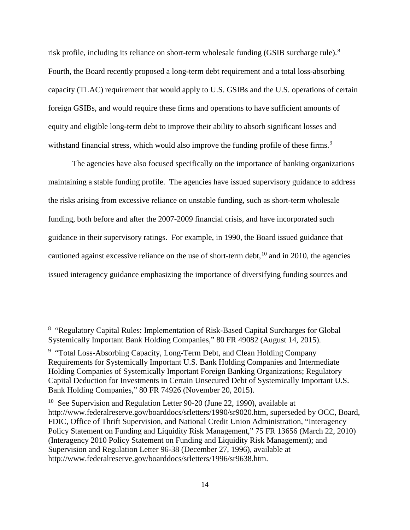risk profile, including its reliance on short-term wholesale funding (GSIB surcharge rule). $8$ Fourth, the Board recently proposed a long-term debt requirement and a total loss-absorbing capacity (TLAC) requirement that would apply to U.S. GSIBs and the U.S. operations of certain foreign GSIBs, and would require these firms and operations to have sufficient amounts of equity and eligible long-term debt to improve their ability to absorb significant losses and withstand financial stress, which would also improve the funding profile of these firms.<sup>[9](#page-13-1)</sup>

The agencies have also focused specifically on the importance of banking organizations maintaining a stable funding profile. The agencies have issued supervisory guidance to address the risks arising from excessive reliance on unstable funding, such as short-term wholesale funding, both before and after the 2007-2009 financial crisis, and have incorporated such guidance in their supervisory ratings. For example, in 1990, the Board issued guidance that cautioned against excessive reliance on the use of short-term debt,  $^{10}$  $^{10}$  $^{10}$  and in 2010, the agencies issued interagency guidance emphasizing the importance of diversifying funding sources and

<span id="page-13-0"></span><sup>&</sup>lt;sup>8</sup> "Regulatory Capital Rules: Implementation of Risk-Based Capital Surcharges for Global Systemically Important Bank Holding Companies," 80 FR 49082 (August 14, 2015).

<span id="page-13-1"></span><sup>&</sup>lt;sup>9</sup> "Total Loss-Absorbing Capacity, Long-Term Debt, and Clean Holding Company Requirements for Systemically Important U.S. Bank Holding Companies and Intermediate Holding Companies of Systemically Important Foreign Banking Organizations; Regulatory Capital Deduction for Investments in Certain Unsecured Debt of Systemically Important U.S. Bank Holding Companies," 80 FR 74926 (November 20, 2015).

<span id="page-13-2"></span><sup>&</sup>lt;sup>10</sup> See Supervision and Regulation Letter 90-20 (June 22, 1990), available at http://www.federalreserve.gov/boarddocs/srletters/1990/sr9020.htm, superseded by OCC, Board, FDIC, Office of Thrift Supervision, and National Credit Union Administration, "Interagency Policy Statement on Funding and Liquidity Risk Management," 75 FR 13656 (March 22, 2010) (Interagency 2010 Policy Statement on Funding and Liquidity Risk Management); and Supervision and Regulation Letter 96-38 (December 27, 1996), available at http://www.federalreserve.gov/boarddocs/srletters/1996/sr9638.htm.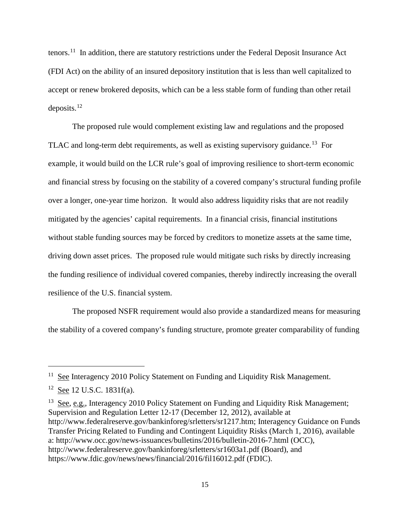tenors.[11](#page-14-0) In addition, there are statutory restrictions under the Federal Deposit Insurance Act (FDI Act) on the ability of an insured depository institution that is less than well capitalized to accept or renew brokered deposits, which can be a less stable form of funding than other retail deposits. [12](#page-14-1)

The proposed rule would complement existing law and regulations and the proposed TLAC and long-term debt requirements, as well as existing supervisory guidance.<sup>13</sup> For example, it would build on the LCR rule's goal of improving resilience to short-term economic and financial stress by focusing on the stability of a covered company's structural funding profile over a longer, one-year time horizon. It would also address liquidity risks that are not readily mitigated by the agencies' capital requirements. In a financial crisis, financial institutions without stable funding sources may be forced by creditors to monetize assets at the same time, driving down asset prices. The proposed rule would mitigate such risks by directly increasing the funding resilience of individual covered companies, thereby indirectly increasing the overall resilience of the U.S. financial system.

The proposed NSFR requirement would also provide a standardized means for measuring the stability of a covered company's funding structure, promote greater comparability of funding

 $\overline{a}$ 

<span id="page-14-2"></span> $13$  See, e.g., Interagency 2010 Policy Statement on Funding and Liquidity Risk Management; Supervision and Regulation Letter 12-17 (December 12, 2012), available at http://www.federalreserve.gov/bankinforeg/srletters/sr1217.htm; Interagency Guidance on Funds Transfer Pricing Related to Funding and Contingent Liquidity Risks (March 1, 2016), available a: http://www.occ.gov/news-issuances/bulletins/2016/bulletin-2016-7.html (OCC), http://www.federalreserve.gov/bankinforeg/srletters/sr1603a1.pdf (Board), and https://www.fdic.gov/news/news/financial/2016/fil16012.pdf (FDIC).

<span id="page-14-0"></span><sup>&</sup>lt;sup>11</sup> See Interagency 2010 Policy Statement on Funding and Liquidity Risk Management.

<span id="page-14-1"></span> $12$  See 12 U.S.C. 1831f(a).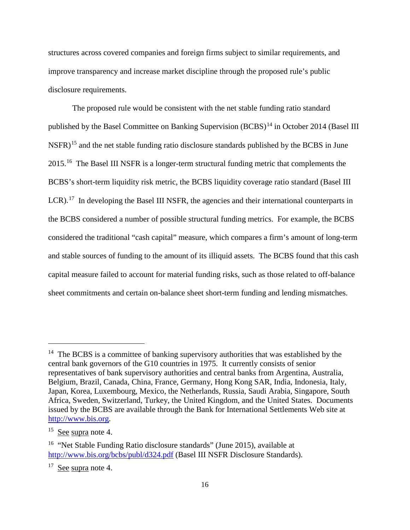structures across covered companies and foreign firms subject to similar requirements, and improve transparency and increase market discipline through the proposed rule's public disclosure requirements.

The proposed rule would be consistent with the net stable funding ratio standard published by the Basel Committee on Banking Supervision (BCBS)<sup>[14](#page-15-0)</sup> in October 2014 (Basel III  $NSFR$ <sup>[15](#page-15-1)</sup> and the net stable funding ratio disclosure standards published by the BCBS in June 2015.[16](#page-15-2) The Basel III NSFR is a longer-term structural funding metric that complements the BCBS's short-term liquidity risk metric, the BCBS liquidity coverage ratio standard (Basel III LCR).<sup>[17](#page-15-3)</sup> In developing the Basel III NSFR, the agencies and their international counterparts in the BCBS considered a number of possible structural funding metrics. For example, the BCBS considered the traditional "cash capital" measure, which compares a firm's amount of long-term and stable sources of funding to the amount of its illiquid assets. The BCBS found that this cash capital measure failed to account for material funding risks, such as those related to off-balance sheet commitments and certain on-balance sheet short-term funding and lending mismatches.

<span id="page-15-0"></span><sup>&</sup>lt;sup>14</sup> The BCBS is a committee of banking supervisory authorities that was established by the central bank governors of the G10 countries in 1975. It currently consists of senior representatives of bank supervisory authorities and central banks from Argentina, Australia, Belgium, Brazil, Canada, China, France, Germany, Hong Kong SAR, India, Indonesia, Italy, Japan, Korea, Luxembourg, Mexico, the Netherlands, Russia, Saudi Arabia, Singapore, South Africa, Sweden, Switzerland, Turkey, the United Kingdom, and the United States. Documents issued by the BCBS are available through the Bank for International Settlements Web site at [http://www.bis.org.](http://www.bis.org/)

<span id="page-15-1"></span><sup>&</sup>lt;sup>15</sup> See supra note 4.

<span id="page-15-2"></span><sup>&</sup>lt;sup>16</sup> "Net Stable Funding Ratio disclosure standards" (June 2015), available at <http://www.bis.org/bcbs/publ/d324.pdf> (Basel III NSFR Disclosure Standards).

<span id="page-15-3"></span><sup>17</sup> See supra note 4.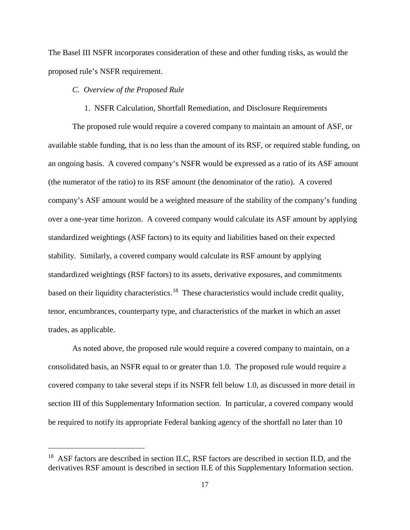The Basel III NSFR incorporates consideration of these and other funding risks, as would the proposed rule's NSFR requirement.

## <span id="page-16-0"></span>*C. Overview of the Proposed Rule*

 $\overline{a}$ 

### 1. NSFR Calculation, Shortfall Remediation, and Disclosure Requirements

<span id="page-16-1"></span>The proposed rule would require a covered company to maintain an amount of ASF, or available stable funding, that is no less than the amount of its RSF, or required stable funding, on an ongoing basis. A covered company's NSFR would be expressed as a ratio of its ASF amount (the numerator of the ratio) to its RSF amount (the denominator of the ratio). A covered company's ASF amount would be a weighted measure of the stability of the company's funding over a one-year time horizon. A covered company would calculate its ASF amount by applying standardized weightings (ASF factors) to its equity and liabilities based on their expected stability. Similarly, a covered company would calculate its RSF amount by applying standardized weightings (RSF factors) to its assets, derivative exposures, and commitments based on their liquidity characteristics.<sup>[18](#page-16-2)</sup> These characteristics would include credit quality, tenor, encumbrances, counterparty type, and characteristics of the market in which an asset trades, as applicable.

As noted above, the proposed rule would require a covered company to maintain, on a consolidated basis, an NSFR equal to or greater than 1.0. The proposed rule would require a covered company to take several steps if its NSFR fell below 1.0, as discussed in more detail in section III of this Supplementary Information section. In particular, a covered company would be required to notify its appropriate Federal banking agency of the shortfall no later than 10

<span id="page-16-2"></span><sup>&</sup>lt;sup>18</sup> ASF factors are described in section II.C, RSF factors are described in section II.D, and the derivatives RSF amount is described in section II.E of this Supplementary Information section.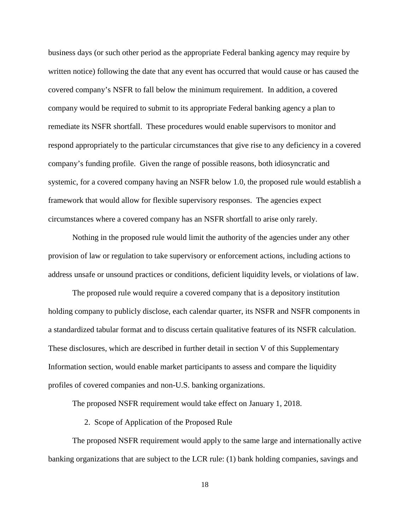business days (or such other period as the appropriate Federal banking agency may require by written notice) following the date that any event has occurred that would cause or has caused the covered company's NSFR to fall below the minimum requirement. In addition, a covered company would be required to submit to its appropriate Federal banking agency a plan to remediate its NSFR shortfall. These procedures would enable supervisors to monitor and respond appropriately to the particular circumstances that give rise to any deficiency in a covered company's funding profile. Given the range of possible reasons, both idiosyncratic and systemic, for a covered company having an NSFR below 1.0, the proposed rule would establish a framework that would allow for flexible supervisory responses. The agencies expect circumstances where a covered company has an NSFR shortfall to arise only rarely.

Nothing in the proposed rule would limit the authority of the agencies under any other provision of law or regulation to take supervisory or enforcement actions, including actions to address unsafe or unsound practices or conditions, deficient liquidity levels, or violations of law.

The proposed rule would require a covered company that is a depository institution holding company to publicly disclose, each calendar quarter, its NSFR and NSFR components in a standardized tabular format and to discuss certain qualitative features of its NSFR calculation. These disclosures, which are described in further detail in section V of this Supplementary Information section, would enable market participants to assess and compare the liquidity profiles of covered companies and non-U.S. banking organizations.

The proposed NSFR requirement would take effect on January 1, 2018.

2. Scope of Application of the Proposed Rule

<span id="page-17-0"></span>The proposed NSFR requirement would apply to the same large and internationally active banking organizations that are subject to the LCR rule: (1) bank holding companies, savings and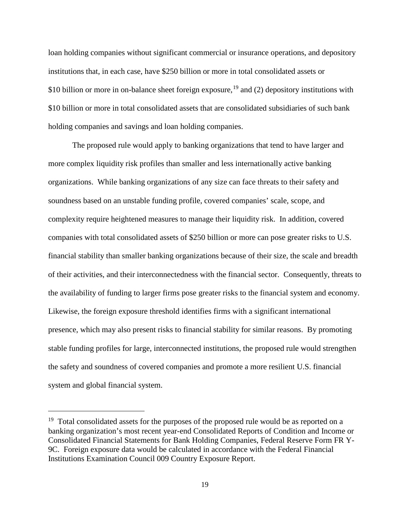loan holding companies without significant commercial or insurance operations, and depository institutions that, in each case, have \$250 billion or more in total consolidated assets or \$10 billion or more in on-balance sheet foreign exposure,  $^{19}$  $^{19}$  $^{19}$  and (2) depository institutions with \$10 billion or more in total consolidated assets that are consolidated subsidiaries of such bank holding companies and savings and loan holding companies.

The proposed rule would apply to banking organizations that tend to have larger and more complex liquidity risk profiles than smaller and less internationally active banking organizations. While banking organizations of any size can face threats to their safety and soundness based on an unstable funding profile, covered companies' scale, scope, and complexity require heightened measures to manage their liquidity risk. In addition, covered companies with total consolidated assets of \$250 billion or more can pose greater risks to U.S. financial stability than smaller banking organizations because of their size, the scale and breadth of their activities, and their interconnectedness with the financial sector. Consequently, threats to the availability of funding to larger firms pose greater risks to the financial system and economy. Likewise, the foreign exposure threshold identifies firms with a significant international presence, which may also present risks to financial stability for similar reasons. By promoting stable funding profiles for large, interconnected institutions, the proposed rule would strengthen the safety and soundness of covered companies and promote a more resilient U.S. financial system and global financial system.

<span id="page-18-0"></span> $19$  Total consolidated assets for the purposes of the proposed rule would be as reported on a banking organization's most recent year-end Consolidated Reports of Condition and Income or Consolidated Financial Statements for Bank Holding Companies, Federal Reserve Form FR Y-9C. Foreign exposure data would be calculated in accordance with the Federal Financial Institutions Examination Council 009 Country Exposure Report.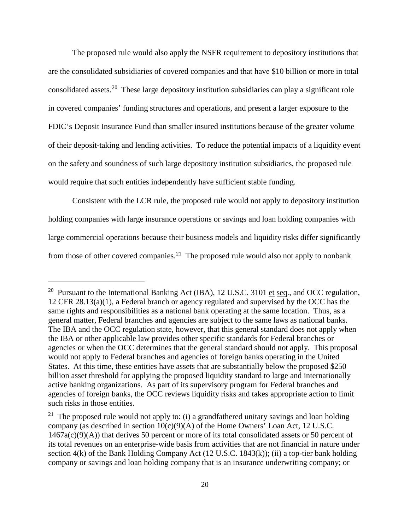The proposed rule would also apply the NSFR requirement to depository institutions that are the consolidated subsidiaries of covered companies and that have \$10 billion or more in total consolidated assets.[20](#page-19-0) These large depository institution subsidiaries can play a significant role in covered companies' funding structures and operations, and present a larger exposure to the FDIC's Deposit Insurance Fund than smaller insured institutions because of the greater volume of their deposit-taking and lending activities. To reduce the potential impacts of a liquidity event on the safety and soundness of such large depository institution subsidiaries, the proposed rule would require that such entities independently have sufficient stable funding.

Consistent with the LCR rule, the proposed rule would not apply to depository institution holding companies with large insurance operations or savings and loan holding companies with large commercial operations because their business models and liquidity risks differ significantly from those of other covered companies.<sup>[21](#page-19-1)</sup> The proposed rule would also not apply to nonbank

<span id="page-19-0"></span><sup>&</sup>lt;sup>20</sup> Pursuant to the International Banking Act (IBA), 12 U.S.C. 3101 et seq., and OCC regulation, 12 CFR 28.13(a)(1), a Federal branch or agency regulated and supervised by the OCC has the same rights and responsibilities as a national bank operating at the same location. Thus, as a general matter, Federal branches and agencies are subject to the same laws as national banks. The IBA and the OCC regulation state, however, that this general standard does not apply when the IBA or other applicable law provides other specific standards for Federal branches or agencies or when the OCC determines that the general standard should not apply. This proposal would not apply to Federal branches and agencies of foreign banks operating in the United States. At this time, these entities have assets that are substantially below the proposed \$250 billion asset threshold for applying the proposed liquidity standard to large and internationally active banking organizations. As part of its supervisory program for Federal branches and agencies of foreign banks, the OCC reviews liquidity risks and takes appropriate action to limit such risks in those entities.

<span id="page-19-1"></span><sup>&</sup>lt;sup>21</sup> The proposed rule would not apply to: (i) a grandfathered unitary savings and loan holding company (as described in section  $10(c)(9)(A)$  of the Home Owners' Loan Act, 12 U.S.C. 1467a(c)(9)(A)) that derives 50 percent or more of its total consolidated assets or 50 percent of its total revenues on an enterprise-wide basis from activities that are not financial in nature under section 4(k) of the Bank Holding Company Act (12 U.S.C. 1843(k)); (ii) a top-tier bank holding company or savings and loan holding company that is an insurance underwriting company; or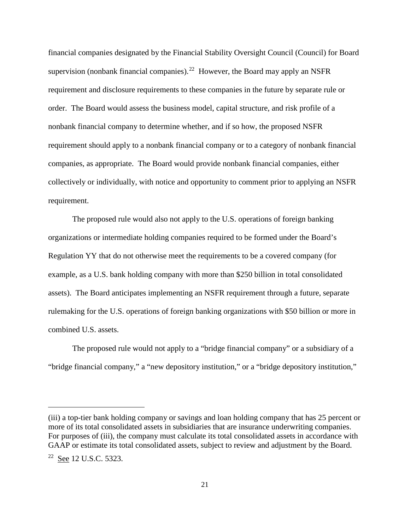financial companies designated by the Financial Stability Oversight Council (Council) for Board supervision (nonbank financial companies).<sup>[22](#page-20-0)</sup> However, the Board may apply an NSFR requirement and disclosure requirements to these companies in the future by separate rule or order. The Board would assess the business model, capital structure, and risk profile of a nonbank financial company to determine whether, and if so how, the proposed NSFR requirement should apply to a nonbank financial company or to a category of nonbank financial companies, as appropriate. The Board would provide nonbank financial companies, either collectively or individually, with notice and opportunity to comment prior to applying an NSFR requirement.

The proposed rule would also not apply to the U.S. operations of foreign banking organizations or intermediate holding companies required to be formed under the Board's Regulation YY that do not otherwise meet the requirements to be a covered company (for example, as a U.S. bank holding company with more than \$250 billion in total consolidated assets). The Board anticipates implementing an NSFR requirement through a future, separate rulemaking for the U.S. operations of foreign banking organizations with \$50 billion or more in combined U.S. assets.

The proposed rule would not apply to a "bridge financial company" or a subsidiary of a "bridge financial company," a "new depository institution," or a "bridge depository institution,"

<span id="page-20-0"></span><sup>(</sup>iii) a top-tier bank holding company or savings and loan holding company that has 25 percent or more of its total consolidated assets in subsidiaries that are insurance underwriting companies. For purposes of (iii), the company must calculate its total consolidated assets in accordance with GAAP or estimate its total consolidated assets, subject to review and adjustment by the Board. <sup>22</sup> See 12 U.S.C. 5323.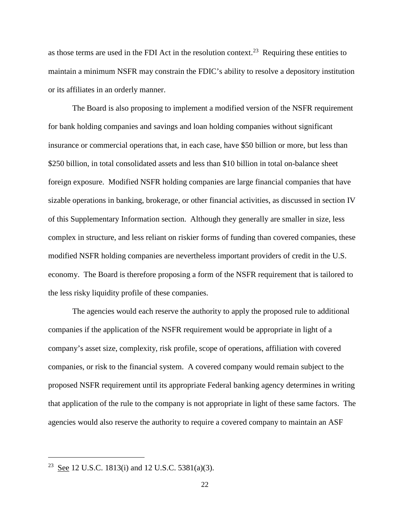as those terms are used in the FDI Act in the resolution context.<sup>[23](#page-21-0)</sup> Requiring these entities to maintain a minimum NSFR may constrain the FDIC's ability to resolve a depository institution or its affiliates in an orderly manner.

The Board is also proposing to implement a modified version of the NSFR requirement for bank holding companies and savings and loan holding companies without significant insurance or commercial operations that, in each case, have \$50 billion or more, but less than \$250 billion, in total consolidated assets and less than \$10 billion in total on-balance sheet foreign exposure. Modified NSFR holding companies are large financial companies that have sizable operations in banking, brokerage, or other financial activities, as discussed in section IV of this Supplementary Information section. Although they generally are smaller in size, less complex in structure, and less reliant on riskier forms of funding than covered companies, these modified NSFR holding companies are nevertheless important providers of credit in the U.S. economy. The Board is therefore proposing a form of the NSFR requirement that is tailored to the less risky liquidity profile of these companies.

The agencies would each reserve the authority to apply the proposed rule to additional companies if the application of the NSFR requirement would be appropriate in light of a company's asset size, complexity, risk profile, scope of operations, affiliation with covered companies, or risk to the financial system. A covered company would remain subject to the proposed NSFR requirement until its appropriate Federal banking agency determines in writing that application of the rule to the company is not appropriate in light of these same factors. The agencies would also reserve the authority to require a covered company to maintain an ASF

<span id="page-21-0"></span><sup>&</sup>lt;sup>23</sup> See 12 U.S.C. 1813(i) and 12 U.S.C. 5381(a)(3).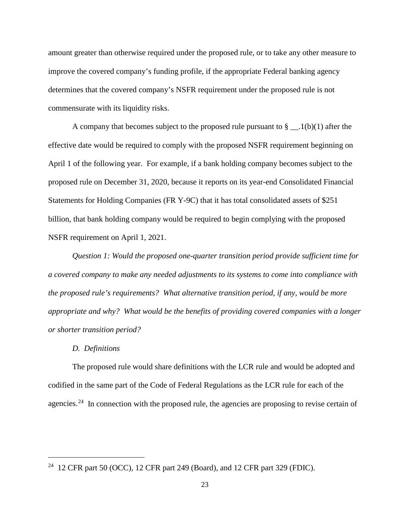amount greater than otherwise required under the proposed rule, or to take any other measure to improve the covered company's funding profile, if the appropriate Federal banking agency determines that the covered company's NSFR requirement under the proposed rule is not commensurate with its liquidity risks.

A company that becomes subject to the proposed rule pursuant to  $\S$  \_\_.1(b)(1) after the effective date would be required to comply with the proposed NSFR requirement beginning on April 1 of the following year. For example, if a bank holding company becomes subject to the proposed rule on December 31, 2020, because it reports on its year-end Consolidated Financial Statements for Holding Companies (FR Y-9C) that it has total consolidated assets of \$251 billion, that bank holding company would be required to begin complying with the proposed NSFR requirement on April 1, 2021.

*Question 1: Would the proposed one-quarter transition period provide sufficient time for a covered company to make any needed adjustments to its systems to come into compliance with the proposed rule's requirements? What alternative transition period, if any, would be more appropriate and why? What would be the benefits of providing covered companies with a longer or shorter transition period?*

#### *D. Definitions*

 $\overline{a}$ 

<span id="page-22-0"></span>The proposed rule would share definitions with the LCR rule and would be adopted and codified in the same part of the Code of Federal Regulations as the LCR rule for each of the agencies.<sup>[24](#page-22-1)</sup> In connection with the proposed rule, the agencies are proposing to revise certain of

<span id="page-22-1"></span><sup>&</sup>lt;sup>24</sup> 12 CFR part 50 (OCC), 12 CFR part 249 (Board), and 12 CFR part 329 (FDIC).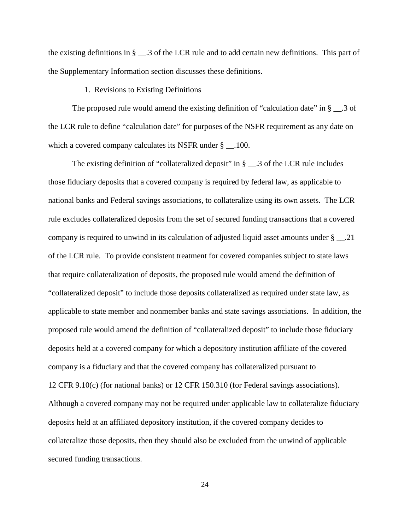the existing definitions in § \_\_.3 of the LCR rule and to add certain new definitions. This part of the Supplementary Information section discusses these definitions.

## 1. Revisions to Existing Definitions

<span id="page-23-0"></span>The proposed rule would amend the existing definition of "calculation date" in § \_\_.3 of the LCR rule to define "calculation date" for purposes of the NSFR requirement as any date on which a covered company calculates its NSFR under § \_\_.100.

The existing definition of "collateralized deposit" in § \_\_.3 of the LCR rule includes those fiduciary deposits that a covered company is required by federal law, as applicable to national banks and Federal savings associations, to collateralize using its own assets. The LCR rule excludes collateralized deposits from the set of secured funding transactions that a covered company is required to unwind in its calculation of adjusted liquid asset amounts under § \_\_.21 of the LCR rule. To provide consistent treatment for covered companies subject to state laws that require collateralization of deposits, the proposed rule would amend the definition of "collateralized deposit" to include those deposits collateralized as required under state law, as applicable to state member and nonmember banks and state savings associations. In addition, the proposed rule would amend the definition of "collateralized deposit" to include those fiduciary deposits held at a covered company for which a depository institution affiliate of the covered company is a fiduciary and that the covered company has collateralized pursuant to 12 CFR 9.10(c) (for national banks) or 12 CFR 150.310 (for Federal savings associations). Although a covered company may not be required under applicable law to collateralize fiduciary deposits held at an affiliated depository institution, if the covered company decides to collateralize those deposits, then they should also be excluded from the unwind of applicable secured funding transactions.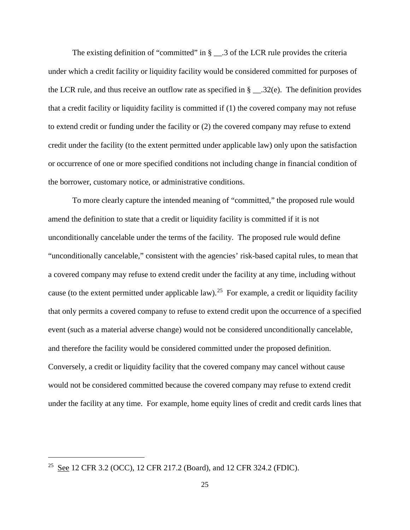The existing definition of "committed" in  $\S$   $\_\_3$  of the LCR rule provides the criteria under which a credit facility or liquidity facility would be considered committed for purposes of the LCR rule, and thus receive an outflow rate as specified in  $\S$  \_\_\_.32(e). The definition provides that a credit facility or liquidity facility is committed if (1) the covered company may not refuse to extend credit or funding under the facility or (2) the covered company may refuse to extend credit under the facility (to the extent permitted under applicable law) only upon the satisfaction or occurrence of one or more specified conditions not including change in financial condition of the borrower, customary notice, or administrative conditions.

To more clearly capture the intended meaning of "committed," the proposed rule would amend the definition to state that a credit or liquidity facility is committed if it is not unconditionally cancelable under the terms of the facility. The proposed rule would define "unconditionally cancelable," consistent with the agencies' risk-based capital rules, to mean that a covered company may refuse to extend credit under the facility at any time, including without cause (to the extent permitted under applicable law).<sup>25</sup> For example, a credit or liquidity facility that only permits a covered company to refuse to extend credit upon the occurrence of a specified event (such as a material adverse change) would not be considered unconditionally cancelable, and therefore the facility would be considered committed under the proposed definition. Conversely, a credit or liquidity facility that the covered company may cancel without cause would not be considered committed because the covered company may refuse to extend credit under the facility at any time. For example, home equity lines of credit and credit cards lines that

<span id="page-24-0"></span><sup>25</sup> See 12 CFR 3.2 (OCC), 12 CFR 217.2 (Board), and 12 CFR 324.2 (FDIC).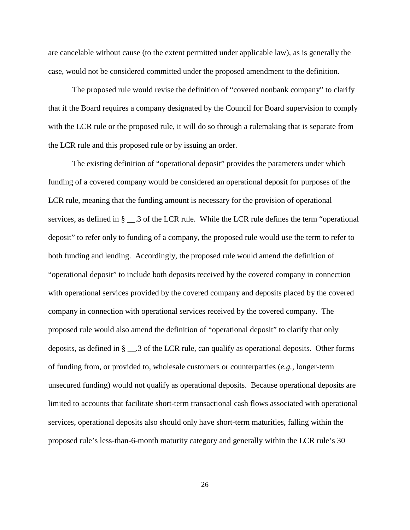are cancelable without cause (to the extent permitted under applicable law), as is generally the case, would not be considered committed under the proposed amendment to the definition.

The proposed rule would revise the definition of "covered nonbank company" to clarify that if the Board requires a company designated by the Council for Board supervision to comply with the LCR rule or the proposed rule, it will do so through a rulemaking that is separate from the LCR rule and this proposed rule or by issuing an order.

The existing definition of "operational deposit" provides the parameters under which funding of a covered company would be considered an operational deposit for purposes of the LCR rule, meaning that the funding amount is necessary for the provision of operational services, as defined in § \_\_.3 of the LCR rule. While the LCR rule defines the term "operational deposit" to refer only to funding of a company, the proposed rule would use the term to refer to both funding and lending. Accordingly, the proposed rule would amend the definition of "operational deposit" to include both deposits received by the covered company in connection with operational services provided by the covered company and deposits placed by the covered company in connection with operational services received by the covered company. The proposed rule would also amend the definition of "operational deposit" to clarify that only deposits, as defined in § \_\_.3 of the LCR rule, can qualify as operational deposits. Other forms of funding from, or provided to, wholesale customers or counterparties (*e.g.*, longer-term unsecured funding) would not qualify as operational deposits. Because operational deposits are limited to accounts that facilitate short-term transactional cash flows associated with operational services, operational deposits also should only have short-term maturities, falling within the proposed rule's less-than-6-month maturity category and generally within the LCR rule's 30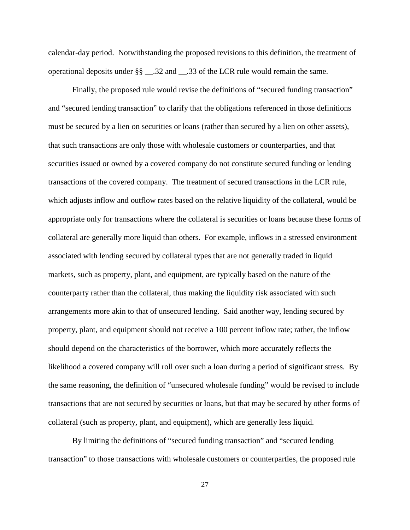calendar-day period. Notwithstanding the proposed revisions to this definition, the treatment of operational deposits under §§ \_\_.32 and \_\_.33 of the LCR rule would remain the same.

Finally, the proposed rule would revise the definitions of "secured funding transaction" and "secured lending transaction" to clarify that the obligations referenced in those definitions must be secured by a lien on securities or loans (rather than secured by a lien on other assets), that such transactions are only those with wholesale customers or counterparties, and that securities issued or owned by a covered company do not constitute secured funding or lending transactions of the covered company. The treatment of secured transactions in the LCR rule, which adjusts inflow and outflow rates based on the relative liquidity of the collateral, would be appropriate only for transactions where the collateral is securities or loans because these forms of collateral are generally more liquid than others. For example, inflows in a stressed environment associated with lending secured by collateral types that are not generally traded in liquid markets, such as property, plant, and equipment, are typically based on the nature of the counterparty rather than the collateral, thus making the liquidity risk associated with such arrangements more akin to that of unsecured lending. Said another way, lending secured by property, plant, and equipment should not receive a 100 percent inflow rate; rather, the inflow should depend on the characteristics of the borrower, which more accurately reflects the likelihood a covered company will roll over such a loan during a period of significant stress. By the same reasoning, the definition of "unsecured wholesale funding" would be revised to include transactions that are not secured by securities or loans, but that may be secured by other forms of collateral (such as property, plant, and equipment), which are generally less liquid.

By limiting the definitions of "secured funding transaction" and "secured lending transaction" to those transactions with wholesale customers or counterparties, the proposed rule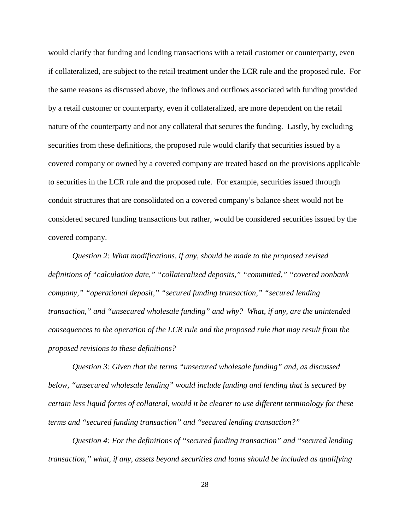would clarify that funding and lending transactions with a retail customer or counterparty, even if collateralized, are subject to the retail treatment under the LCR rule and the proposed rule. For the same reasons as discussed above, the inflows and outflows associated with funding provided by a retail customer or counterparty, even if collateralized, are more dependent on the retail nature of the counterparty and not any collateral that secures the funding. Lastly, by excluding securities from these definitions, the proposed rule would clarify that securities issued by a covered company or owned by a covered company are treated based on the provisions applicable to securities in the LCR rule and the proposed rule. For example, securities issued through conduit structures that are consolidated on a covered company's balance sheet would not be considered secured funding transactions but rather, would be considered securities issued by the covered company.

*Question 2: What modifications, if any, should be made to the proposed revised definitions of "calculation date," "collateralized deposits," "committed," "covered nonbank company," "operational deposit," "secured funding transaction," "secured lending transaction," and "unsecured wholesale funding" and why? What, if any, are the unintended consequences to the operation of the LCR rule and the proposed rule that may result from the proposed revisions to these definitions?*

*Question 3: Given that the terms "unsecured wholesale funding" and, as discussed below, "unsecured wholesale lending" would include funding and lending that is secured by certain less liquid forms of collateral, would it be clearer to use different terminology for these terms and "secured funding transaction" and "secured lending transaction?"*

*Question 4: For the definitions of "secured funding transaction" and "secured lending transaction," what, if any, assets beyond securities and loans should be included as qualifying*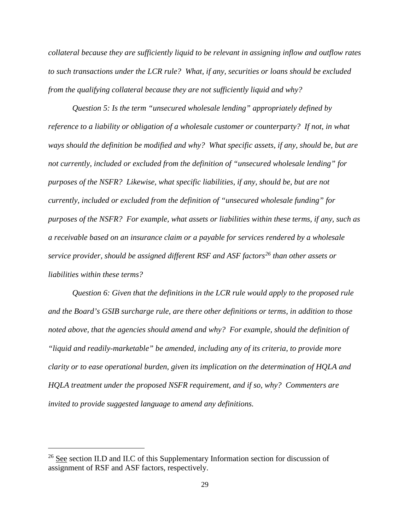*collateral because they are sufficiently liquid to be relevant in assigning inflow and outflow rates to such transactions under the LCR rule? What, if any, securities or loans should be excluded from the qualifying collateral because they are not sufficiently liquid and why?*

*Question 5: Is the term "unsecured wholesale lending" appropriately defined by reference to a liability or obligation of a wholesale customer or counterparty? If not, in what ways should the definition be modified and why? What specific assets, if any, should be, but are not currently, included or excluded from the definition of "unsecured wholesale lending" for purposes of the NSFR? Likewise, what specific liabilities, if any, should be, but are not currently, included or excluded from the definition of "unsecured wholesale funding" for purposes of the NSFR? For example, what assets or liabilities within these terms, if any, such as a receivable based on an insurance claim or a payable for services rendered by a wholesale service provider, should be assigned different RSF and ASF factors[26](#page-28-0) than other assets or liabilities within these terms?*

*Question 6: Given that the definitions in the LCR rule would apply to the proposed rule and the Board's GSIB surcharge rule, are there other definitions or terms, in addition to those noted above, that the agencies should amend and why? For example, should the definition of "liquid and readily-marketable" be amended, including any of its criteria, to provide more clarity or to ease operational burden, given its implication on the determination of HQLA and HQLA treatment under the proposed NSFR requirement, and if so, why? Commenters are invited to provide suggested language to amend any definitions.*

<span id="page-28-0"></span> $26$  See section II.D and II.C of this Supplementary Information section for discussion of assignment of RSF and ASF factors, respectively.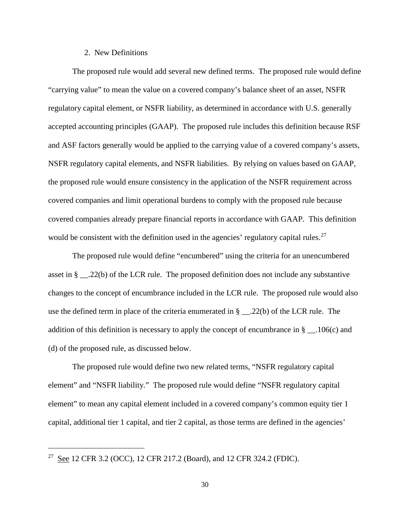#### 2. New Definitions

<span id="page-29-0"></span>The proposed rule would add several new defined terms. The proposed rule would define "carrying value" to mean the value on a covered company's balance sheet of an asset, NSFR regulatory capital element, or NSFR liability, as determined in accordance with U.S. generally accepted accounting principles (GAAP). The proposed rule includes this definition because RSF and ASF factors generally would be applied to the carrying value of a covered company's assets, NSFR regulatory capital elements, and NSFR liabilities. By relying on values based on GAAP, the proposed rule would ensure consistency in the application of the NSFR requirement across covered companies and limit operational burdens to comply with the proposed rule because covered companies already prepare financial reports in accordance with GAAP. This definition would be consistent with the definition used in the agencies' regulatory capital rules.<sup>[27](#page-29-1)</sup>

The proposed rule would define "encumbered" using the criteria for an unencumbered asset in § \_\_.22(b) of the LCR rule. The proposed definition does not include any substantive changes to the concept of encumbrance included in the LCR rule. The proposed rule would also use the defined term in place of the criteria enumerated in § \_\_.22(b) of the LCR rule. The addition of this definition is necessary to apply the concept of encumbrance in  $\S$  \_\_.106(c) and (d) of the proposed rule, as discussed below.

The proposed rule would define two new related terms, "NSFR regulatory capital element" and "NSFR liability." The proposed rule would define "NSFR regulatory capital element" to mean any capital element included in a covered company's common equity tier 1 capital, additional tier 1 capital, and tier 2 capital, as those terms are defined in the agencies'

<span id="page-29-1"></span><sup>27</sup> See 12 CFR 3.2 (OCC), 12 CFR 217.2 (Board), and 12 CFR 324.2 (FDIC).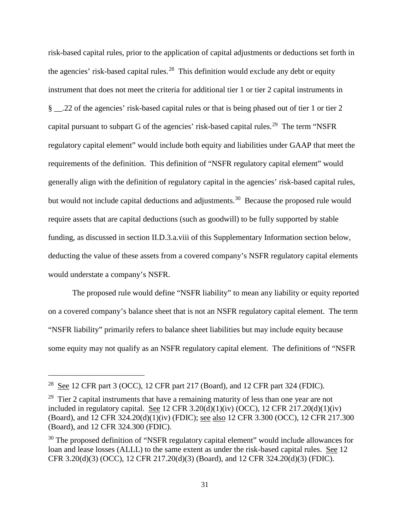risk-based capital rules, prior to the application of capital adjustments or deductions set forth in the agencies' risk-based capital rules.<sup>[28](#page-30-0)</sup> This definition would exclude any debt or equity instrument that does not meet the criteria for additional tier 1 or tier 2 capital instruments in § \_\_.22 of the agencies' risk-based capital rules or that is being phased out of tier 1 or tier 2 capital pursuant to subpart G of the agencies' risk-based capital rules.<sup>[29](#page-30-1)</sup> The term "NSFR regulatory capital element" would include both equity and liabilities under GAAP that meet the requirements of the definition. This definition of "NSFR regulatory capital element" would generally align with the definition of regulatory capital in the agencies' risk-based capital rules, but would not include capital deductions and adjustments.<sup>[30](#page-30-2)</sup> Because the proposed rule would require assets that are capital deductions (such as goodwill) to be fully supported by stable funding, as discussed in section II.D.3.a.viii of this Supplementary Information section below, deducting the value of these assets from a covered company's NSFR regulatory capital elements would understate a company's NSFR.

The proposed rule would define "NSFR liability" to mean any liability or equity reported on a covered company's balance sheet that is not an NSFR regulatory capital element. The term "NSFR liability" primarily refers to balance sheet liabilities but may include equity because some equity may not qualify as an NSFR regulatory capital element. The definitions of "NSFR

<span id="page-30-0"></span><sup>&</sup>lt;sup>28</sup> See 12 CFR part 3 (OCC), 12 CFR part 217 (Board), and 12 CFR part 324 (FDIC).

<span id="page-30-1"></span><sup>&</sup>lt;sup>29</sup> Tier 2 capital instruments that have a remaining maturity of less than one year are not included in regulatory capital. See 12 CFR 3.20(d)(1)(iv) (OCC), 12 CFR 217.20(d)(1)(iv) (Board), and 12 CFR  $324.20(d)(1)(iv)$  (FDIC); see also 12 CFR 3.300 (OCC), 12 CFR 217.300 (Board), and 12 CFR 324.300 (FDIC).

<span id="page-30-2"></span><sup>&</sup>lt;sup>30</sup> The proposed definition of "NSFR regulatory capital element" would include allowances for loan and lease losses (ALLL) to the same extent as under the risk-based capital rules. See 12 CFR 3.20(d)(3) (OCC), 12 CFR 217.20(d)(3) (Board), and 12 CFR 324.20(d)(3) (FDIC).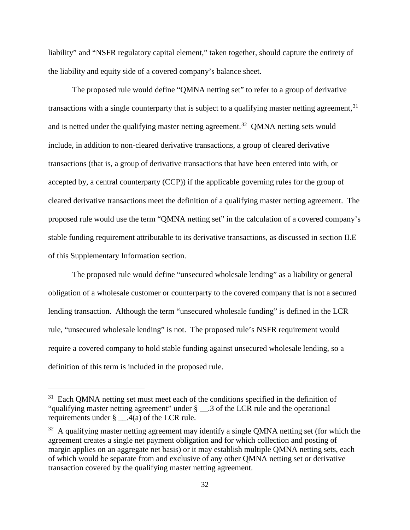liability" and "NSFR regulatory capital element," taken together, should capture the entirety of the liability and equity side of a covered company's balance sheet.

The proposed rule would define "QMNA netting set" to refer to a group of derivative transactions with a single counterparty that is subject to a qualifying master netting agreement,<sup>[31](#page-31-0)</sup> and is netted under the qualifying master netting agreement.<sup>32</sup> QMNA netting sets would include, in addition to non-cleared derivative transactions, a group of cleared derivative transactions (that is, a group of derivative transactions that have been entered into with, or accepted by, a central counterparty (CCP)) if the applicable governing rules for the group of cleared derivative transactions meet the definition of a qualifying master netting agreement. The proposed rule would use the term "QMNA netting set" in the calculation of a covered company's stable funding requirement attributable to its derivative transactions, as discussed in section II.E of this Supplementary Information section.

The proposed rule would define "unsecured wholesale lending" as a liability or general obligation of a wholesale customer or counterparty to the covered company that is not a secured lending transaction. Although the term "unsecured wholesale funding" is defined in the LCR rule, "unsecured wholesale lending" is not. The proposed rule's NSFR requirement would require a covered company to hold stable funding against unsecured wholesale lending, so a definition of this term is included in the proposed rule.

<span id="page-31-0"></span><sup>&</sup>lt;sup>31</sup> Each QMNA netting set must meet each of the conditions specified in the definition of "qualifying master netting agreement" under § \_\_.3 of the LCR rule and the operational requirements under  $\S$  . 4(a) of the LCR rule.

<span id="page-31-1"></span> $32$  A qualifying master netting agreement may identify a single QMNA netting set (for which the agreement creates a single net payment obligation and for which collection and posting of margin applies on an aggregate net basis) or it may establish multiple QMNA netting sets, each of which would be separate from and exclusive of any other QMNA netting set or derivative transaction covered by the qualifying master netting agreement.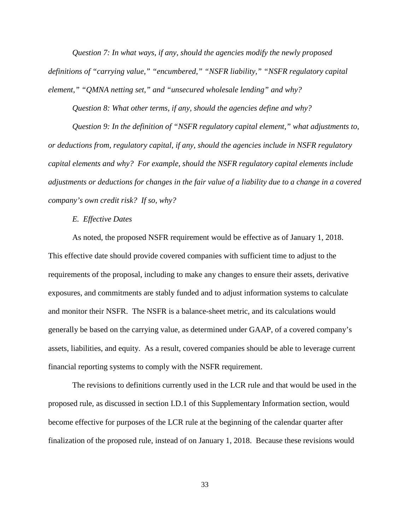*Question 7: In what ways, if any, should the agencies modify the newly proposed definitions of "carrying value," "encumbered," "NSFR liability," "NSFR regulatory capital element," "QMNA netting set," and "unsecured wholesale lending" and why?*

*Question 8: What other terms, if any, should the agencies define and why?*

*Question 9: In the definition of "NSFR regulatory capital element," what adjustments to, or deductions from, regulatory capital, if any, should the agencies include in NSFR regulatory capital elements and why? For example, should the NSFR regulatory capital elements include adjustments or deductions for changes in the fair value of a liability due to a change in a covered company's own credit risk? If so, why?*

*E. Effective Dates*

<span id="page-32-0"></span>As noted, the proposed NSFR requirement would be effective as of January 1, 2018. This effective date should provide covered companies with sufficient time to adjust to the requirements of the proposal, including to make any changes to ensure their assets, derivative exposures, and commitments are stably funded and to adjust information systems to calculate and monitor their NSFR. The NSFR is a balance-sheet metric, and its calculations would generally be based on the carrying value, as determined under GAAP, of a covered company's assets, liabilities, and equity. As a result, covered companies should be able to leverage current financial reporting systems to comply with the NSFR requirement.

The revisions to definitions currently used in the LCR rule and that would be used in the proposed rule, as discussed in section I.D.1 of this Supplementary Information section, would become effective for purposes of the LCR rule at the beginning of the calendar quarter after finalization of the proposed rule, instead of on January 1, 2018. Because these revisions would

33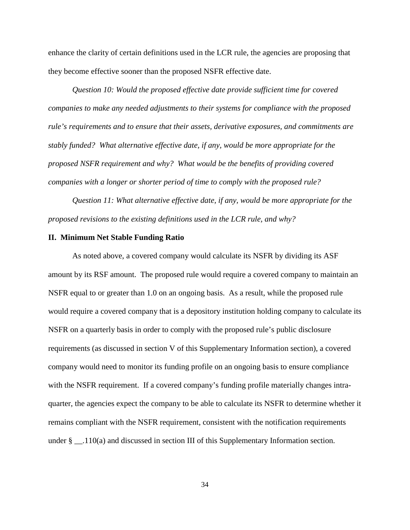enhance the clarity of certain definitions used in the LCR rule, the agencies are proposing that they become effective sooner than the proposed NSFR effective date.

*Question 10: Would the proposed effective date provide sufficient time for covered companies to make any needed adjustments to their systems for compliance with the proposed rule's requirements and to ensure that their assets, derivative exposures, and commitments are stably funded? What alternative effective date, if any, would be more appropriate for the proposed NSFR requirement and why? What would be the benefits of providing covered companies with a longer or shorter period of time to comply with the proposed rule?*

*Question 11: What alternative effective date, if any, would be more appropriate for the proposed revisions to the existing definitions used in the LCR rule, and why?*

#### <span id="page-33-0"></span>**II. Minimum Net Stable Funding Ratio**

As noted above, a covered company would calculate its NSFR by dividing its ASF amount by its RSF amount. The proposed rule would require a covered company to maintain an NSFR equal to or greater than 1.0 on an ongoing basis. As a result, while the proposed rule would require a covered company that is a depository institution holding company to calculate its NSFR on a quarterly basis in order to comply with the proposed rule's public disclosure requirements (as discussed in section V of this Supplementary Information section), a covered company would need to monitor its funding profile on an ongoing basis to ensure compliance with the NSFR requirement. If a covered company's funding profile materially changes intraquarter, the agencies expect the company to be able to calculate its NSFR to determine whether it remains compliant with the NSFR requirement, consistent with the notification requirements under  $\S$  \_\_.110(a) and discussed in section III of this Supplementary Information section.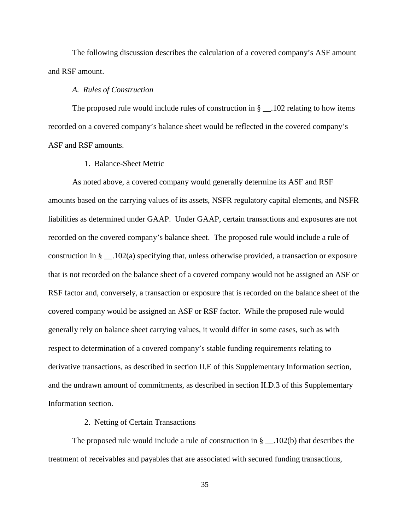The following discussion describes the calculation of a covered company's ASF amount and RSF amount.

#### *A. Rules of Construction*

<span id="page-34-0"></span>The proposed rule would include rules of construction in  $\S$  \_\_.102 relating to how items recorded on a covered company's balance sheet would be reflected in the covered company's ASF and RSF amounts.

# 1. Balance-Sheet Metric

<span id="page-34-1"></span>As noted above, a covered company would generally determine its ASF and RSF amounts based on the carrying values of its assets, NSFR regulatory capital elements, and NSFR liabilities as determined under GAAP. Under GAAP, certain transactions and exposures are not recorded on the covered company's balance sheet. The proposed rule would include a rule of construction in  $\S$  \_\_.102(a) specifying that, unless otherwise provided, a transaction or exposure that is not recorded on the balance sheet of a covered company would not be assigned an ASF or RSF factor and, conversely, a transaction or exposure that is recorded on the balance sheet of the covered company would be assigned an ASF or RSF factor. While the proposed rule would generally rely on balance sheet carrying values, it would differ in some cases, such as with respect to determination of a covered company's stable funding requirements relating to derivative transactions, as described in section II.E of this Supplementary Information section, and the undrawn amount of commitments, as described in section II.D.3 of this Supplementary Information section.

#### 2. Netting of Certain Transactions

<span id="page-34-2"></span>The proposed rule would include a rule of construction in  $\S$  \_\_.102(b) that describes the treatment of receivables and payables that are associated with secured funding transactions,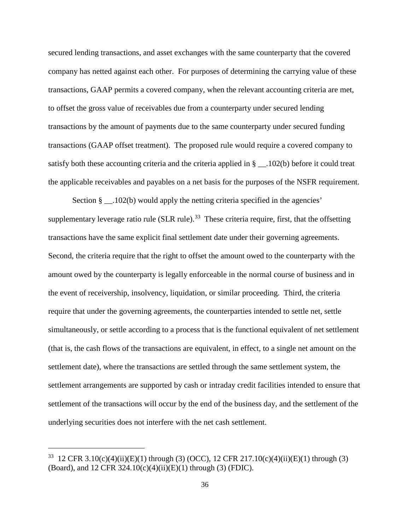secured lending transactions, and asset exchanges with the same counterparty that the covered company has netted against each other. For purposes of determining the carrying value of these transactions, GAAP permits a covered company, when the relevant accounting criteria are met, to offset the gross value of receivables due from a counterparty under secured lending transactions by the amount of payments due to the same counterparty under secured funding transactions (GAAP offset treatment). The proposed rule would require a covered company to satisfy both these accounting criteria and the criteria applied in § \_\_.102(b) before it could treat the applicable receivables and payables on a net basis for the purposes of the NSFR requirement.

Section  $\S$  . 102(b) would apply the netting criteria specified in the agencies' supplementary leverage ratio rule (SLR rule).<sup>[33](#page-35-0)</sup> These criteria require, first, that the offsetting transactions have the same explicit final settlement date under their governing agreements. Second, the criteria require that the right to offset the amount owed to the counterparty with the amount owed by the counterparty is legally enforceable in the normal course of business and in the event of receivership, insolvency, liquidation, or similar proceeding. Third, the criteria require that under the governing agreements, the counterparties intended to settle net, settle simultaneously, or settle according to a process that is the functional equivalent of net settlement (that is, the cash flows of the transactions are equivalent, in effect, to a single net amount on the settlement date), where the transactions are settled through the same settlement system, the settlement arrangements are supported by cash or intraday credit facilities intended to ensure that settlement of the transactions will occur by the end of the business day, and the settlement of the underlying securities does not interfere with the net cash settlement.

<span id="page-35-0"></span><sup>&</sup>lt;sup>33</sup> 12 CFR 3.10(c)(4)(ii)(E)(1) through (3) (OCC), 12 CFR 217.10(c)(4)(ii)(E)(1) through (3) (Board), and 12 CFR 324.10(c)(4)(ii)(E)(1) through (3) (FDIC).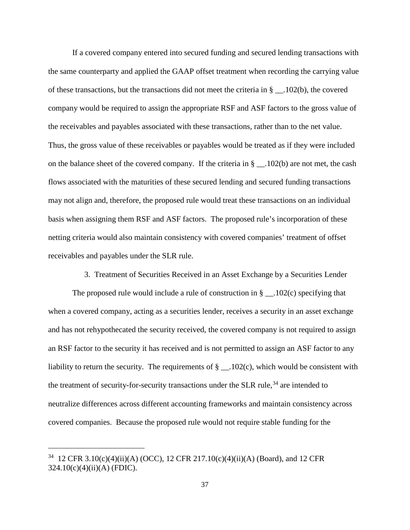If a covered company entered into secured funding and secured lending transactions with the same counterparty and applied the GAAP offset treatment when recording the carrying value of these transactions, but the transactions did not meet the criteria in § \_\_.102(b), the covered company would be required to assign the appropriate RSF and ASF factors to the gross value of the receivables and payables associated with these transactions, rather than to the net value. Thus, the gross value of these receivables or payables would be treated as if they were included on the balance sheet of the covered company. If the criteria in § \_\_.102(b) are not met, the cash flows associated with the maturities of these secured lending and secured funding transactions may not align and, therefore, the proposed rule would treat these transactions on an individual basis when assigning them RSF and ASF factors. The proposed rule's incorporation of these netting criteria would also maintain consistency with covered companies' treatment of offset receivables and payables under the SLR rule.

3. Treatment of Securities Received in an Asset Exchange by a Securities Lender

The proposed rule would include a rule of construction in  $\S$  \_\_.102(c) specifying that when a covered company, acting as a securities lender, receives a security in an asset exchange and has not rehypothecated the security received, the covered company is not required to assign an RSF factor to the security it has received and is not permitted to assign an ASF factor to any liability to return the security. The requirements of  $\S$  \_\_.102(c), which would be consistent with the treatment of security-for-security transactions under the SLR rule,<sup>[34](#page-36-0)</sup> are intended to neutralize differences across different accounting frameworks and maintain consistency across covered companies. Because the proposed rule would not require stable funding for the

<span id="page-36-0"></span><sup>&</sup>lt;sup>34</sup> 12 CFR 3.10(c)(4)(ii)(A) (OCC), 12 CFR 217.10(c)(4)(ii)(A) (Board), and 12 CFR 324.10(c)(4)(ii)(A) (FDIC).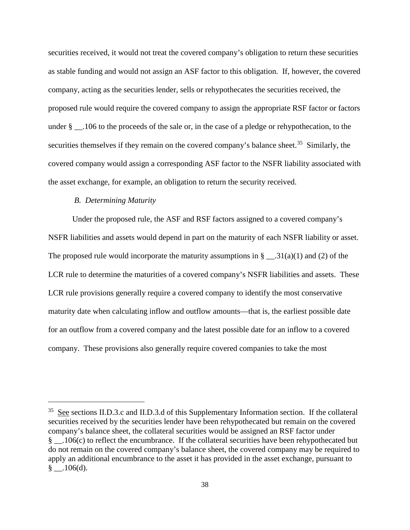securities received, it would not treat the covered company's obligation to return these securities as stable funding and would not assign an ASF factor to this obligation. If, however, the covered company, acting as the securities lender, sells or rehypothecates the securities received, the proposed rule would require the covered company to assign the appropriate RSF factor or factors under § \_\_.106 to the proceeds of the sale or, in the case of a pledge or rehypothecation, to the securities themselves if they remain on the covered company's balance sheet.<sup>[35](#page-37-0)</sup> Similarly, the covered company would assign a corresponding ASF factor to the NSFR liability associated with the asset exchange, for example, an obligation to return the security received.

# *B. Determining Maturity*

 $\overline{a}$ 

Under the proposed rule, the ASF and RSF factors assigned to a covered company's NSFR liabilities and assets would depend in part on the maturity of each NSFR liability or asset. The proposed rule would incorporate the maturity assumptions in  $\S$  \_\_.31(a)(1) and (2) of the LCR rule to determine the maturities of a covered company's NSFR liabilities and assets. These LCR rule provisions generally require a covered company to identify the most conservative maturity date when calculating inflow and outflow amounts—that is, the earliest possible date for an outflow from a covered company and the latest possible date for an inflow to a covered company. These provisions also generally require covered companies to take the most

<span id="page-37-0"></span><sup>35</sup> See sections II.D.3.c and II.D.3.d of this Supplementary Information section. If the collateral securities received by the securities lender have been rehypothecated but remain on the covered company's balance sheet, the collateral securities would be assigned an RSF factor under § \_\_.106(c) to reflect the encumbrance. If the collateral securities have been rehypothecated but do not remain on the covered company's balance sheet, the covered company may be required to apply an additional encumbrance to the asset it has provided in the asset exchange, pursuant to  $\S$  .106(d).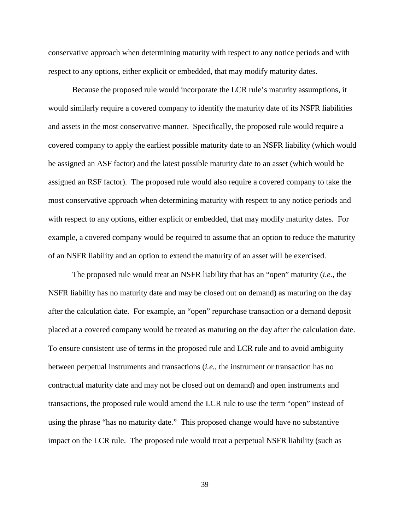conservative approach when determining maturity with respect to any notice periods and with respect to any options, either explicit or embedded, that may modify maturity dates.

Because the proposed rule would incorporate the LCR rule's maturity assumptions, it would similarly require a covered company to identify the maturity date of its NSFR liabilities and assets in the most conservative manner. Specifically, the proposed rule would require a covered company to apply the earliest possible maturity date to an NSFR liability (which would be assigned an ASF factor) and the latest possible maturity date to an asset (which would be assigned an RSF factor). The proposed rule would also require a covered company to take the most conservative approach when determining maturity with respect to any notice periods and with respect to any options, either explicit or embedded, that may modify maturity dates. For example, a covered company would be required to assume that an option to reduce the maturity of an NSFR liability and an option to extend the maturity of an asset will be exercised.

The proposed rule would treat an NSFR liability that has an "open" maturity (*i.e.*, the NSFR liability has no maturity date and may be closed out on demand) as maturing on the day after the calculation date. For example, an "open" repurchase transaction or a demand deposit placed at a covered company would be treated as maturing on the day after the calculation date. To ensure consistent use of terms in the proposed rule and LCR rule and to avoid ambiguity between perpetual instruments and transactions (*i.e.*, the instrument or transaction has no contractual maturity date and may not be closed out on demand) and open instruments and transactions, the proposed rule would amend the LCR rule to use the term "open" instead of using the phrase "has no maturity date." This proposed change would have no substantive impact on the LCR rule. The proposed rule would treat a perpetual NSFR liability (such as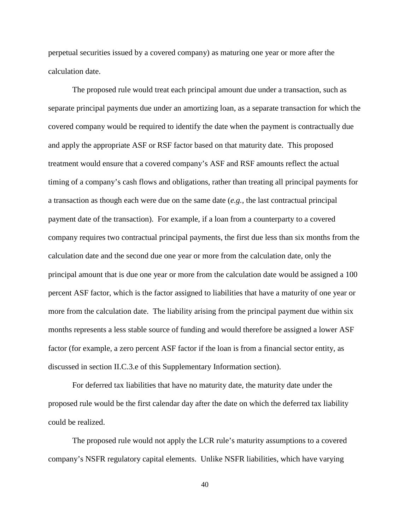perpetual securities issued by a covered company) as maturing one year or more after the calculation date.

The proposed rule would treat each principal amount due under a transaction, such as separate principal payments due under an amortizing loan, as a separate transaction for which the covered company would be required to identify the date when the payment is contractually due and apply the appropriate ASF or RSF factor based on that maturity date. This proposed treatment would ensure that a covered company's ASF and RSF amounts reflect the actual timing of a company's cash flows and obligations, rather than treating all principal payments for a transaction as though each were due on the same date (*e.g.*, the last contractual principal payment date of the transaction). For example, if a loan from a counterparty to a covered company requires two contractual principal payments, the first due less than six months from the calculation date and the second due one year or more from the calculation date, only the principal amount that is due one year or more from the calculation date would be assigned a 100 percent ASF factor, which is the factor assigned to liabilities that have a maturity of one year or more from the calculation date. The liability arising from the principal payment due within six months represents a less stable source of funding and would therefore be assigned a lower ASF factor (for example, a zero percent ASF factor if the loan is from a financial sector entity, as discussed in section II.C.3.e of this Supplementary Information section).

For deferred tax liabilities that have no maturity date, the maturity date under the proposed rule would be the first calendar day after the date on which the deferred tax liability could be realized.

The proposed rule would not apply the LCR rule's maturity assumptions to a covered company's NSFR regulatory capital elements. Unlike NSFR liabilities, which have varying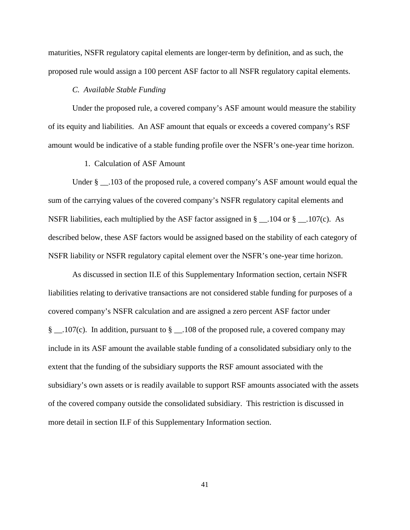maturities, NSFR regulatory capital elements are longer-term by definition, and as such, the proposed rule would assign a 100 percent ASF factor to all NSFR regulatory capital elements.

# *C. Available Stable Funding*

Under the proposed rule, a covered company's ASF amount would measure the stability of its equity and liabilities. An ASF amount that equals or exceeds a covered company's RSF amount would be indicative of a stable funding profile over the NSFR's one-year time horizon.

### 1. Calculation of ASF Amount

Under § \_\_.103 of the proposed rule, a covered company's ASF amount would equal the sum of the carrying values of the covered company's NSFR regulatory capital elements and NSFR liabilities, each multiplied by the ASF factor assigned in  $\S$  \_\_.104 or  $\S$  \_\_.107(c). As described below, these ASF factors would be assigned based on the stability of each category of NSFR liability or NSFR regulatory capital element over the NSFR's one-year time horizon.

As discussed in section II.E of this Supplementary Information section, certain NSFR liabilities relating to derivative transactions are not considered stable funding for purposes of a covered company's NSFR calculation and are assigned a zero percent ASF factor under § \_\_.107(c). In addition, pursuant to § \_\_.108 of the proposed rule, a covered company may include in its ASF amount the available stable funding of a consolidated subsidiary only to the extent that the funding of the subsidiary supports the RSF amount associated with the subsidiary's own assets or is readily available to support RSF amounts associated with the assets of the covered company outside the consolidated subsidiary. This restriction is discussed in more detail in section II.F of this Supplementary Information section.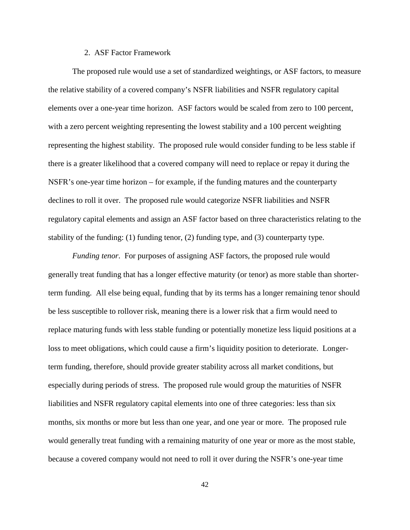#### 2. ASF Factor Framework

The proposed rule would use a set of standardized weightings, or ASF factors, to measure the relative stability of a covered company's NSFR liabilities and NSFR regulatory capital elements over a one-year time horizon. ASF factors would be scaled from zero to 100 percent, with a zero percent weighting representing the lowest stability and a 100 percent weighting representing the highest stability. The proposed rule would consider funding to be less stable if there is a greater likelihood that a covered company will need to replace or repay it during the NSFR's one-year time horizon – for example, if the funding matures and the counterparty declines to roll it over. The proposed rule would categorize NSFR liabilities and NSFR regulatory capital elements and assign an ASF factor based on three characteristics relating to the stability of the funding: (1) funding tenor, (2) funding type, and (3) counterparty type.

*Funding tenor*. For purposes of assigning ASF factors, the proposed rule would generally treat funding that has a longer effective maturity (or tenor) as more stable than shorterterm funding. All else being equal, funding that by its terms has a longer remaining tenor should be less susceptible to rollover risk, meaning there is a lower risk that a firm would need to replace maturing funds with less stable funding or potentially monetize less liquid positions at a loss to meet obligations, which could cause a firm's liquidity position to deteriorate. Longerterm funding, therefore, should provide greater stability across all market conditions, but especially during periods of stress. The proposed rule would group the maturities of NSFR liabilities and NSFR regulatory capital elements into one of three categories: less than six months, six months or more but less than one year, and one year or more. The proposed rule would generally treat funding with a remaining maturity of one year or more as the most stable, because a covered company would not need to roll it over during the NSFR's one-year time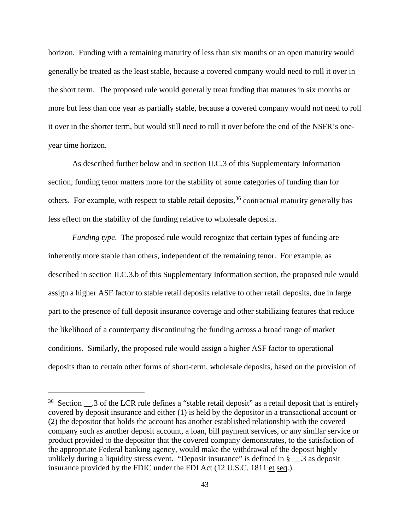horizon. Funding with a remaining maturity of less than six months or an open maturity would generally be treated as the least stable, because a covered company would need to roll it over in the short term. The proposed rule would generally treat funding that matures in six months or more but less than one year as partially stable, because a covered company would not need to roll it over in the shorter term, but would still need to roll it over before the end of the NSFR's oneyear time horizon.

As described further below and in section II.C.3 of this Supplementary Information section, funding tenor matters more for the stability of some categories of funding than for others. For example, with respect to stable retail deposits,<sup>[36](#page-42-0)</sup> contractual maturity generally has less effect on the stability of the funding relative to wholesale deposits.

*Funding type*. The proposed rule would recognize that certain types of funding are inherently more stable than others, independent of the remaining tenor. For example, as described in section II.C.3.b of this Supplementary Information section, the proposed rule would assign a higher ASF factor to stable retail deposits relative to other retail deposits, due in large part to the presence of full deposit insurance coverage and other stabilizing features that reduce the likelihood of a counterparty discontinuing the funding across a broad range of market conditions. Similarly, the proposed rule would assign a higher ASF factor to operational deposits than to certain other forms of short-term, wholesale deposits, based on the provision of

<span id="page-42-0"></span> $36$  Section  $\_\_3$  of the LCR rule defines a "stable retail deposit" as a retail deposit that is entirely covered by deposit insurance and either (1) is held by the depositor in a transactional account or (2) the depositor that holds the account has another established relationship with the covered company such as another deposit account, a loan, bill payment services, or any similar service or product provided to the depositor that the covered company demonstrates, to the satisfaction of the appropriate Federal banking agency, would make the withdrawal of the deposit highly unlikely during a liquidity stress event. "Deposit insurance" is defined in § \_\_.3 as deposit insurance provided by the FDIC under the FDI Act (12 U.S.C. 1811 et seq.).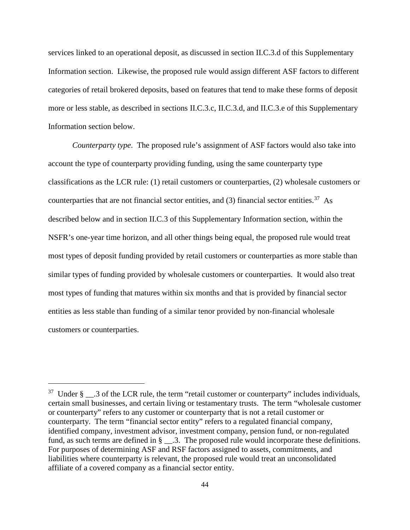services linked to an operational deposit, as discussed in section II.C.3.d of this Supplementary Information section. Likewise, the proposed rule would assign different ASF factors to different categories of retail brokered deposits, based on features that tend to make these forms of deposit more or less stable, as described in sections II.C.3.c, II.C.3.d, and II.C.3.e of this Supplementary Information section below.

*Counterparty type*. The proposed rule's assignment of ASF factors would also take into account the type of counterparty providing funding, using the same counterparty type classifications as the LCR rule: (1) retail customers or counterparties, (2) wholesale customers or counterparties that are not financial sector entities, and  $(3)$  financial sector entities.<sup>37</sup> As described below and in section II.C.3 of this Supplementary Information section, within the NSFR's one-year time horizon, and all other things being equal, the proposed rule would treat most types of deposit funding provided by retail customers or counterparties as more stable than similar types of funding provided by wholesale customers or counterparties. It would also treat most types of funding that matures within six months and that is provided by financial sector entities as less stable than funding of a similar tenor provided by non-financial wholesale customers or counterparties.

<span id="page-43-0"></span> $37$  Under § \_\_.3 of the LCR rule, the term "retail customer or counterparty" includes individuals, certain small businesses, and certain living or testamentary trusts. The term "wholesale customer or counterparty" refers to any customer or counterparty that is not a retail customer or counterparty. The term "financial sector entity" refers to a regulated financial company, identified company, investment advisor, investment company, pension fund, or non-regulated fund, as such terms are defined in § \_\_.3. The proposed rule would incorporate these definitions. For purposes of determining ASF and RSF factors assigned to assets, commitments, and liabilities where counterparty is relevant, the proposed rule would treat an unconsolidated affiliate of a covered company as a financial sector entity.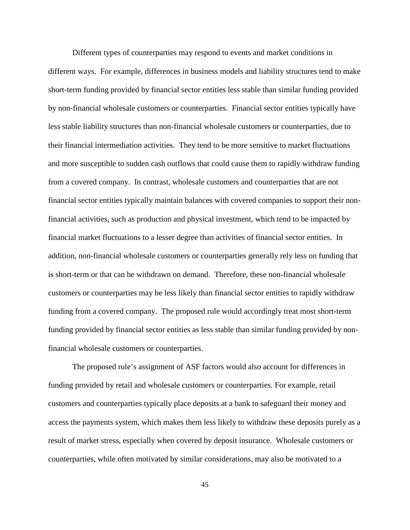Different types of counterparties may respond to events and market conditions in different ways. For example, differences in business models and liability structures tend to make short-term funding provided by financial sector entities less stable than similar funding provided by non-financial wholesale customers or counterparties. Financial sector entities typically have less stable liability structures than non-financial wholesale customers or counterparties, due to their financial intermediation activities. They tend to be more sensitive to market fluctuations and more susceptible to sudden cash outflows that could cause them to rapidly withdraw funding from a covered company. In contrast, wholesale customers and counterparties that are not financial sector entities typically maintain balances with covered companies to support their nonfinancial activities, such as production and physical investment, which tend to be impacted by financial market fluctuations to a lesser degree than activities of financial sector entities. In addition, non-financial wholesale customers or counterparties generally rely less on funding that is short-term or that can be withdrawn on demand. Therefore, these non-financial wholesale customers or counterparties may be less likely than financial sector entities to rapidly withdraw funding from a covered company. The proposed rule would accordingly treat most short-term funding provided by financial sector entities as less stable than similar funding provided by nonfinancial wholesale customers or counterparties.

The proposed rule's assignment of ASF factors would also account for differences in funding provided by retail and wholesale customers or counterparties. For example, retail customers and counterparties typically place deposits at a bank to safeguard their money and access the payments system, which makes them less likely to withdraw these deposits purely as a result of market stress, especially when covered by deposit insurance. Wholesale customers or counterparties, while often motivated by similar considerations, may also be motivated to a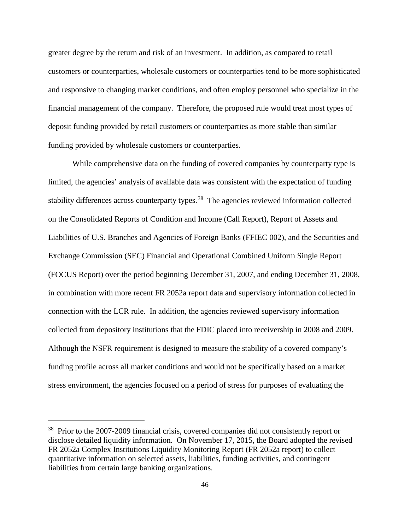greater degree by the return and risk of an investment. In addition, as compared to retail customers or counterparties, wholesale customers or counterparties tend to be more sophisticated and responsive to changing market conditions, and often employ personnel who specialize in the financial management of the company. Therefore, the proposed rule would treat most types of deposit funding provided by retail customers or counterparties as more stable than similar funding provided by wholesale customers or counterparties.

While comprehensive data on the funding of covered companies by counterparty type is limited, the agencies' analysis of available data was consistent with the expectation of funding stability differences across counterparty types.<sup>38</sup> The agencies reviewed information collected on the Consolidated Reports of Condition and Income (Call Report), Report of Assets and Liabilities of U.S. Branches and Agencies of Foreign Banks (FFIEC 002), and the Securities and Exchange Commission (SEC) Financial and Operational Combined Uniform Single Report (FOCUS Report) over the period beginning December 31, 2007, and ending December 31, 2008, in combination with more recent FR 2052a report data and supervisory information collected in connection with the LCR rule. In addition, the agencies reviewed supervisory information collected from depository institutions that the FDIC placed into receivership in 2008 and 2009. Although the NSFR requirement is designed to measure the stability of a covered company's funding profile across all market conditions and would not be specifically based on a market stress environment, the agencies focused on a period of stress for purposes of evaluating the

<span id="page-45-0"></span><sup>&</sup>lt;sup>38</sup> Prior to the 2007-2009 financial crisis, covered companies did not consistently report or disclose detailed liquidity information. On November 17, 2015, the Board adopted the revised FR 2052a Complex Institutions Liquidity Monitoring Report (FR 2052a report) to collect quantitative information on selected assets, liabilities, funding activities, and contingent liabilities from certain large banking organizations.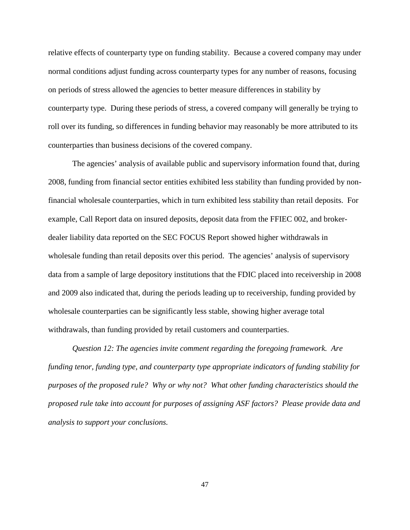relative effects of counterparty type on funding stability. Because a covered company may under normal conditions adjust funding across counterparty types for any number of reasons, focusing on periods of stress allowed the agencies to better measure differences in stability by counterparty type. During these periods of stress, a covered company will generally be trying to roll over its funding, so differences in funding behavior may reasonably be more attributed to its counterparties than business decisions of the covered company.

The agencies' analysis of available public and supervisory information found that, during 2008, funding from financial sector entities exhibited less stability than funding provided by nonfinancial wholesale counterparties, which in turn exhibited less stability than retail deposits. For example, Call Report data on insured deposits, deposit data from the FFIEC 002, and brokerdealer liability data reported on the SEC FOCUS Report showed higher withdrawals in wholesale funding than retail deposits over this period. The agencies' analysis of supervisory data from a sample of large depository institutions that the FDIC placed into receivership in 2008 and 2009 also indicated that, during the periods leading up to receivership, funding provided by wholesale counterparties can be significantly less stable, showing higher average total withdrawals, than funding provided by retail customers and counterparties.

*Question 12: The agencies invite comment regarding the foregoing framework. Are funding tenor, funding type, and counterparty type appropriate indicators of funding stability for purposes of the proposed rule? Why or why not? What other funding characteristics should the proposed rule take into account for purposes of assigning ASF factors? Please provide data and analysis to support your conclusions.*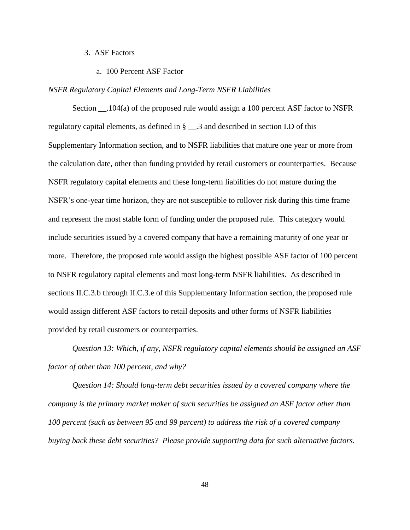# 3. ASF Factors

a. 100 Percent ASF Factor

#### *NSFR Regulatory Capital Elements and Long-Term NSFR Liabilities*

Section  $\qquad$ .104(a) of the proposed rule would assign a 100 percent ASF factor to NSFR regulatory capital elements, as defined in § \_\_.3 and described in section I.D of this Supplementary Information section, and to NSFR liabilities that mature one year or more from the calculation date, other than funding provided by retail customers or counterparties. Because NSFR regulatory capital elements and these long-term liabilities do not mature during the NSFR's one-year time horizon, they are not susceptible to rollover risk during this time frame and represent the most stable form of funding under the proposed rule. This category would include securities issued by a covered company that have a remaining maturity of one year or more. Therefore, the proposed rule would assign the highest possible ASF factor of 100 percent to NSFR regulatory capital elements and most long-term NSFR liabilities. As described in sections II.C.3.b through II.C.3.e of this Supplementary Information section, the proposed rule would assign different ASF factors to retail deposits and other forms of NSFR liabilities provided by retail customers or counterparties.

*Question 13: Which, if any, NSFR regulatory capital elements should be assigned an ASF factor of other than 100 percent, and why?*

*Question 14: Should long-term debt securities issued by a covered company where the company is the primary market maker of such securities be assigned an ASF factor other than 100 percent (such as between 95 and 99 percent) to address the risk of a covered company buying back these debt securities? Please provide supporting data for such alternative factors.*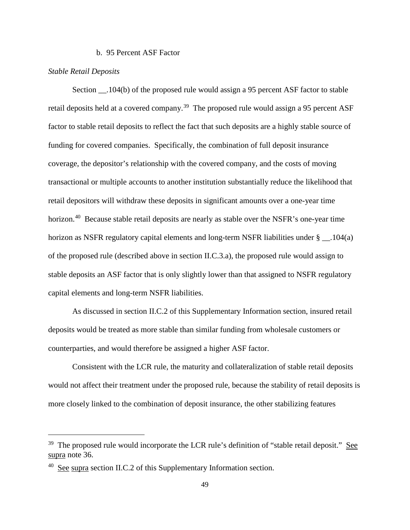#### b. 95 Percent ASF Factor

## *Stable Retail Deposits*

 $\overline{a}$ 

Section .104(b) of the proposed rule would assign a 95 percent ASF factor to stable retail deposits held at a covered company.<sup>[39](#page-48-0)</sup> The proposed rule would assign a 95 percent ASF factor to stable retail deposits to reflect the fact that such deposits are a highly stable source of funding for covered companies. Specifically, the combination of full deposit insurance coverage, the depositor's relationship with the covered company, and the costs of moving transactional or multiple accounts to another institution substantially reduce the likelihood that retail depositors will withdraw these deposits in significant amounts over a one-year time horizon.<sup>[40](#page-48-1)</sup> Because stable retail deposits are nearly as stable over the NSFR's one-year time horizon as NSFR regulatory capital elements and long-term NSFR liabilities under § \_\_.104(a) of the proposed rule (described above in section II.C.3.a), the proposed rule would assign to stable deposits an ASF factor that is only slightly lower than that assigned to NSFR regulatory capital elements and long-term NSFR liabilities.

As discussed in section II.C.2 of this Supplementary Information section, insured retail deposits would be treated as more stable than similar funding from wholesale customers or counterparties, and would therefore be assigned a higher ASF factor.

Consistent with the LCR rule, the maturity and collateralization of stable retail deposits would not affect their treatment under the proposed rule, because the stability of retail deposits is more closely linked to the combination of deposit insurance, the other stabilizing features

<span id="page-48-0"></span> $39$  The proposed rule would incorporate the LCR rule's definition of "stable retail deposit." See supra note 36.

<span id="page-48-1"></span> $40\,$  See supra section II.C.2 of this Supplementary Information section.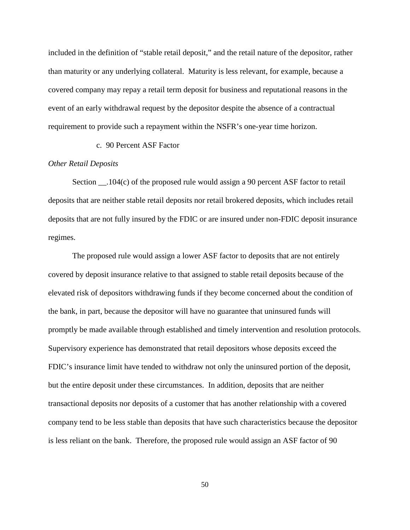included in the definition of "stable retail deposit," and the retail nature of the depositor, rather than maturity or any underlying collateral. Maturity is less relevant, for example, because a covered company may repay a retail term deposit for business and reputational reasons in the event of an early withdrawal request by the depositor despite the absence of a contractual requirement to provide such a repayment within the NSFR's one-year time horizon.

c. 90 Percent ASF Factor

# *Other Retail Deposits*

Section \_\_.104(c) of the proposed rule would assign a 90 percent ASF factor to retail deposits that are neither stable retail deposits nor retail brokered deposits, which includes retail deposits that are not fully insured by the FDIC or are insured under non-FDIC deposit insurance regimes.

The proposed rule would assign a lower ASF factor to deposits that are not entirely covered by deposit insurance relative to that assigned to stable retail deposits because of the elevated risk of depositors withdrawing funds if they become concerned about the condition of the bank, in part, because the depositor will have no guarantee that uninsured funds will promptly be made available through established and timely intervention and resolution protocols. Supervisory experience has demonstrated that retail depositors whose deposits exceed the FDIC's insurance limit have tended to withdraw not only the uninsured portion of the deposit, but the entire deposit under these circumstances. In addition, deposits that are neither transactional deposits nor deposits of a customer that has another relationship with a covered company tend to be less stable than deposits that have such characteristics because the depositor is less reliant on the bank. Therefore, the proposed rule would assign an ASF factor of 90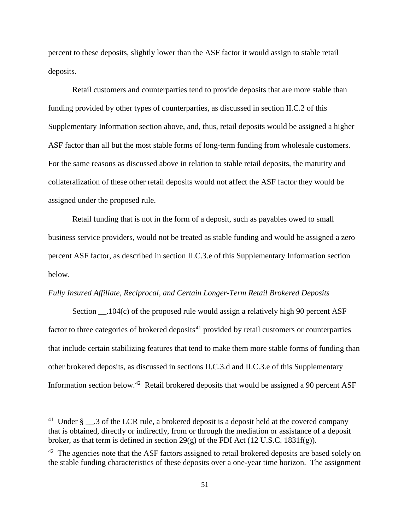percent to these deposits, slightly lower than the ASF factor it would assign to stable retail deposits.

Retail customers and counterparties tend to provide deposits that are more stable than funding provided by other types of counterparties, as discussed in section II.C.2 of this Supplementary Information section above, and, thus, retail deposits would be assigned a higher ASF factor than all but the most stable forms of long-term funding from wholesale customers. For the same reasons as discussed above in relation to stable retail deposits, the maturity and collateralization of these other retail deposits would not affect the ASF factor they would be assigned under the proposed rule.

Retail funding that is not in the form of a deposit, such as payables owed to small business service providers, would not be treated as stable funding and would be assigned a zero percent ASF factor, as described in section II.C.3.e of this Supplementary Information section below.

# *Fully Insured Affiliate, Reciprocal, and Certain Longer-Term Retail Brokered Deposits*

Section \_\_.104(c) of the proposed rule would assign a relatively high 90 percent ASF factor to three categories of brokered deposits<sup>[41](#page-50-0)</sup> provided by retail customers or counterparties that include certain stabilizing features that tend to make them more stable forms of funding than other brokered deposits, as discussed in sections II.C.3.d and II.C.3.e of this Supplementary Information section below.<sup>[42](#page-50-1)</sup> Retail brokered deposits that would be assigned a 90 percent ASF

<span id="page-50-0"></span><sup>&</sup>lt;sup>41</sup> Under §  $\cdot$  .3 of the LCR rule, a brokered deposit is a deposit held at the covered company that is obtained, directly or indirectly, from or through the mediation or assistance of a deposit broker, as that term is defined in section 29(g) of the FDI Act (12 U.S.C. 1831f(g)).

<span id="page-50-1"></span> $42$  The agencies note that the ASF factors assigned to retail brokered deposits are based solely on the stable funding characteristics of these deposits over a one-year time horizon. The assignment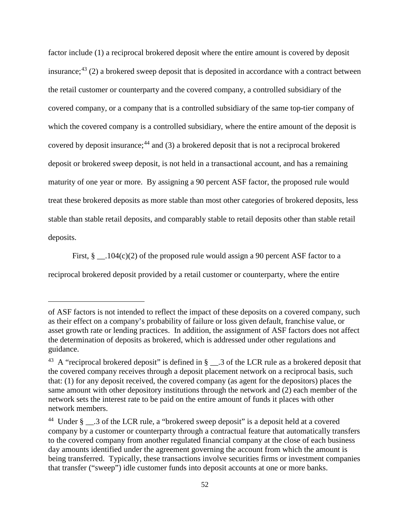factor include (1) a reciprocal brokered deposit where the entire amount is covered by deposit insurance; $43$  (2) a brokered sweep deposit that is deposited in accordance with a contract between the retail customer or counterparty and the covered company, a controlled subsidiary of the covered company, or a company that is a controlled subsidiary of the same top-tier company of which the covered company is a controlled subsidiary, where the entire amount of the deposit is covered by deposit insurance;<sup>[44](#page-51-1)</sup> and (3) a brokered deposit that is not a reciprocal brokered deposit or brokered sweep deposit, is not held in a transactional account, and has a remaining maturity of one year or more. By assigning a 90 percent ASF factor, the proposed rule would treat these brokered deposits as more stable than most other categories of brokered deposits, less stable than stable retail deposits, and comparably stable to retail deposits other than stable retail deposits.

First,  $\S$  . 104(c)(2) of the proposed rule would assign a 90 percent ASF factor to a

reciprocal brokered deposit provided by a retail customer or counterparty, where the entire

of ASF factors is not intended to reflect the impact of these deposits on a covered company, such as their effect on a company's probability of failure or loss given default, franchise value, or asset growth rate or lending practices. In addition, the assignment of ASF factors does not affect the determination of deposits as brokered, which is addressed under other regulations and guidance.

<span id="page-51-0"></span><sup>&</sup>lt;sup>43</sup> A "reciprocal brokered deposit" is defined in  $\S$  \_\_.3 of the LCR rule as a brokered deposit that the covered company receives through a deposit placement network on a reciprocal basis, such that: (1) for any deposit received, the covered company (as agent for the depositors) places the same amount with other depository institutions through the network and (2) each member of the network sets the interest rate to be paid on the entire amount of funds it places with other network members.

<span id="page-51-1"></span><sup>&</sup>lt;sup>44</sup> Under § \_\_\_.3 of the LCR rule, a "brokered sweep deposit" is a deposit held at a covered company by a customer or counterparty through a contractual feature that automatically transfers to the covered company from another regulated financial company at the close of each business day amounts identified under the agreement governing the account from which the amount is being transferred. Typically, these transactions involve securities firms or investment companies that transfer ("sweep") idle customer funds into deposit accounts at one or more banks.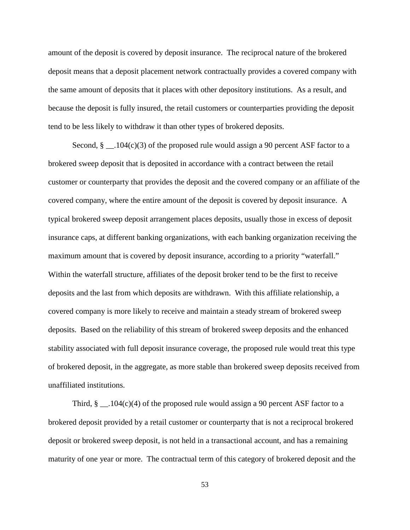amount of the deposit is covered by deposit insurance. The reciprocal nature of the brokered deposit means that a deposit placement network contractually provides a covered company with the same amount of deposits that it places with other depository institutions. As a result, and because the deposit is fully insured, the retail customers or counterparties providing the deposit tend to be less likely to withdraw it than other types of brokered deposits.

Second,  $\S$  \_\_ .104(c)(3) of the proposed rule would assign a 90 percent ASF factor to a brokered sweep deposit that is deposited in accordance with a contract between the retail customer or counterparty that provides the deposit and the covered company or an affiliate of the covered company, where the entire amount of the deposit is covered by deposit insurance. A typical brokered sweep deposit arrangement places deposits, usually those in excess of deposit insurance caps, at different banking organizations, with each banking organization receiving the maximum amount that is covered by deposit insurance, according to a priority "waterfall." Within the waterfall structure, affiliates of the deposit broker tend to be the first to receive deposits and the last from which deposits are withdrawn. With this affiliate relationship, a covered company is more likely to receive and maintain a steady stream of brokered sweep deposits. Based on the reliability of this stream of brokered sweep deposits and the enhanced stability associated with full deposit insurance coverage, the proposed rule would treat this type of brokered deposit, in the aggregate, as more stable than brokered sweep deposits received from unaffiliated institutions.

Third,  $\S$  \_\_ .104(c)(4) of the proposed rule would assign a 90 percent ASF factor to a brokered deposit provided by a retail customer or counterparty that is not a reciprocal brokered deposit or brokered sweep deposit, is not held in a transactional account, and has a remaining maturity of one year or more. The contractual term of this category of brokered deposit and the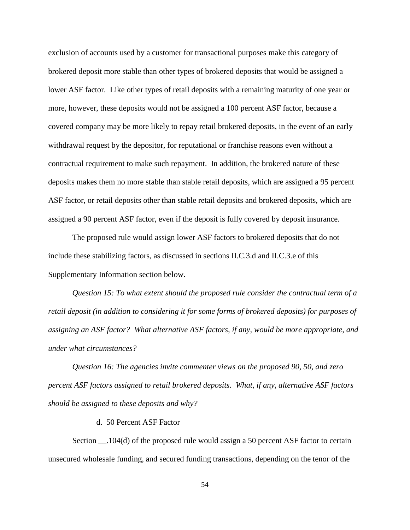exclusion of accounts used by a customer for transactional purposes make this category of brokered deposit more stable than other types of brokered deposits that would be assigned a lower ASF factor. Like other types of retail deposits with a remaining maturity of one year or more, however, these deposits would not be assigned a 100 percent ASF factor, because a covered company may be more likely to repay retail brokered deposits, in the event of an early withdrawal request by the depositor, for reputational or franchise reasons even without a contractual requirement to make such repayment. In addition, the brokered nature of these deposits makes them no more stable than stable retail deposits, which are assigned a 95 percent ASF factor, or retail deposits other than stable retail deposits and brokered deposits, which are assigned a 90 percent ASF factor, even if the deposit is fully covered by deposit insurance.

The proposed rule would assign lower ASF factors to brokered deposits that do not include these stabilizing factors, as discussed in sections II.C.3.d and II.C.3.e of this Supplementary Information section below.

*Question 15: To what extent should the proposed rule consider the contractual term of a retail deposit (in addition to considering it for some forms of brokered deposits) for purposes of assigning an ASF factor? What alternative ASF factors, if any, would be more appropriate, and under what circumstances?*

*Question 16: The agencies invite commenter views on the proposed 90, 50, and zero percent ASF factors assigned to retail brokered deposits. What, if any, alternative ASF factors should be assigned to these deposits and why?*

#### d. 50 Percent ASF Factor

Section \_\_.104(d) of the proposed rule would assign a 50 percent ASF factor to certain unsecured wholesale funding, and secured funding transactions, depending on the tenor of the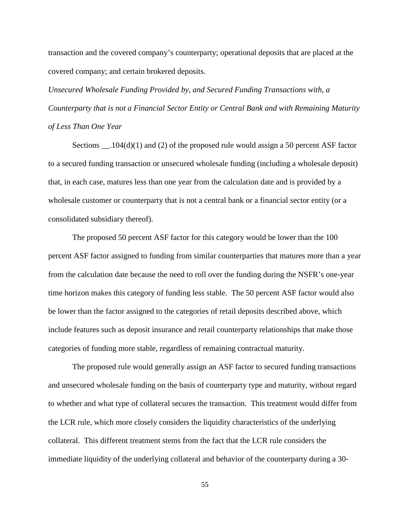transaction and the covered company's counterparty; operational deposits that are placed at the covered company; and certain brokered deposits.

*Unsecured Wholesale Funding Provided by, and Secured Funding Transactions with, a Counterparty that is not a Financial Sector Entity or Central Bank and with Remaining Maturity of Less Than One Year*

Sections  $\_\_$ . 104(d)(1) and (2) of the proposed rule would assign a 50 percent ASF factor to a secured funding transaction or unsecured wholesale funding (including a wholesale deposit) that, in each case, matures less than one year from the calculation date and is provided by a wholesale customer or counterparty that is not a central bank or a financial sector entity (or a consolidated subsidiary thereof).

The proposed 50 percent ASF factor for this category would be lower than the 100 percent ASF factor assigned to funding from similar counterparties that matures more than a year from the calculation date because the need to roll over the funding during the NSFR's one-year time horizon makes this category of funding less stable. The 50 percent ASF factor would also be lower than the factor assigned to the categories of retail deposits described above, which include features such as deposit insurance and retail counterparty relationships that make those categories of funding more stable, regardless of remaining contractual maturity.

The proposed rule would generally assign an ASF factor to secured funding transactions and unsecured wholesale funding on the basis of counterparty type and maturity, without regard to whether and what type of collateral secures the transaction. This treatment would differ from the LCR rule, which more closely considers the liquidity characteristics of the underlying collateral. This different treatment stems from the fact that the LCR rule considers the immediate liquidity of the underlying collateral and behavior of the counterparty during a 30-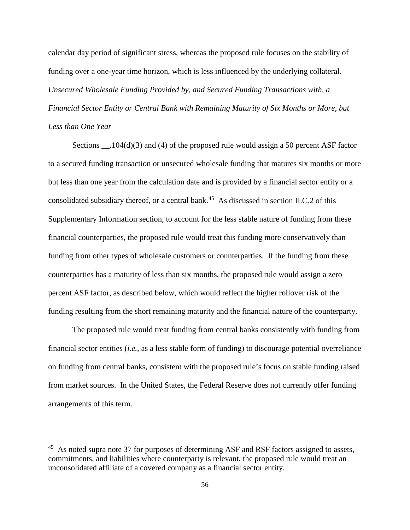calendar day period of significant stress, whereas the proposed rule focuses on the stability of funding over a one-year time horizon, which is less influenced by the underlying collateral. *Unsecured Wholesale Funding Provided by, and Secured Funding Transactions with, a Financial Sector Entity or Central Bank with Remaining Maturity of Six Months or More, but Less than One Year*

Sections \_\_\_\_.104(d)(3) and (4) of the proposed rule would assign a 50 percent ASF factor to a secured funding transaction or unsecured wholesale funding that matures six months or more but less than one year from the calculation date and is provided by a financial sector entity or a consolidated subsidiary thereof, or a central bank.<sup>45</sup> As discussed in section II.C.2 of this Supplementary Information section, to account for the less stable nature of funding from these financial counterparties, the proposed rule would treat this funding more conservatively than funding from other types of wholesale customers or counterparties. If the funding from these counterparties has a maturity of less than six months, the proposed rule would assign a zero percent ASF factor, as described below, which would reflect the higher rollover risk of the funding resulting from the short remaining maturity and the financial nature of the counterparty.

The proposed rule would treat funding from central banks consistently with funding from financial sector entities (*i.e.*, as a less stable form of funding) to discourage potential overreliance on funding from central banks, consistent with the proposed rule's focus on stable funding raised from market sources. In the United States, the Federal Reserve does not currently offer funding arrangements of this term.

<span id="page-55-0"></span> $45$  As noted supra note 37 for purposes of determining ASF and RSF factors assigned to assets, commitments, and liabilities where counterparty is relevant, the proposed rule would treat an unconsolidated affiliate of a covered company as a financial sector entity.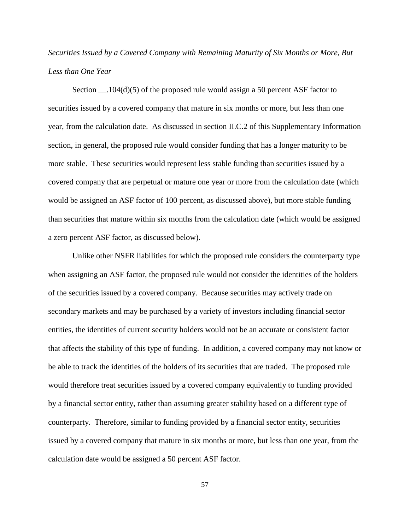*Securities Issued by a Covered Company with Remaining Maturity of Six Months or More, But Less than One Year*

Section  $104(d)(5)$  of the proposed rule would assign a 50 percent ASF factor to securities issued by a covered company that mature in six months or more, but less than one year, from the calculation date. As discussed in section II.C.2 of this Supplementary Information section, in general, the proposed rule would consider funding that has a longer maturity to be more stable. These securities would represent less stable funding than securities issued by a covered company that are perpetual or mature one year or more from the calculation date (which would be assigned an ASF factor of 100 percent, as discussed above), but more stable funding than securities that mature within six months from the calculation date (which would be assigned a zero percent ASF factor, as discussed below).

Unlike other NSFR liabilities for which the proposed rule considers the counterparty type when assigning an ASF factor, the proposed rule would not consider the identities of the holders of the securities issued by a covered company. Because securities may actively trade on secondary markets and may be purchased by a variety of investors including financial sector entities, the identities of current security holders would not be an accurate or consistent factor that affects the stability of this type of funding. In addition, a covered company may not know or be able to track the identities of the holders of its securities that are traded. The proposed rule would therefore treat securities issued by a covered company equivalently to funding provided by a financial sector entity, rather than assuming greater stability based on a different type of counterparty. Therefore, similar to funding provided by a financial sector entity, securities issued by a covered company that mature in six months or more, but less than one year, from the calculation date would be assigned a 50 percent ASF factor.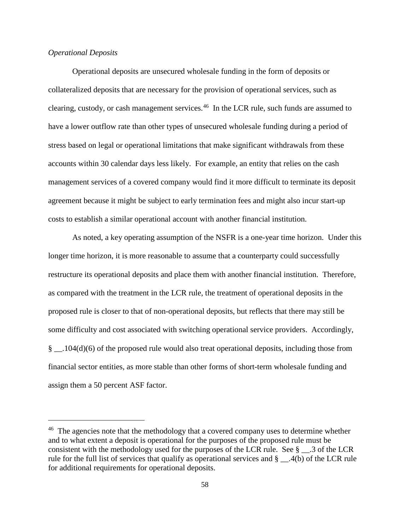# *Operational Deposits*

 $\overline{a}$ 

Operational deposits are unsecured wholesale funding in the form of deposits or collateralized deposits that are necessary for the provision of operational services, such as clearing, custody, or cash management services.[46](#page-57-0) In the LCR rule, such funds are assumed to have a lower outflow rate than other types of unsecured wholesale funding during a period of stress based on legal or operational limitations that make significant withdrawals from these accounts within 30 calendar days less likely. For example, an entity that relies on the cash management services of a covered company would find it more difficult to terminate its deposit agreement because it might be subject to early termination fees and might also incur start-up costs to establish a similar operational account with another financial institution.

As noted, a key operating assumption of the NSFR is a one-year time horizon. Under this longer time horizon, it is more reasonable to assume that a counterparty could successfully restructure its operational deposits and place them with another financial institution. Therefore, as compared with the treatment in the LCR rule, the treatment of operational deposits in the proposed rule is closer to that of non-operational deposits, but reflects that there may still be some difficulty and cost associated with switching operational service providers. Accordingly, § \_\_.104(d)(6) of the proposed rule would also treat operational deposits, including those from financial sector entities, as more stable than other forms of short-term wholesale funding and assign them a 50 percent ASF factor.

<span id="page-57-0"></span><sup>&</sup>lt;sup>46</sup> The agencies note that the methodology that a covered company uses to determine whether and to what extent a deposit is operational for the purposes of the proposed rule must be consistent with the methodology used for the purposes of the LCR rule. See  $\S$  \_\_.3 of the LCR rule for the full list of services that qualify as operational services and § \_\_.4(b) of the LCR rule for additional requirements for operational deposits.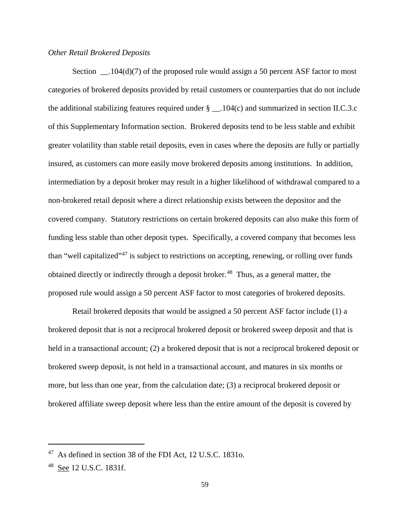## *Other Retail Brokered Deposits*

Section \_\_\_.104(d)(7) of the proposed rule would assign a 50 percent ASF factor to most categories of brokered deposits provided by retail customers or counterparties that do not include the additional stabilizing features required under  $\S$  \_\_.104(c) and summarized in section II.C.3.c of this Supplementary Information section. Brokered deposits tend to be less stable and exhibit greater volatility than stable retail deposits, even in cases where the deposits are fully or partially insured, as customers can more easily move brokered deposits among institutions. In addition, intermediation by a deposit broker may result in a higher likelihood of withdrawal compared to a non-brokered retail deposit where a direct relationship exists between the depositor and the covered company. Statutory restrictions on certain brokered deposits can also make this form of funding less stable than other deposit types. Specifically, a covered company that becomes less than "well capitalized"<sup>[47](#page-58-0)</sup> is subject to restrictions on accepting, renewing, or rolling over funds obtained directly or indirectly through a deposit broker.<sup>[48](#page-58-1)</sup> Thus, as a general matter, the proposed rule would assign a 50 percent ASF factor to most categories of brokered deposits.

Retail brokered deposits that would be assigned a 50 percent ASF factor include (1) a brokered deposit that is not a reciprocal brokered deposit or brokered sweep deposit and that is held in a transactional account; (2) a brokered deposit that is not a reciprocal brokered deposit or brokered sweep deposit, is not held in a transactional account, and matures in six months or more, but less than one year, from the calculation date; (3) a reciprocal brokered deposit or brokered affiliate sweep deposit where less than the entire amount of the deposit is covered by

<span id="page-58-0"></span><sup>47</sup> As defined in section 38 of the FDI Act, 12 U.S.C. 1831o.

<span id="page-58-1"></span><sup>48</sup> See 12 U.S.C. 1831f.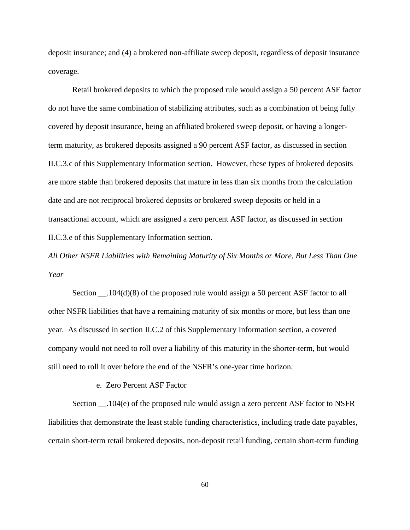deposit insurance; and (4) a brokered non-affiliate sweep deposit, regardless of deposit insurance coverage.

Retail brokered deposits to which the proposed rule would assign a 50 percent ASF factor do not have the same combination of stabilizing attributes, such as a combination of being fully covered by deposit insurance, being an affiliated brokered sweep deposit, or having a longerterm maturity, as brokered deposits assigned a 90 percent ASF factor, as discussed in section II.C.3.c of this Supplementary Information section. However, these types of brokered deposits are more stable than brokered deposits that mature in less than six months from the calculation date and are not reciprocal brokered deposits or brokered sweep deposits or held in a transactional account, which are assigned a zero percent ASF factor, as discussed in section II.C.3.e of this Supplementary Information section.

*All Other NSFR Liabilities with Remaining Maturity of Six Months or More, But Less Than One Year*

Section \_\_.104(d)(8) of the proposed rule would assign a 50 percent ASF factor to all other NSFR liabilities that have a remaining maturity of six months or more, but less than one year. As discussed in section II.C.2 of this Supplementary Information section, a covered company would not need to roll over a liability of this maturity in the shorter-term, but would still need to roll it over before the end of the NSFR's one-year time horizon.

e. Zero Percent ASF Factor

Section \_\_.104(e) of the proposed rule would assign a zero percent ASF factor to NSFR liabilities that demonstrate the least stable funding characteristics, including trade date payables, certain short-term retail brokered deposits, non-deposit retail funding, certain short-term funding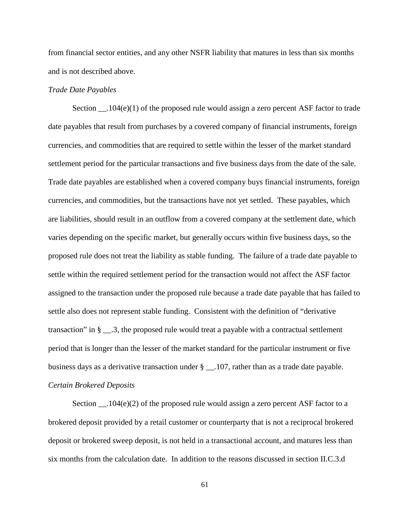from financial sector entities, and any other NSFR liability that matures in less than six months and is not described above.

# *Trade Date Payables*

Section  $104(e)(1)$  of the proposed rule would assign a zero percent ASF factor to trade date payables that result from purchases by a covered company of financial instruments, foreign currencies, and commodities that are required to settle within the lesser of the market standard settlement period for the particular transactions and five business days from the date of the sale. Trade date payables are established when a covered company buys financial instruments, foreign currencies, and commodities, but the transactions have not yet settled. These payables, which are liabilities, should result in an outflow from a covered company at the settlement date, which varies depending on the specific market, but generally occurs within five business days, so the proposed rule does not treat the liability as stable funding. The failure of a trade date payable to settle within the required settlement period for the transaction would not affect the ASF factor assigned to the transaction under the proposed rule because a trade date payable that has failed to settle also does not represent stable funding. Consistent with the definition of "derivative transaction" in  $\S$   $\ldots$  3, the proposed rule would treat a payable with a contractual settlement period that is longer than the lesser of the market standard for the particular instrument or five business days as a derivative transaction under § \_\_.107, rather than as a trade date payable. *Certain Brokered Deposits*

Section  $\Box$ .104(e)(2) of the proposed rule would assign a zero percent ASF factor to a brokered deposit provided by a retail customer or counterparty that is not a reciprocal brokered deposit or brokered sweep deposit, is not held in a transactional account, and matures less than six months from the calculation date. In addition to the reasons discussed in section II.C.3.d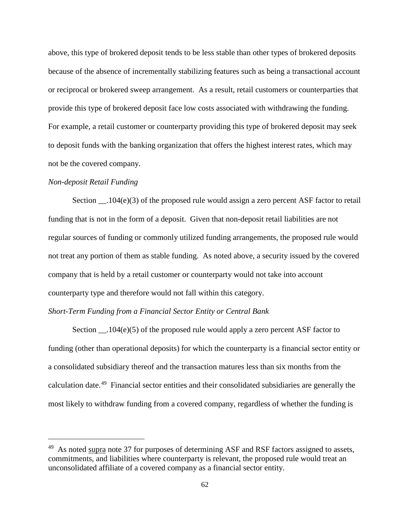above, this type of brokered deposit tends to be less stable than other types of brokered deposits because of the absence of incrementally stabilizing features such as being a transactional account or reciprocal or brokered sweep arrangement. As a result, retail customers or counterparties that provide this type of brokered deposit face low costs associated with withdrawing the funding. For example, a retail customer or counterparty providing this type of brokered deposit may seek to deposit funds with the banking organization that offers the highest interest rates, which may not be the covered company.

## *Non-deposit Retail Funding*

 $\overline{a}$ 

Section \_\_.104(e)(3) of the proposed rule would assign a zero percent ASF factor to retail funding that is not in the form of a deposit. Given that non-deposit retail liabilities are not regular sources of funding or commonly utilized funding arrangements, the proposed rule would not treat any portion of them as stable funding. As noted above, a security issued by the covered company that is held by a retail customer or counterparty would not take into account counterparty type and therefore would not fall within this category.

### *Short-Term Funding from a Financial Sector Entity or Central Bank*

Section  $\_\_104(e)(5)$  of the proposed rule would apply a zero percent ASF factor to funding (other than operational deposits) for which the counterparty is a financial sector entity or a consolidated subsidiary thereof and the transaction matures less than six months from the calculation date.[49](#page-61-0) Financial sector entities and their consolidated subsidiaries are generally the most likely to withdraw funding from a covered company, regardless of whether the funding is

<span id="page-61-0"></span> $^{49}$  As noted supra note 37 for purposes of determining ASF and RSF factors assigned to assets, commitments, and liabilities where counterparty is relevant, the proposed rule would treat an unconsolidated affiliate of a covered company as a financial sector entity.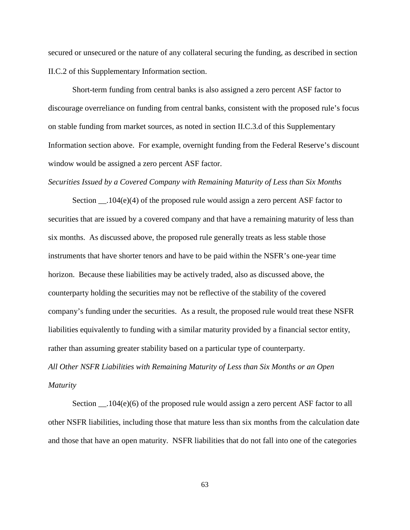secured or unsecured or the nature of any collateral securing the funding, as described in section II.C.2 of this Supplementary Information section.

Short-term funding from central banks is also assigned a zero percent ASF factor to discourage overreliance on funding from central banks, consistent with the proposed rule's focus on stable funding from market sources, as noted in section II.C.3.d of this Supplementary Information section above. For example, overnight funding from the Federal Reserve's discount window would be assigned a zero percent ASF factor.

#### *Securities Issued by a Covered Company with Remaining Maturity of Less than Six Months*

Section  $104(e)(4)$  of the proposed rule would assign a zero percent ASF factor to securities that are issued by a covered company and that have a remaining maturity of less than six months. As discussed above, the proposed rule generally treats as less stable those instruments that have shorter tenors and have to be paid within the NSFR's one-year time horizon. Because these liabilities may be actively traded, also as discussed above, the counterparty holding the securities may not be reflective of the stability of the covered company's funding under the securities. As a result, the proposed rule would treat these NSFR liabilities equivalently to funding with a similar maturity provided by a financial sector entity, rather than assuming greater stability based on a particular type of counterparty.

*All Other NSFR Liabilities with Remaining Maturity of Less than Six Months or an Open Maturity*

Section \_\_.104(e)(6) of the proposed rule would assign a zero percent ASF factor to all other NSFR liabilities, including those that mature less than six months from the calculation date and those that have an open maturity. NSFR liabilities that do not fall into one of the categories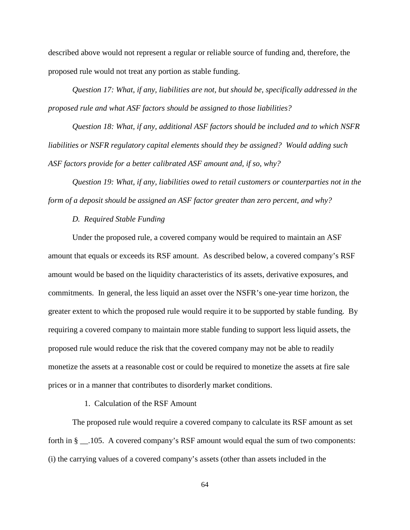described above would not represent a regular or reliable source of funding and, therefore, the proposed rule would not treat any portion as stable funding.

*Question 17: What, if any, liabilities are not, but should be, specifically addressed in the proposed rule and what ASF factors should be assigned to those liabilities?* 

*Question 18: What, if any, additional ASF factors should be included and to which NSFR liabilities or NSFR regulatory capital elements should they be assigned? Would adding such ASF factors provide for a better calibrated ASF amount and, if so, why?*

*Question 19: What, if any, liabilities owed to retail customers or counterparties not in the form of a deposit should be assigned an ASF factor greater than zero percent, and why?*

# *D. Required Stable Funding*

Under the proposed rule, a covered company would be required to maintain an ASF amount that equals or exceeds its RSF amount. As described below, a covered company's RSF amount would be based on the liquidity characteristics of its assets, derivative exposures, and commitments. In general, the less liquid an asset over the NSFR's one-year time horizon, the greater extent to which the proposed rule would require it to be supported by stable funding. By requiring a covered company to maintain more stable funding to support less liquid assets, the proposed rule would reduce the risk that the covered company may not be able to readily monetize the assets at a reasonable cost or could be required to monetize the assets at fire sale prices or in a manner that contributes to disorderly market conditions.

# 1. Calculation of the RSF Amount

The proposed rule would require a covered company to calculate its RSF amount as set forth in § \_\_.105. A covered company's RSF amount would equal the sum of two components: (i) the carrying values of a covered company's assets (other than assets included in the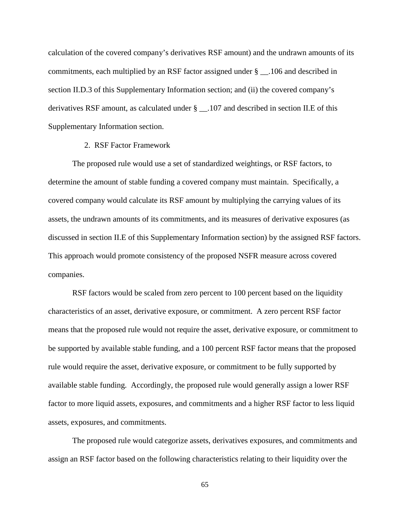calculation of the covered company's derivatives RSF amount) and the undrawn amounts of its commitments, each multiplied by an RSF factor assigned under § \_\_.106 and described in section II.D.3 of this Supplementary Information section; and (ii) the covered company's derivatives RSF amount, as calculated under § \_\_.107 and described in section II.E of this Supplementary Information section.

### 2. RSF Factor Framework

The proposed rule would use a set of standardized weightings, or RSF factors, to determine the amount of stable funding a covered company must maintain. Specifically, a covered company would calculate its RSF amount by multiplying the carrying values of its assets, the undrawn amounts of its commitments, and its measures of derivative exposures (as discussed in section II.E of this Supplementary Information section) by the assigned RSF factors. This approach would promote consistency of the proposed NSFR measure across covered companies.

RSF factors would be scaled from zero percent to 100 percent based on the liquidity characteristics of an asset, derivative exposure, or commitment. A zero percent RSF factor means that the proposed rule would not require the asset, derivative exposure, or commitment to be supported by available stable funding, and a 100 percent RSF factor means that the proposed rule would require the asset, derivative exposure, or commitment to be fully supported by available stable funding. Accordingly, the proposed rule would generally assign a lower RSF factor to more liquid assets, exposures, and commitments and a higher RSF factor to less liquid assets, exposures, and commitments.

The proposed rule would categorize assets, derivatives exposures, and commitments and assign an RSF factor based on the following characteristics relating to their liquidity over the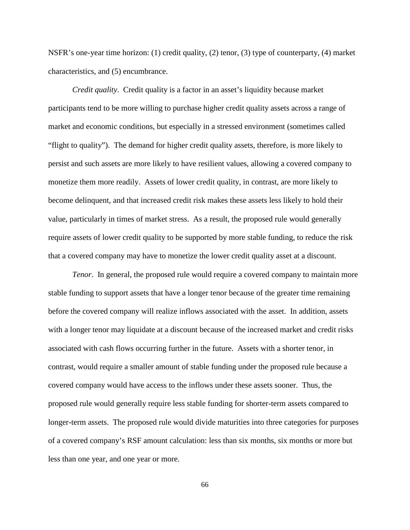NSFR's one-year time horizon: (1) credit quality, (2) tenor, (3) type of counterparty, (4) market characteristics, and (5) encumbrance.

*Credit quality*. Credit quality is a factor in an asset's liquidity because market participants tend to be more willing to purchase higher credit quality assets across a range of market and economic conditions, but especially in a stressed environment (sometimes called "flight to quality"). The demand for higher credit quality assets, therefore, is more likely to persist and such assets are more likely to have resilient values, allowing a covered company to monetize them more readily. Assets of lower credit quality, in contrast, are more likely to become delinquent, and that increased credit risk makes these assets less likely to hold their value, particularly in times of market stress. As a result, the proposed rule would generally require assets of lower credit quality to be supported by more stable funding, to reduce the risk that a covered company may have to monetize the lower credit quality asset at a discount.

*Tenor*. In general, the proposed rule would require a covered company to maintain more stable funding to support assets that have a longer tenor because of the greater time remaining before the covered company will realize inflows associated with the asset. In addition, assets with a longer tenor may liquidate at a discount because of the increased market and credit risks associated with cash flows occurring further in the future. Assets with a shorter tenor, in contrast, would require a smaller amount of stable funding under the proposed rule because a covered company would have access to the inflows under these assets sooner. Thus, the proposed rule would generally require less stable funding for shorter-term assets compared to longer-term assets. The proposed rule would divide maturities into three categories for purposes of a covered company's RSF amount calculation: less than six months, six months or more but less than one year, and one year or more.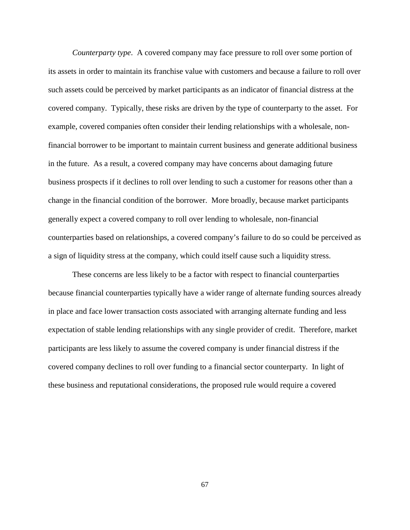*Counterparty type*. A covered company may face pressure to roll over some portion of its assets in order to maintain its franchise value with customers and because a failure to roll over such assets could be perceived by market participants as an indicator of financial distress at the covered company. Typically, these risks are driven by the type of counterparty to the asset. For example, covered companies often consider their lending relationships with a wholesale, nonfinancial borrower to be important to maintain current business and generate additional business in the future. As a result, a covered company may have concerns about damaging future business prospects if it declines to roll over lending to such a customer for reasons other than a change in the financial condition of the borrower. More broadly, because market participants generally expect a covered company to roll over lending to wholesale, non-financial counterparties based on relationships, a covered company's failure to do so could be perceived as a sign of liquidity stress at the company, which could itself cause such a liquidity stress.

These concerns are less likely to be a factor with respect to financial counterparties because financial counterparties typically have a wider range of alternate funding sources already in place and face lower transaction costs associated with arranging alternate funding and less expectation of stable lending relationships with any single provider of credit. Therefore, market participants are less likely to assume the covered company is under financial distress if the covered company declines to roll over funding to a financial sector counterparty. In light of these business and reputational considerations, the proposed rule would require a covered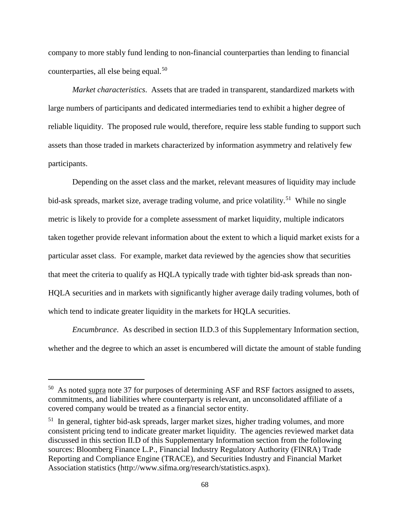company to more stably fund lending to non-financial counterparties than lending to financial counterparties, all else being equal.<sup>[50](#page-67-0)</sup>

*Market characteristics*. Assets that are traded in transparent, standardized markets with large numbers of participants and dedicated intermediaries tend to exhibit a higher degree of reliable liquidity. The proposed rule would, therefore, require less stable funding to support such assets than those traded in markets characterized by information asymmetry and relatively few participants.

Depending on the asset class and the market, relevant measures of liquidity may include bid-ask spreads, market size, average trading volume, and price volatility.<sup>[51](#page-67-1)</sup> While no single metric is likely to provide for a complete assessment of market liquidity, multiple indicators taken together provide relevant information about the extent to which a liquid market exists for a particular asset class. For example, market data reviewed by the agencies show that securities that meet the criteria to qualify as HQLA typically trade with tighter bid-ask spreads than non-HQLA securities and in markets with significantly higher average daily trading volumes, both of which tend to indicate greater liquidity in the markets for HQLA securities.

*Encumbrance*. As described in section II.D.3 of this Supplementary Information section, whether and the degree to which an asset is encumbered will dictate the amount of stable funding

<span id="page-67-0"></span><sup>&</sup>lt;sup>50</sup> As noted supra note 37 for purposes of determining ASF and RSF factors assigned to assets, commitments, and liabilities where counterparty is relevant, an unconsolidated affiliate of a covered company would be treated as a financial sector entity.

<span id="page-67-1"></span> $51$  In general, tighter bid-ask spreads, larger market sizes, higher trading volumes, and more consistent pricing tend to indicate greater market liquidity. The agencies reviewed market data discussed in this section II.D of this Supplementary Information section from the following sources: Bloomberg Finance L.P., Financial Industry Regulatory Authority (FINRA) Trade Reporting and Compliance Engine (TRACE), and Securities Industry and Financial Market Association statistics (http://www.sifma.org/research/statistics.aspx).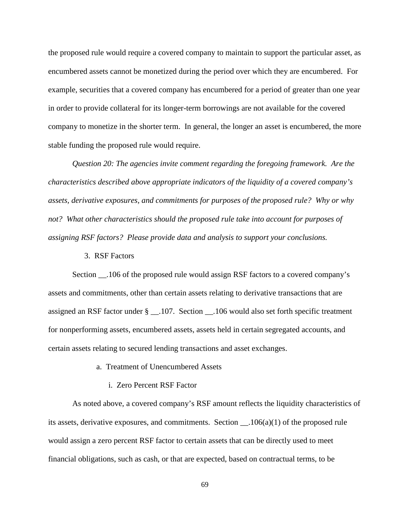the proposed rule would require a covered company to maintain to support the particular asset, as encumbered assets cannot be monetized during the period over which they are encumbered. For example, securities that a covered company has encumbered for a period of greater than one year in order to provide collateral for its longer-term borrowings are not available for the covered company to monetize in the shorter term. In general, the longer an asset is encumbered, the more stable funding the proposed rule would require.

*Question 20: The agencies invite comment regarding the foregoing framework. Are the characteristics described above appropriate indicators of the liquidity of a covered company's assets, derivative exposures, and commitments for purposes of the proposed rule? Why or why not? What other characteristics should the proposed rule take into account for purposes of assigning RSF factors? Please provide data and analysis to support your conclusions.*

3. RSF Factors

Section \_\_.106 of the proposed rule would assign RSF factors to a covered company's assets and commitments, other than certain assets relating to derivative transactions that are assigned an RSF factor under § \_\_.107. Section \_\_.106 would also set forth specific treatment for nonperforming assets, encumbered assets, assets held in certain segregated accounts, and certain assets relating to secured lending transactions and asset exchanges.

- a. Treatment of Unencumbered Assets
	- i. Zero Percent RSF Factor

As noted above, a covered company's RSF amount reflects the liquidity characteristics of its assets, derivative exposures, and commitments. Section  $\ldots$  106(a)(1) of the proposed rule would assign a zero percent RSF factor to certain assets that can be directly used to meet financial obligations, such as cash, or that are expected, based on contractual terms, to be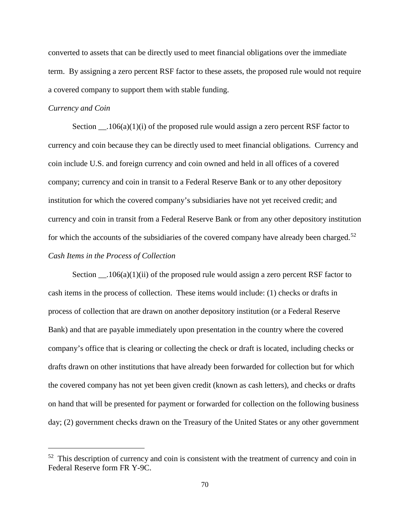converted to assets that can be directly used to meet financial obligations over the immediate term. By assigning a zero percent RSF factor to these assets, the proposed rule would not require a covered company to support them with stable funding.

### *Currency and Coin*

 $\overline{a}$ 

Section  $\Box$ .106(a)(1)(i) of the proposed rule would assign a zero percent RSF factor to currency and coin because they can be directly used to meet financial obligations. Currency and coin include U.S. and foreign currency and coin owned and held in all offices of a covered company; currency and coin in transit to a Federal Reserve Bank or to any other depository institution for which the covered company's subsidiaries have not yet received credit; and currency and coin in transit from a Federal Reserve Bank or from any other depository institution for which the accounts of the subsidiaries of the covered company have already been charged.<sup>[52](#page-69-0)</sup> *Cash Items in the Process of Collection*

Section  $\_\_$ .106(a)(1)(ii) of the proposed rule would assign a zero percent RSF factor to cash items in the process of collection. These items would include: (1) checks or drafts in process of collection that are drawn on another depository institution (or a Federal Reserve Bank) and that are payable immediately upon presentation in the country where the covered company's office that is clearing or collecting the check or draft is located, including checks or drafts drawn on other institutions that have already been forwarded for collection but for which the covered company has not yet been given credit (known as cash letters), and checks or drafts on hand that will be presented for payment or forwarded for collection on the following business day; (2) government checks drawn on the Treasury of the United States or any other government

<span id="page-69-0"></span> $52$  This description of currency and coin is consistent with the treatment of currency and coin in Federal Reserve form FR Y-9C.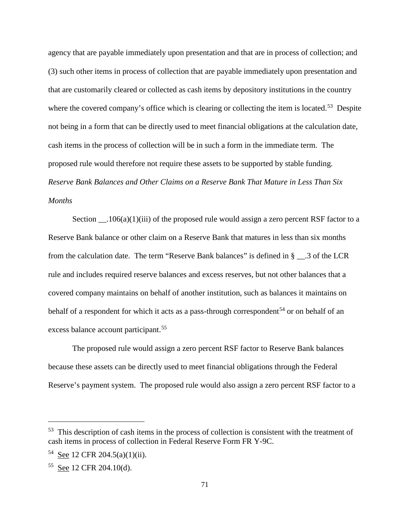agency that are payable immediately upon presentation and that are in process of collection; and (3) such other items in process of collection that are payable immediately upon presentation and that are customarily cleared or collected as cash items by depository institutions in the country where the covered company's office which is clearing or collecting the item is located.<sup>[53](#page-70-0)</sup> Despite not being in a form that can be directly used to meet financial obligations at the calculation date, cash items in the process of collection will be in such a form in the immediate term. The proposed rule would therefore not require these assets to be supported by stable funding. *Reserve Bank Balances and Other Claims on a Reserve Bank That Mature in Less Than Six Months*

Section  $\Box$ .106(a)(1)(iii) of the proposed rule would assign a zero percent RSF factor to a Reserve Bank balance or other claim on a Reserve Bank that matures in less than six months from the calculation date. The term "Reserve Bank balances" is defined in § \_\_.3 of the LCR rule and includes required reserve balances and excess reserves, but not other balances that a covered company maintains on behalf of another institution, such as balances it maintains on behalf of a respondent for which it acts as a pass-through correspondent<sup>[54](#page-70-1)</sup> or on behalf of an excess balance account participant.<sup>[55](#page-70-2)</sup>

The proposed rule would assign a zero percent RSF factor to Reserve Bank balances because these assets can be directly used to meet financial obligations through the Federal Reserve's payment system. The proposed rule would also assign a zero percent RSF factor to a

<span id="page-70-0"></span><sup>&</sup>lt;sup>53</sup> This description of cash items in the process of collection is consistent with the treatment of cash items in process of collection in Federal Reserve Form FR Y-9C.

<span id="page-70-1"></span><sup>54</sup> See 12 CFR 204.5(a)(1)(ii).

<span id="page-70-2"></span><sup>55</sup> See 12 CFR 204.10(d).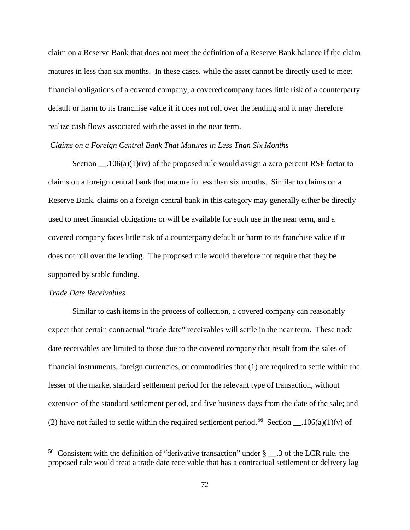claim on a Reserve Bank that does not meet the definition of a Reserve Bank balance if the claim matures in less than six months. In these cases, while the asset cannot be directly used to meet financial obligations of a covered company, a covered company faces little risk of a counterparty default or harm to its franchise value if it does not roll over the lending and it may therefore realize cash flows associated with the asset in the near term.

#### *Claims on a Foreign Central Bank That Matures in Less Than Six Months*

Section  $\_\_106(a)(1)(iv)$  of the proposed rule would assign a zero percent RSF factor to claims on a foreign central bank that mature in less than six months. Similar to claims on a Reserve Bank, claims on a foreign central bank in this category may generally either be directly used to meet financial obligations or will be available for such use in the near term, and a covered company faces little risk of a counterparty default or harm to its franchise value if it does not roll over the lending. The proposed rule would therefore not require that they be supported by stable funding.

## *Trade Date Receivables*

 $\overline{a}$ 

Similar to cash items in the process of collection, a covered company can reasonably expect that certain contractual "trade date" receivables will settle in the near term. These trade date receivables are limited to those due to the covered company that result from the sales of financial instruments, foreign currencies, or commodities that (1) are required to settle within the lesser of the market standard settlement period for the relevant type of transaction, without extension of the standard settlement period, and five business days from the date of the sale; and (2) have not failed to settle within the required settlement period.<sup>[56](#page-71-0)</sup> Section  $\ldots$ 106(a)(1)(v) of

<span id="page-71-0"></span><sup>&</sup>lt;sup>56</sup> Consistent with the definition of "derivative transaction" under  $\S$  . 3 of the LCR rule, the proposed rule would treat a trade date receivable that has a contractual settlement or delivery lag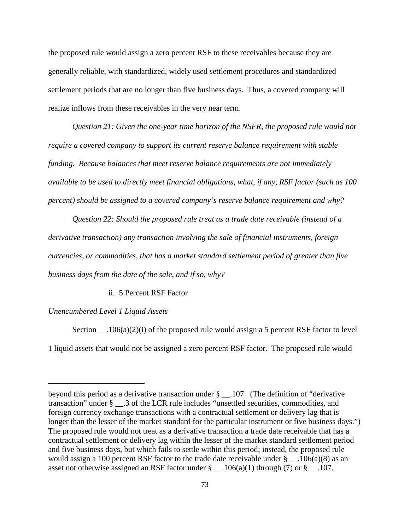the proposed rule would assign a zero percent RSF to these receivables because they are generally reliable, with standardized, widely used settlement procedures and standardized settlement periods that are no longer than five business days. Thus, a covered company will realize inflows from these receivables in the very near term.

*Question 21: Given the one-year time horizon of the NSFR, the proposed rule would not require a covered company to support its current reserve balance requirement with stable funding. Because balances that meet reserve balance requirements are not immediately available to be used to directly meet financial obligations, what, if any, RSF factor (such as 100 percent) should be assigned to a covered company's reserve balance requirement and why?*

*Question 22: Should the proposed rule treat as a trade date receivable (instead of a derivative transaction) any transaction involving the sale of financial instruments, foreign currencies, or commodities, that has a market standard settlement period of greater than five business days from the date of the sale, and if so, why?*

#### ii. 5 Percent RSF Factor

#### *Unencumbered Level 1 Liquid Assets*

 $\overline{a}$ 

Section  $\_\_106(a)(2)(i)$  of the proposed rule would assign a 5 percent RSF factor to level 1 liquid assets that would not be assigned a zero percent RSF factor. The proposed rule would

beyond this period as a derivative transaction under § \_\_.107. (The definition of "derivative transaction" under § \_\_.3 of the LCR rule includes "unsettled securities, commodities, and foreign currency exchange transactions with a contractual settlement or delivery lag that is longer than the lesser of the market standard for the particular instrument or five business days.") The proposed rule would not treat as a derivative transaction a trade date receivable that has a contractual settlement or delivery lag within the lesser of the market standard settlement period and five business days, but which fails to settle within this period; instead, the proposed rule would assign a 100 percent RSF factor to the trade date receivable under  $\S$  . 106(a)(8) as an asset not otherwise assigned an RSF factor under  $\S$  . 106(a)(1) through (7) or  $\S$  . 107.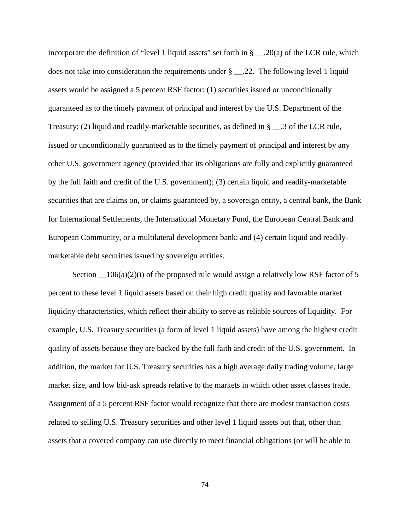incorporate the definition of "level 1 liquid assets" set forth in § \_\_\_.20(a) of the LCR rule, which does not take into consideration the requirements under § \_\_.22. The following level 1 liquid assets would be assigned a 5 percent RSF factor: (1) securities issued or unconditionally guaranteed as to the timely payment of principal and interest by the U.S. Department of the Treasury; (2) liquid and readily-marketable securities, as defined in § \_\_.3 of the LCR rule, issued or unconditionally guaranteed as to the timely payment of principal and interest by any other U.S. government agency (provided that its obligations are fully and explicitly guaranteed by the full faith and credit of the U.S. government); (3) certain liquid and readily-marketable securities that are claims on, or claims guaranteed by, a sovereign entity, a central bank, the Bank for International Settlements, the International Monetary Fund, the European Central Bank and European Community, or a multilateral development bank; and (4) certain liquid and readilymarketable debt securities issued by sovereign entities.

Section  $\_{106(a)(2)(i)}$  of the proposed rule would assign a relatively low RSF factor of 5 percent to these level 1 liquid assets based on their high credit quality and favorable market liquidity characteristics, which reflect their ability to serve as reliable sources of liquidity. For example, U.S. Treasury securities (a form of level 1 liquid assets) have among the highest credit quality of assets because they are backed by the full faith and credit of the U.S. government. In addition, the market for U.S. Treasury securities has a high average daily trading volume, large market size, and low bid-ask spreads relative to the markets in which other asset classes trade. Assignment of a 5 percent RSF factor would recognize that there are modest transaction costs related to selling U.S. Treasury securities and other level 1 liquid assets but that, other than assets that a covered company can use directly to meet financial obligations (or will be able to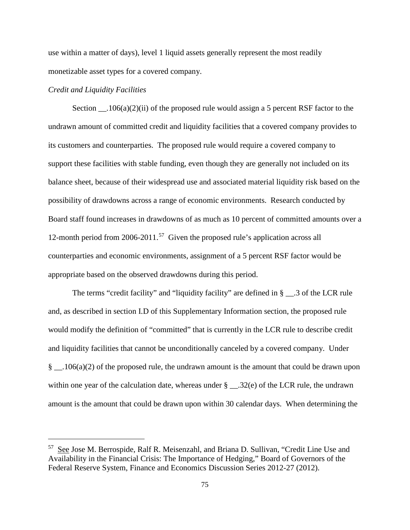use within a matter of days), level 1 liquid assets generally represent the most readily monetizable asset types for a covered company.

#### *Credit and Liquidity Facilities*

 $\overline{a}$ 

Section  $106(a)(2)(ii)$  of the proposed rule would assign a 5 percent RSF factor to the undrawn amount of committed credit and liquidity facilities that a covered company provides to its customers and counterparties. The proposed rule would require a covered company to support these facilities with stable funding, even though they are generally not included on its balance sheet, because of their widespread use and associated material liquidity risk based on the possibility of drawdowns across a range of economic environments. Research conducted by Board staff found increases in drawdowns of as much as 10 percent of committed amounts over a 12-month period from 2006-2011. [57](#page-74-0) Given the proposed rule's application across all counterparties and economic environments, assignment of a 5 percent RSF factor would be appropriate based on the observed drawdowns during this period.

The terms "credit facility" and "liquidity facility" are defined in § \_\_.3 of the LCR rule and, as described in section I.D of this Supplementary Information section, the proposed rule would modify the definition of "committed" that is currently in the LCR rule to describe credit and liquidity facilities that cannot be unconditionally canceled by a covered company. Under § \_\_.106(a)(2) of the proposed rule, the undrawn amount is the amount that could be drawn upon within one year of the calculation date, whereas under  $\S$  \_\_.32(e) of the LCR rule, the undrawn amount is the amount that could be drawn upon within 30 calendar days. When determining the

<span id="page-74-0"></span><sup>57</sup> See Jose M. Berrospide, Ralf R. Meisenzahl, and Briana D. Sullivan, "Credit Line Use and Availability in the Financial Crisis: The Importance of Hedging," Board of Governors of the Federal Reserve System, Finance and Economics Discussion Series 2012-27 (2012).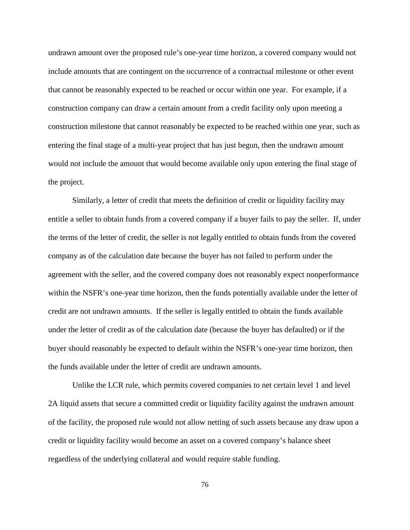undrawn amount over the proposed rule's one-year time horizon, a covered company would not include amounts that are contingent on the occurrence of a contractual milestone or other event that cannot be reasonably expected to be reached or occur within one year. For example, if a construction company can draw a certain amount from a credit facility only upon meeting a construction milestone that cannot reasonably be expected to be reached within one year, such as entering the final stage of a multi-year project that has just begun, then the undrawn amount would not include the amount that would become available only upon entering the final stage of the project.

Similarly, a letter of credit that meets the definition of credit or liquidity facility may entitle a seller to obtain funds from a covered company if a buyer fails to pay the seller. If, under the terms of the letter of credit, the seller is not legally entitled to obtain funds from the covered company as of the calculation date because the buyer has not failed to perform under the agreement with the seller, and the covered company does not reasonably expect nonperformance within the NSFR's one-year time horizon, then the funds potentially available under the letter of credit are not undrawn amounts. If the seller is legally entitled to obtain the funds available under the letter of credit as of the calculation date (because the buyer has defaulted) or if the buyer should reasonably be expected to default within the NSFR's one-year time horizon, then the funds available under the letter of credit are undrawn amounts.

Unlike the LCR rule, which permits covered companies to net certain level 1 and level 2A liquid assets that secure a committed credit or liquidity facility against the undrawn amount of the facility, the proposed rule would not allow netting of such assets because any draw upon a credit or liquidity facility would become an asset on a covered company's balance sheet regardless of the underlying collateral and would require stable funding.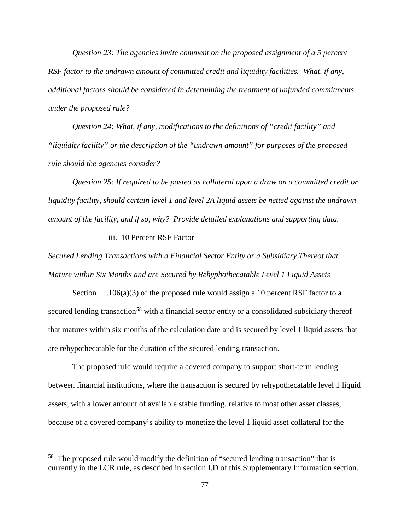*Question 23: The agencies invite comment on the proposed assignment of a 5 percent RSF factor to the undrawn amount of committed credit and liquidity facilities. What, if any, additional factors should be considered in determining the treatment of unfunded commitments under the proposed rule?* 

*Question 24: What, if any, modifications to the definitions of "credit facility" and "liquidity facility" or the description of the "undrawn amount" for purposes of the proposed rule should the agencies consider?*

*Question 25: If required to be posted as collateral upon a draw on a committed credit or liquidity facility, should certain level 1 and level 2A liquid assets be netted against the undrawn amount of the facility, and if so, why? Provide detailed explanations and supporting data.*

## iii. 10 Percent RSF Factor

 $\overline{a}$ 

*Secured Lending Transactions with a Financial Sector Entity or a Subsidiary Thereof that Mature within Six Months and are Secured by Rehyphothecatable Level 1 Liquid Assets*

Section  $106(a)(3)$  of the proposed rule would assign a 10 percent RSF factor to a secured lending transaction<sup>[58](#page-76-0)</sup> with a financial sector entity or a consolidated subsidiary thereof that matures within six months of the calculation date and is secured by level 1 liquid assets that are rehypothecatable for the duration of the secured lending transaction.

The proposed rule would require a covered company to support short-term lending between financial institutions, where the transaction is secured by rehypothecatable level 1 liquid assets, with a lower amount of available stable funding, relative to most other asset classes, because of a covered company's ability to monetize the level 1 liquid asset collateral for the

<span id="page-76-0"></span><sup>&</sup>lt;sup>58</sup> The proposed rule would modify the definition of "secured lending transaction" that is currently in the LCR rule, as described in section I.D of this Supplementary Information section.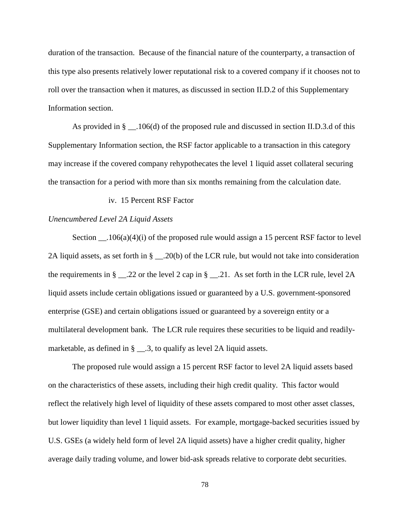duration of the transaction. Because of the financial nature of the counterparty, a transaction of this type also presents relatively lower reputational risk to a covered company if it chooses not to roll over the transaction when it matures, as discussed in section II.D.2 of this Supplementary Information section.

As provided in  $\S$  \_\_.106(d) of the proposed rule and discussed in section II.D.3.d of this Supplementary Information section, the RSF factor applicable to a transaction in this category may increase if the covered company rehypothecates the level 1 liquid asset collateral securing the transaction for a period with more than six months remaining from the calculation date.

iv. 15 Percent RSF Factor

#### *Unencumbered Level 2A Liquid Assets*

Section \_\_.106(a)(4)(i) of the proposed rule would assign a 15 percent RSF factor to level 2A liquid assets, as set forth in § \_\_.20(b) of the LCR rule, but would not take into consideration the requirements in § \_\_.22 or the level 2 cap in § \_\_.21. As set forth in the LCR rule, level 2A liquid assets include certain obligations issued or guaranteed by a U.S. government-sponsored enterprise (GSE) and certain obligations issued or guaranteed by a sovereign entity or a multilateral development bank. The LCR rule requires these securities to be liquid and readilymarketable, as defined in § \_\_.3, to qualify as level 2A liquid assets.

The proposed rule would assign a 15 percent RSF factor to level 2A liquid assets based on the characteristics of these assets, including their high credit quality. This factor would reflect the relatively high level of liquidity of these assets compared to most other asset classes, but lower liquidity than level 1 liquid assets. For example, mortgage-backed securities issued by U.S. GSEs (a widely held form of level 2A liquid assets) have a higher credit quality, higher average daily trading volume, and lower bid-ask spreads relative to corporate debt securities.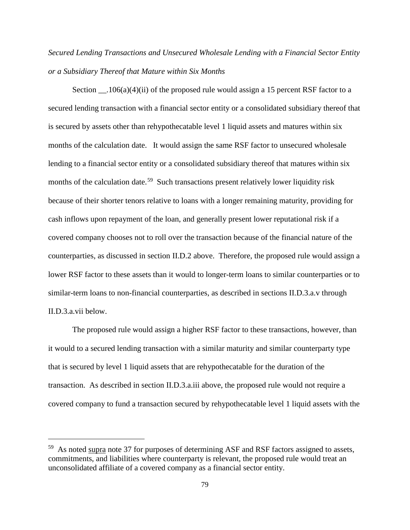*Secured Lending Transactions and Unsecured Wholesale Lending with a Financial Sector Entity or a Subsidiary Thereof that Mature within Six Months*

Section  $106(a)(4)(ii)$  of the proposed rule would assign a 15 percent RSF factor to a secured lending transaction with a financial sector entity or a consolidated subsidiary thereof that is secured by assets other than rehypothecatable level 1 liquid assets and matures within six months of the calculation date. It would assign the same RSF factor to unsecured wholesale lending to a financial sector entity or a consolidated subsidiary thereof that matures within six months of the calculation date.<sup>[59](#page-78-0)</sup> Such transactions present relatively lower liquidity risk because of their shorter tenors relative to loans with a longer remaining maturity, providing for cash inflows upon repayment of the loan, and generally present lower reputational risk if a covered company chooses not to roll over the transaction because of the financial nature of the counterparties, as discussed in section II.D.2 above. Therefore, the proposed rule would assign a lower RSF factor to these assets than it would to longer-term loans to similar counterparties or to similar-term loans to non-financial counterparties, as described in sections II.D.3.a.v through II.D.3.a.vii below.

The proposed rule would assign a higher RSF factor to these transactions, however, than it would to a secured lending transaction with a similar maturity and similar counterparty type that is secured by level 1 liquid assets that are rehypothecatable for the duration of the transaction. As described in section II.D.3.a.iii above, the proposed rule would not require a covered company to fund a transaction secured by rehypothecatable level 1 liquid assets with the

<span id="page-78-0"></span> $59$  As noted supra note 37 for purposes of determining ASF and RSF factors assigned to assets, commitments, and liabilities where counterparty is relevant, the proposed rule would treat an unconsolidated affiliate of a covered company as a financial sector entity.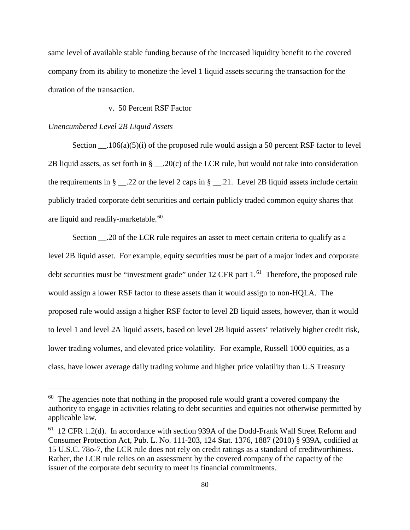same level of available stable funding because of the increased liquidity benefit to the covered company from its ability to monetize the level 1 liquid assets securing the transaction for the duration of the transaction.

## v. 50 Percent RSF Factor

#### *Unencumbered Level 2B Liquid Assets*

 $\overline{a}$ 

Section \_\_.106(a)(5)(i) of the proposed rule would assign a 50 percent RSF factor to level 2B liquid assets, as set forth in  $\S$  \_\_.20(c) of the LCR rule, but would not take into consideration the requirements in  $\S$  \_\_.22 or the level 2 caps in  $\S$  \_\_.21. Level 2B liquid assets include certain publicly traded corporate debt securities and certain publicly traded common equity shares that are liquid and readily-marketable.<sup>[60](#page-79-0)</sup>

Section \_\_\_.20 of the LCR rule requires an asset to meet certain criteria to qualify as a level 2B liquid asset. For example, equity securities must be part of a major index and corporate debt securities must be "investment grade" under  $12$  CFR part  $1<sup>61</sup>$  Therefore, the proposed rule would assign a lower RSF factor to these assets than it would assign to non-HQLA. The proposed rule would assign a higher RSF factor to level 2B liquid assets, however, than it would to level 1 and level 2A liquid assets, based on level 2B liquid assets' relatively higher credit risk, lower trading volumes, and elevated price volatility. For example, Russell 1000 equities, as a class, have lower average daily trading volume and higher price volatility than U.S Treasury

<span id="page-79-0"></span> $60$  The agencies note that nothing in the proposed rule would grant a covered company the authority to engage in activities relating to debt securities and equities not otherwise permitted by applicable law.

<span id="page-79-1"></span><sup>61 12</sup> CFR 1.2(d). In accordance with section 939A of the Dodd-Frank Wall Street Reform and Consumer Protection Act, Pub. L. No. 111-203, 124 Stat. 1376, 1887 (2010) § 939A, codified at 15 U.S.C. 78o-7, the LCR rule does not rely on credit ratings as a standard of creditworthiness. Rather, the LCR rule relies on an assessment by the covered company of the capacity of the issuer of the corporate debt security to meet its financial commitments.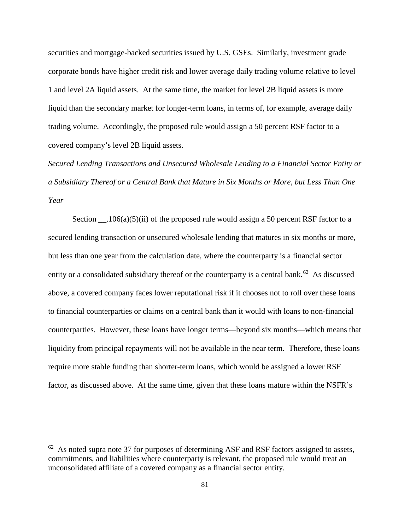securities and mortgage-backed securities issued by U.S. GSEs. Similarly, investment grade corporate bonds have higher credit risk and lower average daily trading volume relative to level 1 and level 2A liquid assets. At the same time, the market for level 2B liquid assets is more liquid than the secondary market for longer-term loans, in terms of, for example, average daily trading volume. Accordingly, the proposed rule would assign a 50 percent RSF factor to a covered company's level 2B liquid assets.

*Secured Lending Transactions and Unsecured Wholesale Lending to a Financial Sector Entity or a Subsidiary Thereof or a Central Bank that Mature in Six Months or More, but Less Than One Year*

Section  $\Box$ .106(a)(5)(ii) of the proposed rule would assign a 50 percent RSF factor to a secured lending transaction or unsecured wholesale lending that matures in six months or more, but less than one year from the calculation date, where the counterparty is a financial sector entity or a consolidated subsidiary thereof or the counterparty is a central bank.<sup>62</sup> As discussed above, a covered company faces lower reputational risk if it chooses not to roll over these loans to financial counterparties or claims on a central bank than it would with loans to non-financial counterparties. However, these loans have longer terms—beyond six months—which means that liquidity from principal repayments will not be available in the near term. Therefore, these loans require more stable funding than shorter-term loans, which would be assigned a lower RSF factor, as discussed above. At the same time, given that these loans mature within the NSFR's

<span id="page-80-0"></span> $62$  As noted supra note 37 for purposes of determining ASF and RSF factors assigned to assets, commitments, and liabilities where counterparty is relevant, the proposed rule would treat an unconsolidated affiliate of a covered company as a financial sector entity.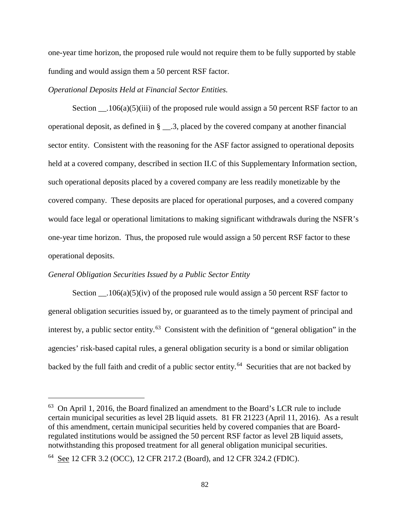one-year time horizon, the proposed rule would not require them to be fully supported by stable funding and would assign them a 50 percent RSF factor.

#### *Operational Deposits Held at Financial Sector Entities.*

Section  $\_\_106(a)(5)(iii)$  of the proposed rule would assign a 50 percent RSF factor to an operational deposit, as defined in § \_\_.3, placed by the covered company at another financial sector entity. Consistent with the reasoning for the ASF factor assigned to operational deposits held at a covered company, described in section II.C of this Supplementary Information section, such operational deposits placed by a covered company are less readily monetizable by the covered company. These deposits are placed for operational purposes, and a covered company would face legal or operational limitations to making significant withdrawals during the NSFR's one-year time horizon. Thus, the proposed rule would assign a 50 percent RSF factor to these operational deposits.

#### *General Obligation Securities Issued by a Public Sector Entity*

 $\overline{a}$ 

Section  $\_\_106(a)(5)(iv)$  of the proposed rule would assign a 50 percent RSF factor to general obligation securities issued by, or guaranteed as to the timely payment of principal and interest by, a public sector entity.<sup>[63](#page-81-0)</sup> Consistent with the definition of "general obligation" in the agencies' risk-based capital rules, a general obligation security is a bond or similar obligation backed by the full faith and credit of a public sector entity.<sup>64</sup> Securities that are not backed by

<span id="page-81-0"></span><sup>&</sup>lt;sup>63</sup> On April 1, 2016, the Board finalized an amendment to the Board's LCR rule to include certain municipal securities as level 2B liquid assets. 81 FR 21223 (April 11, 2016). As a result of this amendment, certain municipal securities held by covered companies that are Boardregulated institutions would be assigned the 50 percent RSF factor as level 2B liquid assets, notwithstanding this proposed treatment for all general obligation municipal securities.

<span id="page-81-1"></span><sup>64</sup> See 12 CFR 3.2 (OCC), 12 CFR 217.2 (Board), and 12 CFR 324.2 (FDIC).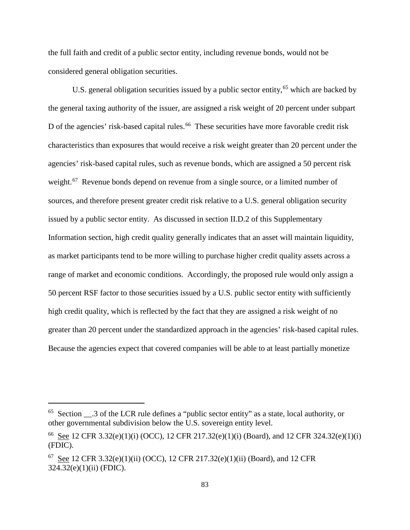the full faith and credit of a public sector entity, including revenue bonds, would not be considered general obligation securities.

U.S. general obligation securities issued by a public sector entity,<sup>[65](#page-82-0)</sup> which are backed by the general taxing authority of the issuer, are assigned a risk weight of 20 percent under subpart D of the agencies' risk-based capital rules.<sup>[66](#page-82-1)</sup> These securities have more favorable credit risk characteristics than exposures that would receive a risk weight greater than 20 percent under the agencies' risk-based capital rules, such as revenue bonds, which are assigned a 50 percent risk weight.<sup>[67](#page-82-2)</sup> Revenue bonds depend on revenue from a single source, or a limited number of sources, and therefore present greater credit risk relative to a U.S. general obligation security issued by a public sector entity. As discussed in section II.D.2 of this Supplementary Information section, high credit quality generally indicates that an asset will maintain liquidity, as market participants tend to be more willing to purchase higher credit quality assets across a range of market and economic conditions. Accordingly, the proposed rule would only assign a 50 percent RSF factor to those securities issued by a U.S. public sector entity with sufficiently high credit quality, which is reflected by the fact that they are assigned a risk weight of no greater than 20 percent under the standardized approach in the agencies' risk-based capital rules. Because the agencies expect that covered companies will be able to at least partially monetize

<span id="page-82-0"></span><sup>&</sup>lt;sup>65</sup> Section  $\cdot$  3 of the LCR rule defines a "public sector entity" as a state, local authority, or other governmental subdivision below the U.S. sovereign entity level.

<span id="page-82-1"></span><sup>&</sup>lt;sup>66</sup> See 12 CFR 3.32(e)(1)(i) (OCC), 12 CFR 217.32(e)(1)(i) (Board), and 12 CFR 324.32(e)(1)(i) (FDIC).

<span id="page-82-2"></span> $67$  See 12 CFR 3.32(e)(1)(ii) (OCC), 12 CFR 217.32(e)(1)(ii) (Board), and 12 CFR 324.32(e)(1)(ii) (FDIC).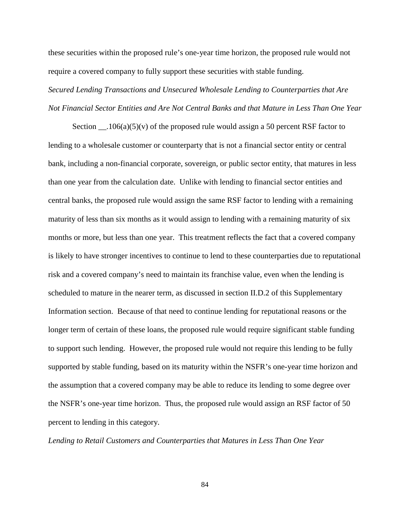these securities within the proposed rule's one-year time horizon, the proposed rule would not require a covered company to fully support these securities with stable funding.

*Secured Lending Transactions and Unsecured Wholesale Lending to Counterparties that Are Not Financial Sector Entities and Are Not Central Banks and that Mature in Less Than One Year*

Section  $\Box$ .106(a)(5)(v) of the proposed rule would assign a 50 percent RSF factor to lending to a wholesale customer or counterparty that is not a financial sector entity or central bank, including a non-financial corporate, sovereign, or public sector entity, that matures in less than one year from the calculation date. Unlike with lending to financial sector entities and central banks, the proposed rule would assign the same RSF factor to lending with a remaining maturity of less than six months as it would assign to lending with a remaining maturity of six months or more, but less than one year. This treatment reflects the fact that a covered company is likely to have stronger incentives to continue to lend to these counterparties due to reputational risk and a covered company's need to maintain its franchise value, even when the lending is scheduled to mature in the nearer term, as discussed in section II.D.2 of this Supplementary Information section. Because of that need to continue lending for reputational reasons or the longer term of certain of these loans, the proposed rule would require significant stable funding to support such lending. However, the proposed rule would not require this lending to be fully supported by stable funding, based on its maturity within the NSFR's one-year time horizon and the assumption that a covered company may be able to reduce its lending to some degree over the NSFR's one-year time horizon. Thus, the proposed rule would assign an RSF factor of 50 percent to lending in this category.

*Lending to Retail Customers and Counterparties that Matures in Less Than One Year*

84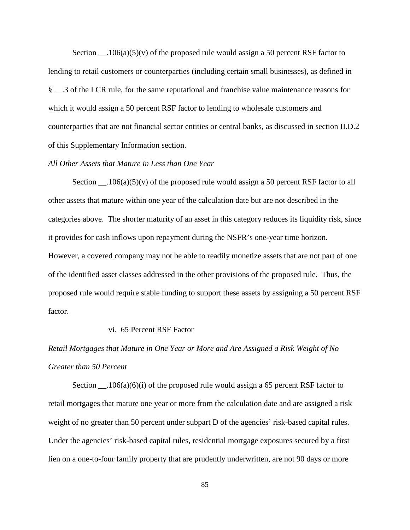Section  $\_\_106(a)(5)(v)$  of the proposed rule would assign a 50 percent RSF factor to lending to retail customers or counterparties (including certain small businesses), as defined in § .3 of the LCR rule, for the same reputational and franchise value maintenance reasons for which it would assign a 50 percent RSF factor to lending to wholesale customers and counterparties that are not financial sector entities or central banks, as discussed in section II.D.2 of this Supplementary Information section.

#### *All Other Assets that Mature in Less than One Year*

Section  $\_\_106(a)(5)(v)$  of the proposed rule would assign a 50 percent RSF factor to all other assets that mature within one year of the calculation date but are not described in the categories above. The shorter maturity of an asset in this category reduces its liquidity risk, since it provides for cash inflows upon repayment during the NSFR's one-year time horizon. However, a covered company may not be able to readily monetize assets that are not part of one of the identified asset classes addressed in the other provisions of the proposed rule. Thus, the proposed rule would require stable funding to support these assets by assigning a 50 percent RSF factor.

#### vi. 65 Percent RSF Factor

# *Retail Mortgages that Mature in One Year or More and Are Assigned a Risk Weight of No Greater than 50 Percent*

Section  $\_\_$ .106(a)(6)(i) of the proposed rule would assign a 65 percent RSF factor to retail mortgages that mature one year or more from the calculation date and are assigned a risk weight of no greater than 50 percent under subpart D of the agencies' risk-based capital rules. Under the agencies' risk-based capital rules, residential mortgage exposures secured by a first lien on a one-to-four family property that are prudently underwritten, are not 90 days or more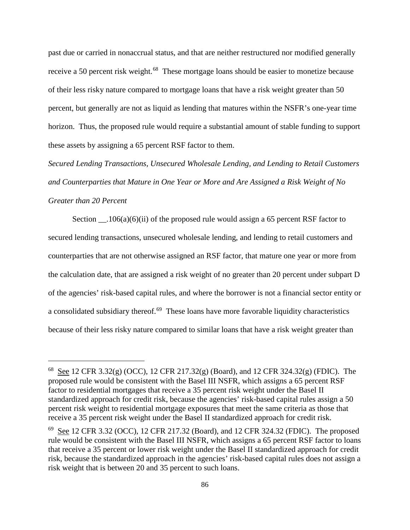past due or carried in nonaccrual status, and that are neither restructured nor modified generally receive a 50 percent risk weight.<sup>68</sup> These mortgage loans should be easier to monetize because of their less risky nature compared to mortgage loans that have a risk weight greater than 50 percent, but generally are not as liquid as lending that matures within the NSFR's one-year time horizon. Thus, the proposed rule would require a substantial amount of stable funding to support these assets by assigning a 65 percent RSF factor to them.

*Secured Lending Transactions, Unsecured Wholesale Lending, and Lending to Retail Customers and Counterparties that Mature in One Year or More and Are Assigned a Risk Weight of No Greater than 20 Percent*

Section  $\_\_106(a)(6)(ii)$  of the proposed rule would assign a 65 percent RSF factor to secured lending transactions, unsecured wholesale lending, and lending to retail customers and counterparties that are not otherwise assigned an RSF factor, that mature one year or more from the calculation date, that are assigned a risk weight of no greater than 20 percent under subpart D of the agencies' risk-based capital rules, and where the borrower is not a financial sector entity or a consolidated subsidiary thereof.<sup>69</sup> These loans have more favorable liquidity characteristics because of their less risky nature compared to similar loans that have a risk weight greater than

<span id="page-85-0"></span> $^{68}$  See 12 CFR 3.32(g) (OCC), 12 CFR 217.32(g) (Board), and 12 CFR 324.32(g) (FDIC). The proposed rule would be consistent with the Basel III NSFR, which assigns a 65 percent RSF factor to residential mortgages that receive a 35 percent risk weight under the Basel II standardized approach for credit risk, because the agencies' risk-based capital rules assign a 50 percent risk weight to residential mortgage exposures that meet the same criteria as those that receive a 35 percent risk weight under the Basel II standardized approach for credit risk.

<span id="page-85-1"></span> $69$  See 12 CFR 3.32 (OCC), 12 CFR 217.32 (Board), and 12 CFR 324.32 (FDIC). The proposed rule would be consistent with the Basel III NSFR, which assigns a 65 percent RSF factor to loans that receive a 35 percent or lower risk weight under the Basel II standardized approach for credit risk, because the standardized approach in the agencies' risk-based capital rules does not assign a risk weight that is between 20 and 35 percent to such loans.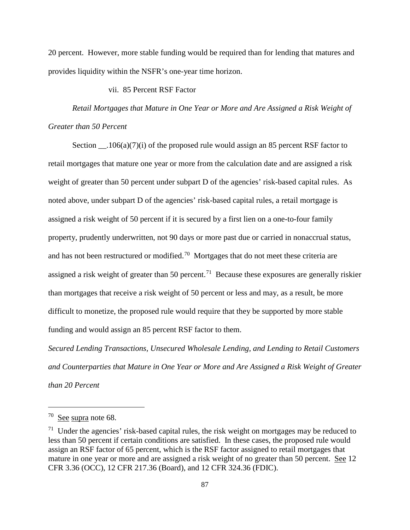20 percent. However, more stable funding would be required than for lending that matures and provides liquidity within the NSFR's one-year time horizon.

## vii. 85 Percent RSF Factor

*Retail Mortgages that Mature in One Year or More and Are Assigned a Risk Weight of Greater than 50 Percent*

Section \_\_\_\_.106(a)(7)(i) of the proposed rule would assign an 85 percent RSF factor to retail mortgages that mature one year or more from the calculation date and are assigned a risk weight of greater than 50 percent under subpart D of the agencies' risk-based capital rules. As noted above, under subpart D of the agencies' risk-based capital rules, a retail mortgage is assigned a risk weight of 50 percent if it is secured by a first lien on a one-to-four family property, prudently underwritten, not 90 days or more past due or carried in nonaccrual status, and has not been restructured or modified.<sup>70</sup> Mortgages that do not meet these criteria are assigned a risk weight of greater than 50 percent.<sup>[71](#page-86-1)</sup> Because these exposures are generally riskier than mortgages that receive a risk weight of 50 percent or less and may, as a result, be more difficult to monetize, the proposed rule would require that they be supported by more stable funding and would assign an 85 percent RSF factor to them.

*Secured Lending Transactions, Unsecured Wholesale Lending, and Lending to Retail Customers and Counterparties that Mature in One Year or More and Are Assigned a Risk Weight of Greater than 20 Percent*

<span id="page-86-0"></span><sup>70</sup> See supra note 68.

<span id="page-86-1"></span> $71$  Under the agencies' risk-based capital rules, the risk weight on mortgages may be reduced to less than 50 percent if certain conditions are satisfied. In these cases, the proposed rule would assign an RSF factor of 65 percent, which is the RSF factor assigned to retail mortgages that mature in one year or more and are assigned a risk weight of no greater than 50 percent. See 12 CFR 3.36 (OCC), 12 CFR 217.36 (Board), and 12 CFR 324.36 (FDIC).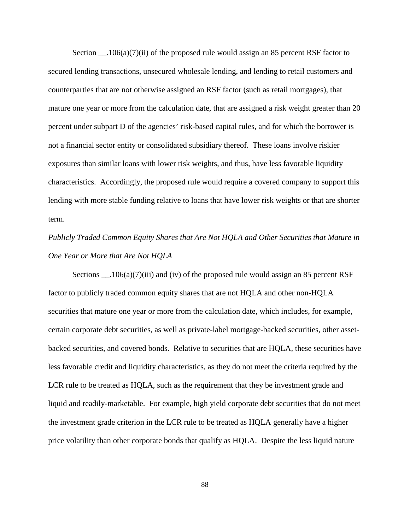Section  $106(a)(7)(ii)$  of the proposed rule would assign an 85 percent RSF factor to secured lending transactions, unsecured wholesale lending, and lending to retail customers and counterparties that are not otherwise assigned an RSF factor (such as retail mortgages), that mature one year or more from the calculation date, that are assigned a risk weight greater than 20 percent under subpart D of the agencies' risk-based capital rules, and for which the borrower is not a financial sector entity or consolidated subsidiary thereof. These loans involve riskier exposures than similar loans with lower risk weights, and thus, have less favorable liquidity characteristics. Accordingly, the proposed rule would require a covered company to support this lending with more stable funding relative to loans that have lower risk weights or that are shorter term.

*Publicly Traded Common Equity Shares that Are Not HQLA and Other Securities that Mature in One Year or More that Are Not HQLA*

Sections \_\_.106(a)(7)(iii) and (iv) of the proposed rule would assign an 85 percent RSF factor to publicly traded common equity shares that are not HQLA and other non-HQLA securities that mature one year or more from the calculation date, which includes, for example, certain corporate debt securities, as well as private-label mortgage-backed securities, other assetbacked securities, and covered bonds. Relative to securities that are HQLA, these securities have less favorable credit and liquidity characteristics, as they do not meet the criteria required by the LCR rule to be treated as HQLA, such as the requirement that they be investment grade and liquid and readily-marketable. For example, high yield corporate debt securities that do not meet the investment grade criterion in the LCR rule to be treated as HQLA generally have a higher price volatility than other corporate bonds that qualify as HQLA. Despite the less liquid nature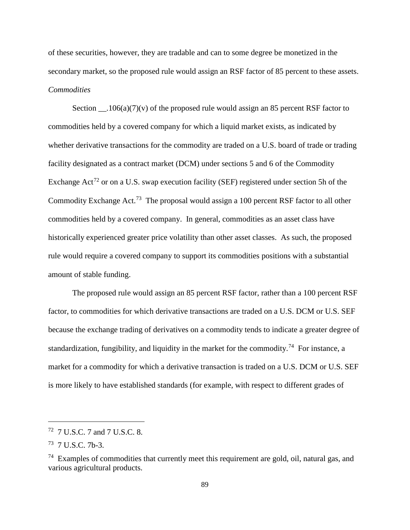of these securities, however, they are tradable and can to some degree be monetized in the secondary market, so the proposed rule would assign an RSF factor of 85 percent to these assets. *Commodities*

Section  $106(a)(7)(v)$  of the proposed rule would assign an 85 percent RSF factor to commodities held by a covered company for which a liquid market exists, as indicated by whether derivative transactions for the commodity are traded on a U.S. board of trade or trading facility designated as a contract market (DCM) under sections 5 and 6 of the Commodity Exchange Act<sup>[72](#page-88-0)</sup> or on a U.S. swap execution facility (SEF) registered under section 5h of the Commodity Exchange Act.<sup>73</sup> The proposal would assign a 100 percent RSF factor to all other commodities held by a covered company. In general, commodities as an asset class have historically experienced greater price volatility than other asset classes. As such, the proposed rule would require a covered company to support its commodities positions with a substantial amount of stable funding.

The proposed rule would assign an 85 percent RSF factor, rather than a 100 percent RSF factor, to commodities for which derivative transactions are traded on a U.S. DCM or U.S. SEF because the exchange trading of derivatives on a commodity tends to indicate a greater degree of standardization, fungibility, and liquidity in the market for the commodity.<sup>[74](#page-88-2)</sup> For instance, a market for a commodity for which a derivative transaction is traded on a U.S. DCM or U.S. SEF is more likely to have established standards (for example, with respect to different grades of

<span id="page-88-0"></span><sup>72 7</sup> U.S.C. 7 and 7 U.S.C. 8.

<span id="page-88-1"></span> $73$  7 U.S.C. 7b-3.

<span id="page-88-2"></span> $74$  Examples of commodities that currently meet this requirement are gold, oil, natural gas, and various agricultural products.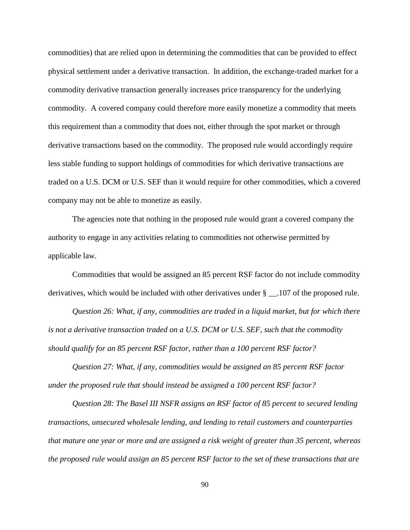commodities) that are relied upon in determining the commodities that can be provided to effect physical settlement under a derivative transaction. In addition, the exchange-traded market for a commodity derivative transaction generally increases price transparency for the underlying commodity. A covered company could therefore more easily monetize a commodity that meets this requirement than a commodity that does not, either through the spot market or through derivative transactions based on the commodity. The proposed rule would accordingly require less stable funding to support holdings of commodities for which derivative transactions are traded on a U.S. DCM or U.S. SEF than it would require for other commodities, which a covered company may not be able to monetize as easily.

The agencies note that nothing in the proposed rule would grant a covered company the authority to engage in any activities relating to commodities not otherwise permitted by applicable law.

Commodities that would be assigned an 85 percent RSF factor do not include commodity derivatives, which would be included with other derivatives under § \_\_.107 of the proposed rule.

*Question 26: What, if any, commodities are traded in a liquid market, but for which there is not a derivative transaction traded on a U.S. DCM or U.S. SEF, such that the commodity should qualify for an 85 percent RSF factor, rather than a 100 percent RSF factor?*

*Question 27: What, if any, commodities would be assigned an 85 percent RSF factor under the proposed rule that should instead be assigned a 100 percent RSF factor?* 

*Question 28: The Basel III NSFR assigns an RSF factor of 85 percent to secured lending transactions, unsecured wholesale lending, and lending to retail customers and counterparties that mature one year or more and are assigned a risk weight of greater than 35 percent, whereas the proposed rule would assign an 85 percent RSF factor to the set of these transactions that are*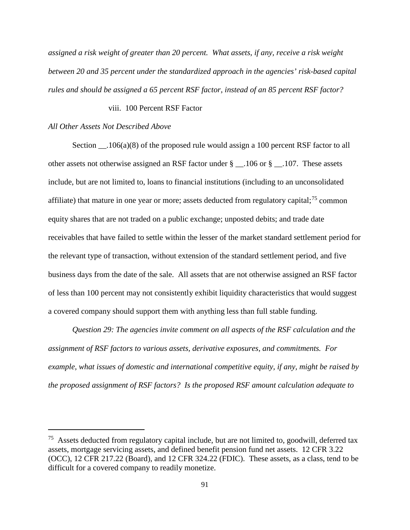*assigned a risk weight of greater than 20 percent. What assets, if any, receive a risk weight between 20 and 35 percent under the standardized approach in the agencies' risk-based capital rules and should be assigned a 65 percent RSF factor, instead of an 85 percent RSF factor?*

#### viii. 100 Percent RSF Factor

#### *All Other Assets Not Described Above*

 $\overline{a}$ 

Section  $106(a)(8)$  of the proposed rule would assign a 100 percent RSF factor to all other assets not otherwise assigned an RSF factor under § \_\_.106 or § \_\_.107. These assets include, but are not limited to, loans to financial institutions (including to an unconsolidated affiliate) that mature in one year or more; assets deducted from regulatory capital;<sup>[75](#page-90-0)</sup> common equity shares that are not traded on a public exchange; unposted debits; and trade date receivables that have failed to settle within the lesser of the market standard settlement period for the relevant type of transaction, without extension of the standard settlement period, and five business days from the date of the sale. All assets that are not otherwise assigned an RSF factor of less than 100 percent may not consistently exhibit liquidity characteristics that would suggest a covered company should support them with anything less than full stable funding.

*Question 29: The agencies invite comment on all aspects of the RSF calculation and the assignment of RSF factors to various assets, derivative exposures, and commitments. For example, what issues of domestic and international competitive equity, if any, might be raised by the proposed assignment of RSF factors? Is the proposed RSF amount calculation adequate to* 

<span id="page-90-0"></span><sup>&</sup>lt;sup>75</sup> Assets deducted from regulatory capital include, but are not limited to, goodwill, deferred tax assets, mortgage servicing assets, and defined benefit pension fund net assets. 12 CFR 3.22 (OCC), 12 CFR 217.22 (Board), and 12 CFR 324.22 (FDIC). These assets, as a class, tend to be difficult for a covered company to readily monetize.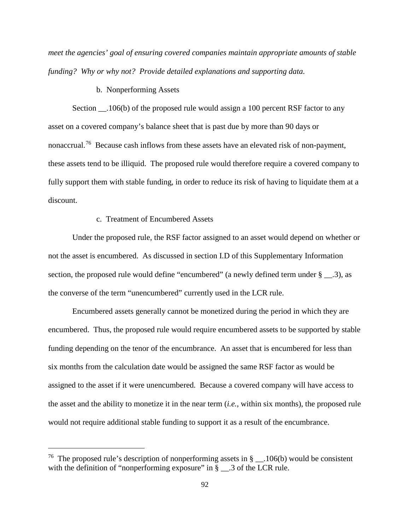*meet the agencies' goal of ensuring covered companies maintain appropriate amounts of stable funding? Why or why not? Provide detailed explanations and supporting data.*

### b. Nonperforming Assets

Section .106(b) of the proposed rule would assign a 100 percent RSF factor to any asset on a covered company's balance sheet that is past due by more than 90 days or nonaccrual.<sup>[76](#page-91-0)</sup> Because cash inflows from these assets have an elevated risk of non-payment, these assets tend to be illiquid. The proposed rule would therefore require a covered company to fully support them with stable funding, in order to reduce its risk of having to liquidate them at a discount.

## c. Treatment of Encumbered Assets

 $\overline{a}$ 

Under the proposed rule, the RSF factor assigned to an asset would depend on whether or not the asset is encumbered. As discussed in section I.D of this Supplementary Information section, the proposed rule would define "encumbered" (a newly defined term under  $\S$  \_\_.3), as the converse of the term "unencumbered" currently used in the LCR rule.

Encumbered assets generally cannot be monetized during the period in which they are encumbered. Thus, the proposed rule would require encumbered assets to be supported by stable funding depending on the tenor of the encumbrance. An asset that is encumbered for less than six months from the calculation date would be assigned the same RSF factor as would be assigned to the asset if it were unencumbered. Because a covered company will have access to the asset and the ability to monetize it in the near term (*i.e.*, within six months), the proposed rule would not require additional stable funding to support it as a result of the encumbrance.

<span id="page-91-0"></span><sup>&</sup>lt;sup>76</sup> The proposed rule's description of nonperforming assets in  $\S$  \_\_.106(b) would be consistent with the definition of "nonperforming exposure" in  $\overline{\S}$  .3 of the LCR rule.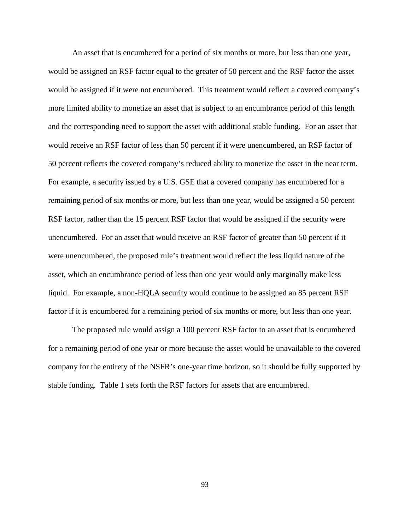An asset that is encumbered for a period of six months or more, but less than one year, would be assigned an RSF factor equal to the greater of 50 percent and the RSF factor the asset would be assigned if it were not encumbered. This treatment would reflect a covered company's more limited ability to monetize an asset that is subject to an encumbrance period of this length and the corresponding need to support the asset with additional stable funding. For an asset that would receive an RSF factor of less than 50 percent if it were unencumbered, an RSF factor of 50 percent reflects the covered company's reduced ability to monetize the asset in the near term. For example, a security issued by a U.S. GSE that a covered company has encumbered for a remaining period of six months or more, but less than one year, would be assigned a 50 percent RSF factor, rather than the 15 percent RSF factor that would be assigned if the security were unencumbered. For an asset that would receive an RSF factor of greater than 50 percent if it were unencumbered, the proposed rule's treatment would reflect the less liquid nature of the asset, which an encumbrance period of less than one year would only marginally make less liquid. For example, a non-HQLA security would continue to be assigned an 85 percent RSF factor if it is encumbered for a remaining period of six months or more, but less than one year.

The proposed rule would assign a 100 percent RSF factor to an asset that is encumbered for a remaining period of one year or more because the asset would be unavailable to the covered company for the entirety of the NSFR's one-year time horizon, so it should be fully supported by stable funding. Table 1 sets forth the RSF factors for assets that are encumbered.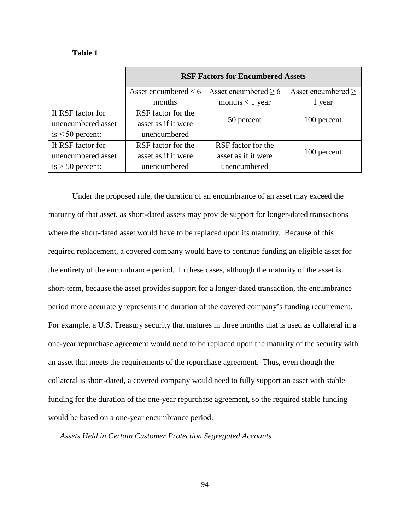#### **Table 1**

|                       | <b>RSF Factors for Encumbered Assets</b> |                           |                         |
|-----------------------|------------------------------------------|---------------------------|-------------------------|
|                       | Asset encumbered $< 6$                   | Asset encumbered $\geq 6$ | Asset encumbered $\geq$ |
|                       | months                                   | months $<$ 1 year         | 1 year                  |
| If RSF factor for     | RSF factor for the                       | 50 percent                | 100 percent             |
| unencumbered asset    | asset as if it were                      |                           |                         |
| is $\leq 50$ percent: | unencumbered                             |                           |                         |
| If RSF factor for     | RSF factor for the                       | RSF factor for the        | 100 percent             |
| unencumbered asset    | asset as if it were                      | asset as if it were       |                         |
| $is > 50$ percent:    | unencumbered                             | unencumbered              |                         |

Under the proposed rule, the duration of an encumbrance of an asset may exceed the maturity of that asset, as short-dated assets may provide support for longer-dated transactions where the short-dated asset would have to be replaced upon its maturity. Because of this required replacement, a covered company would have to continue funding an eligible asset for the entirety of the encumbrance period. In these cases, although the maturity of the asset is short-term, because the asset provides support for a longer-dated transaction, the encumbrance period more accurately represents the duration of the covered company's funding requirement. For example, a U.S. Treasury security that matures in three months that is used as collateral in a one-year repurchase agreement would need to be replaced upon the maturity of the security with an asset that meets the requirements of the repurchase agreement. Thus, even though the collateral is short-dated, a covered company would need to fully support an asset with stable funding for the duration of the one-year repurchase agreement, so the required stable funding would be based on a one-year encumbrance period.

*Assets Held in Certain Customer Protection Segregated Accounts*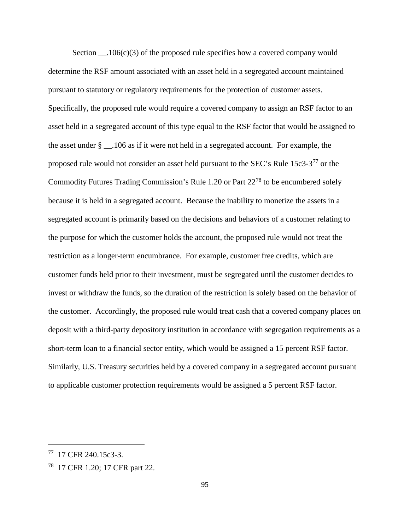Section  $106(c)(3)$  of the proposed rule specifies how a covered company would determine the RSF amount associated with an asset held in a segregated account maintained pursuant to statutory or regulatory requirements for the protection of customer assets. Specifically, the proposed rule would require a covered company to assign an RSF factor to an asset held in a segregated account of this type equal to the RSF factor that would be assigned to the asset under § \_\_.106 as if it were not held in a segregated account. For example, the proposed rule would not consider an asset held pursuant to the SEC's Rule  $15c3-3^{77}$  $15c3-3^{77}$  $15c3-3^{77}$  or the Commodity Futures Trading Commission's Rule 1.20 or Part  $22^{78}$  $22^{78}$  $22^{78}$  to be encumbered solely because it is held in a segregated account. Because the inability to monetize the assets in a segregated account is primarily based on the decisions and behaviors of a customer relating to the purpose for which the customer holds the account, the proposed rule would not treat the restriction as a longer-term encumbrance. For example, customer free credits, which are customer funds held prior to their investment, must be segregated until the customer decides to invest or withdraw the funds, so the duration of the restriction is solely based on the behavior of the customer. Accordingly, the proposed rule would treat cash that a covered company places on deposit with a third-party depository institution in accordance with segregation requirements as a short-term loan to a financial sector entity, which would be assigned a 15 percent RSF factor. Similarly, U.S. Treasury securities held by a covered company in a segregated account pursuant to applicable customer protection requirements would be assigned a 5 percent RSF factor.

<span id="page-94-0"></span><sup>77 17</sup> CFR 240.15c3-3.

<span id="page-94-1"></span><sup>78 17</sup> CFR 1.20; 17 CFR part 22.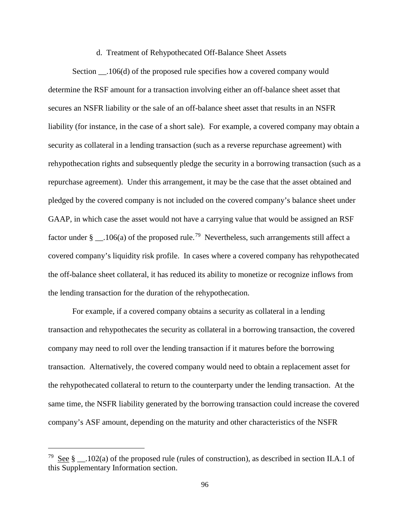#### d. Treatment of Rehypothecated Off-Balance Sheet Assets

Section \_\_.106(d) of the proposed rule specifies how a covered company would determine the RSF amount for a transaction involving either an off-balance sheet asset that secures an NSFR liability or the sale of an off-balance sheet asset that results in an NSFR liability (for instance, in the case of a short sale). For example, a covered company may obtain a security as collateral in a lending transaction (such as a reverse repurchase agreement) with rehypothecation rights and subsequently pledge the security in a borrowing transaction (such as a repurchase agreement). Under this arrangement, it may be the case that the asset obtained and pledged by the covered company is not included on the covered company's balance sheet under GAAP, in which case the asset would not have a carrying value that would be assigned an RSF factor under § \_\_.106(a) of the proposed rule.<sup>79</sup> Nevertheless, such arrangements still affect a covered company's liquidity risk profile. In cases where a covered company has rehypothecated the off-balance sheet collateral, it has reduced its ability to monetize or recognize inflows from the lending transaction for the duration of the rehypothecation.

For example, if a covered company obtains a security as collateral in a lending transaction and rehypothecates the security as collateral in a borrowing transaction, the covered company may need to roll over the lending transaction if it matures before the borrowing transaction. Alternatively, the covered company would need to obtain a replacement asset for the rehypothecated collateral to return to the counterparty under the lending transaction. At the same time, the NSFR liability generated by the borrowing transaction could increase the covered company's ASF amount, depending on the maturity and other characteristics of the NSFR

<span id="page-95-0"></span><sup>&</sup>lt;sup>79</sup> See § \_\_.102(a) of the proposed rule (rules of construction), as described in section II.A.1 of this Supplementary Information section.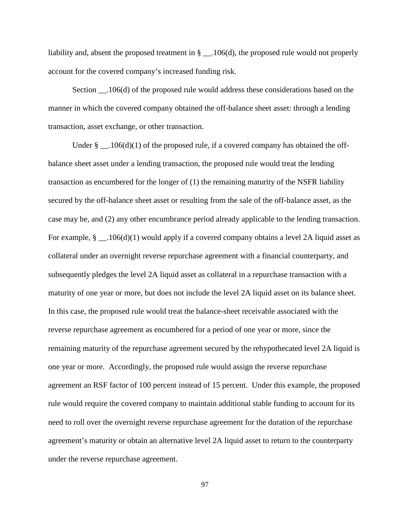liability and, absent the proposed treatment in  $\S$  \_\_.106(d), the proposed rule would not properly account for the covered company's increased funding risk.

Section  $106(d)$  of the proposed rule would address these considerations based on the manner in which the covered company obtained the off-balance sheet asset: through a lending transaction, asset exchange, or other transaction.

Under  $\S$  \_\_.106(d)(1) of the proposed rule, if a covered company has obtained the offbalance sheet asset under a lending transaction, the proposed rule would treat the lending transaction as encumbered for the longer of (1) the remaining maturity of the NSFR liability secured by the off-balance sheet asset or resulting from the sale of the off-balance asset, as the case may be, and (2) any other encumbrance period already applicable to the lending transaction. For example,  $\S$  \_\_.106(d)(1) would apply if a covered company obtains a level 2A liquid asset as collateral under an overnight reverse repurchase agreement with a financial counterparty, and subsequently pledges the level 2A liquid asset as collateral in a repurchase transaction with a maturity of one year or more, but does not include the level 2A liquid asset on its balance sheet. In this case, the proposed rule would treat the balance-sheet receivable associated with the reverse repurchase agreement as encumbered for a period of one year or more, since the remaining maturity of the repurchase agreement secured by the rehypothecated level 2A liquid is one year or more. Accordingly, the proposed rule would assign the reverse repurchase agreement an RSF factor of 100 percent instead of 15 percent. Under this example, the proposed rule would require the covered company to maintain additional stable funding to account for its need to roll over the overnight reverse repurchase agreement for the duration of the repurchase agreement's maturity or obtain an alternative level 2A liquid asset to return to the counterparty under the reverse repurchase agreement.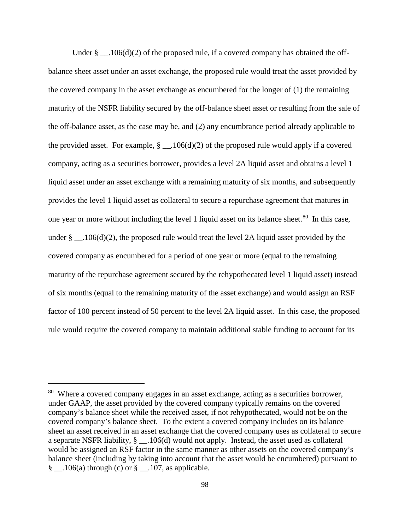Under §  $106(d)(2)$  of the proposed rule, if a covered company has obtained the offbalance sheet asset under an asset exchange, the proposed rule would treat the asset provided by the covered company in the asset exchange as encumbered for the longer of (1) the remaining maturity of the NSFR liability secured by the off-balance sheet asset or resulting from the sale of the off-balance asset, as the case may be, and (2) any encumbrance period already applicable to the provided asset. For example,  $\S$  \_\_.106(d)(2) of the proposed rule would apply if a covered company, acting as a securities borrower, provides a level 2A liquid asset and obtains a level 1 liquid asset under an asset exchange with a remaining maturity of six months, and subsequently provides the level 1 liquid asset as collateral to secure a repurchase agreement that matures in one year or more without including the level 1 liquid asset on its balance sheet.<sup>[80](#page-97-0)</sup> In this case, under  $\S$  \_\_.106(d)(2), the proposed rule would treat the level 2A liquid asset provided by the covered company as encumbered for a period of one year or more (equal to the remaining maturity of the repurchase agreement secured by the rehypothecated level 1 liquid asset) instead of six months (equal to the remaining maturity of the asset exchange) and would assign an RSF factor of 100 percent instead of 50 percent to the level 2A liquid asset. In this case, the proposed rule would require the covered company to maintain additional stable funding to account for its

<span id="page-97-0"></span><sup>&</sup>lt;sup>80</sup> Where a covered company engages in an asset exchange, acting as a securities borrower, under GAAP, the asset provided by the covered company typically remains on the covered company's balance sheet while the received asset, if not rehypothecated, would not be on the covered company's balance sheet. To the extent a covered company includes on its balance sheet an asset received in an asset exchange that the covered company uses as collateral to secure a separate NSFR liability, § \_\_.106(d) would not apply. Instead, the asset used as collateral would be assigned an RSF factor in the same manner as other assets on the covered company's balance sheet (including by taking into account that the asset would be encumbered) pursuant to §  $.106(a)$  through (c) or §  $.107$ , as applicable.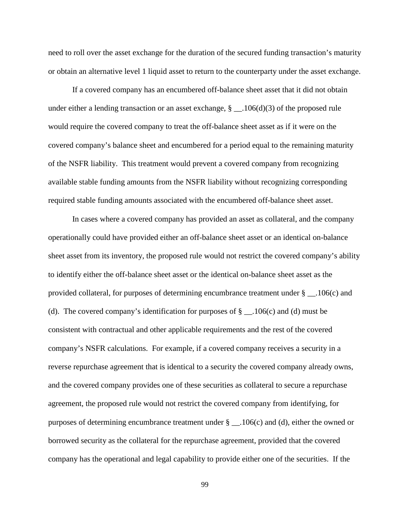need to roll over the asset exchange for the duration of the secured funding transaction's maturity or obtain an alternative level 1 liquid asset to return to the counterparty under the asset exchange.

If a covered company has an encumbered off-balance sheet asset that it did not obtain under either a lending transaction or an asset exchange,  $\S$  \_\_.106(d)(3) of the proposed rule would require the covered company to treat the off-balance sheet asset as if it were on the covered company's balance sheet and encumbered for a period equal to the remaining maturity of the NSFR liability. This treatment would prevent a covered company from recognizing available stable funding amounts from the NSFR liability without recognizing corresponding required stable funding amounts associated with the encumbered off-balance sheet asset.

In cases where a covered company has provided an asset as collateral, and the company operationally could have provided either an off-balance sheet asset or an identical on-balance sheet asset from its inventory, the proposed rule would not restrict the covered company's ability to identify either the off-balance sheet asset or the identical on-balance sheet asset as the provided collateral, for purposes of determining encumbrance treatment under § \_\_.106(c) and (d). The covered company's identification for purposes of  $\S$  \_\_.106(c) and (d) must be consistent with contractual and other applicable requirements and the rest of the covered company's NSFR calculations. For example, if a covered company receives a security in a reverse repurchase agreement that is identical to a security the covered company already owns, and the covered company provides one of these securities as collateral to secure a repurchase agreement, the proposed rule would not restrict the covered company from identifying, for purposes of determining encumbrance treatment under  $\S$  \_\_.106(c) and (d), either the owned or borrowed security as the collateral for the repurchase agreement, provided that the covered company has the operational and legal capability to provide either one of the securities. If the

99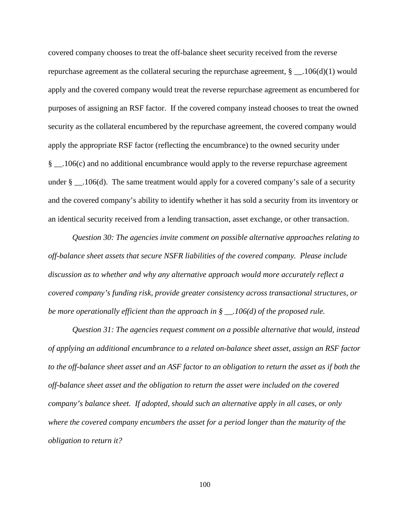covered company chooses to treat the off-balance sheet security received from the reverse repurchase agreement as the collateral securing the repurchase agreement,  $\S$  \_\_.106(d)(1) would apply and the covered company would treat the reverse repurchase agreement as encumbered for purposes of assigning an RSF factor. If the covered company instead chooses to treat the owned security as the collateral encumbered by the repurchase agreement, the covered company would apply the appropriate RSF factor (reflecting the encumbrance) to the owned security under § \_\_.106(c) and no additional encumbrance would apply to the reverse repurchase agreement under  $\S$  \_\_.106(d). The same treatment would apply for a covered company's sale of a security and the covered company's ability to identify whether it has sold a security from its inventory or an identical security received from a lending transaction, asset exchange, or other transaction.

*Question 30: The agencies invite comment on possible alternative approaches relating to off-balance sheet assets that secure NSFR liabilities of the covered company. Please include discussion as to whether and why any alternative approach would more accurately reflect a covered company's funding risk, provide greater consistency across transactional structures, or be more operationally efficient than the approach in § \_\_.106(d) of the proposed rule.*

*Question 31: The agencies request comment on a possible alternative that would, instead of applying an additional encumbrance to a related on-balance sheet asset, assign an RSF factor to the off-balance sheet asset and an ASF factor to an obligation to return the asset as if both the off-balance sheet asset and the obligation to return the asset were included on the covered company's balance sheet. If adopted, should such an alternative apply in all cases, or only where the covered company encumbers the asset for a period longer than the maturity of the obligation to return it?*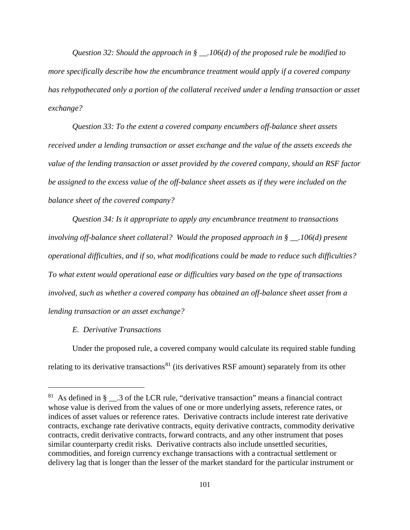*Question 32: Should the approach in § \_\_.106(d) of the proposed rule be modified to more specifically describe how the encumbrance treatment would apply if a covered company has rehypothecated only a portion of the collateral received under a lending transaction or asset exchange?*

*Question 33: To the extent a covered company encumbers off-balance sheet assets received under a lending transaction or asset exchange and the value of the assets exceeds the value of the lending transaction or asset provided by the covered company, should an RSF factor be assigned to the excess value of the off-balance sheet assets as if they were included on the balance sheet of the covered company?*

*Question 34: Is it appropriate to apply any encumbrance treatment to transactions involving off-balance sheet collateral? Would the proposed approach in § \_\_.106(d) present operational difficulties, and if so, what modifications could be made to reduce such difficulties? To what extent would operational ease or difficulties vary based on the type of transactions involved, such as whether a covered company has obtained an off-balance sheet asset from a lending transaction or an asset exchange?*

## *E. Derivative Transactions*

 $\overline{a}$ 

Under the proposed rule, a covered company would calculate its required stable funding relating to its derivative transactions<sup>[81](#page-100-0)</sup> (its derivatives RSF amount) separately from its other

<span id="page-100-0"></span><sup>&</sup>lt;sup>81</sup> As defined in §  $\_\_$ 3 of the LCR rule, "derivative transaction" means a financial contract whose value is derived from the values of one or more underlying assets, reference rates, or indices of asset values or reference rates. Derivative contracts include interest rate derivative contracts, exchange rate derivative contracts, equity derivative contracts, commodity derivative contracts, credit derivative contracts, forward contracts, and any other instrument that poses similar counterparty credit risks. Derivative contracts also include unsettled securities, commodities, and foreign currency exchange transactions with a contractual settlement or delivery lag that is longer than the lesser of the market standard for the particular instrument or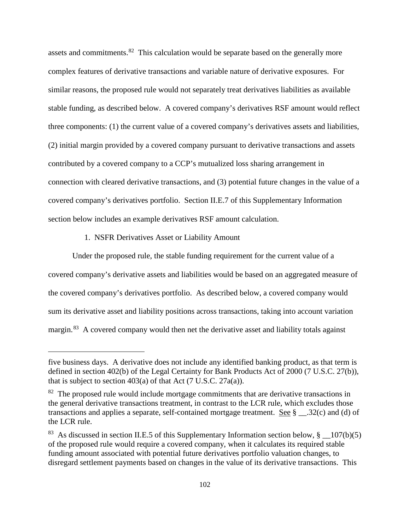assets and commitments.<sup>[82](#page-101-0)</sup> This calculation would be separate based on the generally more complex features of derivative transactions and variable nature of derivative exposures. For similar reasons, the proposed rule would not separately treat derivatives liabilities as available stable funding, as described below. A covered company's derivatives RSF amount would reflect three components: (1) the current value of a covered company's derivatives assets and liabilities, (2) initial margin provided by a covered company pursuant to derivative transactions and assets contributed by a covered company to a CCP's mutualized loss sharing arrangement in connection with cleared derivative transactions, and (3) potential future changes in the value of a covered company's derivatives portfolio. Section II.E.7 of this Supplementary Information section below includes an example derivatives RSF amount calculation.

## 1. NSFR Derivatives Asset or Liability Amount

 $\overline{a}$ 

Under the proposed rule, the stable funding requirement for the current value of a covered company's derivative assets and liabilities would be based on an aggregated measure of the covered company's derivatives portfolio. As described below, a covered company would sum its derivative asset and liability positions across transactions, taking into account variation margin.<sup>83</sup> A covered company would then net the derivative asset and liability totals against

five business days. A derivative does not include any identified banking product, as that term is defined in section 402(b) of the Legal Certainty for Bank Products Act of 2000 (7 U.S.C. 27(b)), that is subject to section  $403(a)$  of that Act (7 U.S.C. 27 $a(a)$ ).

<span id="page-101-0"></span><sup>&</sup>lt;sup>82</sup> The proposed rule would include mortgage commitments that are derivative transactions in the general derivative transactions treatment, in contrast to the LCR rule, which excludes those transactions and applies a separate, self-contained mortgage treatment. See  $\S$  .32(c) and (d) of the LCR rule.

<span id="page-101-1"></span><sup>&</sup>lt;sup>83</sup> As discussed in section II.E.5 of this Supplementary Information section below,  $\S$  107(b)(5) of the proposed rule would require a covered company, when it calculates its required stable funding amount associated with potential future derivatives portfolio valuation changes, to disregard settlement payments based on changes in the value of its derivative transactions. This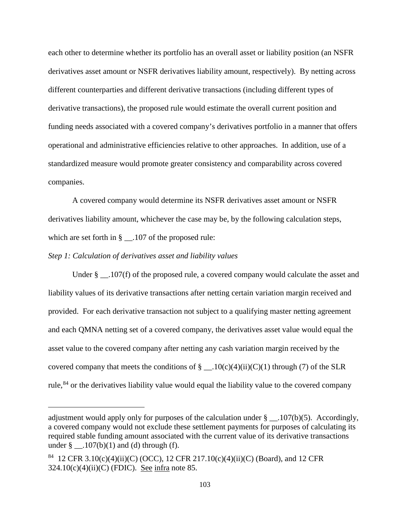each other to determine whether its portfolio has an overall asset or liability position (an NSFR derivatives asset amount or NSFR derivatives liability amount, respectively). By netting across different counterparties and different derivative transactions (including different types of derivative transactions), the proposed rule would estimate the overall current position and funding needs associated with a covered company's derivatives portfolio in a manner that offers operational and administrative efficiencies relative to other approaches. In addition, use of a standardized measure would promote greater consistency and comparability across covered companies.

A covered company would determine its NSFR derivatives asset amount or NSFR derivatives liability amount, whichever the case may be, by the following calculation steps, which are set forth in § \_\_.107 of the proposed rule:

#### *Step 1: Calculation of derivatives asset and liability values*

 $\overline{a}$ 

Under § \_\_.107(f) of the proposed rule, a covered company would calculate the asset and liability values of its derivative transactions after netting certain variation margin received and provided. For each derivative transaction not subject to a qualifying master netting agreement and each QMNA netting set of a covered company, the derivatives asset value would equal the asset value to the covered company after netting any cash variation margin received by the covered company that meets the conditions of  $\S$  \_\_.10(c)(4)(ii)(C)(1) through (7) of the SLR rule,<sup>[84](#page-102-0)</sup> or the derivatives liability value would equal the liability value to the covered company

adjustment would apply only for purposes of the calculation under  $\S$  \_\_.107(b)(5). Accordingly, a covered company would not exclude these settlement payments for purposes of calculating its required stable funding amount associated with the current value of its derivative transactions under § \_\_.107(b)(1) and (d) through (f).

<span id="page-102-0"></span><sup>&</sup>lt;sup>84</sup> 12 CFR 3.10(c)(4)(ii)(C) (OCC), 12 CFR 217.10(c)(4)(ii)(C) (Board), and 12 CFR  $324.10(c)(4)(ii)(C)$  (FDIC). See infra note 85.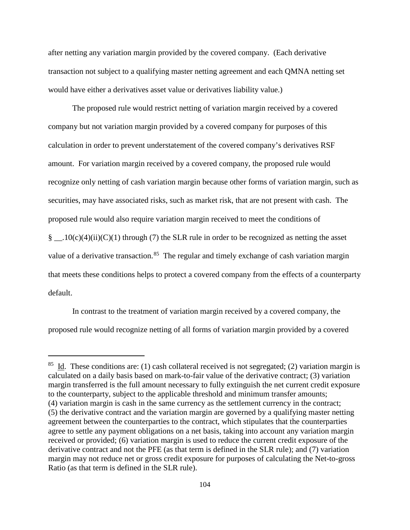after netting any variation margin provided by the covered company. (Each derivative transaction not subject to a qualifying master netting agreement and each QMNA netting set would have either a derivatives asset value or derivatives liability value.)

The proposed rule would restrict netting of variation margin received by a covered company but not variation margin provided by a covered company for purposes of this calculation in order to prevent understatement of the covered company's derivatives RSF amount. For variation margin received by a covered company, the proposed rule would recognize only netting of cash variation margin because other forms of variation margin, such as securities, may have associated risks, such as market risk, that are not present with cash. The proposed rule would also require variation margin received to meet the conditions of  $\S$  \_\_.10(c)(4)(ii)(C)(1) through (7) the SLR rule in order to be recognized as netting the asset value of a derivative transaction.<sup>85</sup> The regular and timely exchange of cash variation margin that meets these conditions helps to protect a covered company from the effects of a counterparty default.

In contrast to the treatment of variation margin received by a covered company, the proposed rule would recognize netting of all forms of variation margin provided by a covered

<span id="page-103-0"></span><sup>&</sup>lt;sup>85</sup> Id. These conditions are: (1) cash collateral received is not segregated; (2) variation margin is calculated on a daily basis based on mark-to-fair value of the derivative contract; (3) variation margin transferred is the full amount necessary to fully extinguish the net current credit exposure to the counterparty, subject to the applicable threshold and minimum transfer amounts; (4) variation margin is cash in the same currency as the settlement currency in the contract; (5) the derivative contract and the variation margin are governed by a qualifying master netting agreement between the counterparties to the contract, which stipulates that the counterparties agree to settle any payment obligations on a net basis, taking into account any variation margin received or provided; (6) variation margin is used to reduce the current credit exposure of the derivative contract and not the PFE (as that term is defined in the SLR rule); and (7) variation margin may not reduce net or gross credit exposure for purposes of calculating the Net-to-gross Ratio (as that term is defined in the SLR rule).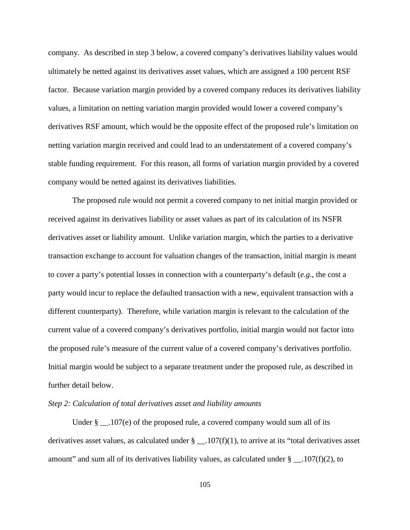company. As described in step 3 below, a covered company's derivatives liability values would ultimately be netted against its derivatives asset values, which are assigned a 100 percent RSF factor. Because variation margin provided by a covered company reduces its derivatives liability values, a limitation on netting variation margin provided would lower a covered company's derivatives RSF amount, which would be the opposite effect of the proposed rule's limitation on netting variation margin received and could lead to an understatement of a covered company's stable funding requirement. For this reason, all forms of variation margin provided by a covered company would be netted against its derivatives liabilities.

The proposed rule would not permit a covered company to net initial margin provided or received against its derivatives liability or asset values as part of its calculation of its NSFR derivatives asset or liability amount. Unlike variation margin, which the parties to a derivative transaction exchange to account for valuation changes of the transaction, initial margin is meant to cover a party's potential losses in connection with a counterparty's default (*e.g.*, the cost a party would incur to replace the defaulted transaction with a new, equivalent transaction with a different counterparty). Therefore, while variation margin is relevant to the calculation of the current value of a covered company's derivatives portfolio, initial margin would not factor into the proposed rule's measure of the current value of a covered company's derivatives portfolio. Initial margin would be subject to a separate treatment under the proposed rule, as described in further detail below.

## *Step 2: Calculation of total derivatives asset and liability amounts*

Under  $\S$  \_\_.107(e) of the proposed rule, a covered company would sum all of its derivatives asset values, as calculated under  $\S$  \_\_.107(f)(1), to arrive at its "total derivatives asset amount" and sum all of its derivatives liability values, as calculated under  $\S$  \_\_.107(f)(2), to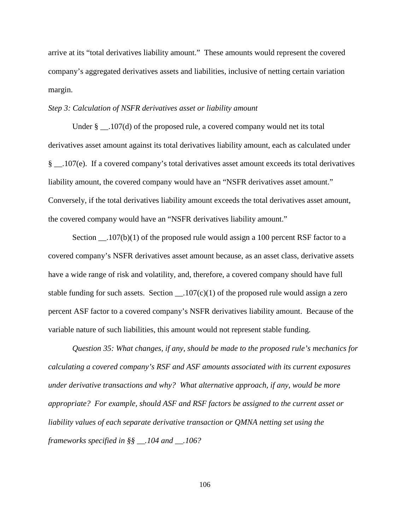arrive at its "total derivatives liability amount." These amounts would represent the covered company's aggregated derivatives assets and liabilities, inclusive of netting certain variation margin.

#### *Step 3: Calculation of NSFR derivatives asset or liability amount*

Under  $\S$   $\Box$  107(d) of the proposed rule, a covered company would net its total derivatives asset amount against its total derivatives liability amount, each as calculated under § \_\_.107(e). If a covered company's total derivatives asset amount exceeds its total derivatives liability amount, the covered company would have an "NSFR derivatives asset amount." Conversely, if the total derivatives liability amount exceeds the total derivatives asset amount, the covered company would have an "NSFR derivatives liability amount."

Section  $\ldots$  107(b)(1) of the proposed rule would assign a 100 percent RSF factor to a covered company's NSFR derivatives asset amount because, as an asset class, derivative assets have a wide range of risk and volatility, and, therefore, a covered company should have full stable funding for such assets. Section  $\qquad 107(c)(1)$  of the proposed rule would assign a zero percent ASF factor to a covered company's NSFR derivatives liability amount. Because of the variable nature of such liabilities, this amount would not represent stable funding.

*Question 35: What changes, if any, should be made to the proposed rule's mechanics for calculating a covered company's RSF and ASF amounts associated with its current exposures under derivative transactions and why? What alternative approach, if any, would be more appropriate? For example, should ASF and RSF factors be assigned to the current asset or liability values of each separate derivative transaction or QMNA netting set using the frameworks specified in §§ \_\_.104 and \_\_.106?*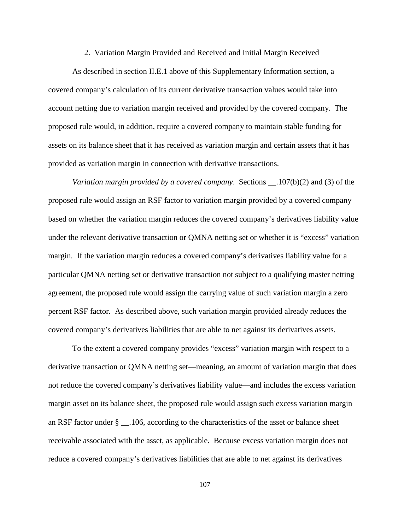#### 2. Variation Margin Provided and Received and Initial Margin Received

As described in section II.E.1 above of this Supplementary Information section, a covered company's calculation of its current derivative transaction values would take into account netting due to variation margin received and provided by the covered company. The proposed rule would, in addition, require a covered company to maintain stable funding for assets on its balance sheet that it has received as variation margin and certain assets that it has provided as variation margin in connection with derivative transactions.

*Variation margin provided by a covered company*. Sections \_\_.107(b)(2) and (3) of the proposed rule would assign an RSF factor to variation margin provided by a covered company based on whether the variation margin reduces the covered company's derivatives liability value under the relevant derivative transaction or QMNA netting set or whether it is "excess" variation margin. If the variation margin reduces a covered company's derivatives liability value for a particular QMNA netting set or derivative transaction not subject to a qualifying master netting agreement, the proposed rule would assign the carrying value of such variation margin a zero percent RSF factor. As described above, such variation margin provided already reduces the covered company's derivatives liabilities that are able to net against its derivatives assets.

To the extent a covered company provides "excess" variation margin with respect to a derivative transaction or QMNA netting set—meaning, an amount of variation margin that does not reduce the covered company's derivatives liability value—and includes the excess variation margin asset on its balance sheet, the proposed rule would assign such excess variation margin an RSF factor under § \_\_.106, according to the characteristics of the asset or balance sheet receivable associated with the asset, as applicable. Because excess variation margin does not reduce a covered company's derivatives liabilities that are able to net against its derivatives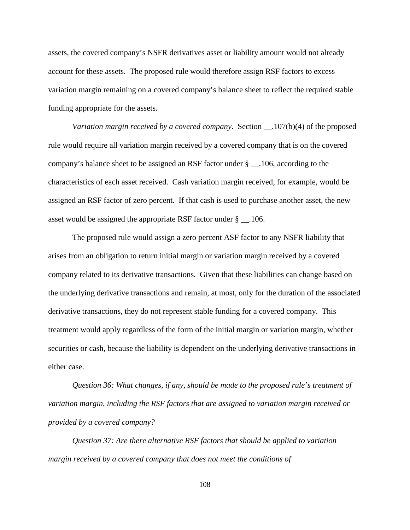assets, the covered company's NSFR derivatives asset or liability amount would not already account for these assets. The proposed rule would therefore assign RSF factors to excess variation margin remaining on a covered company's balance sheet to reflect the required stable funding appropriate for the assets.

*Variation margin received by a covered company*. Section \_\_.107(b)(4) of the proposed rule would require all variation margin received by a covered company that is on the covered company's balance sheet to be assigned an RSF factor under § \_\_.106, according to the characteristics of each asset received. Cash variation margin received, for example, would be assigned an RSF factor of zero percent. If that cash is used to purchase another asset, the new asset would be assigned the appropriate RSF factor under § \_\_.106.

The proposed rule would assign a zero percent ASF factor to any NSFR liability that arises from an obligation to return initial margin or variation margin received by a covered company related to its derivative transactions. Given that these liabilities can change based on the underlying derivative transactions and remain, at most, only for the duration of the associated derivative transactions, they do not represent stable funding for a covered company. This treatment would apply regardless of the form of the initial margin or variation margin, whether securities or cash, because the liability is dependent on the underlying derivative transactions in either case.

*Question 36: What changes, if any, should be made to the proposed rule's treatment of variation margin, including the RSF factors that are assigned to variation margin received or provided by a covered company?* 

*Question 37: Are there alternative RSF factors that should be applied to variation margin received by a covered company that does not meet the conditions of*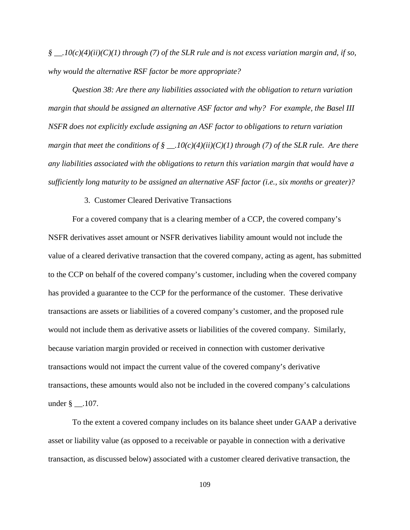*§ \_\_.10(c)(4)(ii)(C)(1) through (7) of the SLR rule and is not excess variation margin and, if so, why would the alternative RSF factor be more appropriate?*

*Question 38: Are there any liabilities associated with the obligation to return variation margin that should be assigned an alternative ASF factor and why? For example, the Basel III NSFR does not explicitly exclude assigning an ASF factor to obligations to return variation margin that meet the conditions of § \_\_.10(c)(4)(ii)(C)(1) through (7) of the SLR rule. Are there any liabilities associated with the obligations to return this variation margin that would have a sufficiently long maturity to be assigned an alternative ASF factor (i.e., six months or greater)?*

3. Customer Cleared Derivative Transactions

For a covered company that is a clearing member of a CCP, the covered company's NSFR derivatives asset amount or NSFR derivatives liability amount would not include the value of a cleared derivative transaction that the covered company, acting as agent, has submitted to the CCP on behalf of the covered company's customer, including when the covered company has provided a guarantee to the CCP for the performance of the customer. These derivative transactions are assets or liabilities of a covered company's customer, and the proposed rule would not include them as derivative assets or liabilities of the covered company. Similarly, because variation margin provided or received in connection with customer derivative transactions would not impact the current value of the covered company's derivative transactions, these amounts would also not be included in the covered company's calculations under § \_\_.107.

To the extent a covered company includes on its balance sheet under GAAP a derivative asset or liability value (as opposed to a receivable or payable in connection with a derivative transaction, as discussed below) associated with a customer cleared derivative transaction, the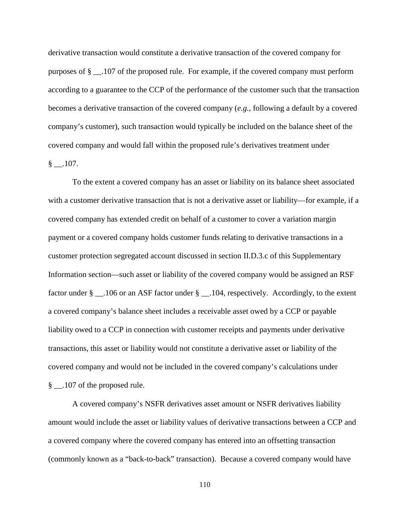derivative transaction would constitute a derivative transaction of the covered company for purposes of § \_\_.107 of the proposed rule. For example, if the covered company must perform according to a guarantee to the CCP of the performance of the customer such that the transaction becomes a derivative transaction of the covered company (*e.g.*, following a default by a covered company's customer), such transaction would typically be included on the balance sheet of the covered company and would fall within the proposed rule's derivatives treatment under  $§$  .107.

To the extent a covered company has an asset or liability on its balance sheet associated with a customer derivative transaction that is not a derivative asset or liability—for example, if a covered company has extended credit on behalf of a customer to cover a variation margin payment or a covered company holds customer funds relating to derivative transactions in a customer protection segregated account discussed in section II.D.3.c of this Supplementary Information section—such asset or liability of the covered company would be assigned an RSF factor under § \_\_.106 or an ASF factor under § \_\_.104, respectively. Accordingly, to the extent a covered company's balance sheet includes a receivable asset owed by a CCP or payable liability owed to a CCP in connection with customer receipts and payments under derivative transactions, this asset or liability would not constitute a derivative asset or liability of the covered company and would not be included in the covered company's calculations under § \_\_.107 of the proposed rule.

A covered company's NSFR derivatives asset amount or NSFR derivatives liability amount would include the asset or liability values of derivative transactions between a CCP and a covered company where the covered company has entered into an offsetting transaction (commonly known as a "back-to-back" transaction). Because a covered company would have

110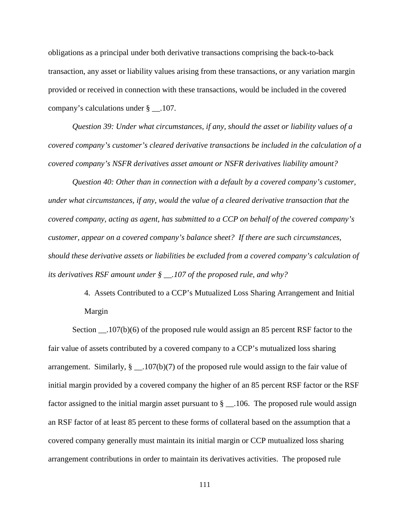obligations as a principal under both derivative transactions comprising the back-to-back transaction, any asset or liability values arising from these transactions, or any variation margin provided or received in connection with these transactions, would be included in the covered company's calculations under § \_\_.107.

*Question 39: Under what circumstances, if any, should the asset or liability values of a covered company's customer's cleared derivative transactions be included in the calculation of a covered company's NSFR derivatives asset amount or NSFR derivatives liability amount?*

*Question 40: Other than in connection with a default by a covered company's customer, under what circumstances, if any, would the value of a cleared derivative transaction that the covered company, acting as agent, has submitted to a CCP on behalf of the covered company's customer, appear on a covered company's balance sheet? If there are such circumstances, should these derivative assets or liabilities be excluded from a covered company's calculation of its derivatives RSF amount under § \_\_.107 of the proposed rule, and why?*

> 4. Assets Contributed to a CCP's Mutualized Loss Sharing Arrangement and Initial Margin

Section \_\_.107(b)(6) of the proposed rule would assign an 85 percent RSF factor to the fair value of assets contributed by a covered company to a CCP's mutualized loss sharing arrangement. Similarly,  $\S$  \_\_.107(b)(7) of the proposed rule would assign to the fair value of initial margin provided by a covered company the higher of an 85 percent RSF factor or the RSF factor assigned to the initial margin asset pursuant to  $\S$  \_\_.106. The proposed rule would assign an RSF factor of at least 85 percent to these forms of collateral based on the assumption that a covered company generally must maintain its initial margin or CCP mutualized loss sharing arrangement contributions in order to maintain its derivatives activities. The proposed rule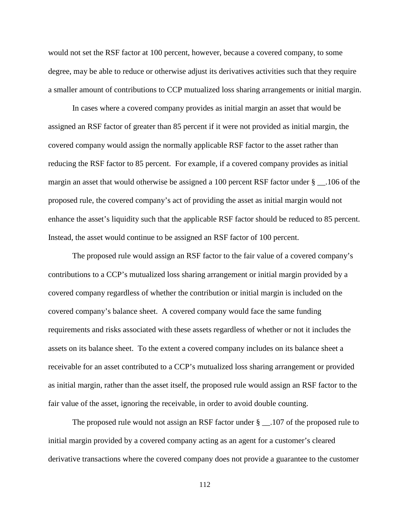would not set the RSF factor at 100 percent, however, because a covered company, to some degree, may be able to reduce or otherwise adjust its derivatives activities such that they require a smaller amount of contributions to CCP mutualized loss sharing arrangements or initial margin.

In cases where a covered company provides as initial margin an asset that would be assigned an RSF factor of greater than 85 percent if it were not provided as initial margin, the covered company would assign the normally applicable RSF factor to the asset rather than reducing the RSF factor to 85 percent. For example, if a covered company provides as initial margin an asset that would otherwise be assigned a 100 percent RSF factor under § \_\_.106 of the proposed rule, the covered company's act of providing the asset as initial margin would not enhance the asset's liquidity such that the applicable RSF factor should be reduced to 85 percent. Instead, the asset would continue to be assigned an RSF factor of 100 percent.

The proposed rule would assign an RSF factor to the fair value of a covered company's contributions to a CCP's mutualized loss sharing arrangement or initial margin provided by a covered company regardless of whether the contribution or initial margin is included on the covered company's balance sheet. A covered company would face the same funding requirements and risks associated with these assets regardless of whether or not it includes the assets on its balance sheet. To the extent a covered company includes on its balance sheet a receivable for an asset contributed to a CCP's mutualized loss sharing arrangement or provided as initial margin, rather than the asset itself, the proposed rule would assign an RSF factor to the fair value of the asset, ignoring the receivable, in order to avoid double counting.

The proposed rule would not assign an RSF factor under  $\S$  \_\_.107 of the proposed rule to initial margin provided by a covered company acting as an agent for a customer's cleared derivative transactions where the covered company does not provide a guarantee to the customer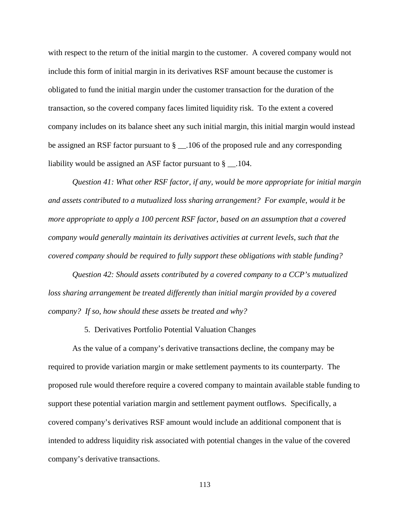with respect to the return of the initial margin to the customer. A covered company would not include this form of initial margin in its derivatives RSF amount because the customer is obligated to fund the initial margin under the customer transaction for the duration of the transaction, so the covered company faces limited liquidity risk. To the extent a covered company includes on its balance sheet any such initial margin, this initial margin would instead be assigned an RSF factor pursuant to § \_\_.106 of the proposed rule and any corresponding liability would be assigned an ASF factor pursuant to  $\S$  \_\_.104.

*Question 41: What other RSF factor, if any, would be more appropriate for initial margin and assets contributed to a mutualized loss sharing arrangement? For example, would it be more appropriate to apply a 100 percent RSF factor, based on an assumption that a covered company would generally maintain its derivatives activities at current levels, such that the covered company should be required to fully support these obligations with stable funding?*

*Question 42: Should assets contributed by a covered company to a CCP's mutualized loss sharing arrangement be treated differently than initial margin provided by a covered company? If so, how should these assets be treated and why?*

5. Derivatives Portfolio Potential Valuation Changes

As the value of a company's derivative transactions decline, the company may be required to provide variation margin or make settlement payments to its counterparty. The proposed rule would therefore require a covered company to maintain available stable funding to support these potential variation margin and settlement payment outflows. Specifically, a covered company's derivatives RSF amount would include an additional component that is intended to address liquidity risk associated with potential changes in the value of the covered company's derivative transactions.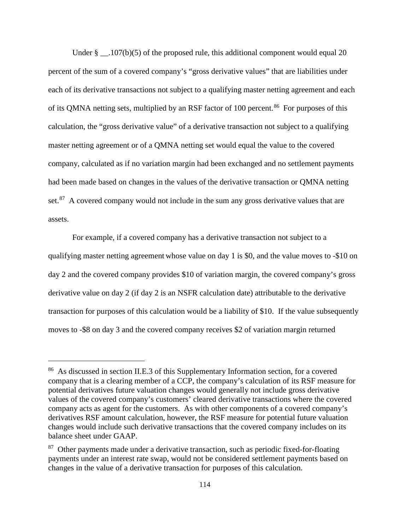Under  $\S$  . 107(b)(5) of the proposed rule, this additional component would equal 20 percent of the sum of a covered company's "gross derivative values" that are liabilities under each of its derivative transactions not subject to a qualifying master netting agreement and each of its QMNA netting sets, multiplied by an RSF factor of 100 percent.<sup>[86](#page-113-0)</sup> For purposes of this calculation, the "gross derivative value" of a derivative transaction not subject to a qualifying master netting agreement or of a QMNA netting set would equal the value to the covered company, calculated as if no variation margin had been exchanged and no settlement payments had been made based on changes in the values of the derivative transaction or QMNA netting set. $87$  A covered company would not include in the sum any gross derivative values that are assets.

For example, if a covered company has a derivative transaction not subject to a qualifying master netting agreement whose value on day 1 is \$0, and the value moves to -\$10 on day 2 and the covered company provides \$10 of variation margin, the covered company's gross derivative value on day 2 (if day 2 is an NSFR calculation date) attributable to the derivative transaction for purposes of this calculation would be a liability of \$10. If the value subsequently moves to -\$8 on day 3 and the covered company receives \$2 of variation margin returned

<span id="page-113-0"></span><sup>86</sup> As discussed in section II.E.3 of this Supplementary Information section, for a covered company that is a clearing member of a CCP, the company's calculation of its RSF measure for potential derivatives future valuation changes would generally not include gross derivative values of the covered company's customers' cleared derivative transactions where the covered company acts as agent for the customers. As with other components of a covered company's derivatives RSF amount calculation, however, the RSF measure for potential future valuation changes would include such derivative transactions that the covered company includes on its balance sheet under GAAP.

<span id="page-113-1"></span> $87$  Other payments made under a derivative transaction, such as periodic fixed-for-floating payments under an interest rate swap, would not be considered settlement payments based on changes in the value of a derivative transaction for purposes of this calculation.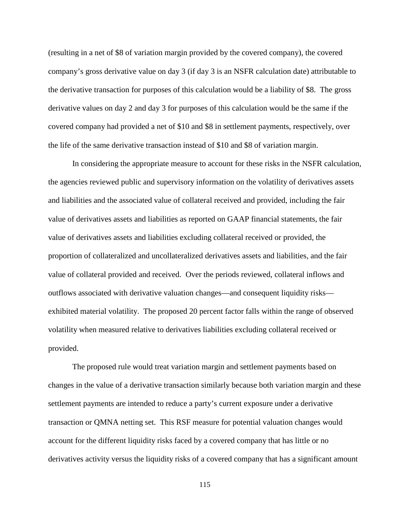(resulting in a net of \$8 of variation margin provided by the covered company), the covered company's gross derivative value on day 3 (if day 3 is an NSFR calculation date) attributable to the derivative transaction for purposes of this calculation would be a liability of \$8. The gross derivative values on day 2 and day 3 for purposes of this calculation would be the same if the covered company had provided a net of \$10 and \$8 in settlement payments, respectively, over the life of the same derivative transaction instead of \$10 and \$8 of variation margin.

In considering the appropriate measure to account for these risks in the NSFR calculation, the agencies reviewed public and supervisory information on the volatility of derivatives assets and liabilities and the associated value of collateral received and provided, including the fair value of derivatives assets and liabilities as reported on GAAP financial statements, the fair value of derivatives assets and liabilities excluding collateral received or provided, the proportion of collateralized and uncollateralized derivatives assets and liabilities, and the fair value of collateral provided and received. Over the periods reviewed, collateral inflows and outflows associated with derivative valuation changes—and consequent liquidity risks exhibited material volatility. The proposed 20 percent factor falls within the range of observed volatility when measured relative to derivatives liabilities excluding collateral received or provided.

The proposed rule would treat variation margin and settlement payments based on changes in the value of a derivative transaction similarly because both variation margin and these settlement payments are intended to reduce a party's current exposure under a derivative transaction or QMNA netting set. This RSF measure for potential valuation changes would account for the different liquidity risks faced by a covered company that has little or no derivatives activity versus the liquidity risks of a covered company that has a significant amount

115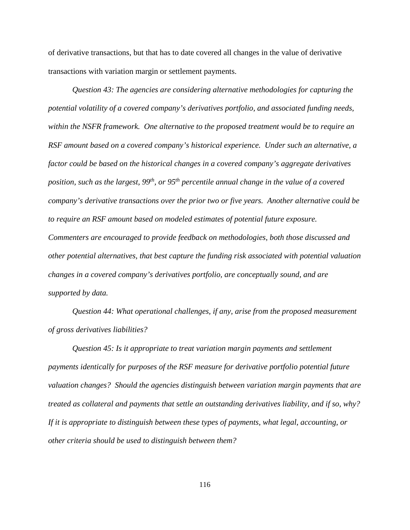of derivative transactions, but that has to date covered all changes in the value of derivative transactions with variation margin or settlement payments.

*Question 43: The agencies are considering alternative methodologies for capturing the potential volatility of a covered company's derivatives portfolio, and associated funding needs, within the NSFR framework. One alternative to the proposed treatment would be to require an RSF amount based on a covered company's historical experience. Under such an alternative, a factor could be based on the historical changes in a covered company's aggregate derivatives position, such as the largest, 99th, or 95th percentile annual change in the value of a covered company's derivative transactions over the prior two or five years. Another alternative could be to require an RSF amount based on modeled estimates of potential future exposure. Commenters are encouraged to provide feedback on methodologies, both those discussed and other potential alternatives, that best capture the funding risk associated with potential valuation changes in a covered company's derivatives portfolio, are conceptually sound, and are supported by data.*

*Question 44: What operational challenges, if any, arise from the proposed measurement of gross derivatives liabilities?*

*Question 45: Is it appropriate to treat variation margin payments and settlement payments identically for purposes of the RSF measure for derivative portfolio potential future valuation changes? Should the agencies distinguish between variation margin payments that are treated as collateral and payments that settle an outstanding derivatives liability, and if so, why? If it is appropriate to distinguish between these types of payments, what legal, accounting, or other criteria should be used to distinguish between them?*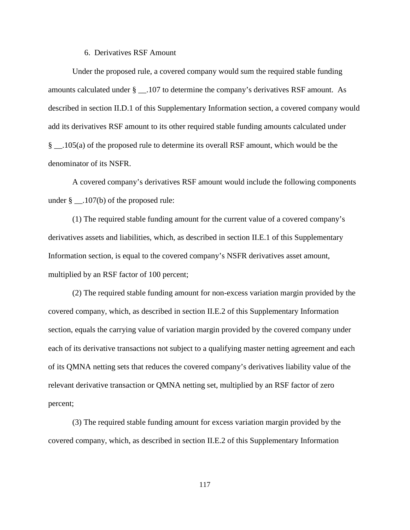#### 6. Derivatives RSF Amount

Under the proposed rule, a covered company would sum the required stable funding amounts calculated under § \_\_.107 to determine the company's derivatives RSF amount. As described in section II.D.1 of this Supplementary Information section, a covered company would add its derivatives RSF amount to its other required stable funding amounts calculated under § \_\_.105(a) of the proposed rule to determine its overall RSF amount, which would be the denominator of its NSFR.

A covered company's derivatives RSF amount would include the following components under  $\S$  . 107(b) of the proposed rule:

(1) The required stable funding amount for the current value of a covered company's derivatives assets and liabilities, which, as described in section II.E.1 of this Supplementary Information section, is equal to the covered company's NSFR derivatives asset amount, multiplied by an RSF factor of 100 percent;

(2) The required stable funding amount for non-excess variation margin provided by the covered company, which, as described in section II.E.2 of this Supplementary Information section, equals the carrying value of variation margin provided by the covered company under each of its derivative transactions not subject to a qualifying master netting agreement and each of its QMNA netting sets that reduces the covered company's derivatives liability value of the relevant derivative transaction or QMNA netting set, multiplied by an RSF factor of zero percent;

(3) The required stable funding amount for excess variation margin provided by the covered company, which, as described in section II.E.2 of this Supplementary Information

117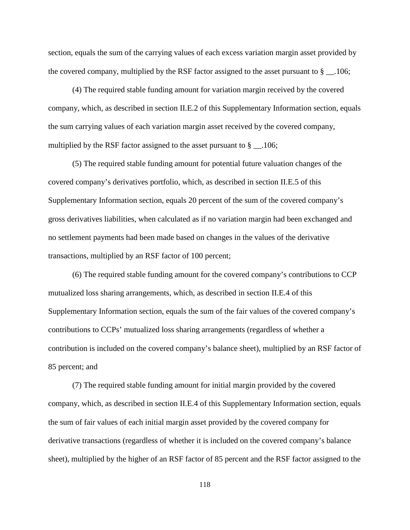section, equals the sum of the carrying values of each excess variation margin asset provided by the covered company, multiplied by the RSF factor assigned to the asset pursuant to  $\S$  \_\_.106;

(4) The required stable funding amount for variation margin received by the covered company, which, as described in section II.E.2 of this Supplementary Information section, equals the sum carrying values of each variation margin asset received by the covered company, multiplied by the RSF factor assigned to the asset pursuant to  $\S$  \_\_.106;

(5) The required stable funding amount for potential future valuation changes of the covered company's derivatives portfolio, which, as described in section II.E.5 of this Supplementary Information section, equals 20 percent of the sum of the covered company's gross derivatives liabilities, when calculated as if no variation margin had been exchanged and no settlement payments had been made based on changes in the values of the derivative transactions, multiplied by an RSF factor of 100 percent;

(6) The required stable funding amount for the covered company's contributions to CCP mutualized loss sharing arrangements, which, as described in section II.E.4 of this Supplementary Information section, equals the sum of the fair values of the covered company's contributions to CCPs' mutualized loss sharing arrangements (regardless of whether a contribution is included on the covered company's balance sheet), multiplied by an RSF factor of 85 percent; and

(7) The required stable funding amount for initial margin provided by the covered company, which, as described in section II.E.4 of this Supplementary Information section, equals the sum of fair values of each initial margin asset provided by the covered company for derivative transactions (regardless of whether it is included on the covered company's balance sheet), multiplied by the higher of an RSF factor of 85 percent and the RSF factor assigned to the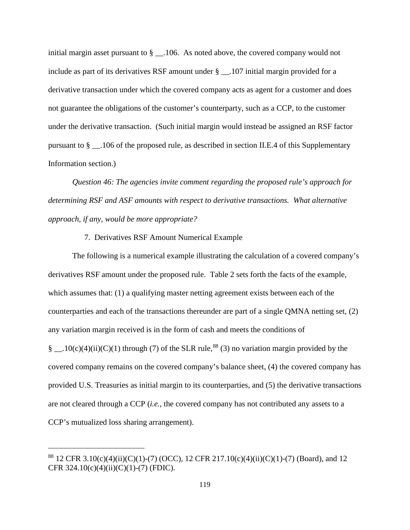initial margin asset pursuant to  $\S$  \_\_.106. As noted above, the covered company would not include as part of its derivatives RSF amount under § \_\_.107 initial margin provided for a derivative transaction under which the covered company acts as agent for a customer and does not guarantee the obligations of the customer's counterparty, such as a CCP, to the customer under the derivative transaction. (Such initial margin would instead be assigned an RSF factor pursuant to § \_\_.106 of the proposed rule, as described in section II.E.4 of this Supplementary Information section.)

*Question 46: The agencies invite comment regarding the proposed rule's approach for determining RSF and ASF amounts with respect to derivative transactions. What alternative approach, if any, would be more appropriate?*

# 7. Derivatives RSF Amount Numerical Example

The following is a numerical example illustrating the calculation of a covered company's derivatives RSF amount under the proposed rule. Table 2 sets forth the facts of the example, which assumes that: (1) a qualifying master netting agreement exists between each of the counterparties and each of the transactions thereunder are part of a single QMNA netting set, (2) any variation margin received is in the form of cash and meets the conditions of § \_\_.10(c)(4)(ii)(C)(1) through (7) of the SLR rule,<sup>[88](#page-118-0)</sup> (3) no variation margin provided by the covered company remains on the covered company's balance sheet, (4) the covered company has provided U.S. Treasuries as initial margin to its counterparties, and (5) the derivative transactions are not cleared through a CCP (*i.e.*, the covered company has not contributed any assets to a CCP's mutualized loss sharing arrangement).

<span id="page-118-0"></span><sup>&</sup>lt;sup>88</sup> 12 CFR 3.10(c)(4)(ii)(C)(1)-(7) (OCC), 12 CFR 217.10(c)(4)(ii)(C)(1)-(7) (Board), and 12 CFR  $324.10(c)(4)(ii)(C)(1)-(7)$  (FDIC).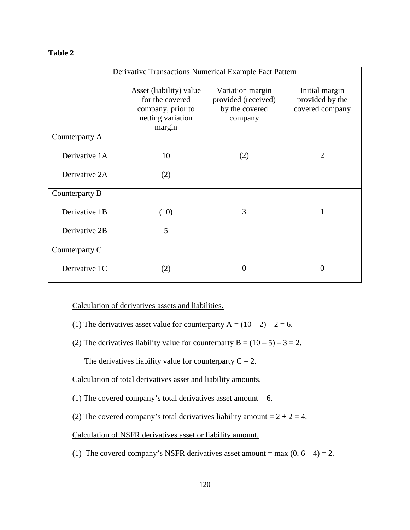# **Table 2**

| Derivative Transactions Numerical Example Fact Pattern |                                                                                                |                                                                      |                                                      |
|--------------------------------------------------------|------------------------------------------------------------------------------------------------|----------------------------------------------------------------------|------------------------------------------------------|
|                                                        | Asset (liability) value<br>for the covered<br>company, prior to<br>netting variation<br>margin | Variation margin<br>provided (received)<br>by the covered<br>company | Initial margin<br>provided by the<br>covered company |
| Counterparty A                                         |                                                                                                |                                                                      |                                                      |
| Derivative 1A                                          | 10                                                                                             | (2)                                                                  | $\overline{2}$                                       |
| Derivative 2A                                          | (2)                                                                                            |                                                                      |                                                      |
| Counterparty B                                         |                                                                                                |                                                                      |                                                      |
| Derivative 1B                                          | (10)                                                                                           | 3                                                                    | $\mathbf{1}$                                         |
| Derivative 2B                                          | 5                                                                                              |                                                                      |                                                      |
| Counterparty C                                         |                                                                                                |                                                                      |                                                      |
| Derivative 1C                                          | (2)                                                                                            | 0                                                                    | $\Omega$                                             |

Calculation of derivatives assets and liabilities.

- (1) The derivatives asset value for counterparty  $A = (10 2) 2 = 6$ .
- (2) The derivatives liability value for counterparty  $B = (10 5) 3 = 2$ .

The derivatives liability value for counterparty  $C = 2$ .

Calculation of total derivatives asset and liability amounts.

- (1) The covered company's total derivatives asset amount  $= 6$ .
- (2) The covered company's total derivatives liability amount  $= 2 + 2 = 4$ .

Calculation of NSFR derivatives asset or liability amount.

(1) The covered company's NSFR derivatives asset amount = max  $(0, 6 - 4) = 2$ .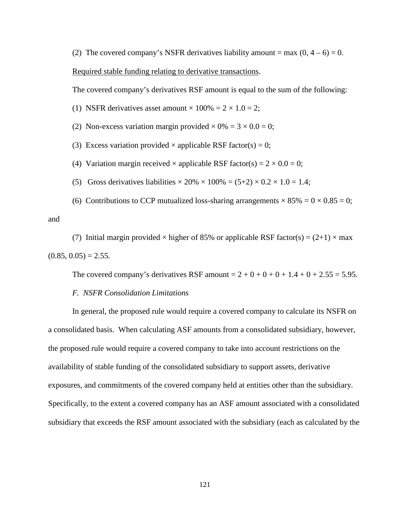(2) The covered company's NSFR derivatives liability amount = max  $(0, 4 - 6) = 0$ .

## Required stable funding relating to derivative transactions.

The covered company's derivatives RSF amount is equal to the sum of the following:

(1) NSFR derivatives asset amount  $\times$  100% = 2  $\times$  1.0 = 2;

- (2) Non-excess variation margin provided  $\times$  0% = 3  $\times$  0.0 = 0;
- (3) Excess variation provided  $\times$  applicable RSF factor(s) = 0;
- (4) Variation margin received  $\times$  applicable RSF factor(s) =  $2 \times 0.0 = 0$ ;
- (5) Gross derivatives liabilities  $\times 20\% \times 100\% = (5+2) \times 0.2 \times 1.0 = 1.4$ ;
- (6) Contributions to CCP mutualized loss-sharing arrangements  $\times 85\% = 0 \times 0.85 = 0$ ;

(7) Initial margin provided  $\times$  higher of 85% or applicable RSF factor(s) = (2+1)  $\times$  max  $(0.85, 0.05) = 2.55.$ 

The covered company's derivatives RSF amount  $= 2 + 0 + 0 + 0 + 1.4 + 0 + 2.55 = 5.95$ .

#### *F. NSFR Consolidation Limitations*

and

In general, the proposed rule would require a covered company to calculate its NSFR on a consolidated basis. When calculating ASF amounts from a consolidated subsidiary, however, the proposed rule would require a covered company to take into account restrictions on the availability of stable funding of the consolidated subsidiary to support assets, derivative exposures, and commitments of the covered company held at entities other than the subsidiary. Specifically, to the extent a covered company has an ASF amount associated with a consolidated subsidiary that exceeds the RSF amount associated with the subsidiary (each as calculated by the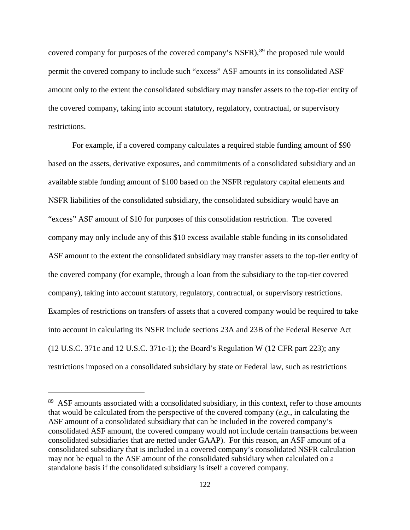covered company for purposes of the covered company's NSFR),<sup>[89](#page-121-0)</sup> the proposed rule would permit the covered company to include such "excess" ASF amounts in its consolidated ASF amount only to the extent the consolidated subsidiary may transfer assets to the top-tier entity of the covered company, taking into account statutory, regulatory, contractual, or supervisory restrictions.

For example, if a covered company calculates a required stable funding amount of \$90 based on the assets, derivative exposures, and commitments of a consolidated subsidiary and an available stable funding amount of \$100 based on the NSFR regulatory capital elements and NSFR liabilities of the consolidated subsidiary, the consolidated subsidiary would have an "excess" ASF amount of \$10 for purposes of this consolidation restriction. The covered company may only include any of this \$10 excess available stable funding in its consolidated ASF amount to the extent the consolidated subsidiary may transfer assets to the top-tier entity of the covered company (for example, through a loan from the subsidiary to the top-tier covered company), taking into account statutory, regulatory, contractual, or supervisory restrictions. Examples of restrictions on transfers of assets that a covered company would be required to take into account in calculating its NSFR include sections 23A and 23B of the Federal Reserve Act (12 U.S.C. 371c and 12 U.S.C. 371c-1); the Board's Regulation W (12 CFR part 223); any restrictions imposed on a consolidated subsidiary by state or Federal law, such as restrictions

<span id="page-121-0"></span><sup>89</sup> ASF amounts associated with a consolidated subsidiary, in this context, refer to those amounts that would be calculated from the perspective of the covered company (*e.g.*, in calculating the ASF amount of a consolidated subsidiary that can be included in the covered company's consolidated ASF amount, the covered company would not include certain transactions between consolidated subsidiaries that are netted under GAAP). For this reason, an ASF amount of a consolidated subsidiary that is included in a covered company's consolidated NSFR calculation may not be equal to the ASF amount of the consolidated subsidiary when calculated on a standalone basis if the consolidated subsidiary is itself a covered company.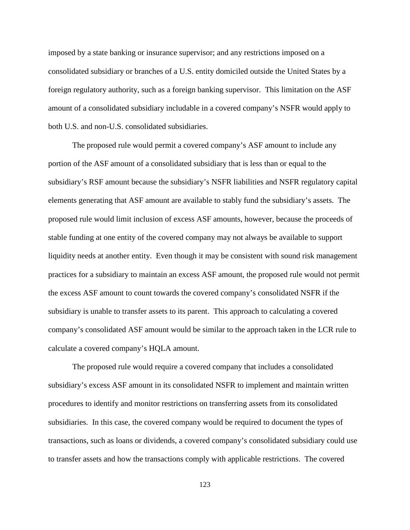imposed by a state banking or insurance supervisor; and any restrictions imposed on a consolidated subsidiary or branches of a U.S. entity domiciled outside the United States by a foreign regulatory authority, such as a foreign banking supervisor. This limitation on the ASF amount of a consolidated subsidiary includable in a covered company's NSFR would apply to both U.S. and non-U.S. consolidated subsidiaries.

The proposed rule would permit a covered company's ASF amount to include any portion of the ASF amount of a consolidated subsidiary that is less than or equal to the subsidiary's RSF amount because the subsidiary's NSFR liabilities and NSFR regulatory capital elements generating that ASF amount are available to stably fund the subsidiary's assets. The proposed rule would limit inclusion of excess ASF amounts, however, because the proceeds of stable funding at one entity of the covered company may not always be available to support liquidity needs at another entity. Even though it may be consistent with sound risk management practices for a subsidiary to maintain an excess ASF amount, the proposed rule would not permit the excess ASF amount to count towards the covered company's consolidated NSFR if the subsidiary is unable to transfer assets to its parent. This approach to calculating a covered company's consolidated ASF amount would be similar to the approach taken in the LCR rule to calculate a covered company's HQLA amount.

The proposed rule would require a covered company that includes a consolidated subsidiary's excess ASF amount in its consolidated NSFR to implement and maintain written procedures to identify and monitor restrictions on transferring assets from its consolidated subsidiaries. In this case, the covered company would be required to document the types of transactions, such as loans or dividends, a covered company's consolidated subsidiary could use to transfer assets and how the transactions comply with applicable restrictions. The covered

123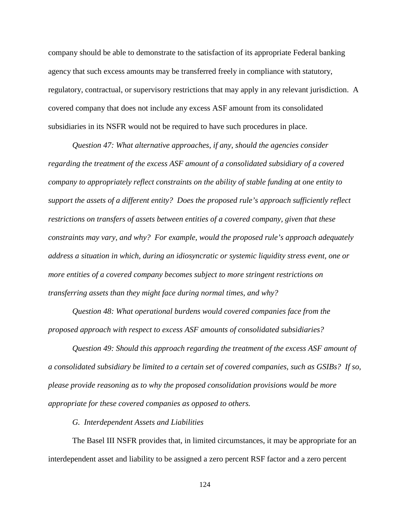company should be able to demonstrate to the satisfaction of its appropriate Federal banking agency that such excess amounts may be transferred freely in compliance with statutory, regulatory, contractual, or supervisory restrictions that may apply in any relevant jurisdiction. A covered company that does not include any excess ASF amount from its consolidated subsidiaries in its NSFR would not be required to have such procedures in place.

*Question 47: What alternative approaches, if any, should the agencies consider regarding the treatment of the excess ASF amount of a consolidated subsidiary of a covered company to appropriately reflect constraints on the ability of stable funding at one entity to support the assets of a different entity? Does the proposed rule's approach sufficiently reflect restrictions on transfers of assets between entities of a covered company, given that these constraints may vary, and why? For example, would the proposed rule's approach adequately address a situation in which, during an idiosyncratic or systemic liquidity stress event, one or more entities of a covered company becomes subject to more stringent restrictions on transferring assets than they might face during normal times, and why?*

*Question 48: What operational burdens would covered companies face from the proposed approach with respect to excess ASF amounts of consolidated subsidiaries?*

*Question 49: Should this approach regarding the treatment of the excess ASF amount of a consolidated subsidiary be limited to a certain set of covered companies, such as GSIBs? If so, please provide reasoning as to why the proposed consolidation provisions would be more appropriate for these covered companies as opposed to others.*

*G. Interdependent Assets and Liabilities*

The Basel III NSFR provides that, in limited circumstances, it may be appropriate for an interdependent asset and liability to be assigned a zero percent RSF factor and a zero percent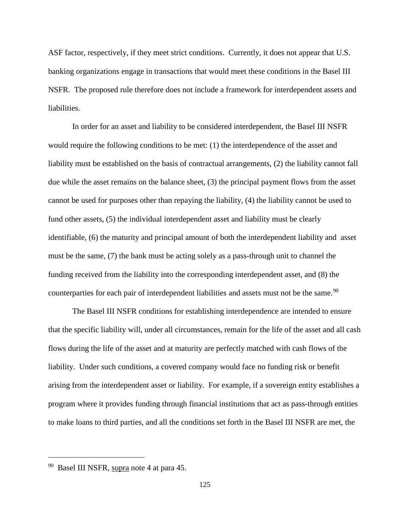ASF factor, respectively, if they meet strict conditions. Currently, it does not appear that U.S. banking organizations engage in transactions that would meet these conditions in the Basel III NSFR. The proposed rule therefore does not include a framework for interdependent assets and liabilities.

In order for an asset and liability to be considered interdependent, the Basel III NSFR would require the following conditions to be met: (1) the interdependence of the asset and liability must be established on the basis of contractual arrangements, (2) the liability cannot fall due while the asset remains on the balance sheet, (3) the principal payment flows from the asset cannot be used for purposes other than repaying the liability, (4) the liability cannot be used to fund other assets, (5) the individual interdependent asset and liability must be clearly identifiable, (6) the maturity and principal amount of both the interdependent liability and asset must be the same, (7) the bank must be acting solely as a pass-through unit to channel the funding received from the liability into the corresponding interdependent asset, and (8) the counterparties for each pair of interdependent liabilities and assets must not be the same.<sup>[90](#page-124-0)</sup>

The Basel III NSFR conditions for establishing interdependence are intended to ensure that the specific liability will, under all circumstances, remain for the life of the asset and all cash flows during the life of the asset and at maturity are perfectly matched with cash flows of the liability. Under such conditions, a covered company would face no funding risk or benefit arising from the interdependent asset or liability. For example, if a sovereign entity establishes a program where it provides funding through financial institutions that act as pass-through entities to make loans to third parties, and all the conditions set forth in the Basel III NSFR are met, the

<span id="page-124-0"></span><sup>&</sup>lt;sup>90</sup> Basel III NSFR, supra note 4 at para 45.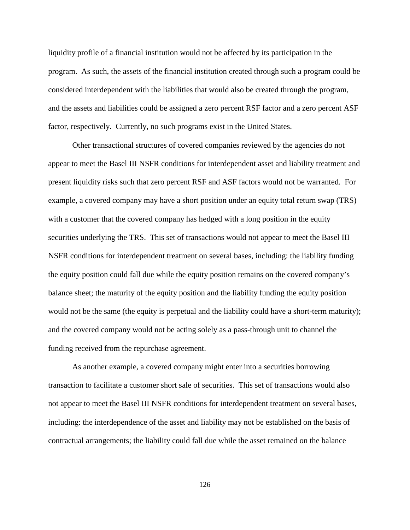liquidity profile of a financial institution would not be affected by its participation in the program. As such, the assets of the financial institution created through such a program could be considered interdependent with the liabilities that would also be created through the program, and the assets and liabilities could be assigned a zero percent RSF factor and a zero percent ASF factor, respectively. Currently, no such programs exist in the United States.

Other transactional structures of covered companies reviewed by the agencies do not appear to meet the Basel III NSFR conditions for interdependent asset and liability treatment and present liquidity risks such that zero percent RSF and ASF factors would not be warranted. For example, a covered company may have a short position under an equity total return swap (TRS) with a customer that the covered company has hedged with a long position in the equity securities underlying the TRS. This set of transactions would not appear to meet the Basel III NSFR conditions for interdependent treatment on several bases, including: the liability funding the equity position could fall due while the equity position remains on the covered company's balance sheet; the maturity of the equity position and the liability funding the equity position would not be the same (the equity is perpetual and the liability could have a short-term maturity); and the covered company would not be acting solely as a pass-through unit to channel the funding received from the repurchase agreement.

As another example, a covered company might enter into a securities borrowing transaction to facilitate a customer short sale of securities. This set of transactions would also not appear to meet the Basel III NSFR conditions for interdependent treatment on several bases, including: the interdependence of the asset and liability may not be established on the basis of contractual arrangements; the liability could fall due while the asset remained on the balance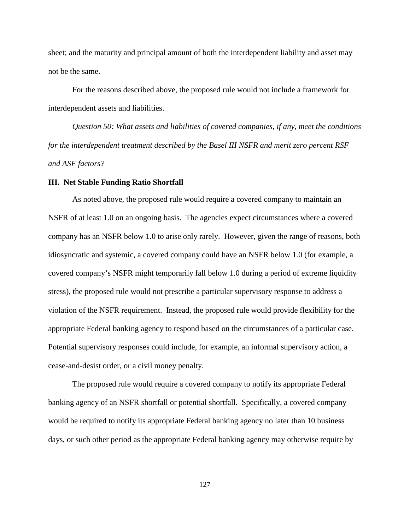sheet; and the maturity and principal amount of both the interdependent liability and asset may not be the same.

For the reasons described above, the proposed rule would not include a framework for interdependent assets and liabilities.

*Question 50: What assets and liabilities of covered companies, if any, meet the conditions for the interdependent treatment described by the Basel III NSFR and merit zero percent RSF and ASF factors?*

#### **III. Net Stable Funding Ratio Shortfall**

As noted above, the proposed rule would require a covered company to maintain an NSFR of at least 1.0 on an ongoing basis. The agencies expect circumstances where a covered company has an NSFR below 1.0 to arise only rarely. However, given the range of reasons, both idiosyncratic and systemic, a covered company could have an NSFR below 1.0 (for example, a covered company's NSFR might temporarily fall below 1.0 during a period of extreme liquidity stress), the proposed rule would not prescribe a particular supervisory response to address a violation of the NSFR requirement. Instead, the proposed rule would provide flexibility for the appropriate Federal banking agency to respond based on the circumstances of a particular case. Potential supervisory responses could include, for example, an informal supervisory action, a cease-and-desist order, or a civil money penalty.

The proposed rule would require a covered company to notify its appropriate Federal banking agency of an NSFR shortfall or potential shortfall. Specifically, a covered company would be required to notify its appropriate Federal banking agency no later than 10 business days, or such other period as the appropriate Federal banking agency may otherwise require by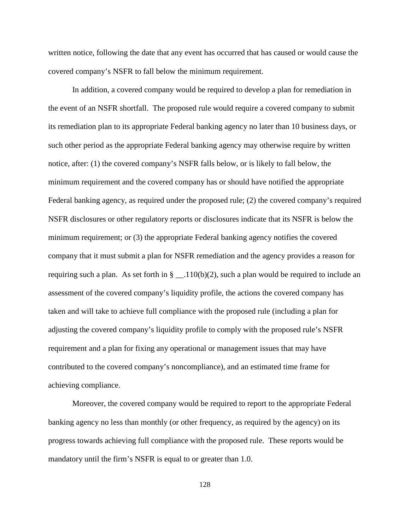written notice, following the date that any event has occurred that has caused or would cause the covered company's NSFR to fall below the minimum requirement.

In addition, a covered company would be required to develop a plan for remediation in the event of an NSFR shortfall. The proposed rule would require a covered company to submit its remediation plan to its appropriate Federal banking agency no later than 10 business days, or such other period as the appropriate Federal banking agency may otherwise require by written notice, after: (1) the covered company's NSFR falls below, or is likely to fall below, the minimum requirement and the covered company has or should have notified the appropriate Federal banking agency, as required under the proposed rule; (2) the covered company's required NSFR disclosures or other regulatory reports or disclosures indicate that its NSFR is below the minimum requirement; or (3) the appropriate Federal banking agency notifies the covered company that it must submit a plan for NSFR remediation and the agency provides a reason for requiring such a plan. As set forth in  $\S$  \_\_.110(b)(2), such a plan would be required to include an assessment of the covered company's liquidity profile, the actions the covered company has taken and will take to achieve full compliance with the proposed rule (including a plan for adjusting the covered company's liquidity profile to comply with the proposed rule's NSFR requirement and a plan for fixing any operational or management issues that may have contributed to the covered company's noncompliance), and an estimated time frame for achieving compliance.

Moreover, the covered company would be required to report to the appropriate Federal banking agency no less than monthly (or other frequency, as required by the agency) on its progress towards achieving full compliance with the proposed rule. These reports would be mandatory until the firm's NSFR is equal to or greater than 1.0.

128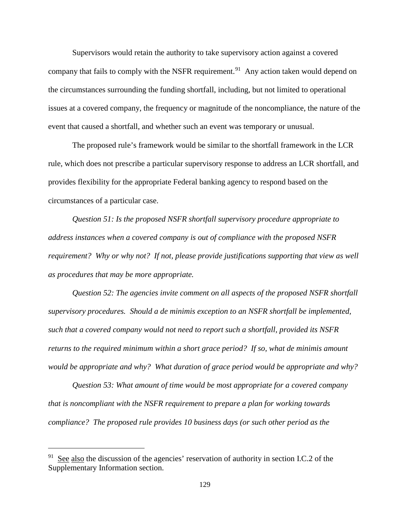Supervisors would retain the authority to take supervisory action against a covered company that fails to comply with the NSFR requirement.<sup>91</sup> Any action taken would depend on the circumstances surrounding the funding shortfall, including, but not limited to operational issues at a covered company, the frequency or magnitude of the noncompliance, the nature of the event that caused a shortfall, and whether such an event was temporary or unusual.

The proposed rule's framework would be similar to the shortfall framework in the LCR rule, which does not prescribe a particular supervisory response to address an LCR shortfall, and provides flexibility for the appropriate Federal banking agency to respond based on the circumstances of a particular case.

*Question 51: Is the proposed NSFR shortfall supervisory procedure appropriate to address instances when a covered company is out of compliance with the proposed NSFR requirement?* Why or why not? If not, please provide justifications supporting that view as well *as procedures that may be more appropriate.*

*Question 52: The agencies invite comment on all aspects of the proposed NSFR shortfall supervisory procedures. Should a de minimis exception to an NSFR shortfall be implemented, such that a covered company would not need to report such a shortfall, provided its NSFR returns to the required minimum within a short grace period? If so, what de minimis amount would be appropriate and why? What duration of grace period would be appropriate and why?*

*Question 53: What amount of time would be most appropriate for a covered company that is noncompliant with the NSFR requirement to prepare a plan for working towards compliance? The proposed rule provides 10 business days (or such other period as the* 

<span id="page-128-0"></span> $91$  See also the discussion of the agencies' reservation of authority in section I.C.2 of the Supplementary Information section.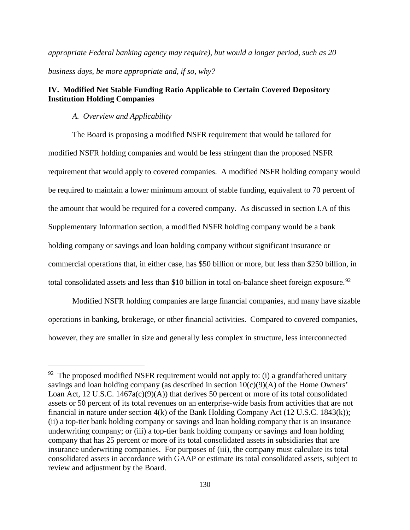*appropriate Federal banking agency may require), but would a longer period, such as 20 business days, be more appropriate and, if so, why?*

# **IV. Modified Net Stable Funding Ratio Applicable to Certain Covered Depository Institution Holding Companies**

#### *A. Overview and Applicability*

 $\overline{a}$ 

The Board is proposing a modified NSFR requirement that would be tailored for modified NSFR holding companies and would be less stringent than the proposed NSFR requirement that would apply to covered companies. A modified NSFR holding company would be required to maintain a lower minimum amount of stable funding, equivalent to 70 percent of the amount that would be required for a covered company. As discussed in section I.A of this Supplementary Information section, a modified NSFR holding company would be a bank holding company or savings and loan holding company without significant insurance or commercial operations that, in either case, has \$50 billion or more, but less than \$250 billion, in total consolidated assets and less than \$10 billion in total on-balance sheet foreign exposure.<sup>[92](#page-129-0)</sup>

Modified NSFR holding companies are large financial companies, and many have sizable operations in banking, brokerage, or other financial activities. Compared to covered companies, however, they are smaller in size and generally less complex in structure, less interconnected

<span id="page-129-0"></span> $92$  The proposed modified NSFR requirement would not apply to: (i) a grandfathered unitary savings and loan holding company (as described in section  $10(c)(9)(A)$  of the Home Owners' Loan Act, 12 U.S.C.  $1467a(c)(9)(A)$  that derives 50 percent or more of its total consolidated assets or 50 percent of its total revenues on an enterprise-wide basis from activities that are not financial in nature under section 4(k) of the Bank Holding Company Act (12 U.S.C. 1843(k)); (ii) a top-tier bank holding company or savings and loan holding company that is an insurance underwriting company; or (iii) a top-tier bank holding company or savings and loan holding company that has 25 percent or more of its total consolidated assets in subsidiaries that are insurance underwriting companies. For purposes of (iii), the company must calculate its total consolidated assets in accordance with GAAP or estimate its total consolidated assets, subject to review and adjustment by the Board.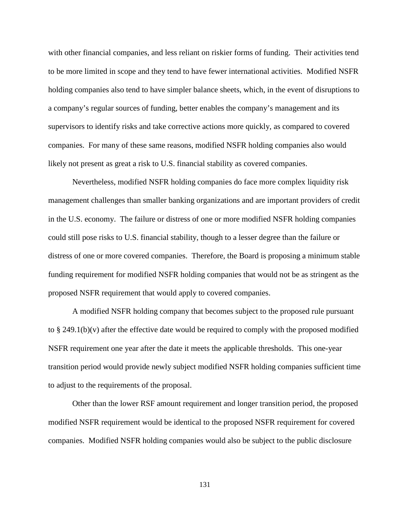with other financial companies, and less reliant on riskier forms of funding. Their activities tend to be more limited in scope and they tend to have fewer international activities. Modified NSFR holding companies also tend to have simpler balance sheets, which, in the event of disruptions to a company's regular sources of funding, better enables the company's management and its supervisors to identify risks and take corrective actions more quickly, as compared to covered companies. For many of these same reasons, modified NSFR holding companies also would likely not present as great a risk to U.S. financial stability as covered companies.

Nevertheless, modified NSFR holding companies do face more complex liquidity risk management challenges than smaller banking organizations and are important providers of credit in the U.S. economy. The failure or distress of one or more modified NSFR holding companies could still pose risks to U.S. financial stability, though to a lesser degree than the failure or distress of one or more covered companies. Therefore, the Board is proposing a minimum stable funding requirement for modified NSFR holding companies that would not be as stringent as the proposed NSFR requirement that would apply to covered companies.

A modified NSFR holding company that becomes subject to the proposed rule pursuant to § 249.1(b)(v) after the effective date would be required to comply with the proposed modified NSFR requirement one year after the date it meets the applicable thresholds. This one-year transition period would provide newly subject modified NSFR holding companies sufficient time to adjust to the requirements of the proposal.

Other than the lower RSF amount requirement and longer transition period, the proposed modified NSFR requirement would be identical to the proposed NSFR requirement for covered companies. Modified NSFR holding companies would also be subject to the public disclosure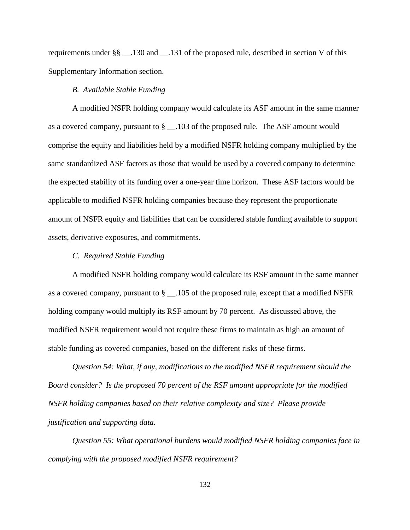requirements under §§ \_\_.130 and \_\_.131 of the proposed rule, described in section V of this Supplementary Information section.

# *B. Available Stable Funding*

A modified NSFR holding company would calculate its ASF amount in the same manner as a covered company, pursuant to § \_\_.103 of the proposed rule. The ASF amount would comprise the equity and liabilities held by a modified NSFR holding company multiplied by the same standardized ASF factors as those that would be used by a covered company to determine the expected stability of its funding over a one-year time horizon. These ASF factors would be applicable to modified NSFR holding companies because they represent the proportionate amount of NSFR equity and liabilities that can be considered stable funding available to support assets, derivative exposures, and commitments.

#### *C. Required Stable Funding*

A modified NSFR holding company would calculate its RSF amount in the same manner as a covered company, pursuant to § \_\_.105 of the proposed rule, except that a modified NSFR holding company would multiply its RSF amount by 70 percent. As discussed above, the modified NSFR requirement would not require these firms to maintain as high an amount of stable funding as covered companies, based on the different risks of these firms.

*Question 54: What, if any, modifications to the modified NSFR requirement should the Board consider? Is the proposed 70 percent of the RSF amount appropriate for the modified NSFR holding companies based on their relative complexity and size? Please provide justification and supporting data.*

*Question 55: What operational burdens would modified NSFR holding companies face in complying with the proposed modified NSFR requirement?*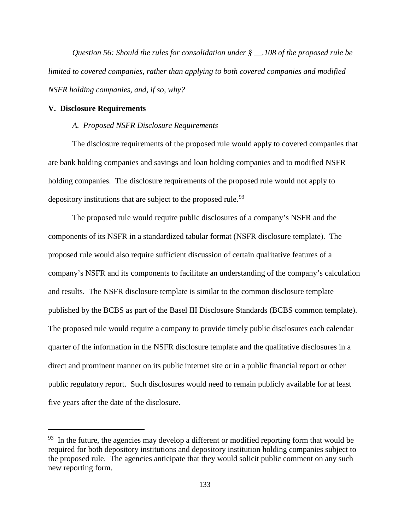*Question 56: Should the rules for consolidation under § \_\_.108 of the proposed rule be limited to covered companies, rather than applying to both covered companies and modified NSFR holding companies, and, if so, why?*

#### **V. Disclosure Requirements**

 $\overline{a}$ 

### *A. Proposed NSFR Disclosure Requirements*

The disclosure requirements of the proposed rule would apply to covered companies that are bank holding companies and savings and loan holding companies and to modified NSFR holding companies. The disclosure requirements of the proposed rule would not apply to depository institutions that are subject to the proposed rule.<sup>[93](#page-132-0)</sup>

The proposed rule would require public disclosures of a company's NSFR and the components of its NSFR in a standardized tabular format (NSFR disclosure template). The proposed rule would also require sufficient discussion of certain qualitative features of a company's NSFR and its components to facilitate an understanding of the company's calculation and results. The NSFR disclosure template is similar to the common disclosure template published by the BCBS as part of the Basel III Disclosure Standards (BCBS common template). The proposed rule would require a company to provide timely public disclosures each calendar quarter of the information in the NSFR disclosure template and the qualitative disclosures in a direct and prominent manner on its public internet site or in a public financial report or other public regulatory report. Such disclosures would need to remain publicly available for at least five years after the date of the disclosure.

<span id="page-132-0"></span> $93$  In the future, the agencies may develop a different or modified reporting form that would be required for both depository institutions and depository institution holding companies subject to the proposed rule. The agencies anticipate that they would solicit public comment on any such new reporting form.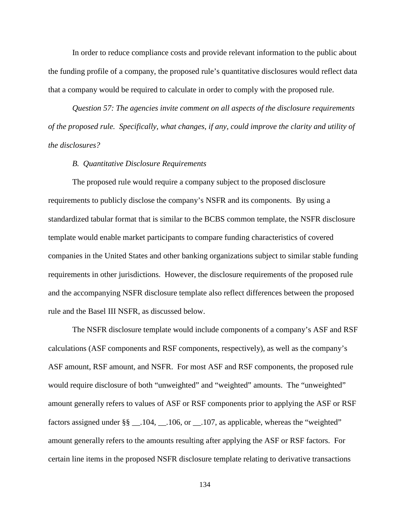In order to reduce compliance costs and provide relevant information to the public about the funding profile of a company, the proposed rule's quantitative disclosures would reflect data that a company would be required to calculate in order to comply with the proposed rule.

*Question 57: The agencies invite comment on all aspects of the disclosure requirements of the proposed rule. Specifically, what changes, if any, could improve the clarity and utility of the disclosures?*

#### *B. Quantitative Disclosure Requirements*

The proposed rule would require a company subject to the proposed disclosure requirements to publicly disclose the company's NSFR and its components. By using a standardized tabular format that is similar to the BCBS common template, the NSFR disclosure template would enable market participants to compare funding characteristics of covered companies in the United States and other banking organizations subject to similar stable funding requirements in other jurisdictions. However, the disclosure requirements of the proposed rule and the accompanying NSFR disclosure template also reflect differences between the proposed rule and the Basel III NSFR, as discussed below.

The NSFR disclosure template would include components of a company's ASF and RSF calculations (ASF components and RSF components, respectively), as well as the company's ASF amount, RSF amount, and NSFR. For most ASF and RSF components, the proposed rule would require disclosure of both "unweighted" and "weighted" amounts. The "unweighted" amount generally refers to values of ASF or RSF components prior to applying the ASF or RSF factors assigned under  $\S\S - 104, -106$ , or  $- 107$ , as applicable, whereas the "weighted" amount generally refers to the amounts resulting after applying the ASF or RSF factors. For certain line items in the proposed NSFR disclosure template relating to derivative transactions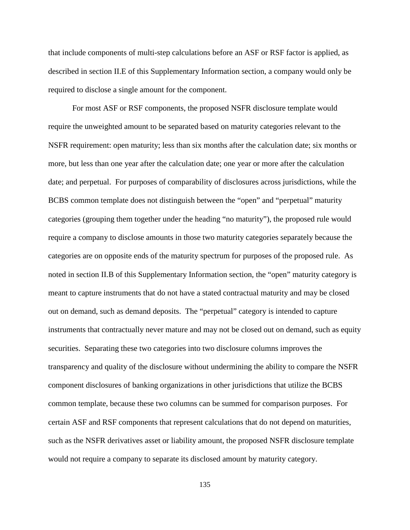that include components of multi-step calculations before an ASF or RSF factor is applied, as described in section II.E of this Supplementary Information section, a company would only be required to disclose a single amount for the component.

For most ASF or RSF components, the proposed NSFR disclosure template would require the unweighted amount to be separated based on maturity categories relevant to the NSFR requirement: open maturity; less than six months after the calculation date; six months or more, but less than one year after the calculation date; one year or more after the calculation date; and perpetual. For purposes of comparability of disclosures across jurisdictions, while the BCBS common template does not distinguish between the "open" and "perpetual" maturity categories (grouping them together under the heading "no maturity"), the proposed rule would require a company to disclose amounts in those two maturity categories separately because the categories are on opposite ends of the maturity spectrum for purposes of the proposed rule. As noted in section II.B of this Supplementary Information section, the "open" maturity category is meant to capture instruments that do not have a stated contractual maturity and may be closed out on demand, such as demand deposits. The "perpetual" category is intended to capture instruments that contractually never mature and may not be closed out on demand, such as equity securities. Separating these two categories into two disclosure columns improves the transparency and quality of the disclosure without undermining the ability to compare the NSFR component disclosures of banking organizations in other jurisdictions that utilize the BCBS common template, because these two columns can be summed for comparison purposes. For certain ASF and RSF components that represent calculations that do not depend on maturities, such as the NSFR derivatives asset or liability amount, the proposed NSFR disclosure template would not require a company to separate its disclosed amount by maturity category.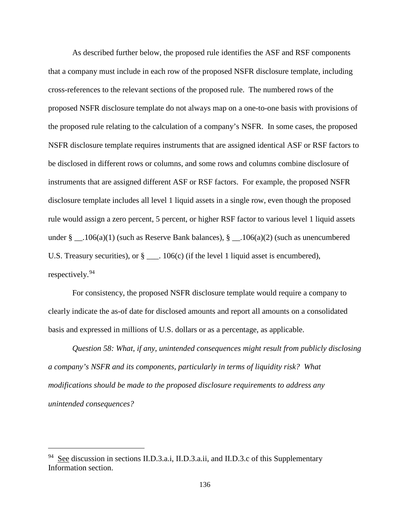As described further below, the proposed rule identifies the ASF and RSF components that a company must include in each row of the proposed NSFR disclosure template, including cross-references to the relevant sections of the proposed rule. The numbered rows of the proposed NSFR disclosure template do not always map on a one-to-one basis with provisions of the proposed rule relating to the calculation of a company's NSFR. In some cases, the proposed NSFR disclosure template requires instruments that are assigned identical ASF or RSF factors to be disclosed in different rows or columns, and some rows and columns combine disclosure of instruments that are assigned different ASF or RSF factors. For example, the proposed NSFR disclosure template includes all level 1 liquid assets in a single row, even though the proposed rule would assign a zero percent, 5 percent, or higher RSF factor to various level 1 liquid assets under  $\S$  \_\_.106(a)(1) (such as Reserve Bank balances),  $\S$  \_\_.106(a)(2) (such as unencumbered U.S. Treasury securities), or  $\S$  \_\_\_. 106(c) (if the level 1 liquid asset is encumbered), respectively. [94](#page-135-0)

For consistency, the proposed NSFR disclosure template would require a company to clearly indicate the as-of date for disclosed amounts and report all amounts on a consolidated basis and expressed in millions of U.S. dollars or as a percentage, as applicable.

*Question 58: What, if any, unintended consequences might result from publicly disclosing a company's NSFR and its components, particularly in terms of liquidity risk? What modifications should be made to the proposed disclosure requirements to address any unintended consequences?*

<span id="page-135-0"></span><sup>&</sup>lt;sup>94</sup> See discussion in sections II.D.3.a.i, II.D.3.a.ii, and II.D.3.c of this Supplementary Information section.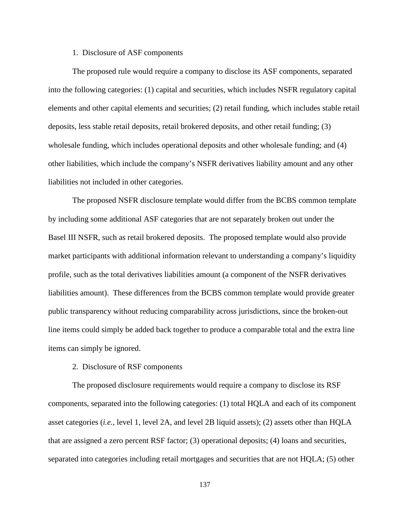## 1. Disclosure of ASF components

The proposed rule would require a company to disclose its ASF components, separated into the following categories: (1) capital and securities, which includes NSFR regulatory capital elements and other capital elements and securities; (2) retail funding, which includes stable retail deposits, less stable retail deposits, retail brokered deposits, and other retail funding; (3) wholesale funding, which includes operational deposits and other wholesale funding; and (4) other liabilities, which include the company's NSFR derivatives liability amount and any other liabilities not included in other categories.

The proposed NSFR disclosure template would differ from the BCBS common template by including some additional ASF categories that are not separately broken out under the Basel III NSFR, such as retail brokered deposits. The proposed template would also provide market participants with additional information relevant to understanding a company's liquidity profile, such as the total derivatives liabilities amount (a component of the NSFR derivatives liabilities amount). These differences from the BCBS common template would provide greater public transparency without reducing comparability across jurisdictions, since the broken-out line items could simply be added back together to produce a comparable total and the extra line items can simply be ignored.

#### 2. Disclosure of RSF components

The proposed disclosure requirements would require a company to disclose its RSF components, separated into the following categories: (1) total HQLA and each of its component asset categories (*i.e.*, level 1, level 2A, and level 2B liquid assets); (2) assets other than HQLA that are assigned a zero percent RSF factor; (3) operational deposits; (4) loans and securities, separated into categories including retail mortgages and securities that are not HQLA; (5) other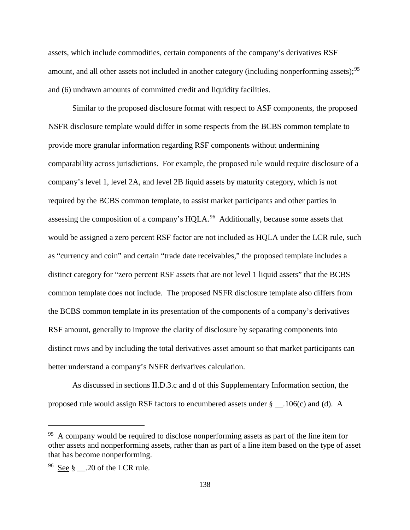assets, which include commodities, certain components of the company's derivatives RSF amount, and all other assets not included in another category (including nonperforming assets);<sup>[95](#page-137-0)</sup> and (6) undrawn amounts of committed credit and liquidity facilities.

Similar to the proposed disclosure format with respect to ASF components, the proposed NSFR disclosure template would differ in some respects from the BCBS common template to provide more granular information regarding RSF components without undermining comparability across jurisdictions. For example, the proposed rule would require disclosure of a company's level 1, level 2A, and level 2B liquid assets by maturity category, which is not required by the BCBS common template, to assist market participants and other parties in assessing the composition of a company's HQLA.<sup>96</sup> Additionally, because some assets that would be assigned a zero percent RSF factor are not included as HQLA under the LCR rule, such as "currency and coin" and certain "trade date receivables," the proposed template includes a distinct category for "zero percent RSF assets that are not level 1 liquid assets" that the BCBS common template does not include. The proposed NSFR disclosure template also differs from the BCBS common template in its presentation of the components of a company's derivatives RSF amount, generally to improve the clarity of disclosure by separating components into distinct rows and by including the total derivatives asset amount so that market participants can better understand a company's NSFR derivatives calculation.

As discussed in sections II.D.3.c and d of this Supplementary Information section, the proposed rule would assign RSF factors to encumbered assets under § \_\_.106(c) and (d). A

<span id="page-137-0"></span><sup>&</sup>lt;sup>95</sup> A company would be required to disclose nonperforming assets as part of the line item for other assets and nonperforming assets, rather than as part of a line item based on the type of asset that has become nonperforming.

<span id="page-137-1"></span> $96$  See § .20 of the LCR rule.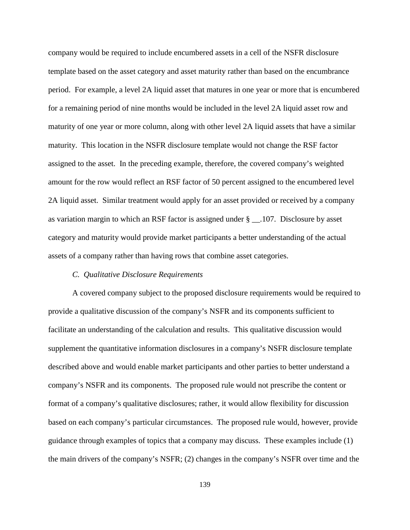company would be required to include encumbered assets in a cell of the NSFR disclosure template based on the asset category and asset maturity rather than based on the encumbrance period. For example, a level 2A liquid asset that matures in one year or more that is encumbered for a remaining period of nine months would be included in the level 2A liquid asset row and maturity of one year or more column, along with other level 2A liquid assets that have a similar maturity. This location in the NSFR disclosure template would not change the RSF factor assigned to the asset. In the preceding example, therefore, the covered company's weighted amount for the row would reflect an RSF factor of 50 percent assigned to the encumbered level 2A liquid asset. Similar treatment would apply for an asset provided or received by a company as variation margin to which an RSF factor is assigned under § \_\_.107. Disclosure by asset category and maturity would provide market participants a better understanding of the actual assets of a company rather than having rows that combine asset categories.

## *C. Qualitative Disclosure Requirements*

A covered company subject to the proposed disclosure requirements would be required to provide a qualitative discussion of the company's NSFR and its components sufficient to facilitate an understanding of the calculation and results. This qualitative discussion would supplement the quantitative information disclosures in a company's NSFR disclosure template described above and would enable market participants and other parties to better understand a company's NSFR and its components. The proposed rule would not prescribe the content or format of a company's qualitative disclosures; rather, it would allow flexibility for discussion based on each company's particular circumstances. The proposed rule would, however, provide guidance through examples of topics that a company may discuss. These examples include (1) the main drivers of the company's NSFR; (2) changes in the company's NSFR over time and the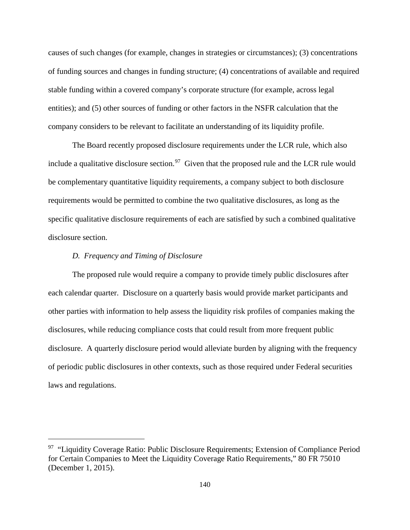causes of such changes (for example, changes in strategies or circumstances); (3) concentrations of funding sources and changes in funding structure; (4) concentrations of available and required stable funding within a covered company's corporate structure (for example, across legal entities); and (5) other sources of funding or other factors in the NSFR calculation that the company considers to be relevant to facilitate an understanding of its liquidity profile.

The Board recently proposed disclosure requirements under the LCR rule, which also include a qualitative disclosure section.<sup>97</sup> Given that the proposed rule and the LCR rule would be complementary quantitative liquidity requirements, a company subject to both disclosure requirements would be permitted to combine the two qualitative disclosures, as long as the specific qualitative disclosure requirements of each are satisfied by such a combined qualitative disclosure section.

# *D. Frequency and Timing of Disclosure*

 $\overline{a}$ 

The proposed rule would require a company to provide timely public disclosures after each calendar quarter. Disclosure on a quarterly basis would provide market participants and other parties with information to help assess the liquidity risk profiles of companies making the disclosures, while reducing compliance costs that could result from more frequent public disclosure. A quarterly disclosure period would alleviate burden by aligning with the frequency of periodic public disclosures in other contexts, such as those required under Federal securities laws and regulations.

<span id="page-139-0"></span> $97$  "Liquidity Coverage Ratio: Public Disclosure Requirements; Extension of Compliance Period for Certain Companies to Meet the Liquidity Coverage Ratio Requirements," 80 FR 75010 (December 1, 2015).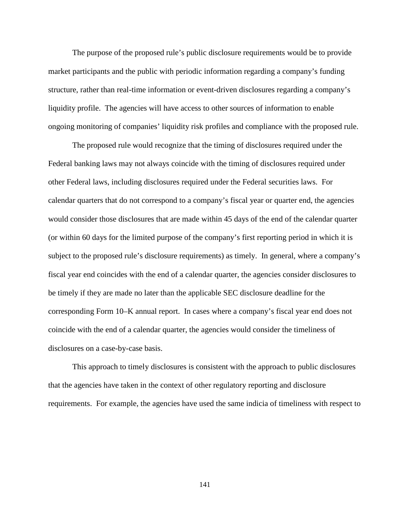The purpose of the proposed rule's public disclosure requirements would be to provide market participants and the public with periodic information regarding a company's funding structure, rather than real-time information or event-driven disclosures regarding a company's liquidity profile. The agencies will have access to other sources of information to enable ongoing monitoring of companies' liquidity risk profiles and compliance with the proposed rule.

The proposed rule would recognize that the timing of disclosures required under the Federal banking laws may not always coincide with the timing of disclosures required under other Federal laws, including disclosures required under the Federal securities laws. For calendar quarters that do not correspond to a company's fiscal year or quarter end, the agencies would consider those disclosures that are made within 45 days of the end of the calendar quarter (or within 60 days for the limited purpose of the company's first reporting period in which it is subject to the proposed rule's disclosure requirements) as timely. In general, where a company's fiscal year end coincides with the end of a calendar quarter, the agencies consider disclosures to be timely if they are made no later than the applicable SEC disclosure deadline for the corresponding Form 10–K annual report. In cases where a company's fiscal year end does not coincide with the end of a calendar quarter, the agencies would consider the timeliness of disclosures on a case-by-case basis.

This approach to timely disclosures is consistent with the approach to public disclosures that the agencies have taken in the context of other regulatory reporting and disclosure requirements. For example, the agencies have used the same indicia of timeliness with respect to

141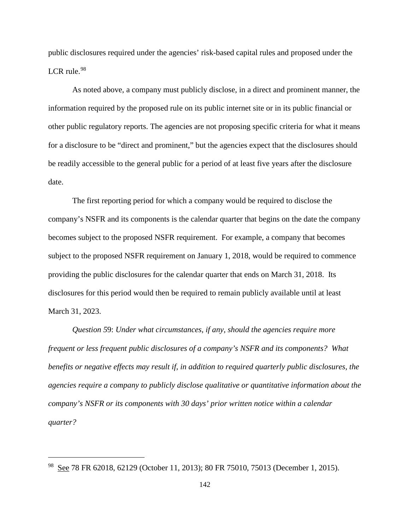public disclosures required under the agencies' risk-based capital rules and proposed under the LCR rule.<sup>[98](#page-141-0)</sup>

As noted above, a company must publicly disclose, in a direct and prominent manner, the information required by the proposed rule on its public internet site or in its public financial or other public regulatory reports. The agencies are not proposing specific criteria for what it means for a disclosure to be "direct and prominent," but the agencies expect that the disclosures should be readily accessible to the general public for a period of at least five years after the disclosure date.

The first reporting period for which a company would be required to disclose the company's NSFR and its components is the calendar quarter that begins on the date the company becomes subject to the proposed NSFR requirement. For example, a company that becomes subject to the proposed NSFR requirement on January 1, 2018, would be required to commence providing the public disclosures for the calendar quarter that ends on March 31, 2018. Its disclosures for this period would then be required to remain publicly available until at least March 31, 2023.

*Question 5*9: *Under what circumstances, if any, should the agencies require more frequent or less frequent public disclosures of a company's NSFR and its components? What benefits or negative effects may result if, in addition to required quarterly public disclosures, the agencies require a company to publicly disclose qualitative or quantitative information about the company's NSFR or its components with 30 days' prior written notice within a calendar quarter?*

<span id="page-141-0"></span><sup>98</sup> See 78 FR 62018, 62129 (October 11, 2013); 80 FR 75010, 75013 (December 1, 2015).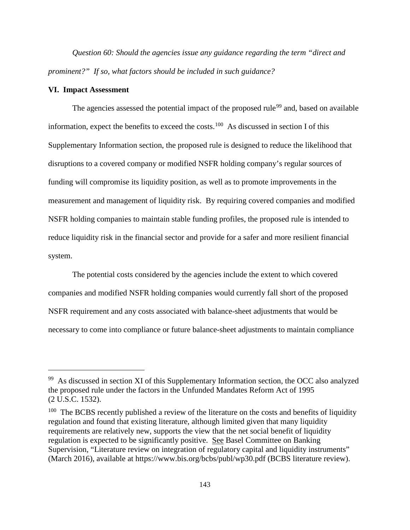*Question 60: Should the agencies issue any guidance regarding the term "direct and prominent?" If so, what factors should be included in such guidance?*

## **VI. Impact Assessment**

 $\overline{a}$ 

The agencies assessed the potential impact of the proposed rule<sup>[99](#page-142-0)</sup> and, based on available information, expect the benefits to exceed the costs.<sup>100</sup> As discussed in section I of this Supplementary Information section, the proposed rule is designed to reduce the likelihood that disruptions to a covered company or modified NSFR holding company's regular sources of funding will compromise its liquidity position, as well as to promote improvements in the measurement and management of liquidity risk. By requiring covered companies and modified NSFR holding companies to maintain stable funding profiles, the proposed rule is intended to reduce liquidity risk in the financial sector and provide for a safer and more resilient financial system.

The potential costs considered by the agencies include the extent to which covered companies and modified NSFR holding companies would currently fall short of the proposed NSFR requirement and any costs associated with balance-sheet adjustments that would be necessary to come into compliance or future balance-sheet adjustments to maintain compliance

<span id="page-142-0"></span> $99$  As discussed in section XI of this Supplementary Information section, the OCC also analyzed the proposed rule under the factors in the Unfunded Mandates Reform Act of 1995 (2 U.S.C. 1532).

<span id="page-142-1"></span> $100$  The BCBS recently published a review of the literature on the costs and benefits of liquidity regulation and found that existing literature, although limited given that many liquidity requirements are relatively new, supports the view that the net social benefit of liquidity regulation is expected to be significantly positive. See Basel Committee on Banking Supervision, "Literature review on integration of regulatory capital and liquidity instruments" (March 2016), available at https://www.bis.org/bcbs/publ/wp30.pdf (BCBS literature review).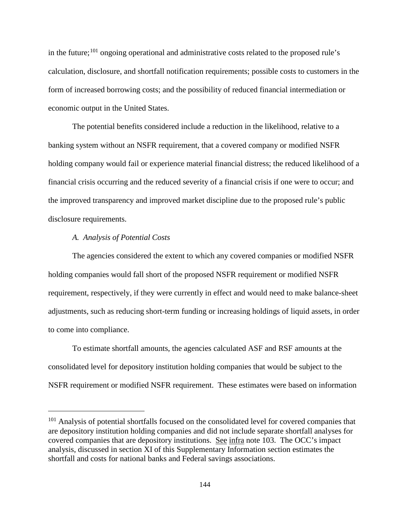in the future;  $^{101}$  $^{101}$  $^{101}$  ongoing operational and administrative costs related to the proposed rule's calculation, disclosure, and shortfall notification requirements; possible costs to customers in the form of increased borrowing costs; and the possibility of reduced financial intermediation or economic output in the United States.

The potential benefits considered include a reduction in the likelihood, relative to a banking system without an NSFR requirement, that a covered company or modified NSFR holding company would fail or experience material financial distress; the reduced likelihood of a financial crisis occurring and the reduced severity of a financial crisis if one were to occur; and the improved transparency and improved market discipline due to the proposed rule's public disclosure requirements.

# *A. Analysis of Potential Costs*

 $\overline{a}$ 

The agencies considered the extent to which any covered companies or modified NSFR holding companies would fall short of the proposed NSFR requirement or modified NSFR requirement, respectively, if they were currently in effect and would need to make balance-sheet adjustments, such as reducing short-term funding or increasing holdings of liquid assets, in order to come into compliance.

To estimate shortfall amounts, the agencies calculated ASF and RSF amounts at the consolidated level for depository institution holding companies that would be subject to the NSFR requirement or modified NSFR requirement. These estimates were based on information

<span id="page-143-0"></span><sup>&</sup>lt;sup>101</sup> Analysis of potential shortfalls focused on the consolidated level for covered companies that are depository institution holding companies and did not include separate shortfall analyses for covered companies that are depository institutions. See infra note 103. The OCC's impact analysis, discussed in section XI of this Supplementary Information section estimates the shortfall and costs for national banks and Federal savings associations.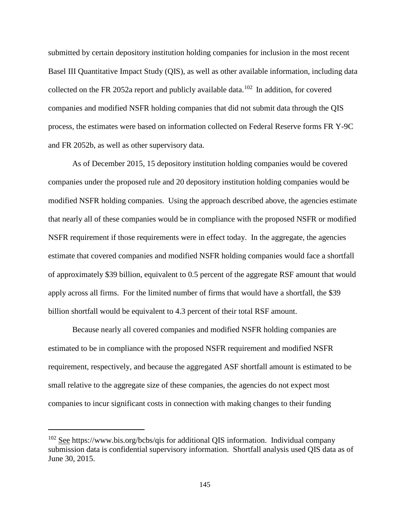submitted by certain depository institution holding companies for inclusion in the most recent Basel III Quantitative Impact Study (QIS), as well as other available information, including data collected on the FR 2052a report and publicly available data.<sup>[102](#page-144-0)</sup> In addition, for covered companies and modified NSFR holding companies that did not submit data through the QIS process, the estimates were based on information collected on Federal Reserve forms FR Y-9C and FR 2052b, as well as other supervisory data.

As of December 2015, 15 depository institution holding companies would be covered companies under the proposed rule and 20 depository institution holding companies would be modified NSFR holding companies. Using the approach described above, the agencies estimate that nearly all of these companies would be in compliance with the proposed NSFR or modified NSFR requirement if those requirements were in effect today. In the aggregate, the agencies estimate that covered companies and modified NSFR holding companies would face a shortfall of approximately \$39 billion, equivalent to 0.5 percent of the aggregate RSF amount that would apply across all firms. For the limited number of firms that would have a shortfall, the \$39 billion shortfall would be equivalent to 4.3 percent of their total RSF amount.

Because nearly all covered companies and modified NSFR holding companies are estimated to be in compliance with the proposed NSFR requirement and modified NSFR requirement, respectively, and because the aggregated ASF shortfall amount is estimated to be small relative to the aggregate size of these companies, the agencies do not expect most companies to incur significant costs in connection with making changes to their funding

<span id="page-144-0"></span> $102$  See https://www.bis.org/bcbs/qis for additional QIS information. Individual company submission data is confidential supervisory information. Shortfall analysis used QIS data as of June 30, 2015.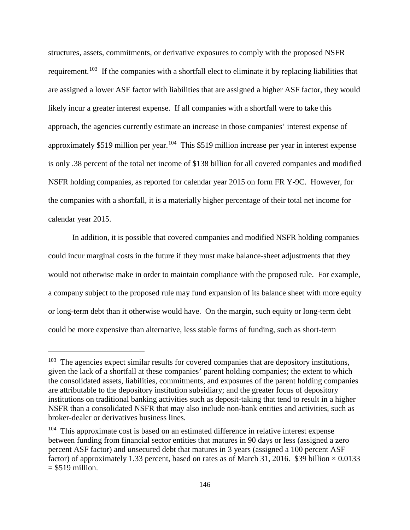structures, assets, commitments, or derivative exposures to comply with the proposed NSFR requirement.<sup>103</sup> If the companies with a shortfall elect to eliminate it by replacing liabilities that are assigned a lower ASF factor with liabilities that are assigned a higher ASF factor, they would likely incur a greater interest expense. If all companies with a shortfall were to take this approach, the agencies currently estimate an increase in those companies' interest expense of approximately \$519 million per year.<sup>[104](#page-145-1)</sup> This \$519 million increase per year in interest expense is only .38 percent of the total net income of \$138 billion for all covered companies and modified NSFR holding companies, as reported for calendar year 2015 on form FR Y-9C. However, for the companies with a shortfall, it is a materially higher percentage of their total net income for calendar year 2015.

In addition, it is possible that covered companies and modified NSFR holding companies could incur marginal costs in the future if they must make balance-sheet adjustments that they would not otherwise make in order to maintain compliance with the proposed rule. For example, a company subject to the proposed rule may fund expansion of its balance sheet with more equity or long-term debt than it otherwise would have. On the margin, such equity or long-term debt could be more expensive than alternative, less stable forms of funding, such as short-term

<span id="page-145-0"></span> $103$  The agencies expect similar results for covered companies that are depository institutions, given the lack of a shortfall at these companies' parent holding companies; the extent to which the consolidated assets, liabilities, commitments, and exposures of the parent holding companies are attributable to the depository institution subsidiary; and the greater focus of depository institutions on traditional banking activities such as deposit-taking that tend to result in a higher NSFR than a consolidated NSFR that may also include non-bank entities and activities, such as broker-dealer or derivatives business lines.

<span id="page-145-1"></span><sup>&</sup>lt;sup>104</sup> This approximate cost is based on an estimated difference in relative interest expense between funding from financial sector entities that matures in 90 days or less (assigned a zero percent ASF factor) and unsecured debt that matures in 3 years (assigned a 100 percent ASF factor) of approximately 1.33 percent, based on rates as of March 31, 2016. \$39 billion  $\times$  0.0133  $= $519$  million.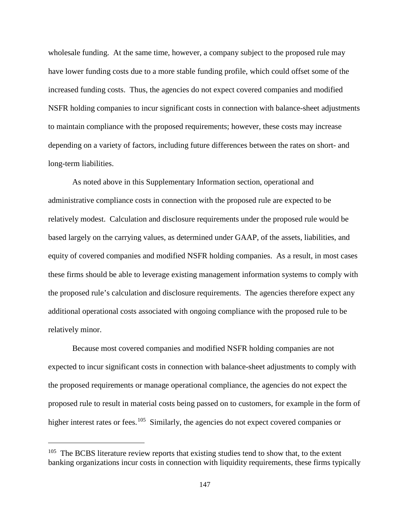wholesale funding. At the same time, however, a company subject to the proposed rule may have lower funding costs due to a more stable funding profile, which could offset some of the increased funding costs. Thus, the agencies do not expect covered companies and modified NSFR holding companies to incur significant costs in connection with balance-sheet adjustments to maintain compliance with the proposed requirements; however, these costs may increase depending on a variety of factors, including future differences between the rates on short- and long-term liabilities.

As noted above in this Supplementary Information section, operational and administrative compliance costs in connection with the proposed rule are expected to be relatively modest. Calculation and disclosure requirements under the proposed rule would be based largely on the carrying values, as determined under GAAP, of the assets, liabilities, and equity of covered companies and modified NSFR holding companies. As a result, in most cases these firms should be able to leverage existing management information systems to comply with the proposed rule's calculation and disclosure requirements. The agencies therefore expect any additional operational costs associated with ongoing compliance with the proposed rule to be relatively minor.

Because most covered companies and modified NSFR holding companies are not expected to incur significant costs in connection with balance-sheet adjustments to comply with the proposed requirements or manage operational compliance, the agencies do not expect the proposed rule to result in material costs being passed on to customers, for example in the form of higher interest rates or fees.<sup>105</sup> Similarly, the agencies do not expect covered companies or

<span id="page-146-0"></span> $105$  The BCBS literature review reports that existing studies tend to show that, to the extent banking organizations incur costs in connection with liquidity requirements, these firms typically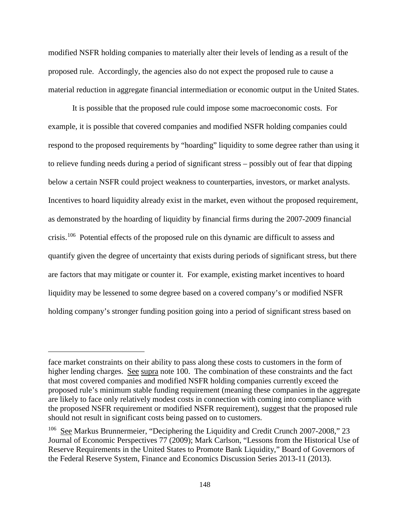modified NSFR holding companies to materially alter their levels of lending as a result of the proposed rule. Accordingly, the agencies also do not expect the proposed rule to cause a material reduction in aggregate financial intermediation or economic output in the United States.

It is possible that the proposed rule could impose some macroeconomic costs. For example, it is possible that covered companies and modified NSFR holding companies could respond to the proposed requirements by "hoarding" liquidity to some degree rather than using it to relieve funding needs during a period of significant stress – possibly out of fear that dipping below a certain NSFR could project weakness to counterparties, investors, or market analysts. Incentives to hoard liquidity already exist in the market, even without the proposed requirement, as demonstrated by the hoarding of liquidity by financial firms during the 2007-2009 financial crisis.[106](#page-147-0) Potential effects of the proposed rule on this dynamic are difficult to assess and quantify given the degree of uncertainty that exists during periods of significant stress, but there are factors that may mitigate or counter it. For example, existing market incentives to hoard liquidity may be lessened to some degree based on a covered company's or modified NSFR holding company's stronger funding position going into a period of significant stress based on

face market constraints on their ability to pass along these costs to customers in the form of higher lending charges. See supra note 100. The combination of these constraints and the fact that most covered companies and modified NSFR holding companies currently exceed the proposed rule's minimum stable funding requirement (meaning these companies in the aggregate are likely to face only relatively modest costs in connection with coming into compliance with the proposed NSFR requirement or modified NSFR requirement), suggest that the proposed rule should not result in significant costs being passed on to customers.

<span id="page-147-0"></span><sup>&</sup>lt;sup>106</sup> See Markus Brunnermeier, "Deciphering the Liquidity and Credit Crunch 2007-2008," 23 Journal of Economic Perspectives 77 (2009); Mark Carlson, "Lessons from the Historical Use of Reserve Requirements in the United States to Promote Bank Liquidity," Board of Governors of the Federal Reserve System, Finance and Economics Discussion Series 2013-11 (2013).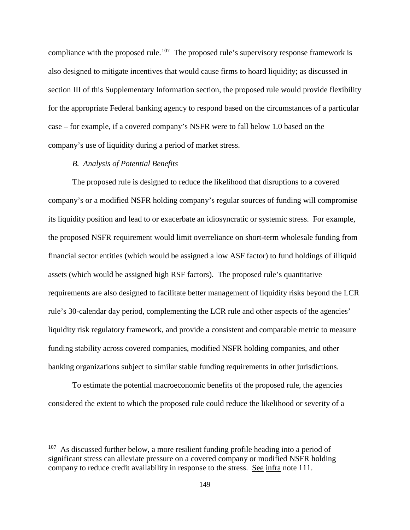compliance with the proposed rule.<sup>107</sup> The proposed rule's supervisory response framework is also designed to mitigate incentives that would cause firms to hoard liquidity; as discussed in section III of this Supplementary Information section, the proposed rule would provide flexibility for the appropriate Federal banking agency to respond based on the circumstances of a particular case – for example, if a covered company's NSFR were to fall below 1.0 based on the company's use of liquidity during a period of market stress.

## *B. Analysis of Potential Benefits*

 $\overline{a}$ 

The proposed rule is designed to reduce the likelihood that disruptions to a covered company's or a modified NSFR holding company's regular sources of funding will compromise its liquidity position and lead to or exacerbate an idiosyncratic or systemic stress. For example, the proposed NSFR requirement would limit overreliance on short-term wholesale funding from financial sector entities (which would be assigned a low ASF factor) to fund holdings of illiquid assets (which would be assigned high RSF factors). The proposed rule's quantitative requirements are also designed to facilitate better management of liquidity risks beyond the LCR rule's 30-calendar day period, complementing the LCR rule and other aspects of the agencies' liquidity risk regulatory framework, and provide a consistent and comparable metric to measure funding stability across covered companies, modified NSFR holding companies, and other banking organizations subject to similar stable funding requirements in other jurisdictions.

To estimate the potential macroeconomic benefits of the proposed rule, the agencies considered the extent to which the proposed rule could reduce the likelihood or severity of a

<span id="page-148-0"></span><sup>&</sup>lt;sup>107</sup> As discussed further below, a more resilient funding profile heading into a period of significant stress can alleviate pressure on a covered company or modified NSFR holding company to reduce credit availability in response to the stress. See infra note 111.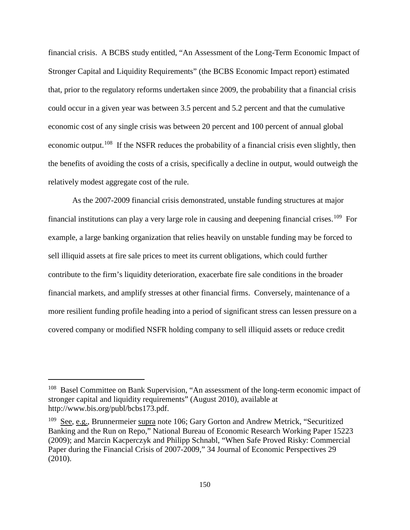financial crisis. A BCBS study entitled, "An Assessment of the Long-Term Economic Impact of Stronger Capital and Liquidity Requirements" (the BCBS Economic Impact report) estimated that, prior to the regulatory reforms undertaken since 2009, the probability that a financial crisis could occur in a given year was between 3.5 percent and 5.2 percent and that the cumulative economic cost of any single crisis was between 20 percent and 100 percent of annual global economic output.<sup>[108](#page-149-0)</sup> If the NSFR reduces the probability of a financial crisis even slightly, then the benefits of avoiding the costs of a crisis, specifically a decline in output, would outweigh the relatively modest aggregate cost of the rule.

As the 2007-2009 financial crisis demonstrated, unstable funding structures at major financial institutions can play a very large role in causing and deepening financial crises.<sup>109</sup> For example, a large banking organization that relies heavily on unstable funding may be forced to sell illiquid assets at fire sale prices to meet its current obligations, which could further contribute to the firm's liquidity deterioration, exacerbate fire sale conditions in the broader financial markets, and amplify stresses at other financial firms. Conversely, maintenance of a more resilient funding profile heading into a period of significant stress can lessen pressure on a covered company or modified NSFR holding company to sell illiquid assets or reduce credit

<span id="page-149-0"></span><sup>&</sup>lt;sup>108</sup> Basel Committee on Bank Supervision, "An assessment of the long-term economic impact of stronger capital and liquidity requirements" (August 2010), available at http://www.bis.org/publ/bcbs173.pdf.

<span id="page-149-1"></span><sup>&</sup>lt;sup>109</sup> See, e.g., Brunnermeier supra note 106; Gary Gorton and Andrew Metrick, "Securitized Banking and the Run on Repo," National Bureau of Economic Research Working Paper 15223 (2009); and Marcin Kacperczyk and Philipp Schnabl, "When Safe Proved Risky: Commercial Paper during the Financial Crisis of 2007-2009," 34 Journal of Economic Perspectives 29 (2010).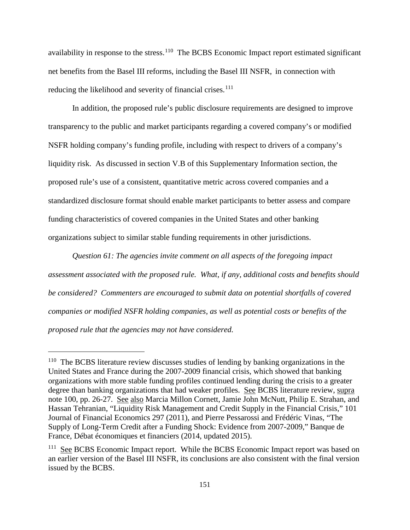availability in response to the stress.<sup>110</sup> The BCBS Economic Impact report estimated significant net benefits from the Basel III reforms, including the Basel III NSFR, in connection with reducing the likelihood and severity of financial crises.<sup>[111](#page-150-1)</sup>

In addition, the proposed rule's public disclosure requirements are designed to improve transparency to the public and market participants regarding a covered company's or modified NSFR holding company's funding profile, including with respect to drivers of a company's liquidity risk. As discussed in section V.B of this Supplementary Information section, the proposed rule's use of a consistent, quantitative metric across covered companies and a standardized disclosure format should enable market participants to better assess and compare funding characteristics of covered companies in the United States and other banking organizations subject to similar stable funding requirements in other jurisdictions.

*Question 61: The agencies invite comment on all aspects of the foregoing impact assessment associated with the proposed rule. What, if any, additional costs and benefits should be considered? Commenters are encouraged to submit data on potential shortfalls of covered companies or modified NSFR holding companies, as well as potential costs or benefits of the proposed rule that the agencies may not have considered.*

<span id="page-150-0"></span><sup>&</sup>lt;sup>110</sup> The BCBS literature review discusses studies of lending by banking organizations in the United States and France during the 2007-2009 financial crisis, which showed that banking organizations with more stable funding profiles continued lending during the crisis to a greater degree than banking organizations that had weaker profiles. See BCBS literature review, supra note 100, pp. 26-27. See also Marcia Millon Cornett, Jamie John McNutt, Philip E. Strahan, and Hassan Tehranian, "Liquidity Risk Management and Credit Supply in the Financial Crisis," 101 Journal of Financial Economics 297 (2011), and Pierre Pessarossi and Frédéric Vinas, "The Supply of Long-Term Credit after a Funding Shock: Evidence from 2007-2009," Banque de France, Débat économiques et financiers (2014, updated 2015).

<span id="page-150-1"></span><sup>&</sup>lt;sup>111</sup> See BCBS Economic Impact report. While the BCBS Economic Impact report was based on an earlier version of the Basel III NSFR, its conclusions are also consistent with the final version issued by the BCBS.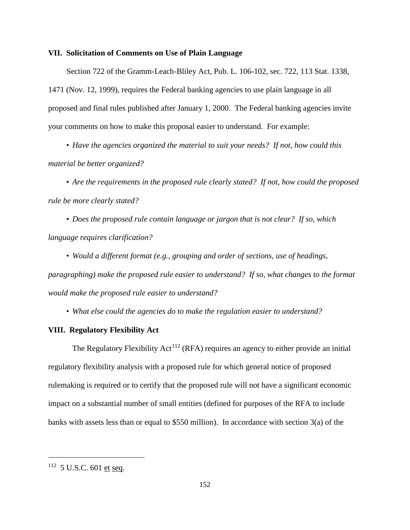#### **VII. Solicitation of Comments on Use of Plain Language**

Section 722 of the Gramm-Leach-Bliley Act, Pub. L. 106-102, sec. 722, 113 Stat. 1338, 1471 (Nov. 12, 1999), requires the Federal banking agencies to use plain language in all proposed and final rules published after January 1, 2000. The Federal banking agencies invite your comments on how to make this proposal easier to understand. For example:

• *Have the agencies organized the material to suit your needs? If not, how could this material be better organized?*

• *Are the requirements in the proposed rule clearly stated? If not, how could the proposed rule be more clearly stated?*

• *Does the proposed rule contain language or jargon that is not clear? If so, which language requires clarification?*

• *Would a different format (e.g., grouping and order of sections, use of headings, paragraphing) make the proposed rule easier to understand? If so, what changes to the format would make the proposed rule easier to understand?*

• *What else could the agencies do to make the regulation easier to understand?*

#### **VIII. Regulatory Flexibility Act**

The Regulatory Flexibility  $Act^{112}$  $Act^{112}$  $Act^{112}$  (RFA) requires an agency to either provide an initial regulatory flexibility analysis with a proposed rule for which general notice of proposed rulemaking is required or to certify that the proposed rule will not have a significant economic impact on a substantial number of small entities (defined for purposes of the RFA to include banks with assets less than or equal to \$550 million). In accordance with section 3(a) of the

<span id="page-151-0"></span> $112$  5 U.S.C. 601 et seq.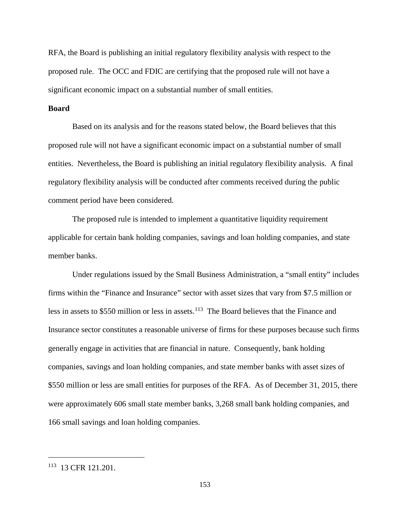RFA, the Board is publishing an initial regulatory flexibility analysis with respect to the proposed rule. The OCC and FDIC are certifying that the proposed rule will not have a significant economic impact on a substantial number of small entities.

# **Board**

Based on its analysis and for the reasons stated below, the Board believes that this proposed rule will not have a significant economic impact on a substantial number of small entities. Nevertheless, the Board is publishing an initial regulatory flexibility analysis. A final regulatory flexibility analysis will be conducted after comments received during the public comment period have been considered.

The proposed rule is intended to implement a quantitative liquidity requirement applicable for certain bank holding companies, savings and loan holding companies, and state member banks.

Under regulations issued by the Small Business Administration, a "small entity" includes firms within the "Finance and Insurance" sector with asset sizes that vary from \$7.5 million or less in assets to \$550 million or less in assets.<sup>[113](#page-152-0)</sup> The Board believes that the Finance and Insurance sector constitutes a reasonable universe of firms for these purposes because such firms generally engage in activities that are financial in nature. Consequently, bank holding companies, savings and loan holding companies, and state member banks with asset sizes of \$550 million or less are small entities for purposes of the RFA. As of December 31, 2015, there were approximately 606 small state member banks, 3,268 small bank holding companies, and 166 small savings and loan holding companies.

<span id="page-152-0"></span><sup>113 13</sup> CFR 121.201.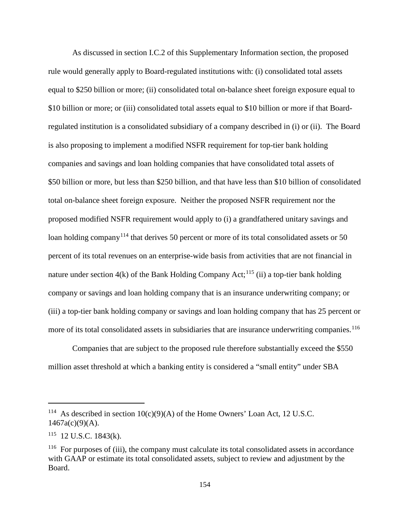As discussed in section I.C.2 of this Supplementary Information section, the proposed rule would generally apply to Board-regulated institutions with: (i) consolidated total assets equal to \$250 billion or more; (ii) consolidated total on-balance sheet foreign exposure equal to \$10 billion or more; or (iii) consolidated total assets equal to \$10 billion or more if that Boardregulated institution is a consolidated subsidiary of a company described in (i) or (ii). The Board is also proposing to implement a modified NSFR requirement for top-tier bank holding companies and savings and loan holding companies that have consolidated total assets of \$50 billion or more, but less than \$250 billion, and that have less than \$10 billion of consolidated total on-balance sheet foreign exposure. Neither the proposed NSFR requirement nor the proposed modified NSFR requirement would apply to (i) a grandfathered unitary savings and loan holding company<sup>[114](#page-153-0)</sup> that derives 50 percent or more of its total consolidated assets or 50 percent of its total revenues on an enterprise-wide basis from activities that are not financial in nature under section  $4(k)$  of the Bank Holding Company Act;<sup>[115](#page-153-1)</sup> (ii) a top-tier bank holding company or savings and loan holding company that is an insurance underwriting company; or (iii) a top-tier bank holding company or savings and loan holding company that has 25 percent or more of its total consolidated assets in subsidiaries that are insurance underwriting companies.<sup>[116](#page-153-2)</sup>

Companies that are subject to the proposed rule therefore substantially exceed the \$550 million asset threshold at which a banking entity is considered a "small entity" under SBA

<span id="page-153-0"></span><sup>&</sup>lt;sup>114</sup> As described in section  $10(c)(9)(A)$  of the Home Owners' Loan Act, 12 U.S.C.  $1467a(c)(9)(A)$ .

<span id="page-153-1"></span> $115$  12 U.S.C. 1843(k).

<span id="page-153-2"></span><sup>&</sup>lt;sup>116</sup> For purposes of (iii), the company must calculate its total consolidated assets in accordance with GAAP or estimate its total consolidated assets, subject to review and adjustment by the Board.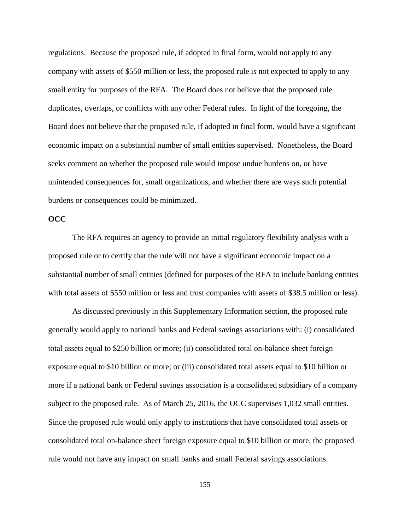regulations. Because the proposed rule, if adopted in final form, would not apply to any company with assets of \$550 million or less, the proposed rule is not expected to apply to any small entity for purposes of the RFA. The Board does not believe that the proposed rule duplicates, overlaps, or conflicts with any other Federal rules. In light of the foregoing, the Board does not believe that the proposed rule, if adopted in final form, would have a significant economic impact on a substantial number of small entities supervised. Nonetheless, the Board seeks comment on whether the proposed rule would impose undue burdens on, or have unintended consequences for, small organizations, and whether there are ways such potential burdens or consequences could be minimized.

## **OCC**

The RFA requires an agency to provide an initial regulatory flexibility analysis with a proposed rule or to certify that the rule will not have a significant economic impact on a substantial number of small entities (defined for purposes of the RFA to include banking entities with total assets of \$550 million or less and trust companies with assets of \$38.5 million or less).

As discussed previously in this Supplementary Information section, the proposed rule generally would apply to national banks and Federal savings associations with: (i) consolidated total assets equal to \$250 billion or more; (ii) consolidated total on-balance sheet foreign exposure equal to \$10 billion or more; or (iii) consolidated total assets equal to \$10 billion or more if a national bank or Federal savings association is a consolidated subsidiary of a company subject to the proposed rule. As of March 25, 2016, the OCC supervises 1,032 small entities. Since the proposed rule would only apply to institutions that have consolidated total assets or consolidated total on-balance sheet foreign exposure equal to \$10 billion or more, the proposed rule would not have any impact on small banks and small Federal savings associations.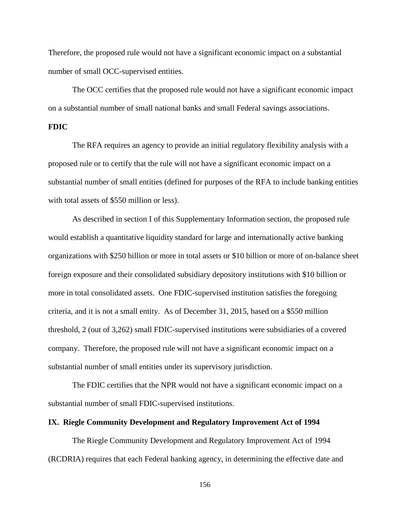Therefore, the proposed rule would not have a significant economic impact on a substantial number of small OCC-supervised entities.

The OCC certifies that the proposed rule would not have a significant economic impact on a substantial number of small national banks and small Federal savings associations.

# **FDIC**

The RFA requires an agency to provide an initial regulatory flexibility analysis with a proposed rule or to certify that the rule will not have a significant economic impact on a substantial number of small entities (defined for purposes of the RFA to include banking entities with total assets of \$550 million or less).

As described in section I of this Supplementary Information section, the proposed rule would establish a quantitative liquidity standard for large and internationally active banking organizations with \$250 billion or more in total assets or \$10 billion or more of on-balance sheet foreign exposure and their consolidated subsidiary depository institutions with \$10 billion or more in total consolidated assets. One FDIC-supervised institution satisfies the foregoing criteria, and it is not a small entity. As of December 31, 2015, based on a \$550 million threshold, 2 (out of 3,262) small FDIC-supervised institutions were subsidiaries of a covered company. Therefore, the proposed rule will not have a significant economic impact on a substantial number of small entities under its supervisory jurisdiction.

The FDIC certifies that the NPR would not have a significant economic impact on a substantial number of small FDIC-supervised institutions.

# **IX. Riegle Community Development and Regulatory Improvement Act of 1994**

The Riegle Community Development and Regulatory Improvement Act of 1994 (RCDRIA) requires that each Federal banking agency, in determining the effective date and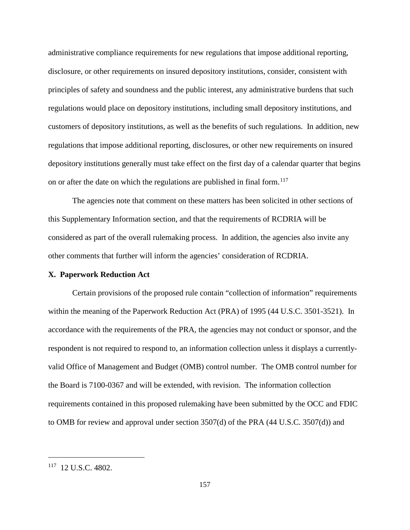administrative compliance requirements for new regulations that impose additional reporting, disclosure, or other requirements on insured depository institutions, consider, consistent with principles of safety and soundness and the public interest, any administrative burdens that such regulations would place on depository institutions, including small depository institutions, and customers of depository institutions, as well as the benefits of such regulations. In addition, new regulations that impose additional reporting, disclosures, or other new requirements on insured depository institutions generally must take effect on the first day of a calendar quarter that begins on or after the date on which the regulations are published in final form.<sup>[117](#page-156-0)</sup>

The agencies note that comment on these matters has been solicited in other sections of this Supplementary Information section, and that the requirements of RCDRIA will be considered as part of the overall rulemaking process. In addition, the agencies also invite any other comments that further will inform the agencies' consideration of RCDRIA.

#### **X. Paperwork Reduction Act**

Certain provisions of the proposed rule contain "collection of information" requirements within the meaning of the Paperwork Reduction Act (PRA) of 1995 (44 U.S.C. 3501-3521). In accordance with the requirements of the PRA, the agencies may not conduct or sponsor, and the respondent is not required to respond to, an information collection unless it displays a currentlyvalid Office of Management and Budget (OMB) control number. The OMB control number for the Board is 7100-0367 and will be extended, with revision. The information collection requirements contained in this proposed rulemaking have been submitted by the OCC and FDIC to OMB for review and approval under section 3507(d) of the PRA (44 U.S.C. 3507(d)) and

<span id="page-156-0"></span> $117$  12 U.S.C. 4802.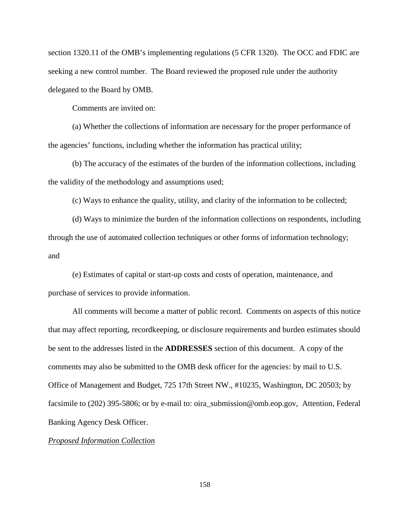section 1320.11 of the OMB's implementing regulations (5 CFR 1320). The OCC and FDIC are seeking a new control number. The Board reviewed the proposed rule under the authority delegated to the Board by OMB.

Comments are invited on:

(a) Whether the collections of information are necessary for the proper performance of the agencies' functions, including whether the information has practical utility;

(b) The accuracy of the estimates of the burden of the information collections, including the validity of the methodology and assumptions used;

(c) Ways to enhance the quality, utility, and clarity of the information to be collected;

(d) Ways to minimize the burden of the information collections on respondents, including through the use of automated collection techniques or other forms of information technology; and

(e) Estimates of capital or start-up costs and costs of operation, maintenance, and purchase of services to provide information.

All comments will become a matter of public record. Comments on aspects of this notice that may affect reporting, recordkeeping, or disclosure requirements and burden estimates should be sent to the addresses listed in the **ADDRESSES** section of this document. A copy of the comments may also be submitted to the OMB desk officer for the agencies: by mail to U.S. Office of Management and Budget, 725 17th Street NW., #10235, Washington, DC 20503; by facsimile to (202) 395-5806; or by e-mail to: oira\_submission@omb.eop.gov, Attention, Federal Banking Agency Desk Officer.

#### *Proposed Information Collection*

158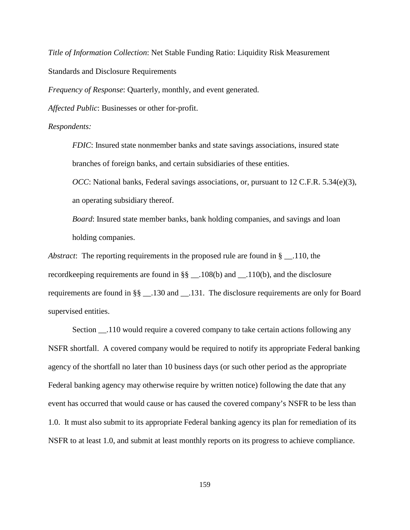*Title of Information Collection*: Net Stable Funding Ratio: Liquidity Risk Measurement Standards and Disclosure Requirements

*Frequency of Response*: Quarterly, monthly, and event generated.

*Affected Public*: Businesses or other for-profit.

#### *Respondents:*

*FDIC*: Insured state nonmember banks and state savings associations, insured state branches of foreign banks, and certain subsidiaries of these entities.

*OCC*: National banks, Federal savings associations, or, pursuant to 12 C.F.R. 5.34(e)(3), an operating subsidiary thereof.

*Board*: Insured state member banks, bank holding companies, and savings and loan holding companies.

*Abstract*: The reporting requirements in the proposed rule are found in § \_\_.110, the recordkeeping requirements are found in §§ \_\_.108(b) and \_\_.110(b), and the disclosure requirements are found in §§ \_\_.130 and \_\_.131. The disclosure requirements are only for Board supervised entities.

Section \_\_.110 would require a covered company to take certain actions following any NSFR shortfall. A covered company would be required to notify its appropriate Federal banking agency of the shortfall no later than 10 business days (or such other period as the appropriate Federal banking agency may otherwise require by written notice) following the date that any event has occurred that would cause or has caused the covered company's NSFR to be less than 1.0. It must also submit to its appropriate Federal banking agency its plan for remediation of its NSFR to at least 1.0, and submit at least monthly reports on its progress to achieve compliance.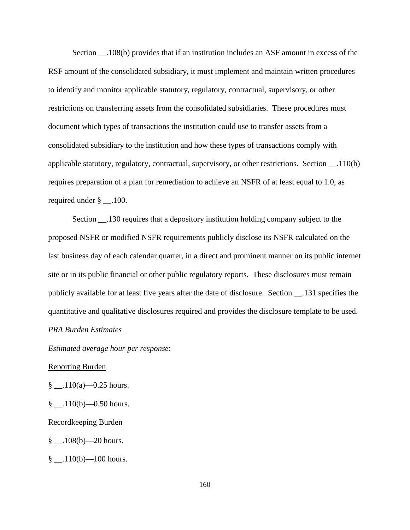Section .108(b) provides that if an institution includes an ASF amount in excess of the RSF amount of the consolidated subsidiary, it must implement and maintain written procedures to identify and monitor applicable statutory, regulatory, contractual, supervisory, or other restrictions on transferring assets from the consolidated subsidiaries. These procedures must document which types of transactions the institution could use to transfer assets from a consolidated subsidiary to the institution and how these types of transactions comply with applicable statutory, regulatory, contractual, supervisory, or other restrictions. Section \_\_.110(b) requires preparation of a plan for remediation to achieve an NSFR of at least equal to 1.0, as required under § .100.

Section \_\_.130 requires that a depository institution holding company subject to the proposed NSFR or modified NSFR requirements publicly disclose its NSFR calculated on the last business day of each calendar quarter, in a direct and prominent manner on its public internet site or in its public financial or other public regulatory reports. These disclosures must remain publicly available for at least five years after the date of disclosure. Section \_\_.131 specifies the quantitative and qualitative disclosures required and provides the disclosure template to be used. *PRA Burden Estimates*

*Estimated average hour per response*:

#### Reporting Burden

- $\frac{\S}{\S}$  \_\_\_.110(a) 0.25 hours.
- $\frac{\S}{\S}$  \_\_\_.110(b) 0.50 hours.

#### Recordkeeping Burden

- $\frac{8}{9}$  \_\_0.108(b) 20 hours.
- $\frac{110(b)}{-100}$  hours.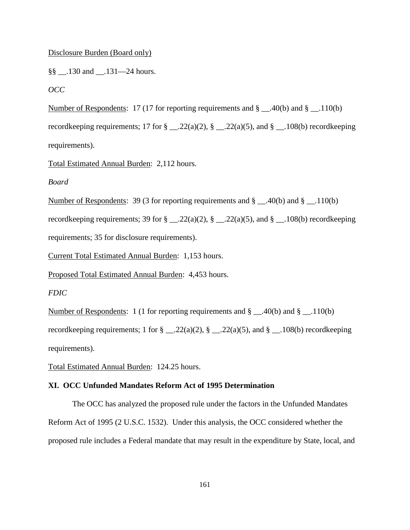## Disclosure Burden (Board only)

§§ \_\_.130 and \_\_.131—24 hours.

*OCC*

Number of Respondents: 17 (17 for reporting requirements and § \_\_.40(b) and § \_\_.110(b) recordkeeping requirements; 17 for  $\S$  \_\_.22(a)(2),  $\S$  \_\_.22(a)(5), and  $\S$  \_\_.108(b) recordkeeping requirements).

Total Estimated Annual Burden: 2,112 hours.

*Board*

Number of Respondents: 39 (3 for reporting requirements and § \_\_.40(b) and § \_\_.110(b)

recordkeeping requirements; 39 for  $\S$  \_\_.22(a)(2),  $\S$  \_\_.22(a)(5), and  $\S$  \_\_.108(b) recordkeeping requirements; 35 for disclosure requirements).

Current Total Estimated Annual Burden: 1,153 hours.

Proposed Total Estimated Annual Burden: 4,453 hours.

*FDIC*

Number of Respondents: 1 (1 for reporting requirements and § \_\_.40(b) and § \_\_.110(b) recordkeeping requirements; 1 for  $\frac{8}{22(a)(2)}$ ,  $\frac{8}{22(a)(5)}$ , and  $\frac{8}{24}$ . 108(b) recordkeeping requirements).

Total Estimated Annual Burden: 124.25 hours.

## **XI. OCC Unfunded Mandates Reform Act of 1995 Determination**

The OCC has analyzed the proposed rule under the factors in the Unfunded Mandates Reform Act of 1995 (2 U.S.C. 1532). Under this analysis, the OCC considered whether the proposed rule includes a Federal mandate that may result in the expenditure by State, local, and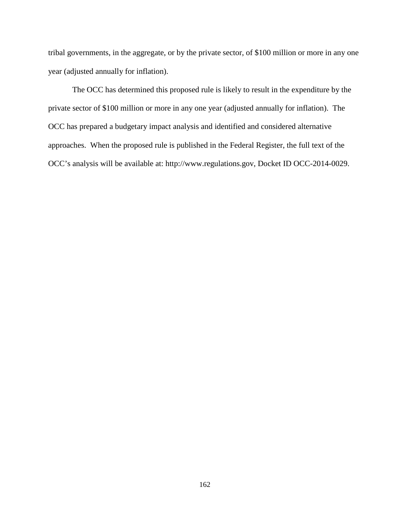tribal governments, in the aggregate, or by the private sector, of \$100 million or more in any one year (adjusted annually for inflation).

The OCC has determined this proposed rule is likely to result in the expenditure by the private sector of \$100 million or more in any one year (adjusted annually for inflation). The OCC has prepared a budgetary impact analysis and identified and considered alternative approaches. When the proposed rule is published in the Federal Register, the full text of the OCC's analysis will be available at: http://www.regulations.gov, Docket ID OCC-2014-0029.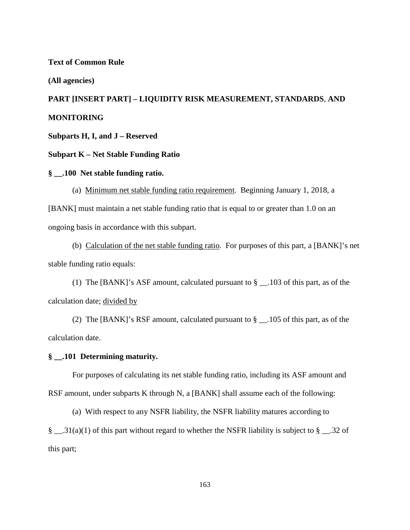#### **Text of Common Rule**

#### **(All agencies)**

# **PART [INSERT PART] – LIQUIDITY RISK MEASUREMENT, STANDARDS***,* **AND MONITORING**

**Subparts H, I, and J – Reserved**

## **Subpart K – Net Stable Funding Ratio**

## **§ \_\_.100 Net stable funding ratio.**

(a) Minimum net stable funding ratio requirement. Beginning January 1, 2018, a [BANK] must maintain a net stable funding ratio that is equal to or greater than 1.0 on an ongoing basis in accordance with this subpart.

(b) Calculation of the net stable funding ratio. For purposes of this part, a [BANK]'s net stable funding ratio equals:

(1) The [BANK]'s ASF amount, calculated pursuant to § \_\_.103 of this part, as of the calculation date; divided by

(2) The [BANK]'s RSF amount, calculated pursuant to  $\S$  \_\_.105 of this part, as of the calculation date.

#### **§ \_\_.101 Determining maturity.**

For purposes of calculating its net stable funding ratio, including its ASF amount and RSF amount, under subparts K through N, a [BANK] shall assume each of the following:

(a) With respect to any NSFR liability, the NSFR liability matures according to

§ \_\_.31(a)(1) of this part without regard to whether the NSFR liability is subject to § \_\_.32 of this part;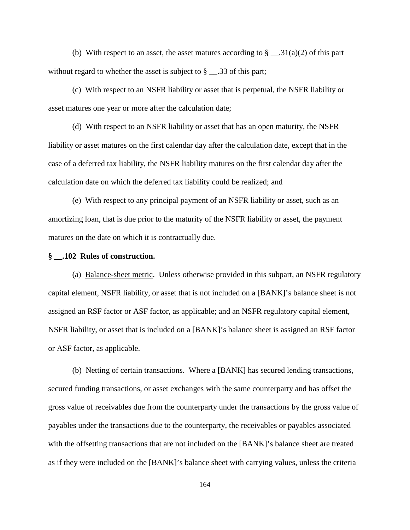(b) With respect to an asset, the asset matures according to  $\S$  \_\_\_.31(a)(2) of this part without regard to whether the asset is subject to  $\S$  \_\_.33 of this part;

(c) With respect to an NSFR liability or asset that is perpetual, the NSFR liability or asset matures one year or more after the calculation date;

(d) With respect to an NSFR liability or asset that has an open maturity, the NSFR liability or asset matures on the first calendar day after the calculation date, except that in the case of a deferred tax liability, the NSFR liability matures on the first calendar day after the calculation date on which the deferred tax liability could be realized; and

(e) With respect to any principal payment of an NSFR liability or asset, such as an amortizing loan, that is due prior to the maturity of the NSFR liability or asset, the payment matures on the date on which it is contractually due.

## **§ \_\_.102 Rules of construction.**

(a) Balance-sheet metric. Unless otherwise provided in this subpart, an NSFR regulatory capital element, NSFR liability, or asset that is not included on a [BANK]'s balance sheet is not assigned an RSF factor or ASF factor, as applicable; and an NSFR regulatory capital element, NSFR liability, or asset that is included on a [BANK]'s balance sheet is assigned an RSF factor or ASF factor, as applicable.

(b) Netting of certain transactions. Where a [BANK] has secured lending transactions, secured funding transactions, or asset exchanges with the same counterparty and has offset the gross value of receivables due from the counterparty under the transactions by the gross value of payables under the transactions due to the counterparty, the receivables or payables associated with the offsetting transactions that are not included on the [BANK]'s balance sheet are treated as if they were included on the [BANK]'s balance sheet with carrying values, unless the criteria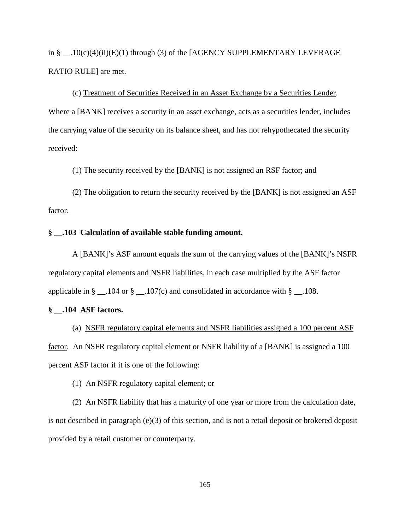in §  $.10(c)(4)(ii)(E)(1)$  through (3) of the [AGENCY SUPPLEMENTARY LEVERAGE RATIO RULE] are met.

(c) Treatment of Securities Received in an Asset Exchange by a Securities Lender. Where a [BANK] receives a security in an asset exchange, acts as a securities lender, includes the carrying value of the security on its balance sheet, and has not rehypothecated the security received:

(1) The security received by the [BANK] is not assigned an RSF factor; and

(2) The obligation to return the security received by the [BANK] is not assigned an ASF factor.

# **§ \_\_.103 Calculation of available stable funding amount.**

A [BANK]'s ASF amount equals the sum of the carrying values of the [BANK]'s NSFR regulatory capital elements and NSFR liabilities, in each case multiplied by the ASF factor applicable in  $\S$  \_\_.104 or  $\S$  \_\_.107(c) and consolidated in accordance with  $\S$  \_\_.108.

## **§ \_\_.104 ASF factors.**

(a) NSFR regulatory capital elements and NSFR liabilities assigned a 100 percent ASF factor. An NSFR regulatory capital element or NSFR liability of a [BANK] is assigned a 100 percent ASF factor if it is one of the following:

(1) An NSFR regulatory capital element; or

(2) An NSFR liability that has a maturity of one year or more from the calculation date, is not described in paragraph (e)(3) of this section, and is not a retail deposit or brokered deposit provided by a retail customer or counterparty.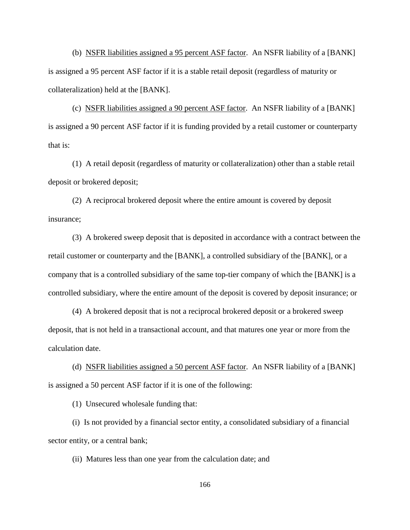(b) NSFR liabilities assigned a 95 percent ASF factor. An NSFR liability of a [BANK] is assigned a 95 percent ASF factor if it is a stable retail deposit (regardless of maturity or collateralization) held at the [BANK].

(c) NSFR liabilities assigned a 90 percent ASF factor. An NSFR liability of a [BANK] is assigned a 90 percent ASF factor if it is funding provided by a retail customer or counterparty that is:

(1) A retail deposit (regardless of maturity or collateralization) other than a stable retail deposit or brokered deposit;

(2) A reciprocal brokered deposit where the entire amount is covered by deposit insurance;

(3) A brokered sweep deposit that is deposited in accordance with a contract between the retail customer or counterparty and the [BANK], a controlled subsidiary of the [BANK], or a company that is a controlled subsidiary of the same top-tier company of which the [BANK] is a controlled subsidiary, where the entire amount of the deposit is covered by deposit insurance; or

(4) A brokered deposit that is not a reciprocal brokered deposit or a brokered sweep deposit, that is not held in a transactional account, and that matures one year or more from the calculation date.

(d) NSFR liabilities assigned a 50 percent ASF factor. An NSFR liability of a [BANK] is assigned a 50 percent ASF factor if it is one of the following:

(1) Unsecured wholesale funding that:

(i) Is not provided by a financial sector entity, a consolidated subsidiary of a financial sector entity, or a central bank;

(ii) Matures less than one year from the calculation date; and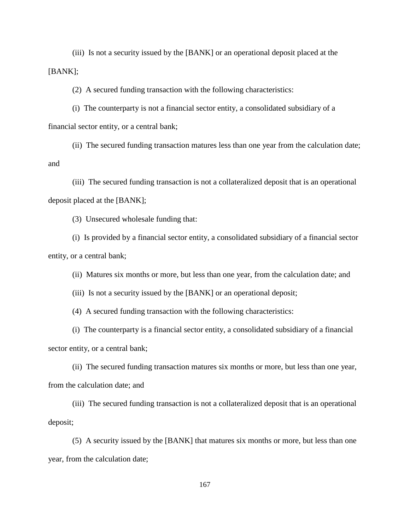(iii) Is not a security issued by the [BANK] or an operational deposit placed at the [BANK];

(2) A secured funding transaction with the following characteristics:

(i) The counterparty is not a financial sector entity, a consolidated subsidiary of a financial sector entity, or a central bank;

(ii) The secured funding transaction matures less than one year from the calculation date; and

(iii) The secured funding transaction is not a collateralized deposit that is an operational deposit placed at the [BANK];

(3) Unsecured wholesale funding that:

(i) Is provided by a financial sector entity, a consolidated subsidiary of a financial sector entity, or a central bank;

(ii) Matures six months or more, but less than one year, from the calculation date; and

(iii) Is not a security issued by the [BANK] or an operational deposit;

(4) A secured funding transaction with the following characteristics:

(i) The counterparty is a financial sector entity, a consolidated subsidiary of a financial sector entity, or a central bank;

(ii) The secured funding transaction matures six months or more, but less than one year, from the calculation date; and

(iii) The secured funding transaction is not a collateralized deposit that is an operational deposit;

(5) A security issued by the [BANK] that matures six months or more, but less than one year, from the calculation date;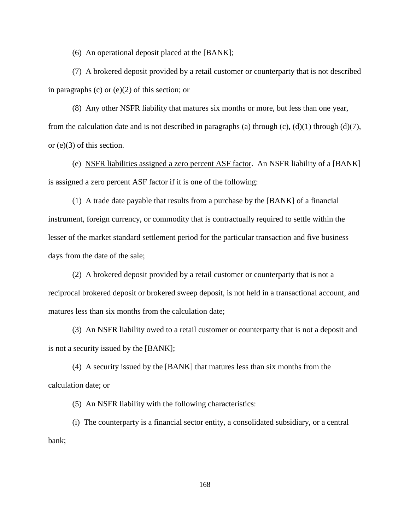(6) An operational deposit placed at the [BANK];

(7) A brokered deposit provided by a retail customer or counterparty that is not described in paragraphs (c) or (e)(2) of this section; or

(8) Any other NSFR liability that matures six months or more, but less than one year, from the calculation date and is not described in paragraphs (a) through (c), (d)(1) through (d)(7), or (e)(3) of this section.

(e) NSFR liabilities assigned a zero percent ASF factor. An NSFR liability of a [BANK] is assigned a zero percent ASF factor if it is one of the following:

(1) A trade date payable that results from a purchase by the [BANK] of a financial instrument, foreign currency, or commodity that is contractually required to settle within the lesser of the market standard settlement period for the particular transaction and five business days from the date of the sale;

(2) A brokered deposit provided by a retail customer or counterparty that is not a reciprocal brokered deposit or brokered sweep deposit, is not held in a transactional account, and matures less than six months from the calculation date;

(3) An NSFR liability owed to a retail customer or counterparty that is not a deposit and is not a security issued by the [BANK];

(4) A security issued by the [BANK] that matures less than six months from the calculation date; or

(5) An NSFR liability with the following characteristics:

(i) The counterparty is a financial sector entity, a consolidated subsidiary, or a central bank;

168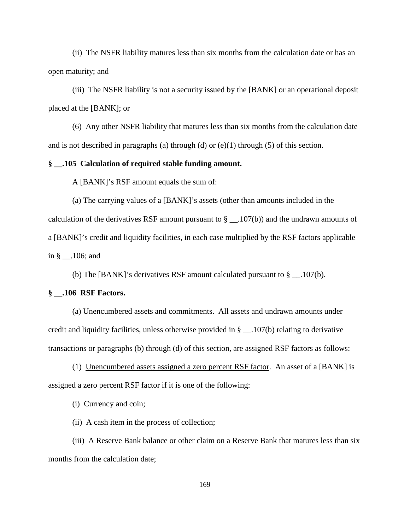(ii) The NSFR liability matures less than six months from the calculation date or has an open maturity; and

(iii) The NSFR liability is not a security issued by the [BANK] or an operational deposit placed at the [BANK]; or

(6) Any other NSFR liability that matures less than six months from the calculation date and is not described in paragraphs (a) through (d) or  $(e)(1)$  through (5) of this section.

#### **§ \_\_.105 Calculation of required stable funding amount.**

A [BANK]'s RSF amount equals the sum of:

(a) The carrying values of a [BANK]'s assets (other than amounts included in the calculation of the derivatives RSF amount pursuant to  $\S$  \_\_.107(b)) and the undrawn amounts of a [BANK]'s credit and liquidity facilities, in each case multiplied by the RSF factors applicable in § \_\_.106; and

(b) The [BANK]'s derivatives RSF amount calculated pursuant to  $\S$  \_\_.107(b).

## **§ \_\_.106 RSF Factors.**

(a) Unencumbered assets and commitments. All assets and undrawn amounts under credit and liquidity facilities, unless otherwise provided in § \_\_.107(b) relating to derivative transactions or paragraphs (b) through (d) of this section, are assigned RSF factors as follows:

(1) Unencumbered assets assigned a zero percent RSF factor. An asset of a [BANK] is assigned a zero percent RSF factor if it is one of the following:

(i) Currency and coin;

(ii) A cash item in the process of collection;

(iii) A Reserve Bank balance or other claim on a Reserve Bank that matures less than six months from the calculation date;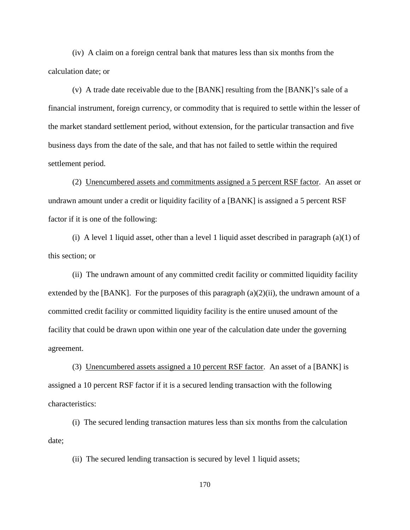(iv) A claim on a foreign central bank that matures less than six months from the calculation date; or

(v) A trade date receivable due to the [BANK] resulting from the [BANK]'s sale of a financial instrument, foreign currency, or commodity that is required to settle within the lesser of the market standard settlement period, without extension, for the particular transaction and five business days from the date of the sale, and that has not failed to settle within the required settlement period.

(2) Unencumbered assets and commitments assigned a 5 percent RSF factor. An asset or undrawn amount under a credit or liquidity facility of a [BANK] is assigned a 5 percent RSF factor if it is one of the following:

(i) A level 1 liquid asset, other than a level 1 liquid asset described in paragraph  $(a)(1)$  of this section; or

(ii) The undrawn amount of any committed credit facility or committed liquidity facility extended by the [BANK]. For the purposes of this paragraph  $(a)(2)(ii)$ , the undrawn amount of a committed credit facility or committed liquidity facility is the entire unused amount of the facility that could be drawn upon within one year of the calculation date under the governing agreement.

(3) Unencumbered assets assigned a 10 percent RSF factor. An asset of a [BANK] is assigned a 10 percent RSF factor if it is a secured lending transaction with the following characteristics:

(i) The secured lending transaction matures less than six months from the calculation date;

(ii) The secured lending transaction is secured by level 1 liquid assets;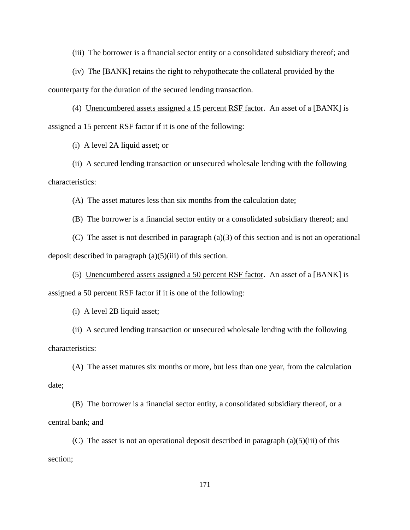(iii) The borrower is a financial sector entity or a consolidated subsidiary thereof; and

(iv) The [BANK] retains the right to rehypothecate the collateral provided by the counterparty for the duration of the secured lending transaction.

(4) Unencumbered assets assigned a 15 percent RSF factor. An asset of a [BANK] is assigned a 15 percent RSF factor if it is one of the following:

(i) A level 2A liquid asset; or

(ii) A secured lending transaction or unsecured wholesale lending with the following characteristics:

(A) The asset matures less than six months from the calculation date;

(B) The borrower is a financial sector entity or a consolidated subsidiary thereof; and

(C) The asset is not described in paragraph (a)(3) of this section and is not an operational deposit described in paragraph (a)(5)(iii) of this section.

(5) Unencumbered assets assigned a 50 percent RSF factor. An asset of a [BANK] is assigned a 50 percent RSF factor if it is one of the following:

(i) A level 2B liquid asset;

(ii) A secured lending transaction or unsecured wholesale lending with the following characteristics:

(A) The asset matures six months or more, but less than one year, from the calculation date;

(B) The borrower is a financial sector entity, a consolidated subsidiary thereof, or a central bank; and

(C) The asset is not an operational deposit described in paragraph  $(a)(5)(iii)$  of this section;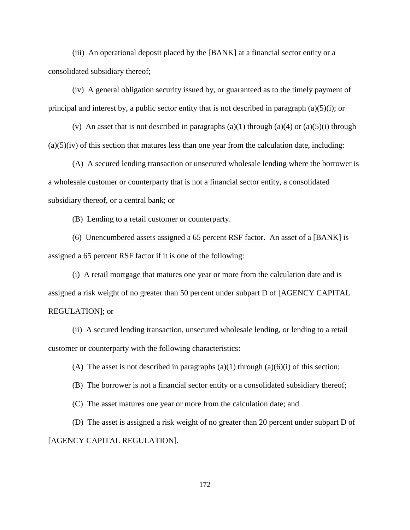(iii) An operational deposit placed by the [BANK] at a financial sector entity or a consolidated subsidiary thereof;

(iv) A general obligation security issued by, or guaranteed as to the timely payment of principal and interest by, a public sector entity that is not described in paragraph (a)(5)(i); or

(v) An asset that is not described in paragraphs  $(a)(1)$  through  $(a)(4)$  or  $(a)(5)(i)$  through  $(a)(5)(iv)$  of this section that matures less than one year from the calculation date, including:

(A) A secured lending transaction or unsecured wholesale lending where the borrower is a wholesale customer or counterparty that is not a financial sector entity, a consolidated subsidiary thereof, or a central bank; or

(B) Lending to a retail customer or counterparty.

(6) Unencumbered assets assigned a 65 percent RSF factor. An asset of a [BANK] is assigned a 65 percent RSF factor if it is one of the following:

(i) A retail mortgage that matures one year or more from the calculation date and is assigned a risk weight of no greater than 50 percent under subpart D of [AGENCY CAPITAL REGULATION]; or

(ii) A secured lending transaction, unsecured wholesale lending, or lending to a retail customer or counterparty with the following characteristics:

(A) The asset is not described in paragraphs  $(a)(1)$  through  $(a)(6)(i)$  of this section;

(B) The borrower is not a financial sector entity or a consolidated subsidiary thereof;

(C) The asset matures one year or more from the calculation date; and

(D) The asset is assigned a risk weight of no greater than 20 percent under subpart D of [AGENCY CAPITAL REGULATION].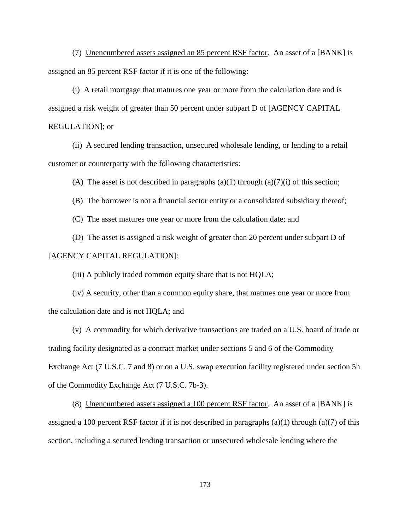(7) Unencumbered assets assigned an 85 percent RSF factor. An asset of a [BANK] is assigned an 85 percent RSF factor if it is one of the following:

(i) A retail mortgage that matures one year or more from the calculation date and is assigned a risk weight of greater than 50 percent under subpart D of [AGENCY CAPITAL REGULATION]; or

(ii) A secured lending transaction, unsecured wholesale lending, or lending to a retail customer or counterparty with the following characteristics:

(A) The asset is not described in paragraphs  $(a)(1)$  through  $(a)(7)(i)$  of this section;

(B) The borrower is not a financial sector entity or a consolidated subsidiary thereof;

(C) The asset matures one year or more from the calculation date; and

(D) The asset is assigned a risk weight of greater than 20 percent under subpart D of [AGENCY CAPITAL REGULATION];

(iii) A publicly traded common equity share that is not HQLA;

(iv) A security, other than a common equity share, that matures one year or more from the calculation date and is not HQLA; and

(v) A commodity for which derivative transactions are traded on a U.S. board of trade or trading facility designated as a contract market under sections 5 and 6 of the Commodity Exchange Act (7 U.S.C. 7 and 8) or on a U.S. swap execution facility registered under section 5h of the Commodity Exchange Act (7 U.S.C. 7b-3).

(8) Unencumbered assets assigned a 100 percent RSF factor. An asset of a [BANK] is assigned a 100 percent RSF factor if it is not described in paragraphs (a)(1) through (a)(7) of this section, including a secured lending transaction or unsecured wholesale lending where the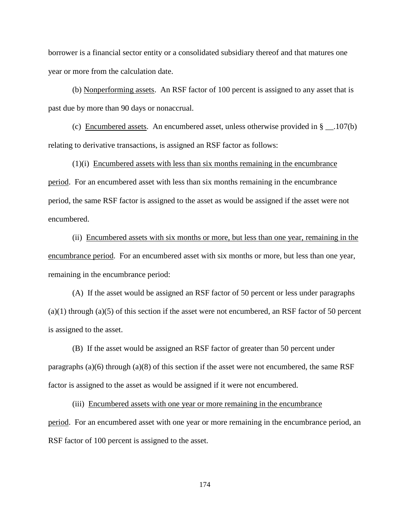borrower is a financial sector entity or a consolidated subsidiary thereof and that matures one year or more from the calculation date.

(b) Nonperforming assets. An RSF factor of 100 percent is assigned to any asset that is past due by more than 90 days or nonaccrual.

(c) Encumbered assets. An encumbered asset, unless otherwise provided in  $\S$  \_\_.107(b) relating to derivative transactions, is assigned an RSF factor as follows:

(1)(i) Encumbered assets with less than six months remaining in the encumbrance period. For an encumbered asset with less than six months remaining in the encumbrance period, the same RSF factor is assigned to the asset as would be assigned if the asset were not encumbered.

(ii) Encumbered assets with six months or more, but less than one year, remaining in the encumbrance period. For an encumbered asset with six months or more, but less than one year, remaining in the encumbrance period:

(A) If the asset would be assigned an RSF factor of 50 percent or less under paragraphs  $(a)(1)$  through  $(a)(5)$  of this section if the asset were not encumbered, an RSF factor of 50 percent is assigned to the asset.

(B) If the asset would be assigned an RSF factor of greater than 50 percent under paragraphs  $(a)(6)$  through  $(a)(8)$  of this section if the asset were not encumbered, the same RSF factor is assigned to the asset as would be assigned if it were not encumbered.

(iii) Encumbered assets with one year or more remaining in the encumbrance period. For an encumbered asset with one year or more remaining in the encumbrance period, an RSF factor of 100 percent is assigned to the asset.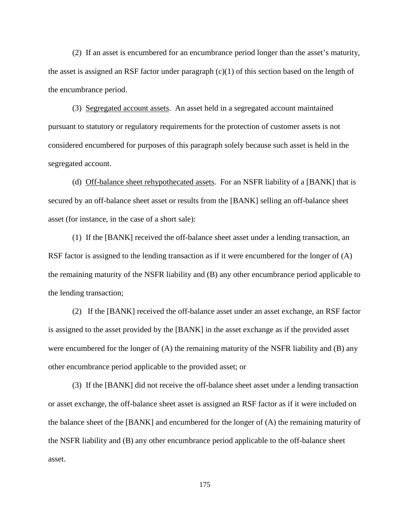(2) If an asset is encumbered for an encumbrance period longer than the asset's maturity, the asset is assigned an RSF factor under paragraph (c)(1) of this section based on the length of the encumbrance period.

(3) Segregated account assets. An asset held in a segregated account maintained pursuant to statutory or regulatory requirements for the protection of customer assets is not considered encumbered for purposes of this paragraph solely because such asset is held in the segregated account.

(d) Off-balance sheet rehypothecated assets. For an NSFR liability of a [BANK] that is secured by an off-balance sheet asset or results from the [BANK] selling an off-balance sheet asset (for instance, in the case of a short sale):

(1) If the [BANK] received the off-balance sheet asset under a lending transaction, an RSF factor is assigned to the lending transaction as if it were encumbered for the longer of (A) the remaining maturity of the NSFR liability and (B) any other encumbrance period applicable to the lending transaction;

(2) If the [BANK] received the off-balance asset under an asset exchange, an RSF factor is assigned to the asset provided by the [BANK] in the asset exchange as if the provided asset were encumbered for the longer of (A) the remaining maturity of the NSFR liability and (B) any other encumbrance period applicable to the provided asset; or

(3) If the [BANK] did not receive the off-balance sheet asset under a lending transaction or asset exchange, the off-balance sheet asset is assigned an RSF factor as if it were included on the balance sheet of the [BANK] and encumbered for the longer of (A) the remaining maturity of the NSFR liability and (B) any other encumbrance period applicable to the off-balance sheet asset.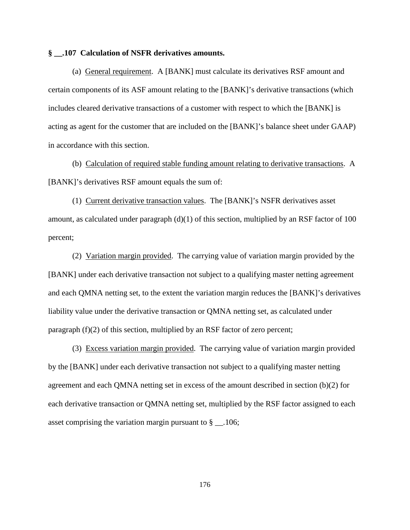#### **§ \_\_.107 Calculation of NSFR derivatives amounts.**

(a) General requirement. A [BANK] must calculate its derivatives RSF amount and certain components of its ASF amount relating to the [BANK]'s derivative transactions (which includes cleared derivative transactions of a customer with respect to which the [BANK] is acting as agent for the customer that are included on the [BANK]'s balance sheet under GAAP) in accordance with this section.

(b) Calculation of required stable funding amount relating to derivative transactions. A [BANK]'s derivatives RSF amount equals the sum of:

(1) Current derivative transaction values. The [BANK]'s NSFR derivatives asset amount, as calculated under paragraph  $(d)(1)$  of this section, multiplied by an RSF factor of 100 percent;

(2) Variation margin provided. The carrying value of variation margin provided by the [BANK] under each derivative transaction not subject to a qualifying master netting agreement and each QMNA netting set, to the extent the variation margin reduces the [BANK]'s derivatives liability value under the derivative transaction or QMNA netting set, as calculated under paragraph (f)(2) of this section, multiplied by an RSF factor of zero percent;

(3) Excess variation margin provided. The carrying value of variation margin provided by the [BANK] under each derivative transaction not subject to a qualifying master netting agreement and each QMNA netting set in excess of the amount described in section (b)(2) for each derivative transaction or QMNA netting set, multiplied by the RSF factor assigned to each asset comprising the variation margin pursuant to  $\S$  \_\_.106;

176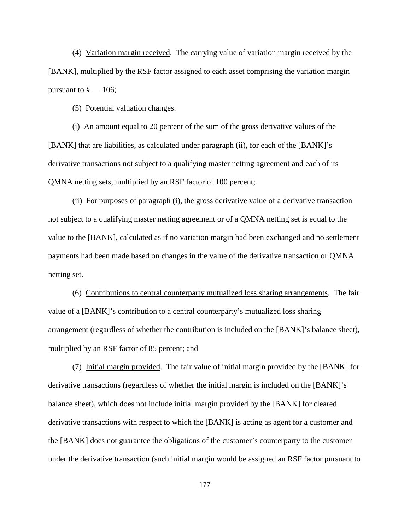(4) Variation margin received. The carrying value of variation margin received by the [BANK], multiplied by the RSF factor assigned to each asset comprising the variation margin pursuant to  $\S$  \_\_.106;

(5) Potential valuation changes.

(i) An amount equal to 20 percent of the sum of the gross derivative values of the [BANK] that are liabilities, as calculated under paragraph (ii), for each of the [BANK]'s derivative transactions not subject to a qualifying master netting agreement and each of its QMNA netting sets, multiplied by an RSF factor of 100 percent;

(ii) For purposes of paragraph (i), the gross derivative value of a derivative transaction not subject to a qualifying master netting agreement or of a QMNA netting set is equal to the value to the [BANK], calculated as if no variation margin had been exchanged and no settlement payments had been made based on changes in the value of the derivative transaction or QMNA netting set.

(6) Contributions to central counterparty mutualized loss sharing arrangements. The fair value of a [BANK]'s contribution to a central counterparty's mutualized loss sharing arrangement (regardless of whether the contribution is included on the [BANK]'s balance sheet), multiplied by an RSF factor of 85 percent; and

(7) Initial margin provided. The fair value of initial margin provided by the [BANK] for derivative transactions (regardless of whether the initial margin is included on the [BANK]'s balance sheet), which does not include initial margin provided by the [BANK] for cleared derivative transactions with respect to which the [BANK] is acting as agent for a customer and the [BANK] does not guarantee the obligations of the customer's counterparty to the customer under the derivative transaction (such initial margin would be assigned an RSF factor pursuant to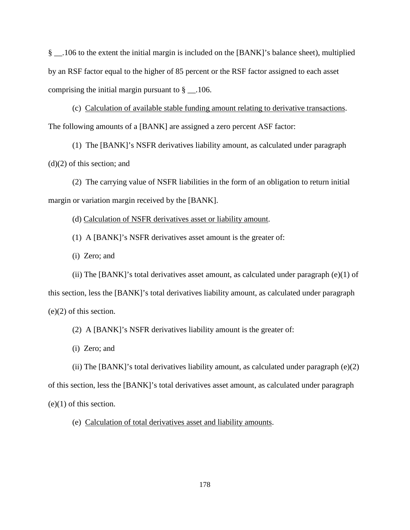§ \_\_.106 to the extent the initial margin is included on the [BANK]'s balance sheet), multiplied by an RSF factor equal to the higher of 85 percent or the RSF factor assigned to each asset comprising the initial margin pursuant to  $\S$  . 106.

(c) Calculation of available stable funding amount relating to derivative transactions. The following amounts of a [BANK] are assigned a zero percent ASF factor:

(1) The [BANK]'s NSFR derivatives liability amount, as calculated under paragraph (d)(2) of this section; and

(2) The carrying value of NSFR liabilities in the form of an obligation to return initial margin or variation margin received by the [BANK].

(d) Calculation of NSFR derivatives asset or liability amount.

(1) A [BANK]'s NSFR derivatives asset amount is the greater of:

(i) Zero; and

(ii) The [BANK]'s total derivatives asset amount, as calculated under paragraph  $(e)(1)$  of this section, less the [BANK]'s total derivatives liability amount, as calculated under paragraph (e)(2) of this section.

(2) A [BANK]'s NSFR derivatives liability amount is the greater of:

(i) Zero; and

(ii) The [BANK]'s total derivatives liability amount, as calculated under paragraph (e)(2) of this section, less the [BANK]'s total derivatives asset amount, as calculated under paragraph  $(e)(1)$  of this section.

(e) Calculation of total derivatives asset and liability amounts.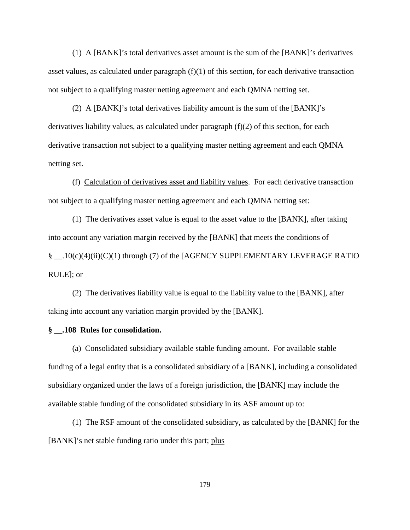(1) A [BANK]'s total derivatives asset amount is the sum of the [BANK]'s derivatives asset values, as calculated under paragraph  $(f)(1)$  of this section, for each derivative transaction not subject to a qualifying master netting agreement and each QMNA netting set.

(2) A [BANK]'s total derivatives liability amount is the sum of the [BANK]'s derivatives liability values, as calculated under paragraph (f)(2) of this section, for each derivative transaction not subject to a qualifying master netting agreement and each QMNA netting set.

(f) Calculation of derivatives asset and liability values. For each derivative transaction not subject to a qualifying master netting agreement and each QMNA netting set:

(1) The derivatives asset value is equal to the asset value to the [BANK], after taking into account any variation margin received by the [BANK] that meets the conditions of § \_\_.10(c)(4)(ii)(C)(1) through (7) of the [AGENCY SUPPLEMENTARY LEVERAGE RATIO RULE]; or

(2) The derivatives liability value is equal to the liability value to the [BANK], after taking into account any variation margin provided by the [BANK].

## **§ \_\_.108 Rules for consolidation.**

(a) Consolidated subsidiary available stable funding amount. For available stable funding of a legal entity that is a consolidated subsidiary of a [BANK], including a consolidated subsidiary organized under the laws of a foreign jurisdiction, the [BANK] may include the available stable funding of the consolidated subsidiary in its ASF amount up to:

(1) The RSF amount of the consolidated subsidiary, as calculated by the [BANK] for the [BANK]'s net stable funding ratio under this part; plus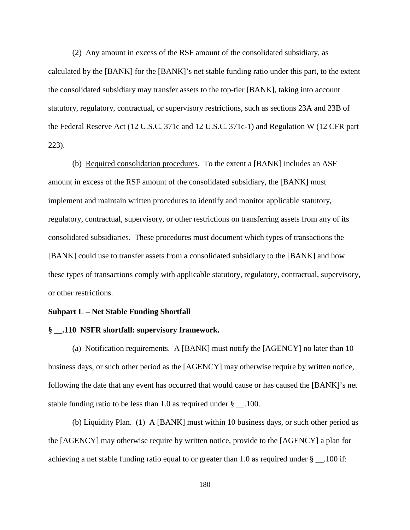(2) Any amount in excess of the RSF amount of the consolidated subsidiary, as calculated by the [BANK] for the [BANK]'s net stable funding ratio under this part, to the extent the consolidated subsidiary may transfer assets to the top-tier [BANK], taking into account statutory, regulatory, contractual, or supervisory restrictions, such as sections 23A and 23B of the Federal Reserve Act (12 U.S.C. 371c and 12 U.S.C. 371c-1) and Regulation W (12 CFR part 223).

(b) Required consolidation procedures. To the extent a [BANK] includes an ASF amount in excess of the RSF amount of the consolidated subsidiary, the [BANK] must implement and maintain written procedures to identify and monitor applicable statutory, regulatory, contractual, supervisory, or other restrictions on transferring assets from any of its consolidated subsidiaries. These procedures must document which types of transactions the [BANK] could use to transfer assets from a consolidated subsidiary to the [BANK] and how these types of transactions comply with applicable statutory, regulatory, contractual, supervisory, or other restrictions.

#### **Subpart L – Net Stable Funding Shortfall**

#### **§ \_\_.110 NSFR shortfall: supervisory framework.**

(a) Notification requirements. A [BANK] must notify the [AGENCY] no later than 10 business days, or such other period as the [AGENCY] may otherwise require by written notice, following the date that any event has occurred that would cause or has caused the [BANK]'s net stable funding ratio to be less than 1.0 as required under  $\S$  \_\_.100.

(b) Liquidity Plan. (1) A [BANK] must within 10 business days, or such other period as the [AGENCY] may otherwise require by written notice, provide to the [AGENCY] a plan for achieving a net stable funding ratio equal to or greater than 1.0 as required under § \_\_.100 if: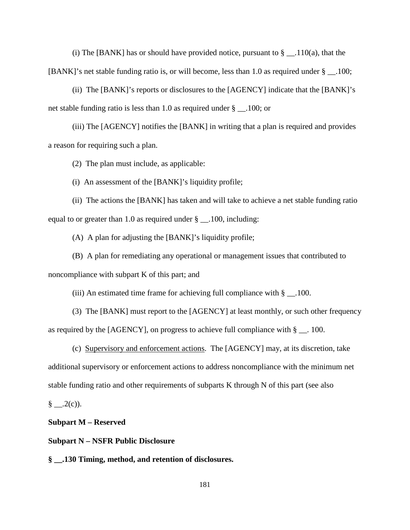(i) The [BANK] has or should have provided notice, pursuant to  $\S$  \_\_.110(a), that the [BANK]'s net stable funding ratio is, or will become, less than 1.0 as required under § \_\_.100;

(ii) The [BANK]'s reports or disclosures to the [AGENCY] indicate that the [BANK]'s net stable funding ratio is less than 1.0 as required under § .100; or

(iii) The [AGENCY] notifies the [BANK] in writing that a plan is required and provides a reason for requiring such a plan.

(2) The plan must include, as applicable:

(i) An assessment of the [BANK]'s liquidity profile;

(ii) The actions the [BANK] has taken and will take to achieve a net stable funding ratio equal to or greater than 1.0 as required under  $\S$  \_\_.100, including:

(A) A plan for adjusting the [BANK]'s liquidity profile;

(B) A plan for remediating any operational or management issues that contributed to noncompliance with subpart K of this part; and

(iii) An estimated time frame for achieving full compliance with  $\S$  \_\_.100.

(3) The [BANK] must report to the [AGENCY] at least monthly, or such other frequency as required by the [AGENCY], on progress to achieve full compliance with  $\S$  \_\_. 100.

(c) Supervisory and enforcement actions. The [AGENCY] may, at its discretion, take additional supervisory or enforcement actions to address noncompliance with the minimum net stable funding ratio and other requirements of subparts K through N of this part (see also

§ \_\_.2(c)).

#### **Subpart M – Reserved**

**Subpart N – NSFR Public Disclosure**

**§ \_\_.130 Timing, method, and retention of disclosures.**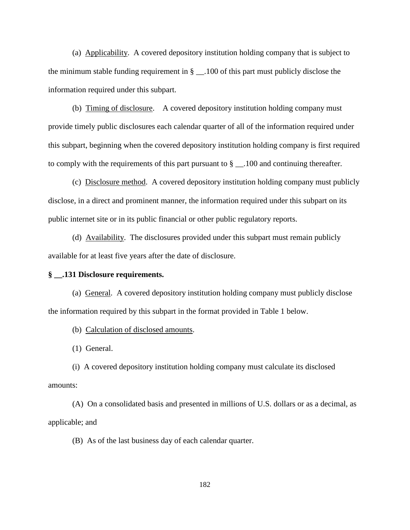(a) Applicability. A covered depository institution holding company that is subject to the minimum stable funding requirement in § \_\_.100 of this part must publicly disclose the information required under this subpart.

(b) Timing of disclosure. A covered depository institution holding company must provide timely public disclosures each calendar quarter of all of the information required under this subpart, beginning when the covered depository institution holding company is first required to comply with the requirements of this part pursuant to § \_\_.100 and continuing thereafter.

(c) Disclosure method. A covered depository institution holding company must publicly disclose, in a direct and prominent manner, the information required under this subpart on its public internet site or in its public financial or other public regulatory reports.

(d) Availability. The disclosures provided under this subpart must remain publicly available for at least five years after the date of disclosure.

### **§ \_\_.131 Disclosure requirements.**

(a) General. A covered depository institution holding company must publicly disclose the information required by this subpart in the format provided in Table 1 below.

(b) Calculation of disclosed amounts.

(1) General.

(i) A covered depository institution holding company must calculate its disclosed amounts:

(A) On a consolidated basis and presented in millions of U.S. dollars or as a decimal, as applicable; and

(B) As of the last business day of each calendar quarter.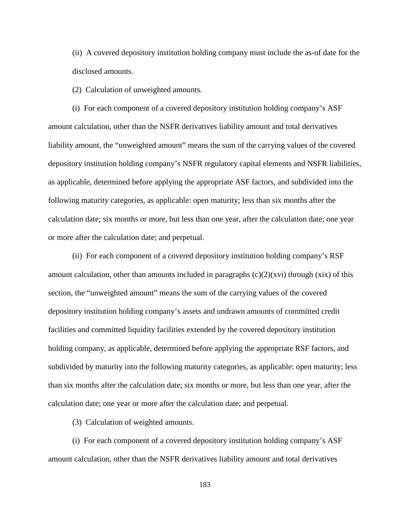(ii) A covered depository institution holding company must include the as-of date for the disclosed amounts.

(2) Calculation of unweighted amounts.

(i) For each component of a covered depository institution holding company's ASF amount calculation, other than the NSFR derivatives liability amount and total derivatives liability amount, the "unweighted amount" means the sum of the carrying values of the covered depository institution holding company's NSFR regulatory capital elements and NSFR liabilities, as applicable, determined before applying the appropriate ASF factors, and subdivided into the following maturity categories, as applicable: open maturity; less than six months after the calculation date; six months or more, but less than one year, after the calculation date; one year or more after the calculation date; and perpetual.

(ii) For each component of a covered depository institution holding company's RSF amount calculation, other than amounts included in paragraphs  $(c)(2)(xvi)$  through  $(xix)$  of this section, the "unweighted amount" means the sum of the carrying values of the covered depository institution holding company's assets and undrawn amounts of committed credit facilities and committed liquidity facilities extended by the covered depository institution holding company, as applicable, determined before applying the appropriate RSF factors, and subdivided by maturity into the following maturity categories, as applicable: open maturity; less than six months after the calculation date; six months or more, but less than one year, after the calculation date; one year or more after the calculation date; and perpetual.

(3) Calculation of weighted amounts.

(i) For each component of a covered depository institution holding company's ASF amount calculation, other than the NSFR derivatives liability amount and total derivatives

183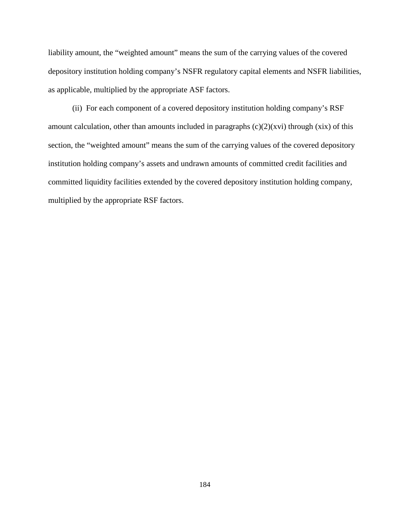liability amount, the "weighted amount" means the sum of the carrying values of the covered depository institution holding company's NSFR regulatory capital elements and NSFR liabilities, as applicable, multiplied by the appropriate ASF factors.

(ii) For each component of a covered depository institution holding company's RSF amount calculation, other than amounts included in paragraphs  $(c)(2)(xvi)$  through  $(xix)$  of this section, the "weighted amount" means the sum of the carrying values of the covered depository institution holding company's assets and undrawn amounts of committed credit facilities and committed liquidity facilities extended by the covered depository institution holding company, multiplied by the appropriate RSF factors.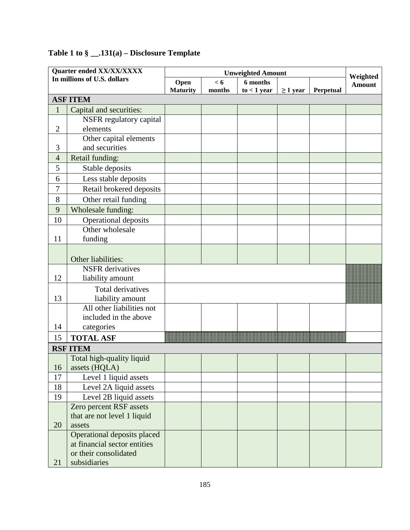| Quarter ended XX/XX/XXXX    |                              |                 | Weighted |               |               |                  |               |  |
|-----------------------------|------------------------------|-----------------|----------|---------------|---------------|------------------|---------------|--|
| In millions of U.S. dollars |                              | Open            | < 6      | 6 months      |               |                  | <b>Amount</b> |  |
|                             |                              | <b>Maturity</b> | months   | $to < 1$ year | $\geq 1$ year | <b>Perpetual</b> |               |  |
|                             | <b>ASF ITEM</b>              |                 |          |               |               |                  |               |  |
| $\mathbf{1}$                | Capital and securities:      |                 |          |               |               |                  |               |  |
|                             | NSFR regulatory capital      |                 |          |               |               |                  |               |  |
| $\mathfrak{2}$              | elements                     |                 |          |               |               |                  |               |  |
|                             | Other capital elements       |                 |          |               |               |                  |               |  |
| 3                           | and securities               |                 |          |               |               |                  |               |  |
| $\overline{4}$              | Retail funding:              |                 |          |               |               |                  |               |  |
| 5                           | Stable deposits              |                 |          |               |               |                  |               |  |
| 6                           | Less stable deposits         |                 |          |               |               |                  |               |  |
| $\overline{7}$              | Retail brokered deposits     |                 |          |               |               |                  |               |  |
| 8                           | Other retail funding         |                 |          |               |               |                  |               |  |
| 9                           | Wholesale funding:           |                 |          |               |               |                  |               |  |
| 10                          | <b>Operational deposits</b>  |                 |          |               |               |                  |               |  |
|                             | Other wholesale              |                 |          |               |               |                  |               |  |
| 11                          | funding                      |                 |          |               |               |                  |               |  |
|                             |                              |                 |          |               |               |                  |               |  |
|                             | Other liabilities:           |                 |          |               |               |                  |               |  |
|                             | <b>NSFR</b> derivatives      |                 |          |               |               |                  |               |  |
| 12                          | liability amount             |                 |          |               |               |                  |               |  |
|                             | Total derivatives            |                 |          |               |               |                  |               |  |
| 13                          | liability amount             |                 |          |               |               |                  |               |  |
|                             | All other liabilities not    |                 |          |               |               |                  |               |  |
|                             | included in the above        |                 |          |               |               |                  |               |  |
| 14                          | categories                   |                 |          |               |               |                  |               |  |
| 15                          | <b>TOTAL ASF</b>             |                 |          |               |               |                  |               |  |
|                             | <b>RSF ITEM</b>              |                 |          |               |               |                  |               |  |
|                             | Total high-quality liquid    |                 |          |               |               |                  |               |  |
| 16                          | assets (HQLA)                |                 |          |               |               |                  |               |  |
| 17                          | Level 1 liquid assets        |                 |          |               |               |                  |               |  |
| 18                          | Level 2A liquid assets       |                 |          |               |               |                  |               |  |
| 19                          | Level 2B liquid assets       |                 |          |               |               |                  |               |  |
|                             | Zero percent RSF assets      |                 |          |               |               |                  |               |  |
|                             | that are not level 1 liquid  |                 |          |               |               |                  |               |  |
| 20                          | assets                       |                 |          |               |               |                  |               |  |
|                             | Operational deposits placed  |                 |          |               |               |                  |               |  |
|                             | at financial sector entities |                 |          |               |               |                  |               |  |
|                             | or their consolidated        |                 |          |               |               |                  |               |  |
| 21                          | subsidiaries                 |                 |          |               |               |                  |               |  |

# **Table 1 to § \_\_.131(a) – Disclosure Template**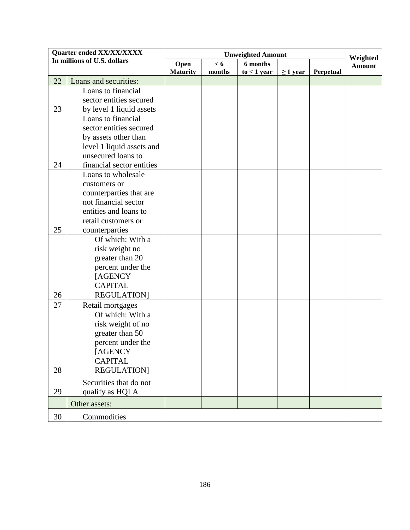| Quarter ended XX/XX/XXXX    |                           | <b>Unweighted Amount</b> |        |               |               |           | Weighted<br><b>Amount</b> |
|-----------------------------|---------------------------|--------------------------|--------|---------------|---------------|-----------|---------------------------|
| In millions of U.S. dollars |                           | < 6<br>6 months<br>Open  |        |               |               |           |                           |
|                             |                           | <b>Maturity</b>          | months | $to < 1$ year | $\geq 1$ year | Perpetual |                           |
| 22                          | Loans and securities:     |                          |        |               |               |           |                           |
|                             | Loans to financial        |                          |        |               |               |           |                           |
|                             | sector entities secured   |                          |        |               |               |           |                           |
| 23                          | by level 1 liquid assets  |                          |        |               |               |           |                           |
|                             | Loans to financial        |                          |        |               |               |           |                           |
|                             | sector entities secured   |                          |        |               |               |           |                           |
|                             | by assets other than      |                          |        |               |               |           |                           |
|                             | level 1 liquid assets and |                          |        |               |               |           |                           |
|                             | unsecured loans to        |                          |        |               |               |           |                           |
| 24                          | financial sector entities |                          |        |               |               |           |                           |
|                             | Loans to wholesale        |                          |        |               |               |           |                           |
|                             | customers or              |                          |        |               |               |           |                           |
|                             | counterparties that are   |                          |        |               |               |           |                           |
|                             | not financial sector      |                          |        |               |               |           |                           |
|                             | entities and loans to     |                          |        |               |               |           |                           |
|                             | retail customers or       |                          |        |               |               |           |                           |
| 25                          | counterparties            |                          |        |               |               |           |                           |
|                             | Of which: With a          |                          |        |               |               |           |                           |
|                             | risk weight no            |                          |        |               |               |           |                           |
|                             | greater than 20           |                          |        |               |               |           |                           |
|                             | percent under the         |                          |        |               |               |           |                           |
|                             | [AGENCY                   |                          |        |               |               |           |                           |
|                             | <b>CAPITAL</b>            |                          |        |               |               |           |                           |
| 26                          | <b>REGULATION</b> ]       |                          |        |               |               |           |                           |
| 27                          | Retail mortgages          |                          |        |               |               |           |                           |
|                             | Of which: With a          |                          |        |               |               |           |                           |
|                             | risk weight of no         |                          |        |               |               |           |                           |
|                             | greater than 50           |                          |        |               |               |           |                           |
|                             | percent under the         |                          |        |               |               |           |                           |
|                             | [AGENCY                   |                          |        |               |               |           |                           |
|                             | <b>CAPITAL</b>            |                          |        |               |               |           |                           |
| 28                          | <b>REGULATION</b>         |                          |        |               |               |           |                           |
|                             | Securities that do not    |                          |        |               |               |           |                           |
| 29                          | qualify as HQLA           |                          |        |               |               |           |                           |
|                             |                           |                          |        |               |               |           |                           |
|                             | Other assets:             |                          |        |               |               |           |                           |
| 30                          | Commodities               |                          |        |               |               |           |                           |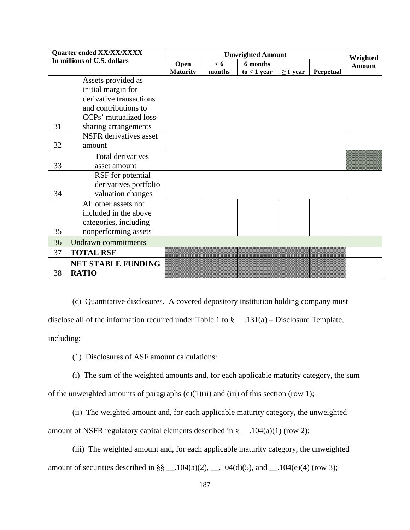| Quarter ended XX/XX/XXXX    |                                           | <b>Unweighted Amount</b> |          |               |               |           | Weighted      |
|-----------------------------|-------------------------------------------|--------------------------|----------|---------------|---------------|-----------|---------------|
| In millions of U.S. dollars |                                           | Open                     | $\leq 6$ | 6 months      |               |           | <b>Amount</b> |
|                             |                                           | <b>Maturity</b>          | months   | $to < 1$ year | $\geq 1$ year | Perpetual |               |
|                             | Assets provided as                        |                          |          |               |               |           |               |
|                             | initial margin for                        |                          |          |               |               |           |               |
|                             | derivative transactions                   |                          |          |               |               |           |               |
|                             | and contributions to                      |                          |          |               |               |           |               |
|                             | CCPs' mutualized loss-                    |                          |          |               |               |           |               |
| 31                          | sharing arrangements                      |                          |          |               |               |           |               |
|                             | <b>NSFR</b> derivatives asset             |                          |          |               |               |           |               |
| 32                          | amount                                    |                          |          |               |               |           |               |
|                             | Total derivatives                         |                          |          |               |               |           |               |
| 33                          | asset amount                              |                          |          |               |               |           |               |
|                             | RSF for potential                         |                          |          |               |               |           |               |
|                             | derivatives portfolio                     |                          |          |               |               |           |               |
| 34                          | valuation changes                         |                          |          |               |               |           |               |
|                             | All other assets not                      |                          |          |               |               |           |               |
|                             | included in the above                     |                          |          |               |               |           |               |
|                             | categories, including                     |                          |          |               |               |           |               |
| 35                          | nonperforming assets                      |                          |          |               |               |           |               |
| 36                          | <b>Undrawn</b> commitments                |                          |          |               |               |           |               |
| 37                          | <b>TOTAL RSF</b>                          |                          |          |               |               |           |               |
| 38                          | <b>NET STABLE FUNDING</b><br><b>RATIO</b> |                          |          |               |               |           |               |

(c) Quantitative disclosures. A covered depository institution holding company must disclose all of the information required under Table 1 to  $\S$  \_\_.131(a) – Disclosure Template, including:

(1) Disclosures of ASF amount calculations:

(i) The sum of the weighted amounts and, for each applicable maturity category, the sum of the unweighted amounts of paragraphs  $(c)(1)(ii)$  and  $(iii)$  of this section (row 1);

(ii) The weighted amount and, for each applicable maturity category, the unweighted amount of NSFR regulatory capital elements described in  $\S$  \_\_.104(a)(1) (row 2);

(iii) The weighted amount and, for each applicable maturity category, the unweighted amount of securities described in  $\S\S - 104(a)(2)$ ,  $- 104(d)(5)$ , and  $- 104(e)(4)$  (row 3);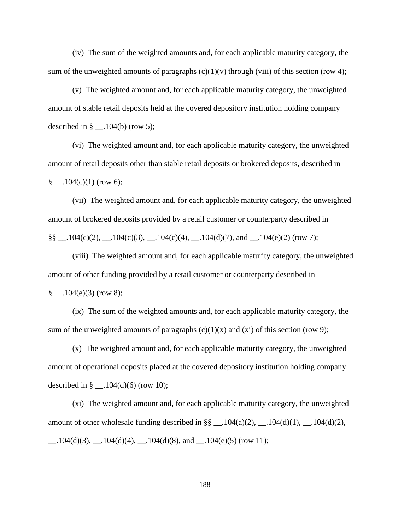(iv) The sum of the weighted amounts and, for each applicable maturity category, the sum of the unweighted amounts of paragraphs  $(c)(1)(v)$  through (viii) of this section (row 4);

(v) The weighted amount and, for each applicable maturity category, the unweighted amount of stable retail deposits held at the covered depository institution holding company described in  $\S$  \_\_ .104(b) (row 5);

(vi) The weighted amount and, for each applicable maturity category, the unweighted amount of retail deposits other than stable retail deposits or brokered deposits, described in  $\S$  .104(c)(1) (row 6);

(vii) The weighted amount and, for each applicable maturity category, the unweighted amount of brokered deposits provided by a retail customer or counterparty described in  $\S\S - .104(c)(2), -.104(c)(3), -.104(c)(4), -.104(d)(7), and -.104(e)(2)$  (row 7);

(viii) The weighted amount and, for each applicable maturity category, the unweighted amount of other funding provided by a retail customer or counterparty described in  $\S$  .104(e)(3) (row 8);

(ix) The sum of the weighted amounts and, for each applicable maturity category, the sum of the unweighted amounts of paragraphs  $(c)(1)(x)$  and  $(xi)$  of this section (row 9);

(x) The weighted amount and, for each applicable maturity category, the unweighted amount of operational deposits placed at the covered depository institution holding company described in  $\S$  \_\_.104(d)(6) (row 10);

(xi) The weighted amount and, for each applicable maturity category, the unweighted amount of other wholesale funding described in  $\S\S$  \_.104(a)(2), \_.104(d)(1), \_.104(d)(2),  $\_\_$ .104(d)(3),  $\_\_$ .104(d)(4),  $\_\_$ .104(d)(8), and  $\_\_$ .104(e)(5) (row 11);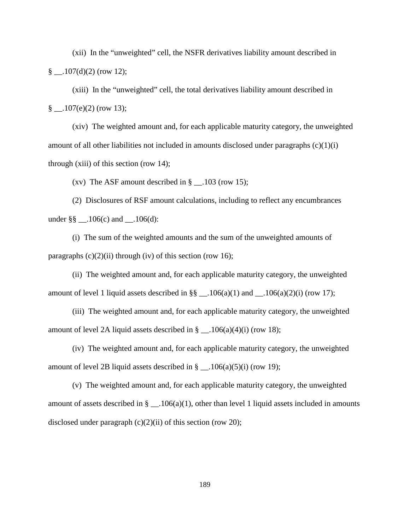(xii) In the "unweighted" cell, the NSFR derivatives liability amount described in  $\frac{8}{2}$ . 107(d)(2) (row 12);

(xiii) In the "unweighted" cell, the total derivatives liability amount described in  $\frac{8}{2}$ . 107(e)(2) (row 13);

(xiv) The weighted amount and, for each applicable maturity category, the unweighted amount of all other liabilities not included in amounts disclosed under paragraphs (c)(1)(i) through (xiii) of this section (row 14);

(xv) The ASF amount described in  $\S$  \_\_.103 (row 15);

(2) Disclosures of RSF amount calculations, including to reflect any encumbrances under  $\S\S -106(c)$  and  $-.106(d)$ :

(i) The sum of the weighted amounts and the sum of the unweighted amounts of paragraphs  $(c)(2)(ii)$  through (iv) of this section (row 16);

(ii) The weighted amount and, for each applicable maturity category, the unweighted amount of level 1 liquid assets described in  $\S\S$  \_\_.106(a)(1) and \_\_.106(a)(2)(i) (row 17);

(iii) The weighted amount and, for each applicable maturity category, the unweighted amount of level 2A liquid assets described in  $\S$  \_\_.106(a)(4)(i) (row 18);

(iv) The weighted amount and, for each applicable maturity category, the unweighted amount of level 2B liquid assets described in  $\S$  \_\_.106(a)(5)(i) (row 19);

(v) The weighted amount and, for each applicable maturity category, the unweighted amount of assets described in  $\S$  \_\_ 106(a)(1), other than level 1 liquid assets included in amounts disclosed under paragraph  $(c)(2)(ii)$  of this section (row 20);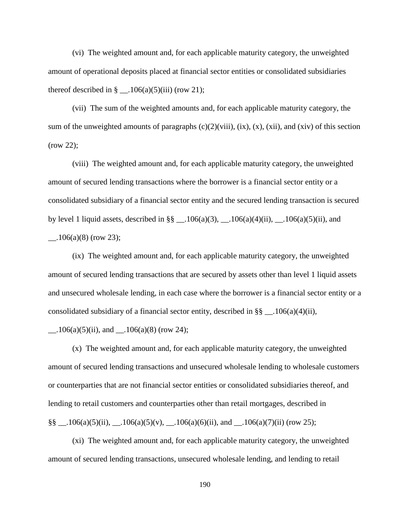(vi) The weighted amount and, for each applicable maturity category, the unweighted amount of operational deposits placed at financial sector entities or consolidated subsidiaries thereof described in  $\S$  \_\_.106(a)(5)(iii) (row 21);

(vii) The sum of the weighted amounts and, for each applicable maturity category, the sum of the unweighted amounts of paragraphs  $(c)(2)(viii)$ ,  $(ix)$ ,  $(x)$ ,  $(xii)$ , and  $(xiv)$  of this section (row 22);

(viii) The weighted amount and, for each applicable maturity category, the unweighted amount of secured lending transactions where the borrower is a financial sector entity or a consolidated subsidiary of a financial sector entity and the secured lending transaction is secured by level 1 liquid assets, described in  $\S\S$  \_\_.106(a)(3), \_\_.106(a)(4)(ii), \_\_.106(a)(5)(ii), and  $\_\_1106(a)(8)$  (row 23);

(ix) The weighted amount and, for each applicable maturity category, the unweighted amount of secured lending transactions that are secured by assets other than level 1 liquid assets and unsecured wholesale lending, in each case where the borrower is a financial sector entity or a consolidated subsidiary of a financial sector entity, described in  $\S\S - 106(a)(4)(ii)$ ,

 $\_\_1106(a)(5)(ii)$ , and  $\_\_106(a)(8)$  (row 24);

(x) The weighted amount and, for each applicable maturity category, the unweighted amount of secured lending transactions and unsecured wholesale lending to wholesale customers or counterparties that are not financial sector entities or consolidated subsidiaries thereof, and lending to retail customers and counterparties other than retail mortgages, described in §§ \_\_.106(a)(5)(ii), \_\_\_.106(a)(5)(v), \_\_\_.106(a)(6)(ii), and \_\_\_.106(a)(7)(ii) (row 25);

(xi) The weighted amount and, for each applicable maturity category, the unweighted amount of secured lending transactions, unsecured wholesale lending, and lending to retail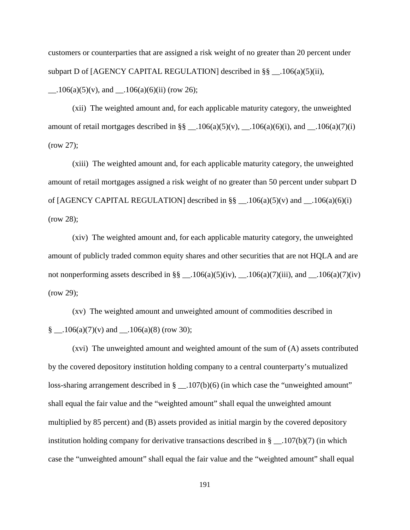customers or counterparties that are assigned a risk weight of no greater than 20 percent under subpart D of [AGENCY CAPITAL REGULATION] described in §§ \_\_.106(a)(5)(ii),  $\_\_1106(a)(5)(v)$ , and  $\_\_106(a)(6)(ii)$  (row 26);

(xii) The weighted amount and, for each applicable maturity category, the unweighted amount of retail mortgages described in §§ \_\_.106(a)(5)(v), \_\_.106(a)(6)(i), and \_\_.106(a)(7)(i) (row 27);

(xiii) The weighted amount and, for each applicable maturity category, the unweighted amount of retail mortgages assigned a risk weight of no greater than 50 percent under subpart D of [AGENCY CAPITAL REGULATION] described in  $\S\S$  \_\_.106(a)(5)(v) and \_\_.106(a)(6)(i) (row 28);

(xiv) The weighted amount and, for each applicable maturity category, the unweighted amount of publicly traded common equity shares and other securities that are not HQLA and are not nonperforming assets described in  $\S\S \_$ . 106(a)(5)(iv), \_\_.106(a)(7)(iii), and \_\_.106(a)(7)(iv) (row 29);

(xv) The weighted amount and unweighted amount of commodities described in § \_\_.106(a)(7)(v) and \_\_.106(a)(8) (row 30);

(xvi) The unweighted amount and weighted amount of the sum of (A) assets contributed by the covered depository institution holding company to a central counterparty's mutualized loss-sharing arrangement described in § \_\_.107(b)(6) (in which case the "unweighted amount" shall equal the fair value and the "weighted amount" shall equal the unweighted amount multiplied by 85 percent) and (B) assets provided as initial margin by the covered depository institution holding company for derivative transactions described in  $\S$  \_\_.107(b)(7) (in which case the "unweighted amount" shall equal the fair value and the "weighted amount" shall equal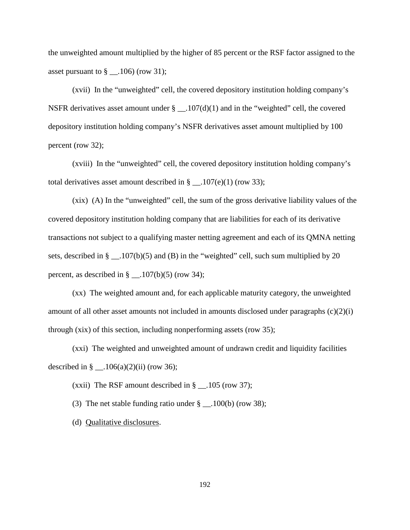the unweighted amount multiplied by the higher of 85 percent or the RSF factor assigned to the asset pursuant to  $\S$  \_\_.106) (row 31);

(xvii) In the "unweighted" cell, the covered depository institution holding company's NSFR derivatives asset amount under  $\S$  \_\_.107(d)(1) and in the "weighted" cell, the covered depository institution holding company's NSFR derivatives asset amount multiplied by 100 percent (row 32);

(xviii) In the "unweighted" cell, the covered depository institution holding company's total derivatives asset amount described in  $\S$  \_\_.107(e)(1) (row 33);

(xix) (A) In the "unweighted" cell, the sum of the gross derivative liability values of the covered depository institution holding company that are liabilities for each of its derivative transactions not subject to a qualifying master netting agreement and each of its QMNA netting sets, described in  $\S$  \_\_.107(b)(5) and (B) in the "weighted" cell, such sum multiplied by 20 percent, as described in  $\S$  \_\_.107(b)(5) (row 34);

(xx) The weighted amount and, for each applicable maturity category, the unweighted amount of all other asset amounts not included in amounts disclosed under paragraphs  $(c)(2)(i)$ through (xix) of this section, including nonperforming assets (row 35);

(xxi) The weighted and unweighted amount of undrawn credit and liquidity facilities described in  $\S$  \_\_ .106(a)(2)(ii) (row 36);

(xxii) The RSF amount described in  $\S$  \_\_.105 (row 37);

(3) The net stable funding ratio under  $\S$  \_\_.100(b) (row 38);

(d) Qualitative disclosures.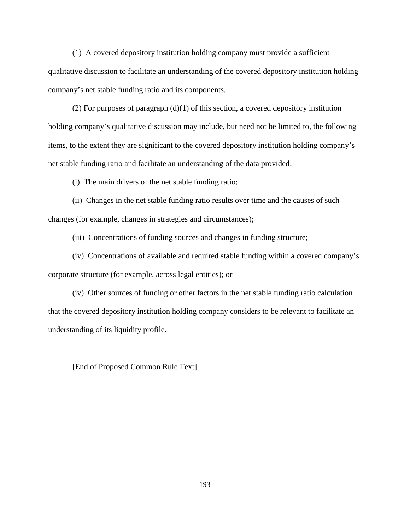(1) A covered depository institution holding company must provide a sufficient qualitative discussion to facilitate an understanding of the covered depository institution holding company's net stable funding ratio and its components.

(2) For purposes of paragraph (d)(1) of this section, a covered depository institution holding company's qualitative discussion may include, but need not be limited to, the following items, to the extent they are significant to the covered depository institution holding company's net stable funding ratio and facilitate an understanding of the data provided:

(i) The main drivers of the net stable funding ratio;

(ii) Changes in the net stable funding ratio results over time and the causes of such changes (for example, changes in strategies and circumstances);

(iii) Concentrations of funding sources and changes in funding structure;

(iv) Concentrations of available and required stable funding within a covered company's corporate structure (for example, across legal entities); or

(iv) Other sources of funding or other factors in the net stable funding ratio calculation that the covered depository institution holding company considers to be relevant to facilitate an understanding of its liquidity profile.

[End of Proposed Common Rule Text]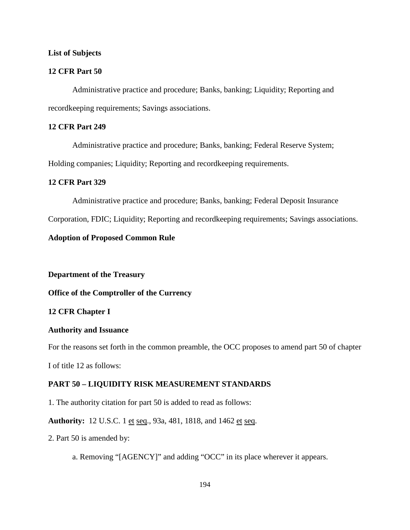## **List of Subjects**

## **12 CFR Part 50**

Administrative practice and procedure; Banks, banking; Liquidity; Reporting and recordkeeping requirements; Savings associations.

# **12 CFR Part 249**

Administrative practice and procedure; Banks, banking; Federal Reserve System;

Holding companies; Liquidity; Reporting and recordkeeping requirements.

## **12 CFR Part 329**

Administrative practice and procedure; Banks, banking; Federal Deposit Insurance

Corporation, FDIC; Liquidity; Reporting and recordkeeping requirements; Savings associations.

### **Adoption of Proposed Common Rule**

**Department of the Treasury**

**Office of the Comptroller of the Currency**

## **12 CFR Chapter I**

#### **Authority and Issuance**

For the reasons set forth in the common preamble, the OCC proposes to amend part 50 of chapter

I of title 12 as follows:

# **PART 50 – LIQUIDITY RISK MEASUREMENT STANDARDS**

1. The authority citation for part 50 is added to read as follows:

**Authority:** 12 U.S.C. 1 et seq., 93a, 481, 1818, and 1462 et seq.

2. Part 50 is amended by:

a. Removing "[AGENCY]" and adding "OCC" in its place wherever it appears.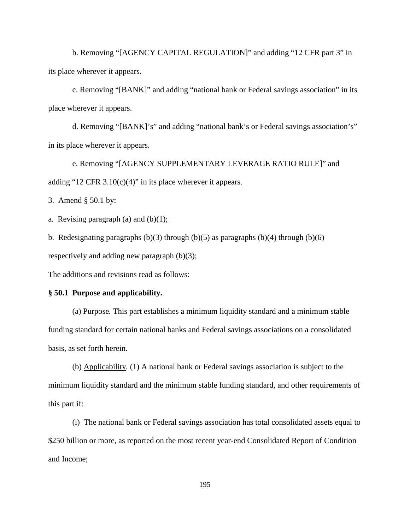b. Removing "[AGENCY CAPITAL REGULATION]" and adding "12 CFR part 3" in its place wherever it appears.

c. Removing "[BANK]" and adding "national bank or Federal savings association" in its place wherever it appears.

d. Removing "[BANK]'s" and adding "national bank's or Federal savings association's" in its place wherever it appears.

e. Removing "[AGENCY SUPPLEMENTARY LEVERAGE RATIO RULE]" and adding "12 CFR  $3.10(c)(4)$ " in its place wherever it appears.

3. Amend § 50.1 by:

a. Revising paragraph  $(a)$  and  $(b)(1)$ ;

b. Redesignating paragraphs  $(b)(3)$  through  $(b)(5)$  as paragraphs  $(b)(4)$  through  $(b)(6)$ 

respectively and adding new paragraph (b)(3);

The additions and revisions read as follows:

#### **§ 50.1 Purpose and applicability.**

(a) Purpose*.* This part establishes a minimum liquidity standard and a minimum stable funding standard for certain national banks and Federal savings associations on a consolidated basis, as set forth herein.

(b) Applicability*.* (1) A national bank or Federal savings association is subject to the minimum liquidity standard and the minimum stable funding standard, and other requirements of this part if:

(i) The national bank or Federal savings association has total consolidated assets equal to \$250 billion or more, as reported on the most recent year-end Consolidated Report of Condition and Income;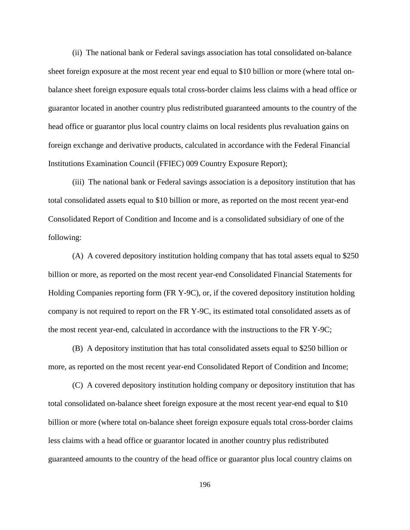(ii) The national bank or Federal savings association has total consolidated on-balance sheet foreign exposure at the most recent year end equal to \$10 billion or more (where total onbalance sheet foreign exposure equals total cross-border claims less claims with a head office or guarantor located in another country plus redistributed guaranteed amounts to the country of the head office or guarantor plus local country claims on local residents plus revaluation gains on foreign exchange and derivative products, calculated in accordance with the Federal Financial Institutions Examination Council (FFIEC) 009 Country Exposure Report);

(iii) The national bank or Federal savings association is a depository institution that has total consolidated assets equal to \$10 billion or more, as reported on the most recent year-end Consolidated Report of Condition and Income and is a consolidated subsidiary of one of the following:

(A) A covered depository institution holding company that has total assets equal to \$250 billion or more, as reported on the most recent year-end Consolidated Financial Statements for Holding Companies reporting form (FR Y-9C), or, if the covered depository institution holding company is not required to report on the FR Y-9C, its estimated total consolidated assets as of the most recent year-end, calculated in accordance with the instructions to the FR Y-9C;

(B) A depository institution that has total consolidated assets equal to \$250 billion or more, as reported on the most recent year-end Consolidated Report of Condition and Income;

(C) A covered depository institution holding company or depository institution that has total consolidated on-balance sheet foreign exposure at the most recent year-end equal to \$10 billion or more (where total on-balance sheet foreign exposure equals total cross-border claims less claims with a head office or guarantor located in another country plus redistributed guaranteed amounts to the country of the head office or guarantor plus local country claims on

196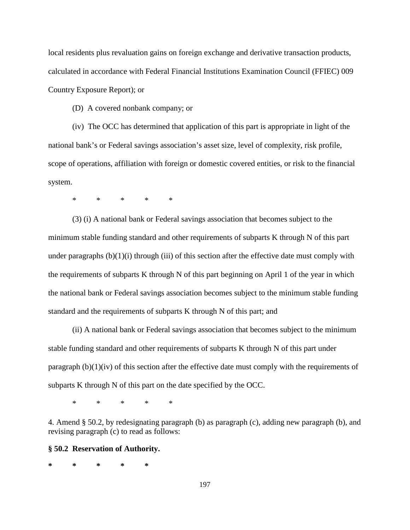local residents plus revaluation gains on foreign exchange and derivative transaction products, calculated in accordance with Federal Financial Institutions Examination Council (FFIEC) 009 Country Exposure Report); or

(D) A covered nonbank company; or

(iv) The OCC has determined that application of this part is appropriate in light of the national bank's or Federal savings association's asset size, level of complexity, risk profile, scope of operations, affiliation with foreign or domestic covered entities, or risk to the financial system.

\* \* \* \* \*

(3) (i) A national bank or Federal savings association that becomes subject to the minimum stable funding standard and other requirements of subparts K through N of this part under paragraphs  $(b)(1)(i)$  through  $(iii)$  of this section after the effective date must comply with the requirements of subparts K through N of this part beginning on April 1 of the year in which the national bank or Federal savings association becomes subject to the minimum stable funding standard and the requirements of subparts K through N of this part; and

(ii) A national bank or Federal savings association that becomes subject to the minimum stable funding standard and other requirements of subparts K through N of this part under paragraph (b)(1)(iv) of this section after the effective date must comply with the requirements of subparts K through N of this part on the date specified by the OCC.

\* \* \* \* \*

4. Amend § 50.2, by redesignating paragraph (b) as paragraph (c), adding new paragraph (b), and revising paragraph (c) to read as follows:

#### **§ 50.2 Reservation of Authority.**

**\* \* \* \* \***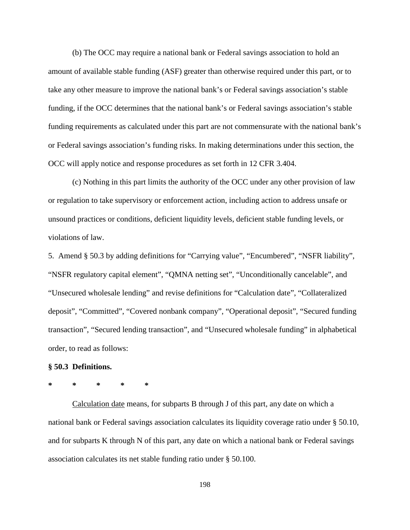(b) The OCC may require a national bank or Federal savings association to hold an amount of available stable funding (ASF) greater than otherwise required under this part, or to take any other measure to improve the national bank's or Federal savings association's stable funding, if the OCC determines that the national bank's or Federal savings association's stable funding requirements as calculated under this part are not commensurate with the national bank's or Federal savings association's funding risks. In making determinations under this section, the OCC will apply notice and response procedures as set forth in 12 CFR 3.404.

(c) Nothing in this part limits the authority of the OCC under any other provision of law or regulation to take supervisory or enforcement action, including action to address unsafe or unsound practices or conditions, deficient liquidity levels, deficient stable funding levels, or violations of law.

5. Amend § 50.3 by adding definitions for "Carrying value", "Encumbered", "NSFR liability", "NSFR regulatory capital element", "QMNA netting set", "Unconditionally cancelable", and "Unsecured wholesale lending" and revise definitions for "Calculation date", "Collateralized deposit", "Committed", "Covered nonbank company", "Operational deposit", "Secured funding transaction", "Secured lending transaction", and "Unsecured wholesale funding" in alphabetical order, to read as follows:

#### **§ 50.3 Definitions.**

# **\* \* \* \* \***

Calculation date means, for subparts B through J of this part, any date on which a national bank or Federal savings association calculates its liquidity coverage ratio under § 50.10, and for subparts K through N of this part, any date on which a national bank or Federal savings association calculates its net stable funding ratio under § 50.100.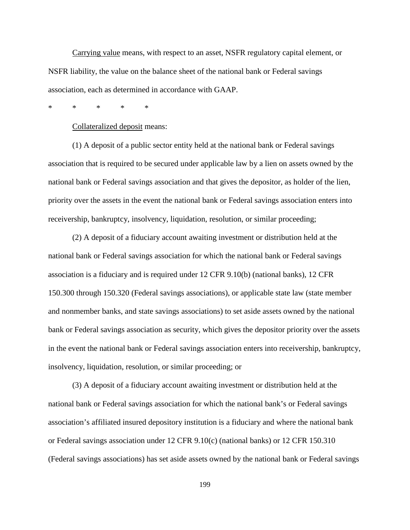Carrying value means, with respect to an asset, NSFR regulatory capital element, or NSFR liability, the value on the balance sheet of the national bank or Federal savings association, each as determined in accordance with GAAP.

\* \* \* \* \*

Collateralized deposit means:

(1) A deposit of a public sector entity held at the national bank or Federal savings association that is required to be secured under applicable law by a lien on assets owned by the national bank or Federal savings association and that gives the depositor, as holder of the lien, priority over the assets in the event the national bank or Federal savings association enters into receivership, bankruptcy, insolvency, liquidation, resolution, or similar proceeding;

(2) A deposit of a fiduciary account awaiting investment or distribution held at the national bank or Federal savings association for which the national bank or Federal savings association is a fiduciary and is required under 12 CFR 9.10(b) (national banks), 12 CFR 150.300 through 150.320 (Federal savings associations), or applicable state law (state member and nonmember banks, and state savings associations) to set aside assets owned by the national bank or Federal savings association as security, which gives the depositor priority over the assets in the event the national bank or Federal savings association enters into receivership, bankruptcy, insolvency, liquidation, resolution, or similar proceeding; or

(3) A deposit of a fiduciary account awaiting investment or distribution held at the national bank or Federal savings association for which the national bank's or Federal savings association's affiliated insured depository institution is a fiduciary and where the national bank or Federal savings association under 12 CFR 9.10(c) (national banks) or 12 CFR 150.310 (Federal savings associations) has set aside assets owned by the national bank or Federal savings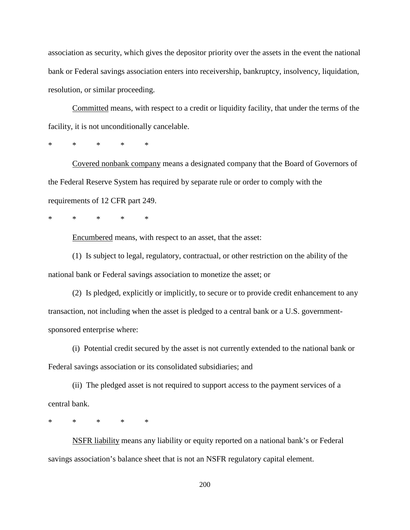association as security, which gives the depositor priority over the assets in the event the national bank or Federal savings association enters into receivership, bankruptcy, insolvency, liquidation, resolution, or similar proceeding.

Committed means, with respect to a credit or liquidity facility, that under the terms of the facility, it is not unconditionally cancelable.

\* \* \* \* \*

Covered nonbank company means a designated company that the Board of Governors of the Federal Reserve System has required by separate rule or order to comply with the requirements of 12 CFR part 249.

\* \* \* \* \*

Encumbered means, with respect to an asset, that the asset:

(1) Is subject to legal, regulatory, contractual, or other restriction on the ability of the national bank or Federal savings association to monetize the asset; or

(2) Is pledged, explicitly or implicitly, to secure or to provide credit enhancement to any transaction, not including when the asset is pledged to a central bank or a U.S. governmentsponsored enterprise where:

(i) Potential credit secured by the asset is not currently extended to the national bank or Federal savings association or its consolidated subsidiaries; and

(ii) The pledged asset is not required to support access to the payment services of a central bank.

\* \* \* \* \*

NSFR liability means any liability or equity reported on a national bank's or Federal savings association's balance sheet that is not an NSFR regulatory capital element.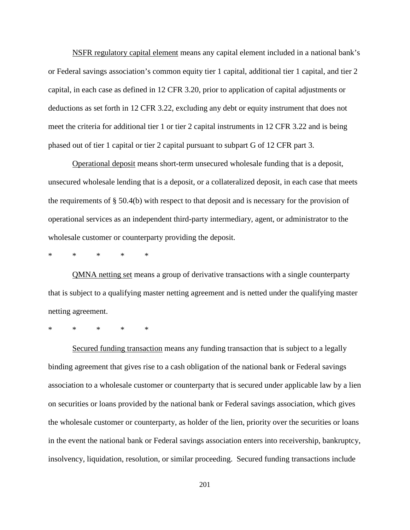NSFR regulatory capital element means any capital element included in a national bank's or Federal savings association's common equity tier 1 capital, additional tier 1 capital, and tier 2 capital, in each case as defined in 12 CFR 3.20, prior to application of capital adjustments or deductions as set forth in 12 CFR 3.22, excluding any debt or equity instrument that does not meet the criteria for additional tier 1 or tier 2 capital instruments in 12 CFR 3.22 and is being phased out of tier 1 capital or tier 2 capital pursuant to subpart G of 12 CFR part 3.

Operational deposit means short-term unsecured wholesale funding that is a deposit, unsecured wholesale lending that is a deposit, or a collateralized deposit, in each case that meets the requirements of  $\S$  50.4(b) with respect to that deposit and is necessary for the provision of operational services as an independent third-party intermediary, agent, or administrator to the wholesale customer or counterparty providing the deposit.

\* \* \* \* \*

QMNA netting set means a group of derivative transactions with a single counterparty that is subject to a qualifying master netting agreement and is netted under the qualifying master netting agreement.

\* \* \* \* \*

Secured funding transaction means any funding transaction that is subject to a legally binding agreement that gives rise to a cash obligation of the national bank or Federal savings association to a wholesale customer or counterparty that is secured under applicable law by a lien on securities or loans provided by the national bank or Federal savings association, which gives the wholesale customer or counterparty, as holder of the lien, priority over the securities or loans in the event the national bank or Federal savings association enters into receivership, bankruptcy, insolvency, liquidation, resolution, or similar proceeding. Secured funding transactions include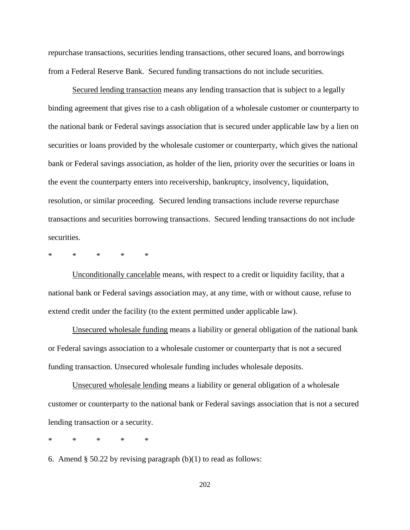repurchase transactions, securities lending transactions, other secured loans, and borrowings from a Federal Reserve Bank. Secured funding transactions do not include securities.

Secured lending transaction means any lending transaction that is subject to a legally binding agreement that gives rise to a cash obligation of a wholesale customer or counterparty to the national bank or Federal savings association that is secured under applicable law by a lien on securities or loans provided by the wholesale customer or counterparty, which gives the national bank or Federal savings association, as holder of the lien, priority over the securities or loans in the event the counterparty enters into receivership, bankruptcy, insolvency, liquidation, resolution, or similar proceeding. Secured lending transactions include reverse repurchase transactions and securities borrowing transactions. Secured lending transactions do not include securities.

\* \* \* \* \*

Unconditionally cancelable means, with respect to a credit or liquidity facility, that a national bank or Federal savings association may, at any time, with or without cause, refuse to extend credit under the facility (to the extent permitted under applicable law).

Unsecured wholesale funding means a liability or general obligation of the national bank or Federal savings association to a wholesale customer or counterparty that is not a secured funding transaction. Unsecured wholesale funding includes wholesale deposits.

Unsecured wholesale lending means a liability or general obligation of a wholesale customer or counterparty to the national bank or Federal savings association that is not a secured lending transaction or a security.

\* \* \* \* \*

6. Amend  $\S 50.22$  by revising paragraph (b)(1) to read as follows: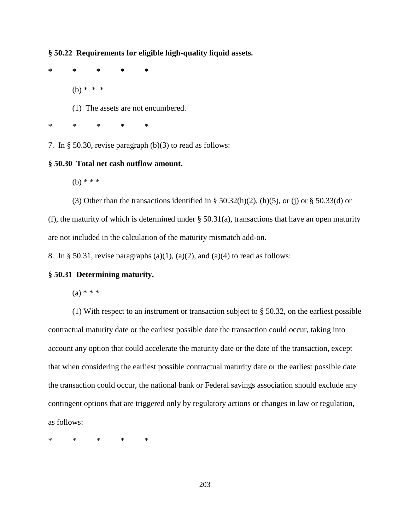**§ 50.22 Requirements for eligible high-quality liquid assets.**

**\* \* \* \* \***

(b) \* \* \*

(1) The assets are not encumbered.

\* \* \* \* \*

7. In § 50.30, revise paragraph (b)(3) to read as follows:

#### **§ 50.30 Total net cash outflow amount.**

(b)  $* * *$ 

(3) Other than the transactions identified in § 50.32(h)(2), (h)(5), or (j) or § 50.33(d) or

(f), the maturity of which is determined under  $\S$  50.31(a), transactions that have an open maturity are not included in the calculation of the maturity mismatch add-on.

8. In § 50.31, revise paragraphs (a)(1), (a)(2), and (a)(4) to read as follows:

#### **§ 50.31 Determining maturity.**

 $(a) * * *$ 

(1) With respect to an instrument or transaction subject to § 50.32, on the earliest possible contractual maturity date or the earliest possible date the transaction could occur, taking into account any option that could accelerate the maturity date or the date of the transaction, except that when considering the earliest possible contractual maturity date or the earliest possible date the transaction could occur, the national bank or Federal savings association should exclude any contingent options that are triggered only by regulatory actions or changes in law or regulation, as follows:

\* \* \* \* \*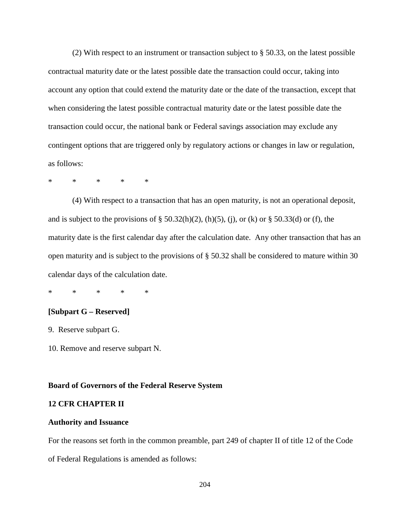(2) With respect to an instrument or transaction subject to § 50.33, on the latest possible contractual maturity date or the latest possible date the transaction could occur, taking into account any option that could extend the maturity date or the date of the transaction, except that when considering the latest possible contractual maturity date or the latest possible date the transaction could occur, the national bank or Federal savings association may exclude any contingent options that are triggered only by regulatory actions or changes in law or regulation, as follows:

\* \* \* \* \*

(4) With respect to a transaction that has an open maturity, is not an operational deposit, and is subject to the provisions of  $\S 50.32(h)(2)$ , (h)(5), (j), or (k) or  $\S 50.33(d)$  or (f), the maturity date is the first calendar day after the calculation date. Any other transaction that has an open maturity and is subject to the provisions of § 50.32 shall be considered to mature within 30 calendar days of the calculation date.

\* \* \* \* \*

## **[Subpart G – Reserved]**

9. Reserve subpart G.

10. Remove and reserve subpart N.

#### **Board of Governors of the Federal Reserve System**

## **12 CFR CHAPTER II**

#### **Authority and Issuance**

For the reasons set forth in the common preamble, part 249 of chapter II of title 12 of the Code

of Federal Regulations is amended as follows: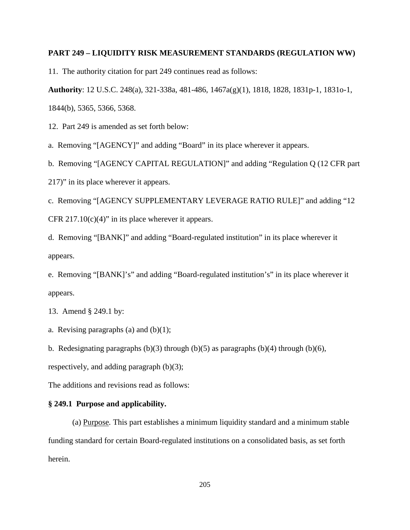### **PART 249 – LIQUIDITY RISK MEASUREMENT STANDARDS (REGULATION WW)**

11. The authority citation for part 249 continues read as follows:

**Authority**: 12 U.S.C. 248(a), 321-338a, 481-486, 1467a(g)(1), 1818, 1828, 1831p-1, 1831o-1,

1844(b), 5365, 5366, 5368.

12. Part 249 is amended as set forth below:

a. Removing "[AGENCY]" and adding "Board" in its place wherever it appears.

b. Removing "[AGENCY CAPITAL REGULATION]" and adding "Regulation Q (12 CFR part

217)" in its place wherever it appears.

c. Removing "[AGENCY SUPPLEMENTARY LEVERAGE RATIO RULE]" and adding "12 CFR  $217.10(c)(4)$ " in its place wherever it appears.

d. Removing "[BANK]" and adding "Board-regulated institution" in its place wherever it appears.

e. Removing "[BANK]'s" and adding "Board-regulated institution's" in its place wherever it appears.

13. Amend § 249.1 by:

a. Revising paragraphs (a) and  $(b)(1)$ ;

b. Redesignating paragraphs  $(b)(3)$  through  $(b)(5)$  as paragraphs  $(b)(4)$  through  $(b)(6)$ ,

respectively, and adding paragraph (b)(3);

The additions and revisions read as follows:

#### **§ 249.1 Purpose and applicability.**

(a) Purpose*.* This part establishes a minimum liquidity standard and a minimum stable funding standard for certain Board-regulated institutions on a consolidated basis, as set forth herein.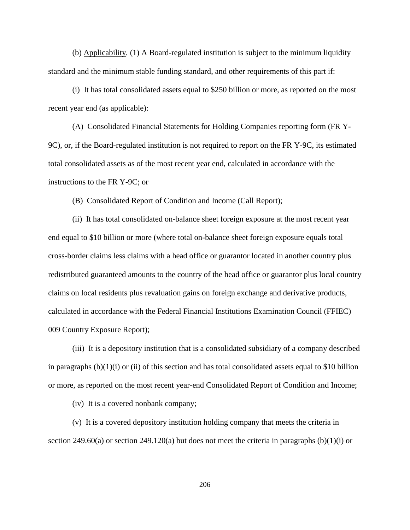(b) Applicability*.* (1) A Board-regulated institution is subject to the minimum liquidity standard and the minimum stable funding standard, and other requirements of this part if:

(i) It has total consolidated assets equal to \$250 billion or more, as reported on the most recent year end (as applicable):

(A) Consolidated Financial Statements for Holding Companies reporting form (FR Y-9C), or, if the Board-regulated institution is not required to report on the FR Y-9C, its estimated total consolidated assets as of the most recent year end, calculated in accordance with the instructions to the FR Y-9C; or

(B) Consolidated Report of Condition and Income (Call Report);

(ii) It has total consolidated on-balance sheet foreign exposure at the most recent year end equal to \$10 billion or more (where total on-balance sheet foreign exposure equals total cross-border claims less claims with a head office or guarantor located in another country plus redistributed guaranteed amounts to the country of the head office or guarantor plus local country claims on local residents plus revaluation gains on foreign exchange and derivative products, calculated in accordance with the Federal Financial Institutions Examination Council (FFIEC) 009 Country Exposure Report);

(iii) It is a depository institution that is a consolidated subsidiary of a company described in paragraphs  $(b)(1)(i)$  or (ii) of this section and has total consolidated assets equal to \$10 billion or more, as reported on the most recent year-end Consolidated Report of Condition and Income;

(iv) It is a covered nonbank company;

(v) It is a covered depository institution holding company that meets the criteria in section 249.60(a) or section 249.120(a) but does not meet the criteria in paragraphs  $(b)(1)(i)$  or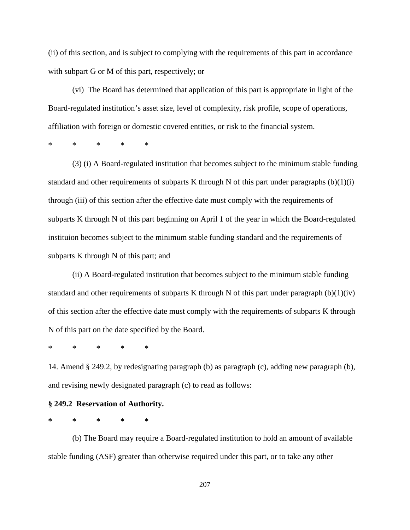(ii) of this section, and is subject to complying with the requirements of this part in accordance with subpart G or M of this part, respectively; or

(vi) The Board has determined that application of this part is appropriate in light of the Board-regulated institution's asset size, level of complexity, risk profile, scope of operations, affiliation with foreign or domestic covered entities, or risk to the financial system.

\* \* \* \* \*

(3) (i) A Board-regulated institution that becomes subject to the minimum stable funding standard and other requirements of subparts K through N of this part under paragraphs  $(b)(1)(i)$ through (iii) of this section after the effective date must comply with the requirements of subparts K through N of this part beginning on April 1 of the year in which the Board-regulated instituion becomes subject to the minimum stable funding standard and the requirements of subparts K through N of this part; and

(ii) A Board-regulated institution that becomes subject to the minimum stable funding standard and other requirements of subparts K through N of this part under paragraph  $(b)(1)(iv)$ of this section after the effective date must comply with the requirements of subparts K through N of this part on the date specified by the Board.

\* \* \* \* \*

14. Amend § 249.2, by redesignating paragraph (b) as paragraph (c), adding new paragraph (b), and revising newly designated paragraph (c) to read as follows:

#### **§ 249.2 Reservation of Authority.**

**\* \* \* \* \***

(b) The Board may require a Board-regulated institution to hold an amount of available stable funding (ASF) greater than otherwise required under this part, or to take any other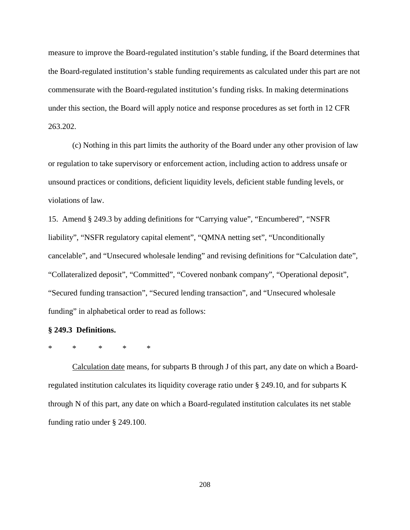measure to improve the Board-regulated institution's stable funding, if the Board determines that the Board-regulated institution's stable funding requirements as calculated under this part are not commensurate with the Board-regulated institution's funding risks. In making determinations under this section, the Board will apply notice and response procedures as set forth in 12 CFR 263.202.

(c) Nothing in this part limits the authority of the Board under any other provision of law or regulation to take supervisory or enforcement action, including action to address unsafe or unsound practices or conditions, deficient liquidity levels, deficient stable funding levels, or violations of law.

15. Amend § 249.3 by adding definitions for "Carrying value", "Encumbered", "NSFR liability", "NSFR regulatory capital element", "QMNA netting set", "Unconditionally cancelable", and "Unsecured wholesale lending" and revising definitions for "Calculation date", "Collateralized deposit", "Committed", "Covered nonbank company", "Operational deposit", "Secured funding transaction", "Secured lending transaction", and "Unsecured wholesale funding" in alphabetical order to read as follows:

#### **§ 249.3 Definitions.**

## \* \* \* \* \*

Calculation date means, for subparts B through J of this part, any date on which a Boardregulated institution calculates its liquidity coverage ratio under § 249.10, and for subparts K through N of this part, any date on which a Board-regulated institution calculates its net stable funding ratio under § 249.100.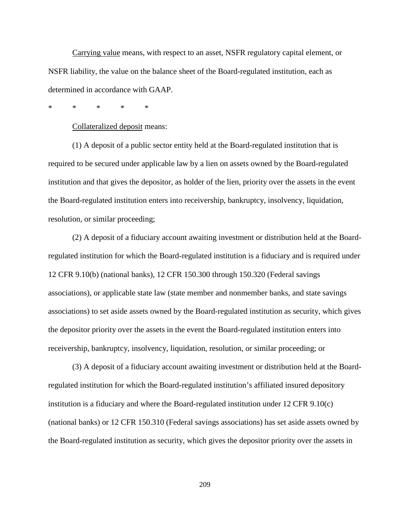Carrying value means, with respect to an asset, NSFR regulatory capital element, or NSFR liability, the value on the balance sheet of the Board-regulated institution, each as determined in accordance with GAAP.

\* \* \* \* \*

Collateralized deposit means:

(1) A deposit of a public sector entity held at the Board-regulated institution that is required to be secured under applicable law by a lien on assets owned by the Board-regulated institution and that gives the depositor, as holder of the lien, priority over the assets in the event the Board-regulated institution enters into receivership, bankruptcy, insolvency, liquidation, resolution, or similar proceeding;

(2) A deposit of a fiduciary account awaiting investment or distribution held at the Boardregulated institution for which the Board-regulated institution is a fiduciary and is required under 12 CFR 9.10(b) (national banks), 12 CFR 150.300 through 150.320 (Federal savings associations), or applicable state law (state member and nonmember banks, and state savings associations) to set aside assets owned by the Board-regulated institution as security, which gives the depositor priority over the assets in the event the Board-regulated institution enters into receivership, bankruptcy, insolvency, liquidation, resolution, or similar proceeding; or

(3) A deposit of a fiduciary account awaiting investment or distribution held at the Boardregulated institution for which the Board-regulated institution's affiliated insured depository institution is a fiduciary and where the Board-regulated institution under 12 CFR 9.10(c) (national banks) or 12 CFR 150.310 (Federal savings associations) has set aside assets owned by the Board-regulated institution as security, which gives the depositor priority over the assets in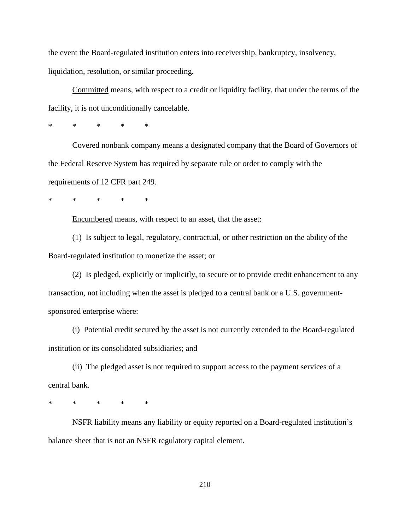the event the Board-regulated institution enters into receivership, bankruptcy, insolvency, liquidation, resolution, or similar proceeding.

Committed means, with respect to a credit or liquidity facility, that under the terms of the facility, it is not unconditionally cancelable.

\* \* \* \* \*

Covered nonbank company means a designated company that the Board of Governors of the Federal Reserve System has required by separate rule or order to comply with the requirements of 12 CFR part 249.

\* \* \* \* \*

Encumbered means, with respect to an asset, that the asset:

(1) Is subject to legal, regulatory, contractual, or other restriction on the ability of the Board-regulated institution to monetize the asset; or

(2) Is pledged, explicitly or implicitly, to secure or to provide credit enhancement to any transaction, not including when the asset is pledged to a central bank or a U.S. governmentsponsored enterprise where:

(i) Potential credit secured by the asset is not currently extended to the Board-regulated institution or its consolidated subsidiaries; and

(ii) The pledged asset is not required to support access to the payment services of a central bank.

\* \* \* \* \*

NSFR liability means any liability or equity reported on a Board-regulated institution's balance sheet that is not an NSFR regulatory capital element.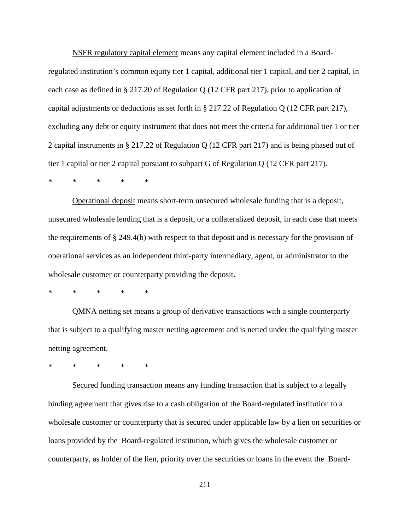NSFR regulatory capital element means any capital element included in a Boardregulated institution's common equity tier 1 capital, additional tier 1 capital, and tier 2 capital, in each case as defined in § 217.20 of Regulation Q (12 CFR part 217), prior to application of capital adjustments or deductions as set forth in § 217.22 of Regulation Q (12 CFR part 217), excluding any debt or equity instrument that does not meet the criteria for additional tier 1 or tier 2 capital instruments in § 217.22 of Regulation Q (12 CFR part 217) and is being phased out of tier 1 capital or tier 2 capital pursuant to subpart G of Regulation Q (12 CFR part 217).

\* \* \* \* \*

Operational deposit means short-term unsecured wholesale funding that is a deposit, unsecured wholesale lending that is a deposit, or a collateralized deposit, in each case that meets the requirements of § 249.4(b) with respect to that deposit and is necessary for the provision of operational services as an independent third-party intermediary, agent, or administrator to the wholesale customer or counterparty providing the deposit.

\* \* \* \* \*

QMNA netting set means a group of derivative transactions with a single counterparty that is subject to a qualifying master netting agreement and is netted under the qualifying master netting agreement.

\* \* \* \* \*

Secured funding transaction means any funding transaction that is subject to a legally binding agreement that gives rise to a cash obligation of the Board-regulated institution to a wholesale customer or counterparty that is secured under applicable law by a lien on securities or loans provided by the Board-regulated institution, which gives the wholesale customer or counterparty, as holder of the lien, priority over the securities or loans in the event the Board-

211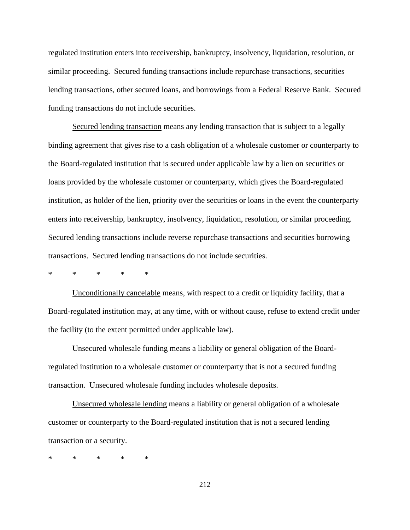regulated institution enters into receivership, bankruptcy, insolvency, liquidation, resolution, or similar proceeding. Secured funding transactions include repurchase transactions, securities lending transactions, other secured loans, and borrowings from a Federal Reserve Bank. Secured funding transactions do not include securities.

Secured lending transaction means any lending transaction that is subject to a legally binding agreement that gives rise to a cash obligation of a wholesale customer or counterparty to the Board-regulated institution that is secured under applicable law by a lien on securities or loans provided by the wholesale customer or counterparty, which gives the Board-regulated institution, as holder of the lien, priority over the securities or loans in the event the counterparty enters into receivership, bankruptcy, insolvency, liquidation, resolution, or similar proceeding. Secured lending transactions include reverse repurchase transactions and securities borrowing transactions. Secured lending transactions do not include securities.

\* \* \* \* \*

Unconditionally cancelable means, with respect to a credit or liquidity facility, that a Board-regulated institution may, at any time, with or without cause, refuse to extend credit under the facility (to the extent permitted under applicable law).

Unsecured wholesale funding means a liability or general obligation of the Boardregulated institution to a wholesale customer or counterparty that is not a secured funding transaction. Unsecured wholesale funding includes wholesale deposits.

Unsecured wholesale lending means a liability or general obligation of a wholesale customer or counterparty to the Board-regulated institution that is not a secured lending transaction or a security.

\* \* \* \* \*

212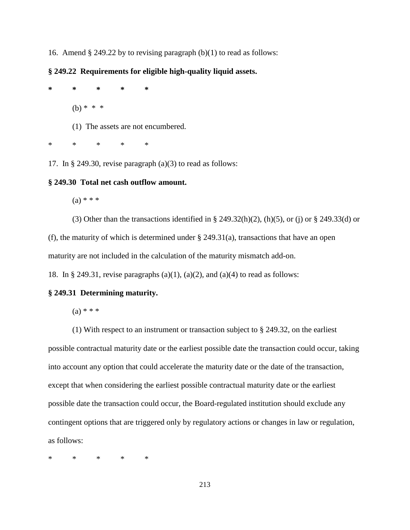16. Amend  $\S$  249.22 by to revising paragraph (b)(1) to read as follows:

# **§ 249.22 Requirements for eligible high-quality liquid assets.**

**\* \* \* \* \***  $(b) * * * *$ (1) The assets are not encumbered.

\* \* \* \* \*

17. In § 249.30, revise paragraph (a)(3) to read as follows:

# **§ 249.30 Total net cash outflow amount.**

 $(a) * * *$ 

(3) Other than the transactions identified in § 249.32(h)(2), (h)(5), or (j) or § 249.33(d) or (f), the maturity of which is determined under  $\S$  249.31(a), transactions that have an open maturity are not included in the calculation of the maturity mismatch add-on.

18. In § 249.31, revise paragraphs (a)(1), (a)(2), and (a)(4) to read as follows:

## **§ 249.31 Determining maturity.**

 $(a) * * * *$ 

(1) With respect to an instrument or transaction subject to § 249.32, on the earliest possible contractual maturity date or the earliest possible date the transaction could occur, taking into account any option that could accelerate the maturity date or the date of the transaction, except that when considering the earliest possible contractual maturity date or the earliest possible date the transaction could occur, the Board-regulated institution should exclude any contingent options that are triggered only by regulatory actions or changes in law or regulation, as follows:

\* \* \* \* \*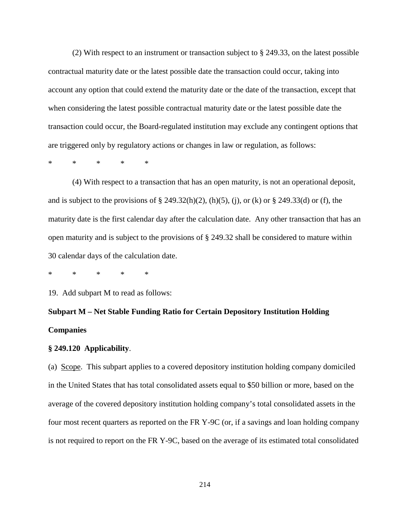(2) With respect to an instrument or transaction subject to § 249.33, on the latest possible contractual maturity date or the latest possible date the transaction could occur, taking into account any option that could extend the maturity date or the date of the transaction, except that when considering the latest possible contractual maturity date or the latest possible date the transaction could occur, the Board-regulated institution may exclude any contingent options that are triggered only by regulatory actions or changes in law or regulation, as follows:

\* \* \* \* \*

(4) With respect to a transaction that has an open maturity, is not an operational deposit, and is subject to the provisions of  $\S$  249.32(h)(2), (h)(5), (j), or (k) or  $\S$  249.33(d) or (f), the maturity date is the first calendar day after the calculation date. Any other transaction that has an open maturity and is subject to the provisions of § 249.32 shall be considered to mature within 30 calendar days of the calculation date.

\* \* \* \* \*

19. Add subpart M to read as follows:

# **Subpart M – Net Stable Funding Ratio for Certain Depository Institution Holding Companies**

#### **§ 249.120 Applicability**.

(a) Scope. This subpart applies to a covered depository institution holding company domiciled in the United States that has total consolidated assets equal to \$50 billion or more, based on the average of the covered depository institution holding company's total consolidated assets in the four most recent quarters as reported on the FR Y-9C (or, if a savings and loan holding company is not required to report on the FR Y-9C, based on the average of its estimated total consolidated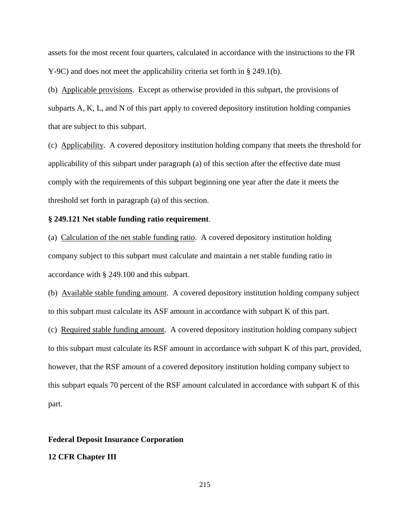assets for the most recent four quarters, calculated in accordance with the instructions to the FR Y-9C) and does not meet the applicability criteria set forth in § 249.1(b).

(b) Applicable provisions. Except as otherwise provided in this subpart, the provisions of subparts A, K, L, and N of this part apply to covered depository institution holding companies that are subject to this subpart.

(c) Applicability. A covered depository institution holding company that meets the threshold for applicability of this subpart under paragraph (a) of this section after the effective date must comply with the requirements of this subpart beginning one year after the date it meets the threshold set forth in paragraph (a) of this section.

## **§ 249.121 Net stable funding ratio requirement**.

(a) Calculation of the net stable funding ratio. A covered depository institution holding company subject to this subpart must calculate and maintain a net stable funding ratio in accordance with § 249.100 and this subpart.

(b) Available stable funding amount. A covered depository institution holding company subject to this subpart must calculate its ASF amount in accordance with subpart K of this part.

(c) Required stable funding amount. A covered depository institution holding company subject to this subpart must calculate its RSF amount in accordance with subpart K of this part, provided, however, that the RSF amount of a covered depository institution holding company subject to this subpart equals 70 percent of the RSF amount calculated in accordance with subpart K of this part.

### **Federal Deposit Insurance Corporation**

### **12 CFR Chapter III**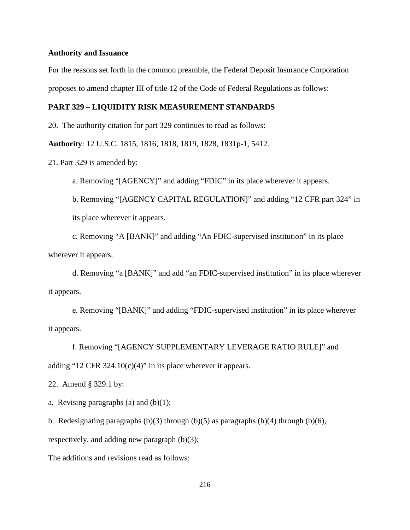### **Authority and Issuance**

For the reasons set forth in the common preamble, the Federal Deposit Insurance Corporation proposes to amend chapter III of title 12 of the Code of Federal Regulations as follows:

## **PART 329 – LIQUIDITY RISK MEASUREMENT STANDARDS**

20. The authority citation for part 329 continues to read as follows:

**Authority**: 12 U.S.C. 1815, 1816, 1818, 1819, 1828, 1831p-1, 5412.

21. Part 329 is amended by:

a. Removing "[AGENCY]" and adding "FDIC" in its place wherever it appears.

b. Removing "[AGENCY CAPITAL REGULATION]" and adding "12 CFR part 324" in its place wherever it appears.

c. Removing "A [BANK]" and adding "An FDIC-supervised institution" in its place wherever it appears.

d. Removing "a [BANK]" and add "an FDIC-supervised institution" in its place wherever it appears.

e. Removing "[BANK]" and adding "FDIC-supervised institution" in its place wherever it appears.

f. Removing "[AGENCY SUPPLEMENTARY LEVERAGE RATIO RULE]" and adding "12 CFR 324.10(c)(4)" in its place wherever it appears.

22. Amend § 329.1 by:

a. Revising paragraphs (a) and  $(b)(1)$ ;

b. Redesignating paragraphs  $(b)(3)$  through  $(b)(5)$  as paragraphs  $(b)(4)$  through  $(b)(6)$ ,

respectively, and adding new paragraph (b)(3);

The additions and revisions read as follows: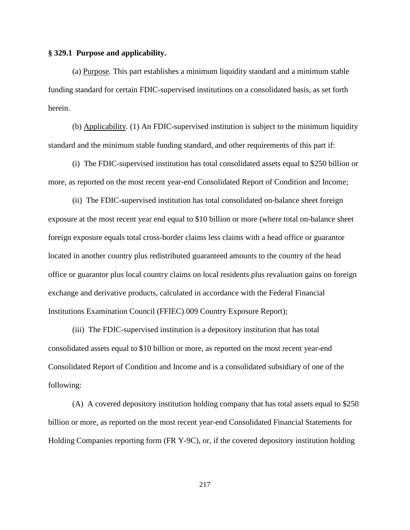### **§ 329.1 Purpose and applicability.**

(a) Purpose*.* This part establishes a minimum liquidity standard and a minimum stable funding standard for certain FDIC-supervised institutions on a consolidated basis, as set forth herein.

(b) Applicability*.* (1) An FDIC-supervised institution is subject to the minimum liquidity standard and the minimum stable funding standard, and other requirements of this part if:

(i) The FDIC-supervised institution has total consolidated assets equal to \$250 billion or more, as reported on the most recent year-end Consolidated Report of Condition and Income;

(ii) The FDIC-supervised institution has total consolidated on-balance sheet foreign exposure at the most recent year end equal to \$10 billion or more (where total on-balance sheet foreign exposure equals total cross-border claims less claims with a head office or guarantor located in another country plus redistributed guaranteed amounts to the country of the head office or guarantor plus local country claims on local residents plus revaluation gains on foreign exchange and derivative products, calculated in accordance with the Federal Financial Institutions Examination Council (FFIEC) 009 Country Exposure Report);

(iii) The FDIC-supervised institution is a depository institution that has total consolidated assets equal to \$10 billion or more, as reported on the most recent year-end Consolidated Report of Condition and Income and is a consolidated subsidiary of one of the following:

(A) A covered depository institution holding company that has total assets equal to \$250 billion or more, as reported on the most recent year-end Consolidated Financial Statements for Holding Companies reporting form (FR Y-9C), or, if the covered depository institution holding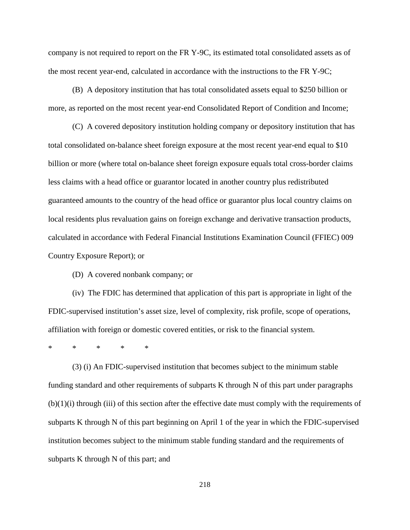company is not required to report on the FR Y-9C, its estimated total consolidated assets as of the most recent year-end, calculated in accordance with the instructions to the FR Y-9C;

(B) A depository institution that has total consolidated assets equal to \$250 billion or more, as reported on the most recent year-end Consolidated Report of Condition and Income;

(C) A covered depository institution holding company or depository institution that has total consolidated on-balance sheet foreign exposure at the most recent year-end equal to \$10 billion or more (where total on-balance sheet foreign exposure equals total cross-border claims less claims with a head office or guarantor located in another country plus redistributed guaranteed amounts to the country of the head office or guarantor plus local country claims on local residents plus revaluation gains on foreign exchange and derivative transaction products, calculated in accordance with Federal Financial Institutions Examination Council (FFIEC) 009 Country Exposure Report); or

(D) A covered nonbank company; or

(iv) The FDIC has determined that application of this part is appropriate in light of the FDIC-supervised institution's asset size, level of complexity, risk profile, scope of operations, affiliation with foreign or domestic covered entities, or risk to the financial system.

\* \* \* \* \*

(3) (i) An FDIC-supervised institution that becomes subject to the minimum stable funding standard and other requirements of subparts K through N of this part under paragraphs  $(b)(1)(i)$  through (iii) of this section after the effective date must comply with the requirements of subparts K through N of this part beginning on April 1 of the year in which the FDIC-supervised institution becomes subject to the minimum stable funding standard and the requirements of subparts K through N of this part; and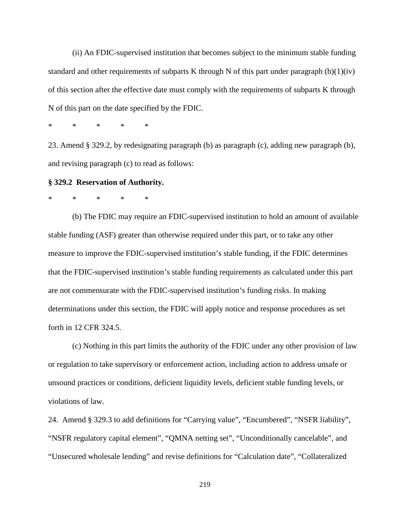(ii) An FDIC-supervised institution that becomes subject to the minimum stable funding standard and other requirements of subparts K through N of this part under paragraph  $(b)(1)(iv)$ of this section after the effective date must comply with the requirements of subparts K through N of this part on the date specified by the FDIC.

\* \* \* \* \*

23. Amend § 329.2, by redesignating paragraph (b) as paragraph (c), adding new paragraph (b), and revising paragraph (c) to read as follows:

### **§ 329.2 Reservation of Authority.**

\* \* \* \* \*

(b) The FDIC may require an FDIC-supervised institution to hold an amount of available stable funding (ASF) greater than otherwise required under this part, or to take any other measure to improve the FDIC-supervised institution's stable funding, if the FDIC determines that the FDIC-supervised institution's stable funding requirements as calculated under this part are not commensurate with the FDIC-supervised institution's funding risks. In making determinations under this section, the FDIC will apply notice and response procedures as set forth in 12 CFR 324.5.

(c) Nothing in this part limits the authority of the FDIC under any other provision of law or regulation to take supervisory or enforcement action, including action to address unsafe or unsound practices or conditions, deficient liquidity levels, deficient stable funding levels, or violations of law.

24. Amend § 329.3 to add definitions for "Carrying value", "Encumbered", "NSFR liability", "NSFR regulatory capital element", "QMNA netting set", "Unconditionally cancelable", and "Unsecured wholesale lending" and revise definitions for "Calculation date", "Collateralized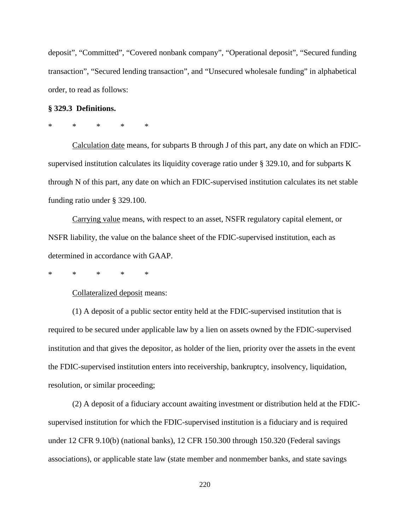deposit", "Committed", "Covered nonbank company", "Operational deposit", "Secured funding transaction", "Secured lending transaction", and "Unsecured wholesale funding" in alphabetical order, to read as follows:

### **§ 329.3 Definitions.**

# \* \* \* \* \*

Calculation date means, for subparts B through J of this part, any date on which an FDICsupervised institution calculates its liquidity coverage ratio under § 329.10, and for subparts K through N of this part, any date on which an FDIC-supervised institution calculates its net stable funding ratio under § 329.100.

Carrying value means, with respect to an asset, NSFR regulatory capital element, or NSFR liability, the value on the balance sheet of the FDIC-supervised institution, each as determined in accordance with GAAP.

\* \* \* \* \*

Collateralized deposit means:

(1) A deposit of a public sector entity held at the FDIC-supervised institution that is required to be secured under applicable law by a lien on assets owned by the FDIC-supervised institution and that gives the depositor, as holder of the lien, priority over the assets in the event the FDIC-supervised institution enters into receivership, bankruptcy, insolvency, liquidation, resolution, or similar proceeding;

(2) A deposit of a fiduciary account awaiting investment or distribution held at the FDICsupervised institution for which the FDIC-supervised institution is a fiduciary and is required under 12 CFR 9.10(b) (national banks), 12 CFR 150.300 through 150.320 (Federal savings associations), or applicable state law (state member and nonmember banks, and state savings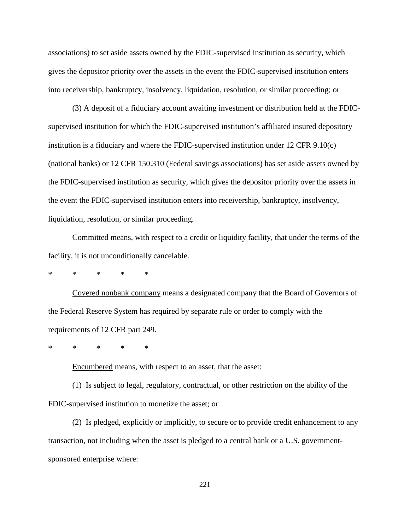associations) to set aside assets owned by the FDIC-supervised institution as security, which gives the depositor priority over the assets in the event the FDIC-supervised institution enters into receivership, bankruptcy, insolvency, liquidation, resolution, or similar proceeding; or

(3) A deposit of a fiduciary account awaiting investment or distribution held at the FDICsupervised institution for which the FDIC-supervised institution's affiliated insured depository institution is a fiduciary and where the FDIC-supervised institution under 12 CFR 9.10(c) (national banks) or 12 CFR 150.310 (Federal savings associations) has set aside assets owned by the FDIC-supervised institution as security, which gives the depositor priority over the assets in the event the FDIC-supervised institution enters into receivership, bankruptcy, insolvency, liquidation, resolution, or similar proceeding.

Committed means, with respect to a credit or liquidity facility, that under the terms of the facility, it is not unconditionally cancelable.

\* \* \* \* \*

Covered nonbank company means a designated company that the Board of Governors of the Federal Reserve System has required by separate rule or order to comply with the requirements of 12 CFR part 249.

\* \* \* \* \*

Encumbered means, with respect to an asset, that the asset:

(1) Is subject to legal, regulatory, contractual, or other restriction on the ability of the FDIC-supervised institution to monetize the asset; or

(2) Is pledged, explicitly or implicitly, to secure or to provide credit enhancement to any transaction, not including when the asset is pledged to a central bank or a U.S. governmentsponsored enterprise where: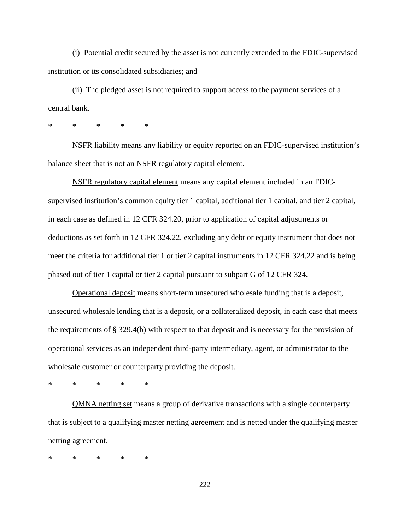(i) Potential credit secured by the asset is not currently extended to the FDIC-supervised institution or its consolidated subsidiaries; and

(ii) The pledged asset is not required to support access to the payment services of a central bank.

\* \* \* \* \*

NSFR liability means any liability or equity reported on an FDIC-supervised institution's balance sheet that is not an NSFR regulatory capital element.

NSFR regulatory capital element means any capital element included in an FDICsupervised institution's common equity tier 1 capital, additional tier 1 capital, and tier 2 capital, in each case as defined in 12 CFR 324.20, prior to application of capital adjustments or deductions as set forth in 12 CFR 324.22, excluding any debt or equity instrument that does not meet the criteria for additional tier 1 or tier 2 capital instruments in 12 CFR 324.22 and is being phased out of tier 1 capital or tier 2 capital pursuant to subpart G of 12 CFR 324.

Operational deposit means short-term unsecured wholesale funding that is a deposit, unsecured wholesale lending that is a deposit, or a collateralized deposit, in each case that meets the requirements of § 329.4(b) with respect to that deposit and is necessary for the provision of operational services as an independent third-party intermediary, agent, or administrator to the wholesale customer or counterparty providing the deposit.

\* \* \* \* \*

QMNA netting set means a group of derivative transactions with a single counterparty that is subject to a qualifying master netting agreement and is netted under the qualifying master netting agreement.

\* \* \* \* \*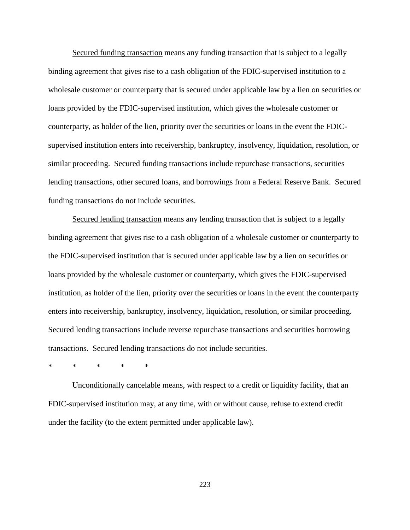Secured funding transaction means any funding transaction that is subject to a legally binding agreement that gives rise to a cash obligation of the FDIC-supervised institution to a wholesale customer or counterparty that is secured under applicable law by a lien on securities or loans provided by the FDIC-supervised institution, which gives the wholesale customer or counterparty, as holder of the lien, priority over the securities or loans in the event the FDICsupervised institution enters into receivership, bankruptcy, insolvency, liquidation, resolution, or similar proceeding. Secured funding transactions include repurchase transactions, securities lending transactions, other secured loans, and borrowings from a Federal Reserve Bank. Secured funding transactions do not include securities.

Secured lending transaction means any lending transaction that is subject to a legally binding agreement that gives rise to a cash obligation of a wholesale customer or counterparty to the FDIC-supervised institution that is secured under applicable law by a lien on securities or loans provided by the wholesale customer or counterparty, which gives the FDIC-supervised institution, as holder of the lien, priority over the securities or loans in the event the counterparty enters into receivership, bankruptcy, insolvency, liquidation, resolution, or similar proceeding. Secured lending transactions include reverse repurchase transactions and securities borrowing transactions. Secured lending transactions do not include securities.

\* \* \* \* \*

Unconditionally cancelable means, with respect to a credit or liquidity facility, that an FDIC-supervised institution may, at any time, with or without cause, refuse to extend credit under the facility (to the extent permitted under applicable law).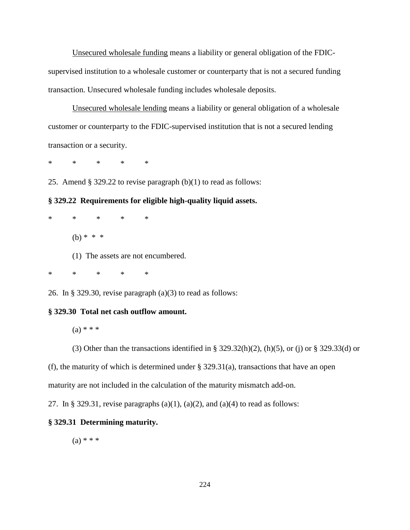Unsecured wholesale funding means a liability or general obligation of the FDICsupervised institution to a wholesale customer or counterparty that is not a secured funding transaction. Unsecured wholesale funding includes wholesale deposits.

Unsecured wholesale lending means a liability or general obligation of a wholesale customer or counterparty to the FDIC-supervised institution that is not a secured lending transaction or a security.

\* \* \* \* \*

25. Amend § 329.22 to revise paragraph (b)(1) to read as follows:

**§ 329.22 Requirements for eligible high-quality liquid assets.**

\* \* \* \* \* (b)  $* * * *$ (1) The assets are not encumbered.

\* \* \* \* \*

26. In § 329.30, revise paragraph (a)(3) to read as follows:

### **§ 329.30 Total net cash outflow amount.**

 $(a) * * *$ 

(3) Other than the transactions identified in § 329.32(h)(2), (h)(5), or (j) or § 329.33(d) or

(f), the maturity of which is determined under  $\S$  329.31(a), transactions that have an open

maturity are not included in the calculation of the maturity mismatch add-on.

27. In § 329.31, revise paragraphs  $(a)(1)$ ,  $(a)(2)$ , and  $(a)(4)$  to read as follows:

## **§ 329.31 Determining maturity.**

 $(a) * * *$